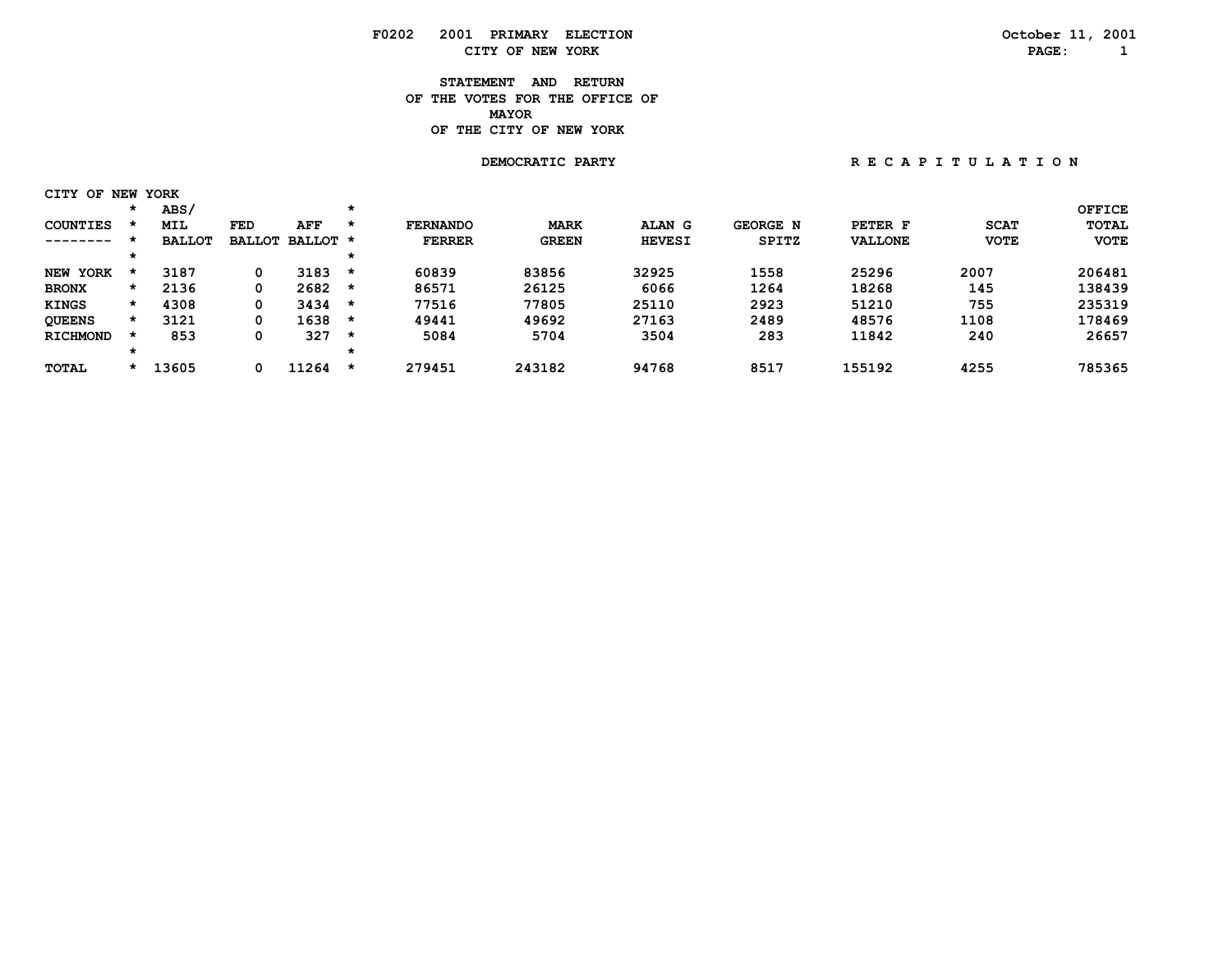### **F0202 2001 PRIMARY ELECTION October 11, 2001 CITY OF NEW YORK PAGE: 1**

#### **STATEMENT AND RETURN OF THE VOTES FOR THE OFFICE OF MAYORMAYOR OF THE CITY OF NEW YORK**

# **DEMOCRATIC PARTY**

| RECAPITULATION |  |  |
|----------------|--|--|
|----------------|--|--|

| OF<br>CITY      |         | NEW YORK      |               |          |         |                 |              |               |                 |                |             |               |
|-----------------|---------|---------------|---------------|----------|---------|-----------------|--------------|---------------|-----------------|----------------|-------------|---------------|
|                 | *       | ABS/          |               |          | $\star$ |                 |              |               |                 |                |             | <b>OFFICE</b> |
| <b>COUNTIES</b> |         | <b>MIL</b>    | FED           | AFF      | $\star$ | <b>FERNANDO</b> | <b>MARK</b>  | ALAN G        | <b>GEORGE N</b> | PETER F        | <b>SCAT</b> | <b>TOTAL</b>  |
| ---------       |         | <b>BALLOT</b> | <b>BALLOT</b> | BALLOT * |         | <b>FERRER</b>   | <b>GREEN</b> | <b>HEVESI</b> | <b>SPITZ</b>    | <b>VALLONE</b> | <b>VOTE</b> | <b>VOTE</b>   |
|                 |         |               |               |          |         |                 |              |               |                 |                |             |               |
| NEW YORK        |         | 3187          | 0             | 3183     | $\star$ | 60839           | 83856        | 32925         | 1558            | 25296          | 2007        | 206481        |
| <b>BRONX</b>    | $\star$ | 2136          | 0             | 2682     | *       | 86571           | 26125        | 6066          | 1264            | 18268          | 145         | 138439        |
| <b>KINGS</b>    | $\star$ | 4308          | 0             | 3434     | $\star$ | 77516           | 77805        | 25110         | 2923            | 51210          | 755         | 235319        |
| <b>QUEENS</b>   | *       | 3121          | 0             | 1638     | $\star$ | 49441           | 49692        | 27163         | 2489            | 48576          | 1108        | 178469        |
| <b>RICHMOND</b> |         | 853           | 0             | 327      | $\star$ | 5084            | 5704         | 3504          | 283             | 11842          | 240         | 26657         |
|                 | *       |               |               |          |         |                 |              |               |                 |                |             |               |
| <b>TOTAL</b>    |         | 13605         |               | 11264    | *       | 279451          | 243182       | 94768         | 8517            | 155192         | 4255        | 785365        |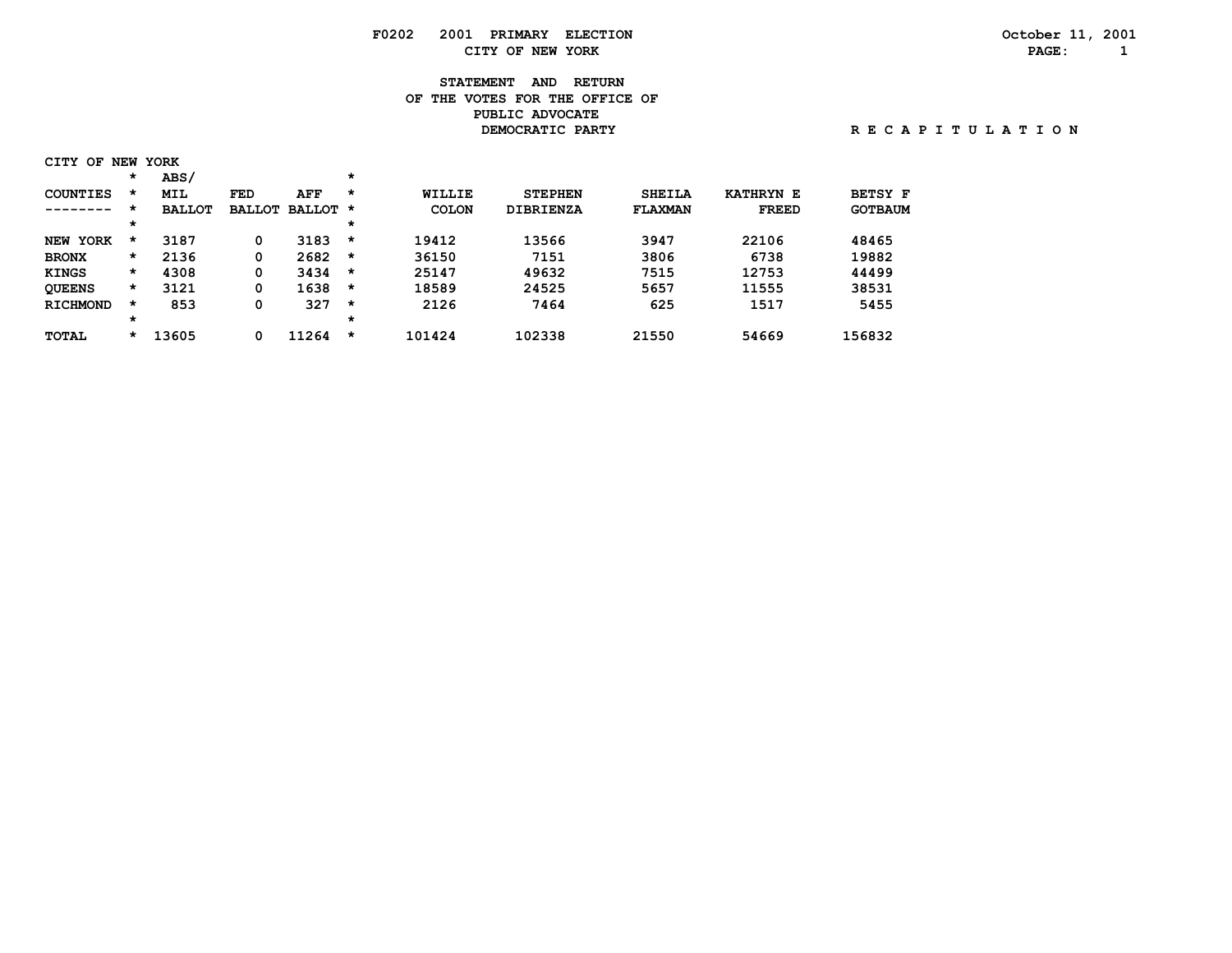# **F0202 2001 PRIMARY ELECTION October 11, 2001 CITY OF NEW YORK PAGE: 1**

# **STATEMENT AND RETURN OF THE VOTES FOR THE OFFICE OF PUBLIC ADVOCATE DEMOCRATIC PARTY R E C A P I T U L A T I O N**

| CITY OF NEW YORK |  |      |  |
|------------------|--|------|--|
|                  |  | ABS/ |  |

| COUNTIES        | *       | MIL           | FED           | AFF      | $\star$ | WILLIE       | <b>STEPHEN</b>   | <b>SHEILA</b>  | <b>KATHRYN E</b> | <b>BETSY F</b> |
|-----------------|---------|---------------|---------------|----------|---------|--------------|------------------|----------------|------------------|----------------|
| -------         | *       | <b>BALLOT</b> | <b>BALLOT</b> | BALLOT * |         | <b>COLON</b> | <b>DIBRIENZA</b> | <b>FLAXMAN</b> | <b>FREED</b>     | <b>GOTBAUM</b> |
|                 | $\star$ |               |               |          | $\star$ |              |                  |                |                  |                |
| NEW<br>YORK     | *       | 3187          | 0             | 3183     | $\star$ | 19412        | 13566            | 3947           | 22106            | 48465          |
| <b>BRONX</b>    | $\star$ | 2136          | 0             | 2682     | $\star$ | 36150        | 7151             | 3806           | 6738             | 19882          |
| <b>KINGS</b>    | $\star$ | 4308          | 0             | 3434     | $\star$ | 25147        | 49632            | 7515           | 12753            | 44499          |
| <b>OUEENS</b>   | $\star$ | 3121          | 0             | 1638     | *       | 18589        | 24525            | 5657           | 11555            | 38531          |
| <b>RICHMOND</b> | *       | 853           | 0             | 327      | $\star$ | 2126         | 7464             | 625            | 1517             | 5455           |
|                 | $\star$ |               |               |          | *       |              |                  |                |                  |                |
| TOTAL           | $\star$ | 13605         | 0             | 11264    | $\star$ | 101424       | 102338           | 21550          | 54669            | 156832         |
|                 |         |               |               |          |         |              |                  |                |                  |                |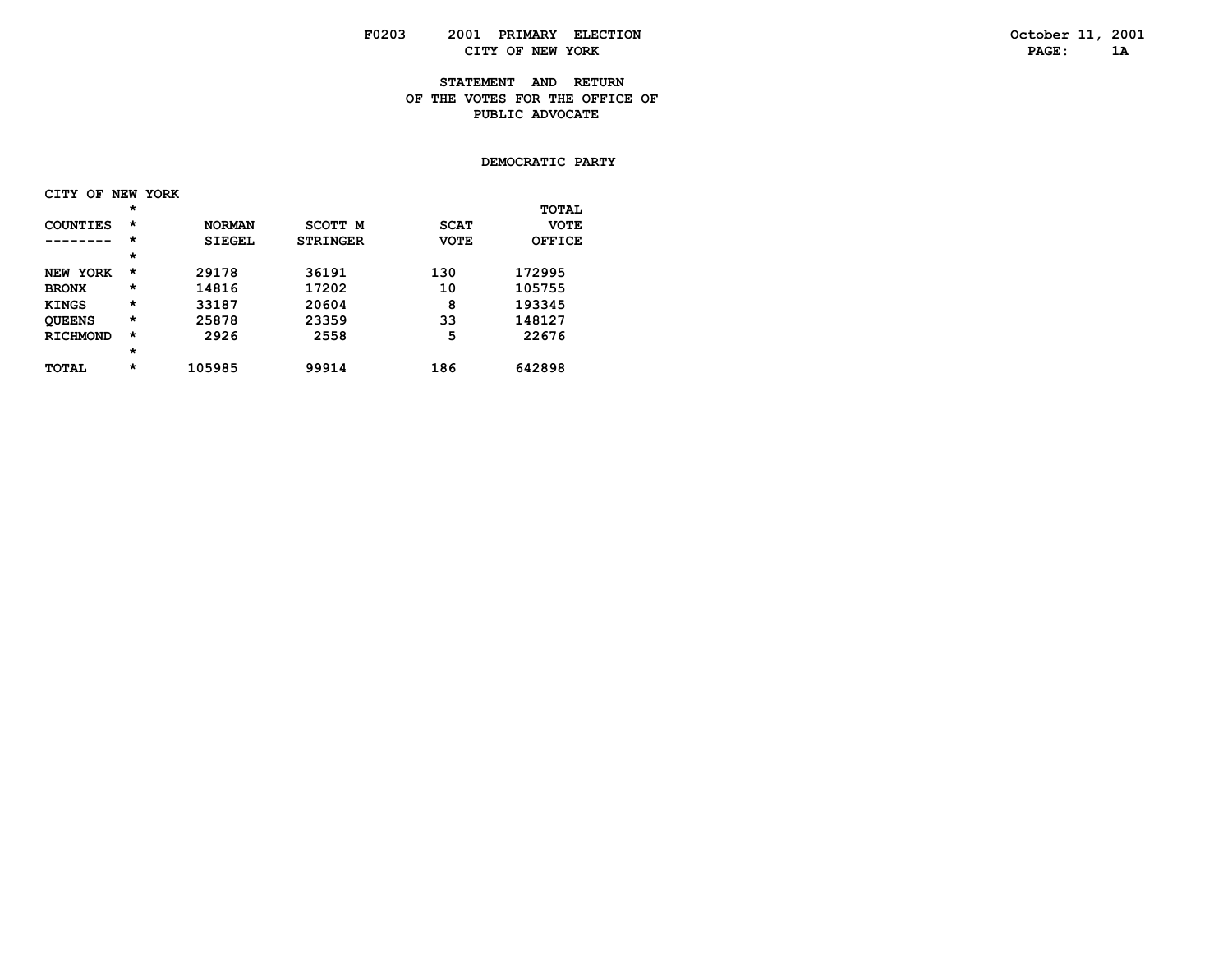#### **STATEMENT AND RETURN OF THE VOTES FOR THE OFFICE OF PUBLIC ADVOCATE**

#### **DEMOCRATIC PARTY**

| <b>CITY</b>     | OF NEW YORK |               |                 |             |              |
|-----------------|-------------|---------------|-----------------|-------------|--------------|
|                 | $^\star$    |               |                 |             | <b>TOTAL</b> |
| COUNTIES        | $\star$     | <b>NORMAN</b> | SCOTT M         | <b>SCAT</b> | <b>VOTE</b>  |
|                 | $\star$     | <b>SIEGEL</b> | <b>STRINGER</b> | <b>VOTE</b> | OFFICE       |
|                 | $\star$     |               |                 |             |              |
| NEW YORK        | $^\star$    | 29178         | 36191           | 130         | 172995       |
| <b>BRONX</b>    | $^\star$    | 14816         | 17202           | 10          | 105755       |
| <b>KINGS</b>    | $\star$     | 33187         | 20604           | 8           | 193345       |
| <b>QUEENS</b>   | $\star$     | 25878         | 23359           | 33          | 148127       |
| <b>RICHMOND</b> | $\star$     | 2926          | 2558            | 5           | 22676        |
|                 | $\star$     |               |                 |             |              |
| <b>TOTAL</b>    | $^\star$    | 105985        | 99914           | 186         | 642898       |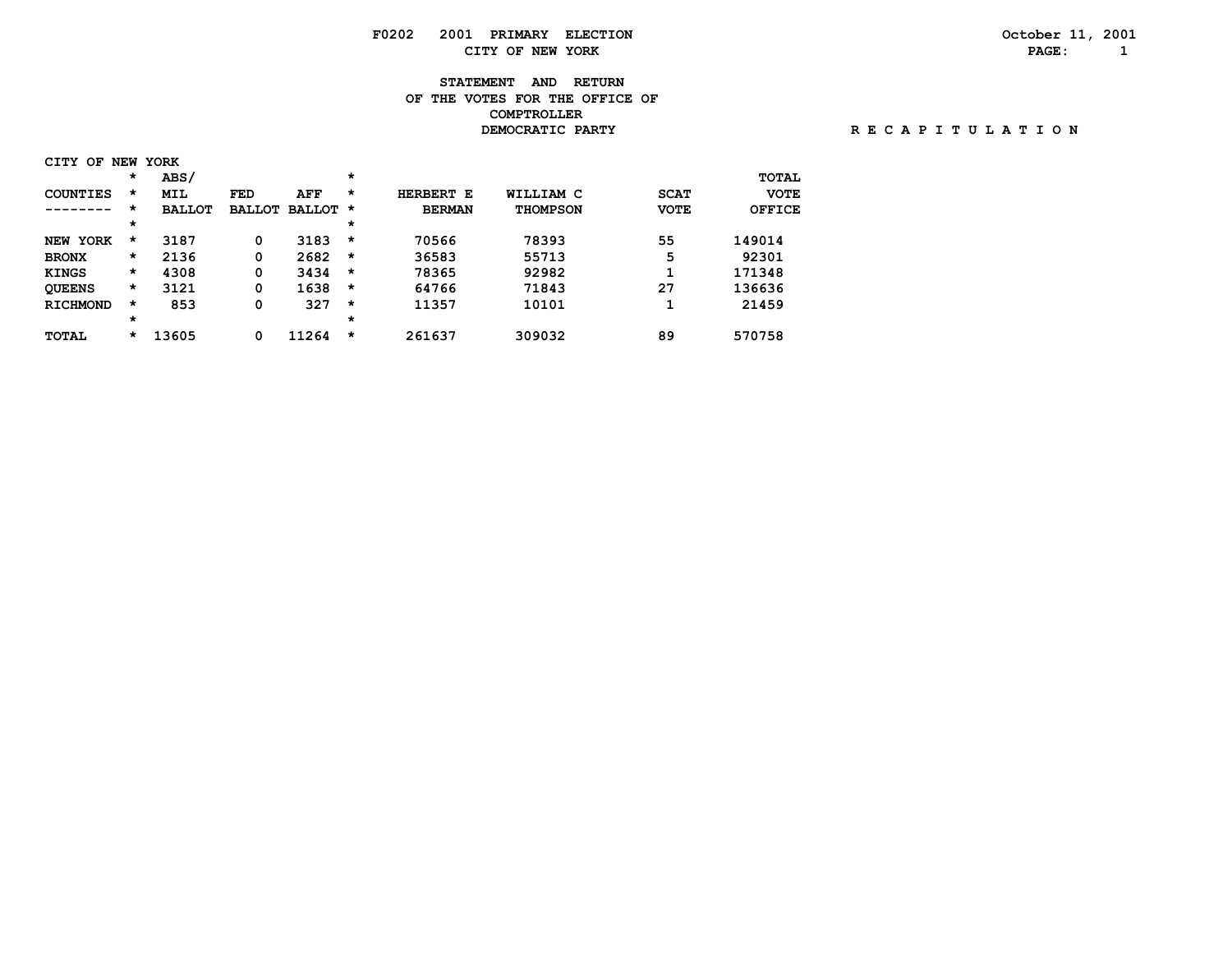# **F0202 2001 PRIMARY ELECTION October 11, 2001 CITY OF NEW YORK PAGE: 1**

# **STATEMENT AND RETURN OF THE VOTES FOR THE OFFICE OF COMPTROLLER**

| CITY<br>OF                |         | <b>NEW YORK</b> |               |          |         |               |                 |             |               |
|---------------------------|---------|-----------------|---------------|----------|---------|---------------|-----------------|-------------|---------------|
|                           | $\star$ | ABS/            |               |          | $\star$ |               |                 |             | <b>TOTAL</b>  |
| COUNTIES                  | $\star$ | <b>MIL</b>      | <b>FED</b>    | AFF      | $\star$ | HERBERT E     | WILLIAM C       | <b>SCAT</b> | <b>VOTE</b>   |
| ------                    | *       | <b>BALLOT</b>   | <b>BALLOT</b> | BALLOT * |         | <b>BERMAN</b> | <b>THOMPSON</b> | <b>VOTE</b> | <b>OFFICE</b> |
|                           | $\star$ |                 |               |          | $\star$ |               |                 |             |               |
| <b>YORK</b><br><b>NEW</b> | *       | 3187            | 0             | 3183     | $\star$ | 70566         | 78393           | 55          | 149014        |
| <b>BRONX</b>              | *       | 2136            | 0             | 2682     | $\star$ | 36583         | 55713           | 5           | 92301         |
| <b>KINGS</b>              | $\star$ | 4308            | 0             | 3434     | $\star$ | 78365         | 92982           |             | 171348        |
| <b>OUEENS</b>             | *       | 3121            | 0             | 1638     | $\star$ | 64766         | 71843           | 27          | 136636        |
| <b>RICHMOND</b>           | *       | 853             | 0             | 327      | $\star$ | 11357         | 10101           |             | 21459         |
|                           | $\star$ |                 |               |          | $\star$ |               |                 |             |               |
| <b>TOTAL</b>              | *       | 13605           | 0             | 11264    | $\star$ | 261637        | 309032          | 89          | 570758        |

 **DEMOCRATIC PARTY R E C A P I T U L A T I O N**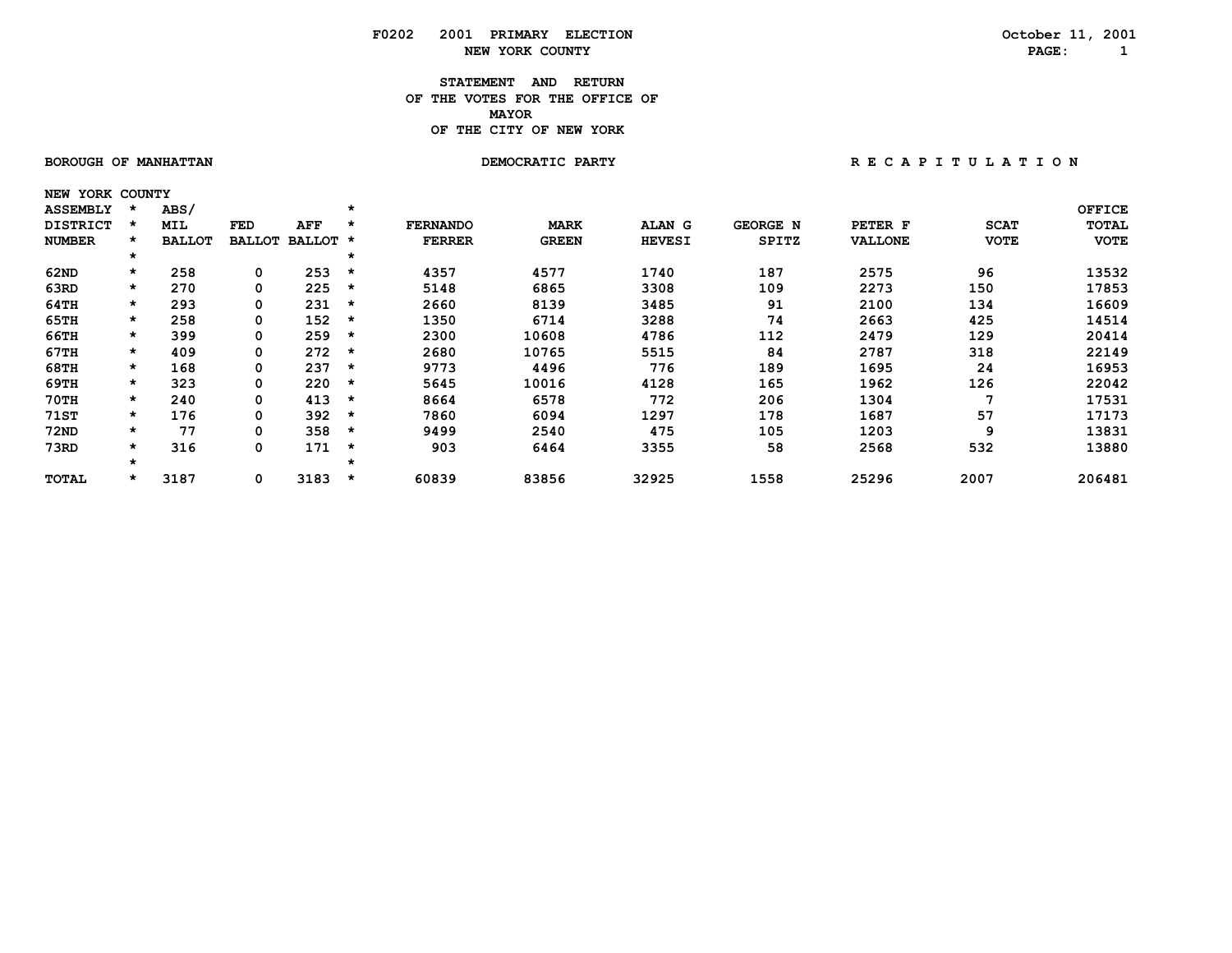### **STATEMENT AND RETURN OF THE VOTES FOR THE OFFICE OF** *MAYOR*  **OF THE CITY OF NEW YORK**

 **NEW YORK COUNTY**

BOROUGH OF MANHATTAN **DEMOCRATIC PARTY REGAPITULATION** 

| <b>ASSEMBLY</b> |         | ABS/          |            |                 | $\star$ |                 |              |               |                 |                |             | <b>OFFICE</b> |
|-----------------|---------|---------------|------------|-----------------|---------|-----------------|--------------|---------------|-----------------|----------------|-------------|---------------|
| <b>DISTRICT</b> |         | <b>MIL</b>    | <b>FED</b> | AFF             |         | <b>FERNANDO</b> | <b>MARK</b>  | ALAN G        | <b>GEORGE N</b> | PETER F        | <b>SCAT</b> | <b>TOTAL</b>  |
| <b>NUMBER</b>   |         | <b>BALLOT</b> |            | BALLOT BALLOT * |         | <b>FERRER</b>   | <b>GREEN</b> | <b>HEVESI</b> | SPITZ           | <b>VALLONE</b> | <b>VOTE</b> | <b>VOTE</b>   |
|                 | *       |               |            |                 | $\star$ |                 |              |               |                 |                |             |               |
| 62ND            | $\star$ | 258           | 0          | 253             | $\star$ | 4357            | 4577         | 1740          | 187             | 2575           | 96          | 13532         |
| 63RD            | $\star$ | 270           | 0          | 225             | $\star$ | 5148            | 6865         | 3308          | 109             | 2273           | 150         | 17853         |
| 64TH            | $\star$ | 293           | 0          | 231             | *       | 2660            | 8139         | 3485          | 91              | 2100           | 134         | 16609         |
| 65TH            | $\star$ | 258           | 0          | 152             | *       | 1350            | 6714         | 3288          | 74              | 2663           | 425         | 14514         |
| 66TH            | $\star$ | 399           | 0          | 259             | *       | 2300            | 10608        | 4786          | 112             | 2479           | 129         | 20414         |
| 67TH            | $\star$ | 409           | 0          | 272             | $\star$ | 2680            | 10765        | 5515          | 84              | 2787           | 318         | 22149         |
| 68TH            | $\star$ | 168           | 0          | 237             | $\star$ | 9773            | 4496         | 776           | 189             | 1695           | 24          | 16953         |
| 69TH            | $\star$ | 323           | 0          | 220             | $\star$ | 5645            | 10016        | 4128          | 165             | 1962           | 126         | 22042         |
| $70$ TH         | $\star$ | 240           | 0          | 413             | $\star$ | 8664            | 6578         | 772           | 206             | 1304           |             | 17531         |
| 71ST            | $\star$ | 176           | 0          | 392             | $\star$ | 7860            | 6094         | 1297          | 178             | 1687           | 57          | 17173         |
| <b>72ND</b>     | $\star$ | 77            | 0          | 358             | *       | 9499            | 2540         | 475           | 105             | 1203           | 9           | 13831         |
| 73RD            | $\star$ | 316           | 0          | 171             | $\star$ | 903             | 6464         | 3355          | 58              | 2568           | 532         | 13880         |
|                 | *       |               |            |                 | $\star$ |                 |              |               |                 |                |             |               |
| TOTAL           | $\star$ | 3187          | 0          | 3183            | *       | 60839           | 83856        | 32925         | 1558            | 25296          | 2007        | 206481        |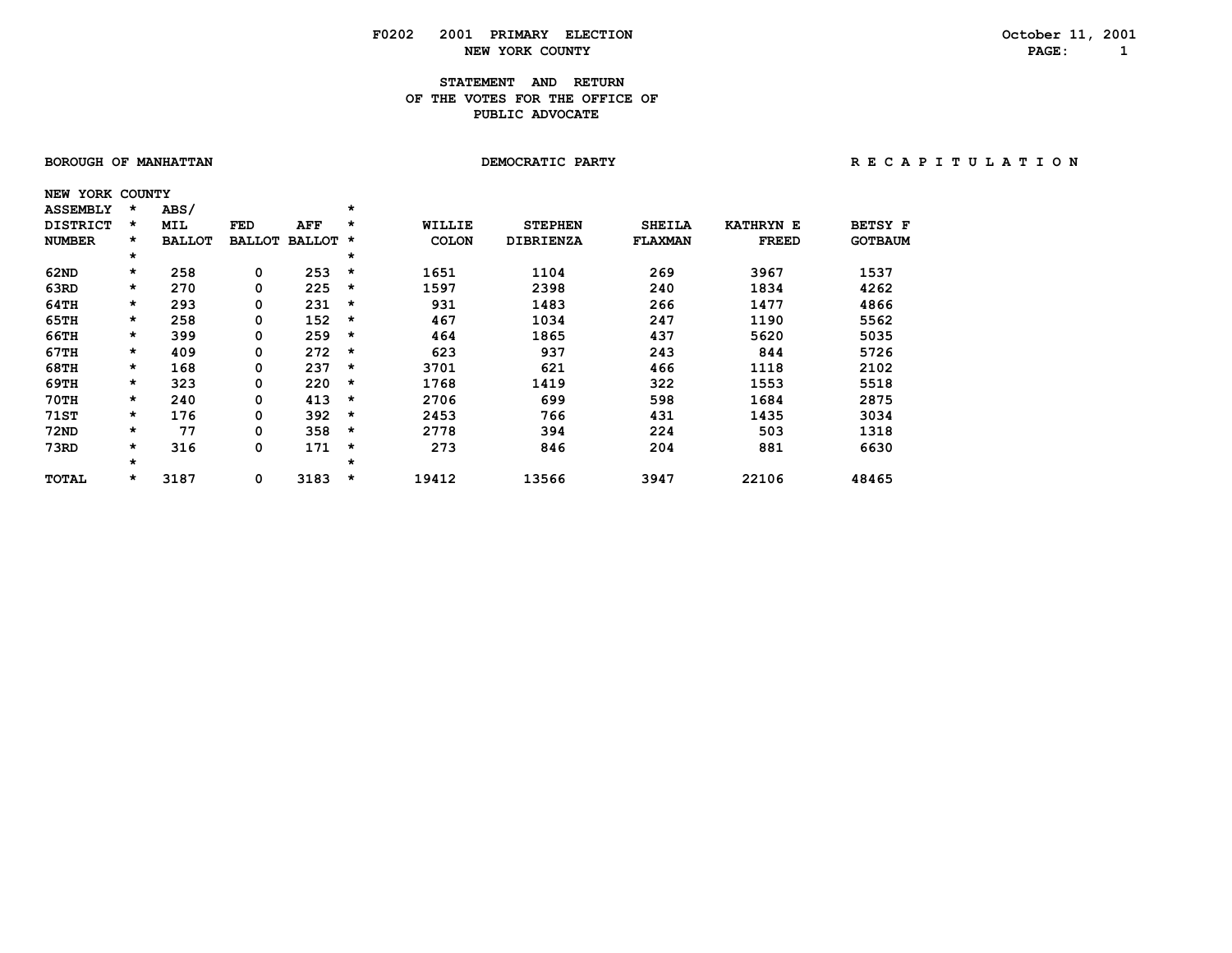### **STATEMENT AND RETURN OF THE VOTES FOR THE OFFICE OF PUBLIC ADVOCATE**

| BOROUGH OF MANHATTAN |         |               |               |          |         | DEMOCRATIC PARTY |                  |                |                  |                | RECAPITULATION |
|----------------------|---------|---------------|---------------|----------|---------|------------------|------------------|----------------|------------------|----------------|----------------|
| NEW YORK COUNTY      |         |               |               |          |         |                  |                  |                |                  |                |                |
| <b>ASSEMBLY</b>      | *       | ABS/          |               |          | $\star$ |                  |                  |                |                  |                |                |
| <b>DISTRICT</b>      | *       | MIL           | FED           | AFF      | *       | WILLIE           | <b>STEPHEN</b>   | <b>SHEILA</b>  | <b>KATHRYN E</b> | <b>BETSY F</b> |                |
| <b>NUMBER</b>        | *       | <b>BALLOT</b> | <b>BALLOT</b> | BALLOT * |         | <b>COLON</b>     | <b>DIBRIENZA</b> | <b>FLAXMAN</b> | <b>FREED</b>     | <b>GOTBAUM</b> |                |
|                      | $\star$ |               |               |          | $\star$ |                  |                  |                |                  |                |                |
| 62ND                 | $\star$ | 258           | 0             | 253      | $\star$ | 1651             | 1104             | 269            | 3967             | 1537           |                |
| 63RD                 | $\star$ | 270           | 0             | 225      | $\star$ | 1597             | 2398             | 240            | 1834             | 4262           |                |
| 64TH                 | $\star$ | 293           | 0             | 231      | $\star$ | 931              | 1483             | 266            | 1477             | 4866           |                |
| 65TH                 | $\star$ | 258           | 0             | 152      | $\star$ | 467              | 1034             | 247            | 1190             | 5562           |                |
| 66TH                 | $\star$ | 399           | 0             | 259      | $\star$ | 464              | 1865             | 437            | 5620             | 5035           |                |
| 67TH                 | $\star$ | 409           | 0             | 272      | $\star$ | 623              | 937              | 243            | 844              | 5726           |                |
| 68TH                 | $\star$ | 168           | 0             | 237      | $\star$ | 3701             | 621              | 466            | 1118             | 2102           |                |
| 69TH                 | $\star$ | 323           | 0             | 220      | $\star$ | 1768             | 1419             | 322            | 1553             | 5518           |                |
| $70$ TH              | $\star$ | 240           | 0             | 413      | $\star$ | 2706             | 699              | 598            | 1684             | 2875           |                |
| 71ST                 | $\star$ | 176           | 0             | 392      | $\star$ | 2453             | 766              | 431            | 1435             | 3034           |                |
| 72ND                 | $\star$ | 77            | 0             | 358      | $\star$ | 2778             | 394              | 224            | 503              | 1318           |                |
| 73RD                 | $\star$ | 316           | 0             | 171      | $\star$ | 273              | 846              | 204            | 881              | 6630           |                |
|                      | $\star$ |               |               |          | $\star$ |                  |                  |                |                  |                |                |
| TOTAL                | $\star$ | 3187          | 0             | $3183$ * |         | 19412            | 13566            | 3947           | 22106            | 48465          |                |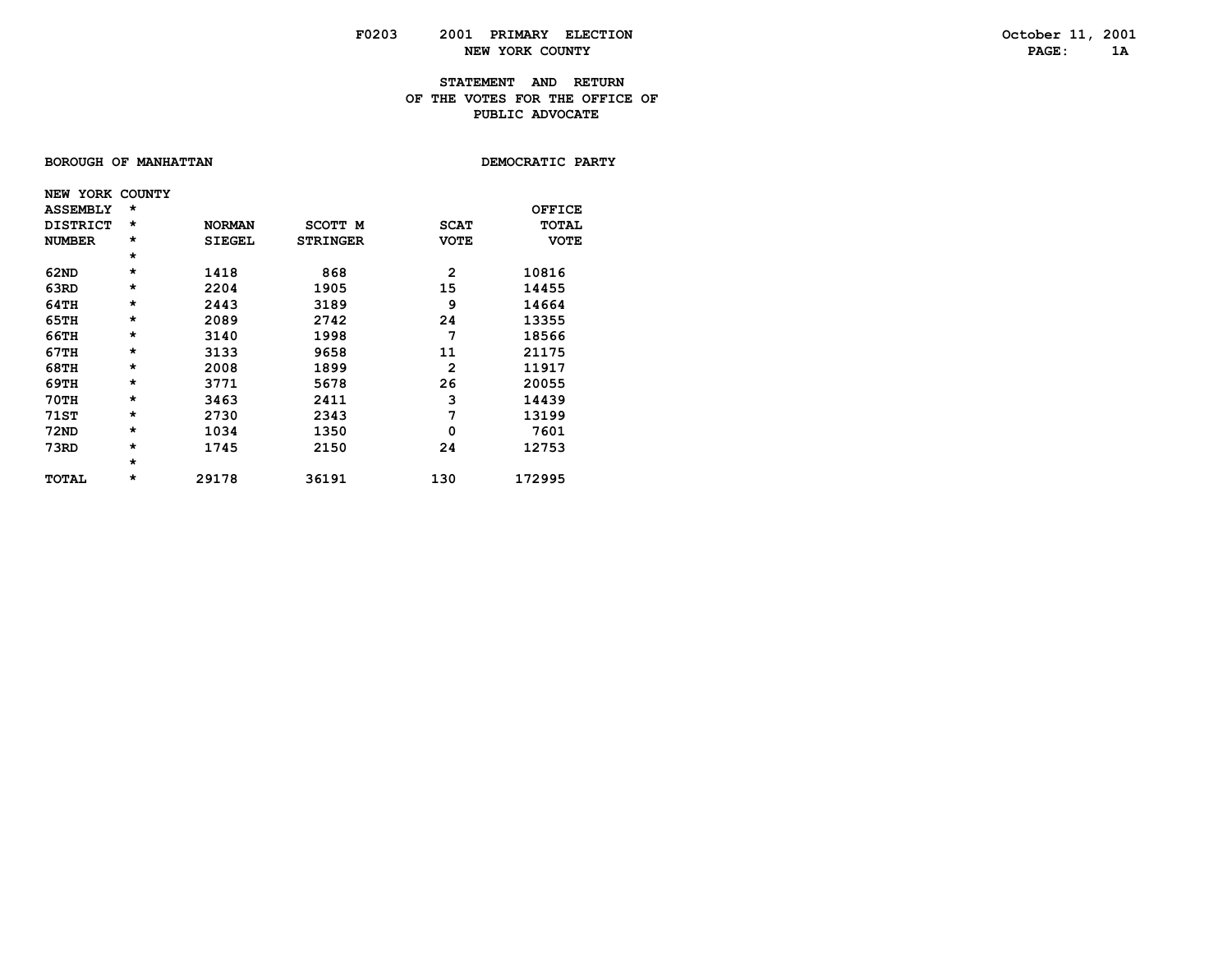### **STATEMENT AND RETURN OF THE VOTES FOR THE OFFICE OFPUBLIC ADVOCATE**

### **BOROUGH OF MANHATTAN**

DEMOCRATIC PARTY

| NEW YORK COUNTY |          |               |                 |              |              |
|-----------------|----------|---------------|-----------------|--------------|--------------|
| <b>ASSEMBLY</b> | $\star$  |               |                 |              | OFFICE       |
| <b>DISTRICT</b> | $^\star$ | <b>NORMAN</b> | SCOTT M         | <b>SCAT</b>  | <b>TOTAL</b> |
| <b>NUMBER</b>   | $\star$  | <b>SIEGEL</b> | <b>STRINGER</b> | <b>VOTE</b>  | <b>VOTE</b>  |
|                 | $\star$  |               |                 |              |              |
| 62ND            | $\star$  | 1418          | 868             | $\mathbf{2}$ | 10816        |
| 63RD            | $\star$  | 2204          | 1905            | 15           | 14455        |
| 64TH            | $\star$  | 2443          | 3189            | 9            | 14664        |
| 65TH            | $\star$  | 2089          | 2742            | 24           | 13355        |
| 66TH            | $\star$  | 3140          | 1998            | 7            | 18566        |
| 67TH            | $\star$  | 3133          | 9658            | 11           | 21175        |
| 68TH            | $\star$  | 2008          | 1899            | 2            | 11917        |
| 69TH            | $\star$  | 3771          | 5678            | 26           | 20055        |
| 70TH            | $\star$  | 3463          | 2411            | 3            | 14439        |
| <b>71ST</b>     | $\star$  | 2730          | 2343            | 7            | 13199        |
| 72ND            | $\star$  | 1034          | 1350            | 0            | 7601         |
| 73RD            | $\star$  | 1745          | 2150            | 24           | 12753        |
|                 | $\star$  |               |                 |              |              |
| <b>TOTAL</b>    | *        | 29178         | 36191           | 130          | 172995       |
|                 |          |               |                 |              |              |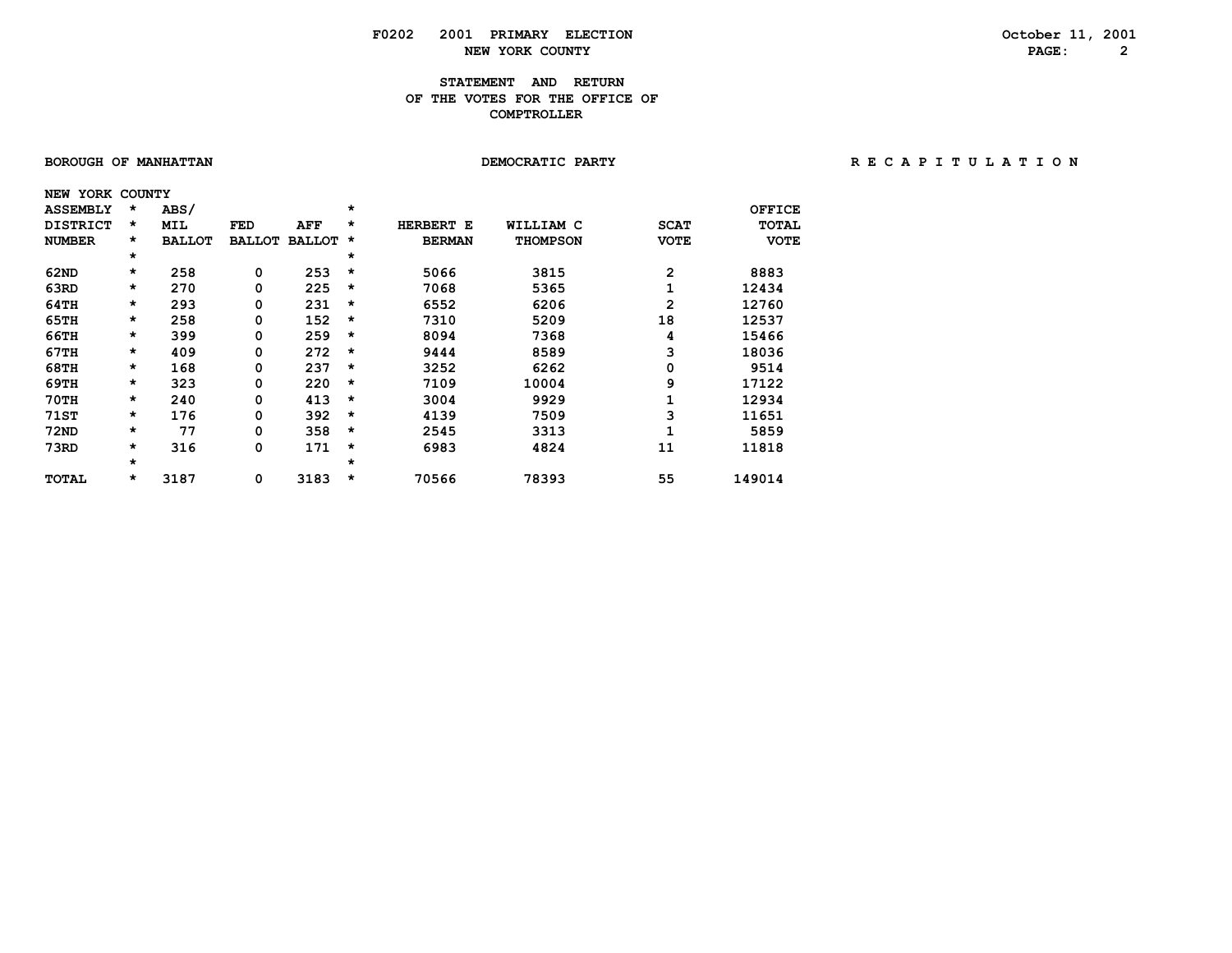# **F0202 2001 PRIMARY ELECTION October 11, 2001 NEW YORK COUNTY** 2

### **STATEMENT AND RETURN OF THE VOTES FOR THE OFFICE OF COMPTROLLER**

| BOROUGH OF MANHATTAN |         |               |               |          |          |               | DEMOCRATIC PARTY |             |               | RECAPITULATION |  |  |  |  |
|----------------------|---------|---------------|---------------|----------|----------|---------------|------------------|-------------|---------------|----------------|--|--|--|--|
| NEW YORK COUNTY      |         |               |               |          |          |               |                  |             |               |                |  |  |  |  |
| <b>ASSEMBLY</b>      | *       | ABS/          |               |          | $\star$  |               |                  |             | <b>OFFICE</b> |                |  |  |  |  |
| <b>DISTRICT</b>      | $\star$ | MIL           | FED           | AFF      | *        | HERBERT E     | WILLIAM C        | <b>SCAT</b> | TOTAL         |                |  |  |  |  |
| <b>NUMBER</b>        | *       | <b>BALLOT</b> | <b>BALLOT</b> | BALLOT * |          | <b>BERMAN</b> | <b>THOMPSON</b>  | <b>VOTE</b> | <b>VOTE</b>   |                |  |  |  |  |
|                      | $\star$ |               |               |          | $\star$  |               |                  |             |               |                |  |  |  |  |
| 62ND                 | $\star$ | 258           | 0             | 253      | $^\star$ | 5066          | 3815             | 2           | 8883          |                |  |  |  |  |
| 63RD                 | $\star$ | 270           | 0             | 225      | $^\star$ | 7068          | 5365             |             | 12434         |                |  |  |  |  |
| 64TH                 | $\star$ | 293           | 0             | 231      | $^\star$ | 6552          | 6206             | 2           | 12760         |                |  |  |  |  |
| 65TH                 | $\star$ | 258           | 0             | 152      | $\star$  | 7310          | 5209             | 18          | 12537         |                |  |  |  |  |
| 66TH                 | $\star$ | 399           | 0             | 259      | $\star$  | 8094          | 7368             | 4           | 15466         |                |  |  |  |  |
| 67TH                 | $\star$ | 409           | 0             | 272      | *        | 9444          | 8589             |             | 18036         |                |  |  |  |  |
| 68TH                 | $\star$ | 168           | 0             | 237      | $\star$  | 3252          | 6262             | 0           | 9514          |                |  |  |  |  |
| 69TH                 | $\star$ | 323           | 0             | 220      | $\star$  | 7109          | 10004            | 9           | 17122         |                |  |  |  |  |
| <b>70TH</b>          | $\star$ | 240           | 0             | 413      | $\star$  | 3004          | 9929             |             | 12934         |                |  |  |  |  |
| 71ST                 | $\star$ | 176           | 0             | 392      | $\star$  | 4139          | 7509             |             | 11651         |                |  |  |  |  |
| 72ND                 | $\star$ | 77            | 0             | 358      | $\star$  | 2545          | 3313             |             | 5859          |                |  |  |  |  |
| 73RD                 | $\star$ | 316           | 0             | 171      | *        | 6983          | 4824             | 11          | 11818         |                |  |  |  |  |
|                      | $\star$ |               |               |          | $\star$  |               |                  |             |               |                |  |  |  |  |
| TOTAL                | $\star$ | 3187          | 0             | 3183     | $\star$  | 70566         | 78393            | 55          | 149014        |                |  |  |  |  |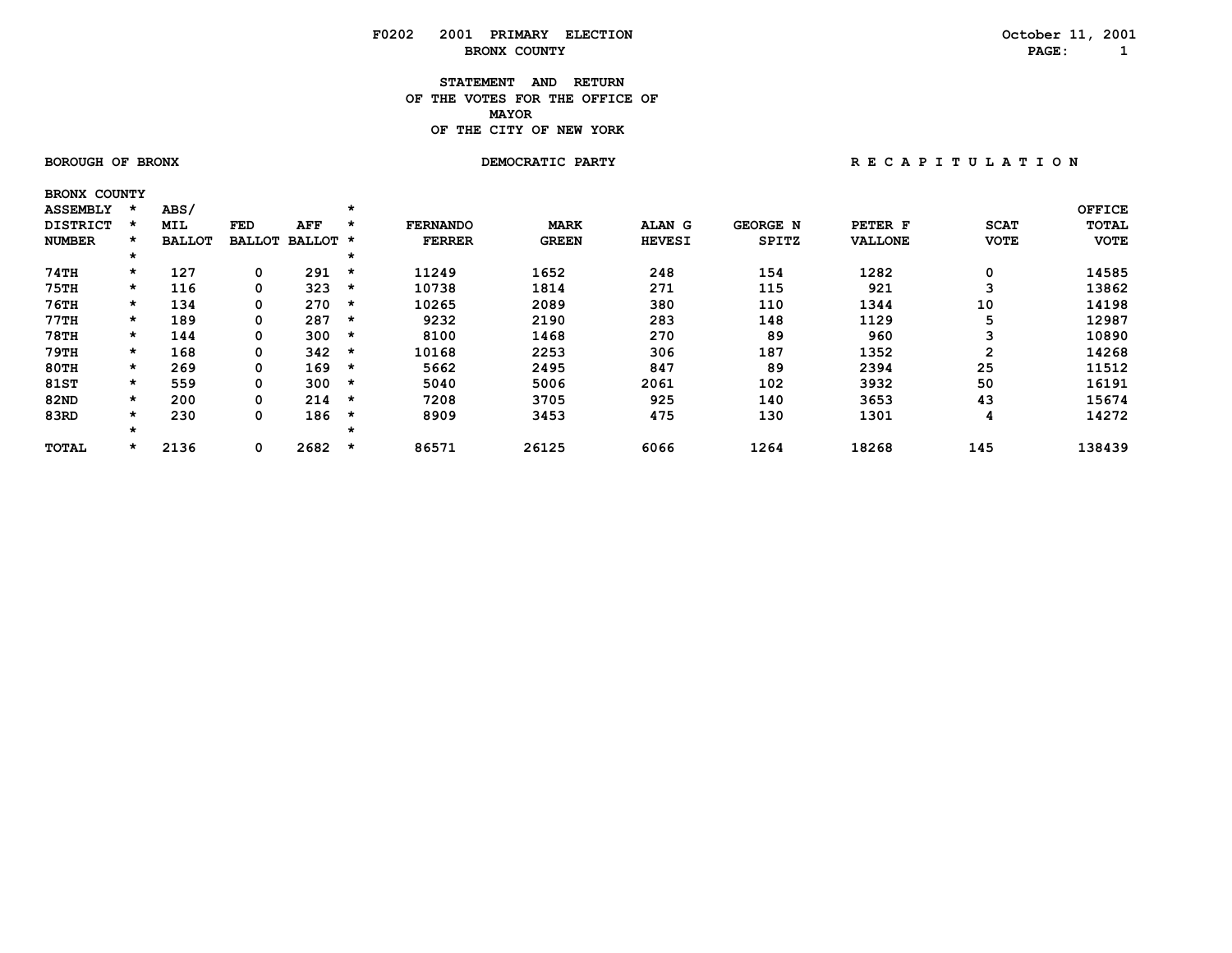#### **STATEMENT AND RETURN OF THE VOTES FOR THE OFFICE OF MAYORMAYOR OF THE CITY OF NEW YORK**

 **BRONX COUNTY**

 **BOROUGH OF BRONX DEMOCRATIC PARTY R E C A P I T U L A T I O N**

| <b>ASSEMBLY</b> | $\star$ | ABS/          |               |          | $\star$ |                 |              |               |              |                |             | <b>OFFICE</b> |
|-----------------|---------|---------------|---------------|----------|---------|-----------------|--------------|---------------|--------------|----------------|-------------|---------------|
| <b>DISTRICT</b> |         | <b>MIL</b>    | FED           | AFF      | $\star$ | <b>FERNANDO</b> | <b>MARK</b>  | ALAN G        | GEORGE N     | PETER F        | <b>SCAT</b> | TOTAL         |
| <b>NUMBER</b>   | $\star$ | <b>BALLOT</b> | <b>BALLOT</b> | BALLOT * |         | <b>FERRER</b>   | <b>GREEN</b> | <b>HEVESI</b> | <b>SPITZ</b> | <b>VALLONE</b> | <b>VOTE</b> | <b>VOTE</b>   |
|                 | *       |               |               |          | *       |                 |              |               |              |                |             |               |
| 74TH            | $\star$ | 127           | 0             | 291      | $\star$ | 11249           | 1652         | 248           | 154          | 1282           |             | 14585         |
| <b>75TH</b>     | $\star$ | 116           | 0             | 323      | $\star$ | 10738           | 1814         | 271           | 115          | 921            |             | 13862         |
| <b>76TH</b>     | $\star$ | 134           | 0             | 270      | *       | 10265           | 2089         | 380           | 110          | 1344           | 10          | 14198         |
| 77TH            | $\star$ | 189           | 0             | 287      | $\star$ | 9232            | 2190         | 283           | 148          | 1129           |             | 12987         |
| <b>78TH</b>     | $\star$ | 144           | 0             | 300      | $\star$ | 8100            | 1468         | 270           | 89           | 960            |             | 10890         |
| 79TH            | $\star$ | 168           | 0             | 342      | $\star$ | 10168           | 2253         | 306           | 187          | 1352           | ົ           | 14268         |
| 80TH            | $\star$ | 269           | 0             | 169      | $\star$ | 5662            | 2495         | 847           | 89           | 2394           | 25          | 11512         |
| <b>81ST</b>     | $\star$ | 559           | 0             | 300      | *       | 5040            | 5006         | 2061          | 102          | 3932           | 50          | 16191         |
| 82ND            | $\star$ | 200           | 0             | 214      | $\star$ | 7208            | 3705         | 925           | 140          | 3653           | 43          | 15674         |
| 83RD            | $\star$ | 230           | 0             | 186      | $\star$ | 8909            | 3453         | 475           | 130          | 1301           | 4           | 14272         |
|                 |         |               |               |          |         |                 |              |               |              |                |             |               |
| <b>TOTAL</b>    |         | 2136          | 0             | 2682     | $\star$ | 86571           | 26125        | 6066          | 1264         | 18268          | 145         | 138439        |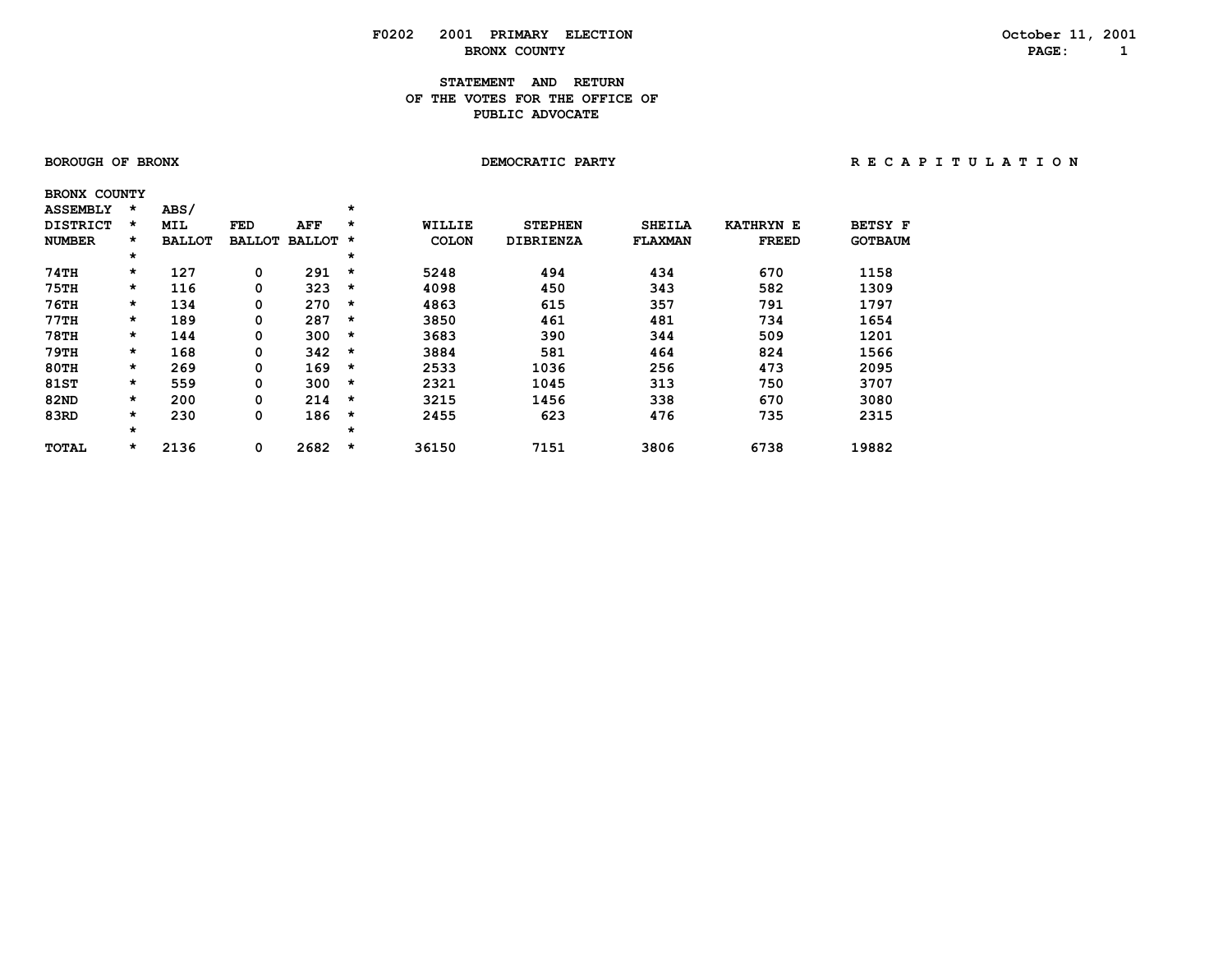### **STATEMENT AND RETURN OF THE VOTES FOR THE OFFICE OFPUBLIC ADVOCATE**

| <b>BOROUGH OF BRONX</b> |  |
|-------------------------|--|
|-------------------------|--|

 **BRONX COUNTY**

 **BOROUGH OF BRONX DEMOCRATIC PARTY R E C A P I T U L A T I O N**

| <b>ASSEMBLY</b> | *       | ABS/          |               |               | $\star$ |               |                  |                |                  |                |
|-----------------|---------|---------------|---------------|---------------|---------|---------------|------------------|----------------|------------------|----------------|
| <b>DISTRICT</b> | $\star$ | <b>MIL</b>    | FED           | AFF           | $\star$ | <b>WILLIE</b> | <b>STEPHEN</b>   | <b>SHEILA</b>  | <b>KATHRYN E</b> | <b>BETSY F</b> |
| <b>NUMBER</b>   | $\star$ | <b>BALLOT</b> | <b>BALLOT</b> | <b>BALLOT</b> | $\star$ | <b>COLON</b>  | <b>DIBRIENZA</b> | <b>FLAXMAN</b> | <b>FREED</b>     | <b>GOTBAUM</b> |
|                 | $\star$ |               |               |               | $\star$ |               |                  |                |                  |                |
| 74TH            | $\star$ | 127           | 0             | 291           | $\star$ | 5248          | 494              | 434            | 670              | 1158           |
| <b>75TH</b>     | $\star$ | 116           | 0             | 323           | $\star$ | 4098          | 450              | 343            | 582              | 1309           |
| 76TH            | $\star$ | 134           | 0             | 270           | $\star$ | 4863          | 615              | 357            | 791              | 1797           |
| 77TH            | $\star$ | 189           | 0             | 287           | $\star$ | 3850          | 461              | 481            | 734              | 1654           |
| <b>78TH</b>     | $\star$ | 144           | 0             | 300           | $\star$ | 3683          | 390              | 344            | 509              | 1201           |
| 79TH            | $\star$ | 168           | 0             | 342           | $\star$ | 3884          | 581              | 464            | 824              | 1566           |
| 80TH            | $\star$ | 269           | 0             | 169           | $\star$ | 2533          | 1036             | 256            | 473              | 2095           |
| <b>81ST</b>     | $\star$ | 559           | 0             | 300           | $\star$ | 2321          | 1045             | 313            | 750              | 3707           |
| <b>82ND</b>     | $\star$ | 200           | 0             | 214           | $\star$ | 3215          | 1456             | 338            | 670              | 3080           |
| 83RD            | $\star$ | 230           | 0             | 186           | $\star$ | 2455          | 623              | 476            | 735              | 2315           |
|                 | $\star$ |               |               |               | $\star$ |               |                  |                |                  |                |
| <b>TOTAL</b>    | $\star$ | 2136          | 0             | 2682          | $\star$ | 36150         | 7151             | 3806           | 6738             | 19882          |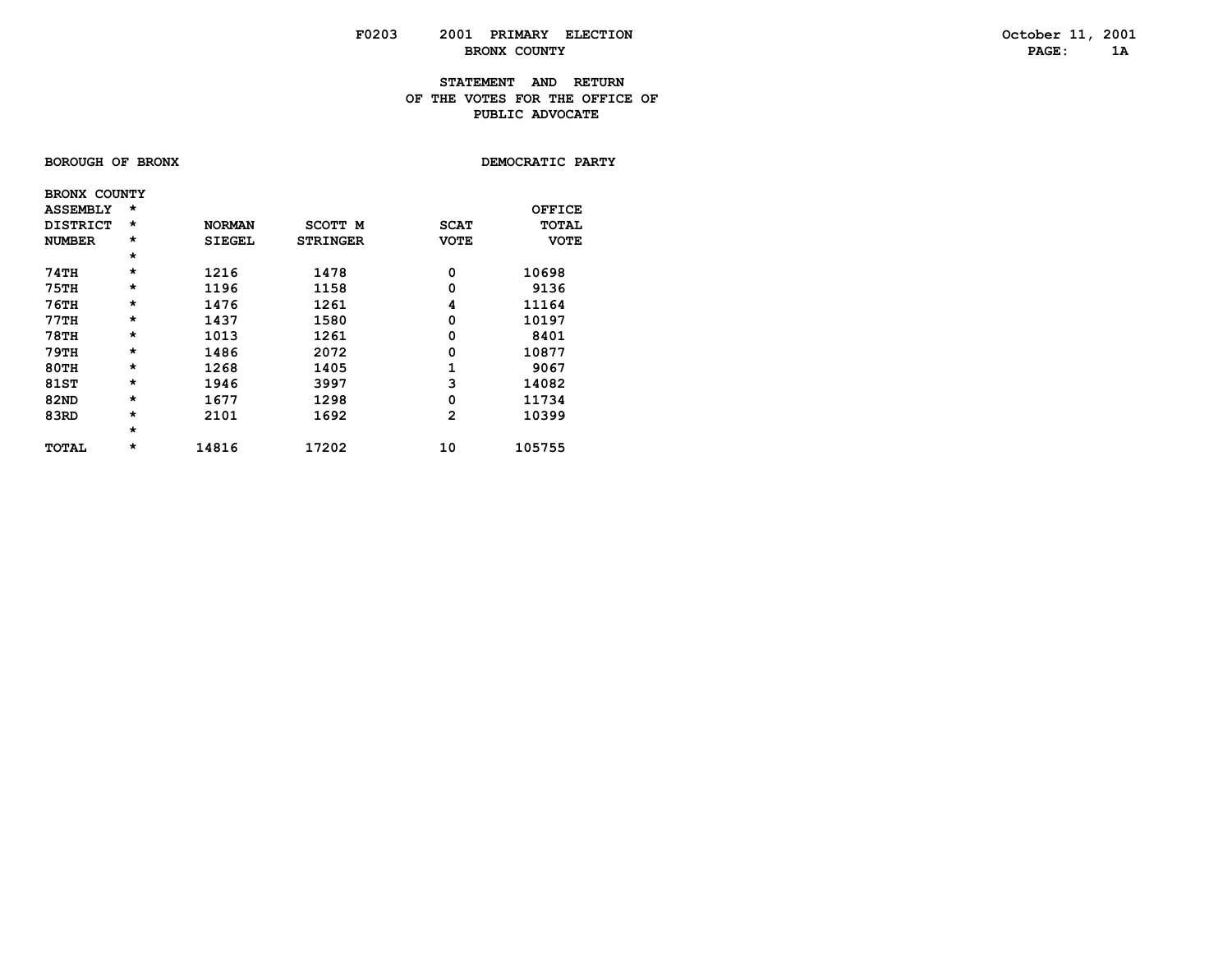### **STATEMENT AND RETURN OF THE VOTES FOR THE OFFICE OFPUBLIC ADVOCATE**

### **BOROUGH OF BRONX**

DEMOCRATIC PARTY

| <b>BRONX COUNTY</b> |         |               |                 |             |             |
|---------------------|---------|---------------|-----------------|-------------|-------------|
| <b>ASSEMBLY</b>     | $\star$ |               |                 |             | OFFICE      |
| <b>DISTRICT</b>     | $\star$ | <b>NORMAN</b> | <b>SCOTT M</b>  | <b>SCAT</b> | TOTAL       |
| <b>NUMBER</b>       | $\star$ | <b>SIEGEL</b> | <b>STRINGER</b> | <b>VOTE</b> | <b>VOTE</b> |
|                     | $\star$ |               |                 |             |             |
| 74TH                | $\star$ | 1216          | 1478            | 0           | 10698       |
| 75TH                | $\star$ | 1196          | 1158            | 0           | 9136        |
| <b>76TH</b>         | $\star$ | 1476          | 1261            | 4           | 11164       |
| <b>77TH</b>         | $\star$ | 1437          | 1580            | 0           | 10197       |
| <b>78TH</b>         | $\star$ | 1013          | 1261            | 0           | 8401        |
| 79TH                | $\star$ | 1486          | 2072            | 0           | 10877       |
| <b>80TH</b>         | $\star$ | 1268          | 1405            | 1           | 9067        |
| 81ST                | $\star$ | 1946          | 3997            | 3           | 14082       |
| <b>82ND</b>         | $\star$ | 1677          | 1298            | 0           | 11734       |
| 83RD                | $\star$ | 2101          | 1692            | 2           | 10399       |
|                     | $\star$ |               |                 |             |             |
| <b>TOTAL</b>        | $\star$ | 14816         | 17202           | 10          | 105755      |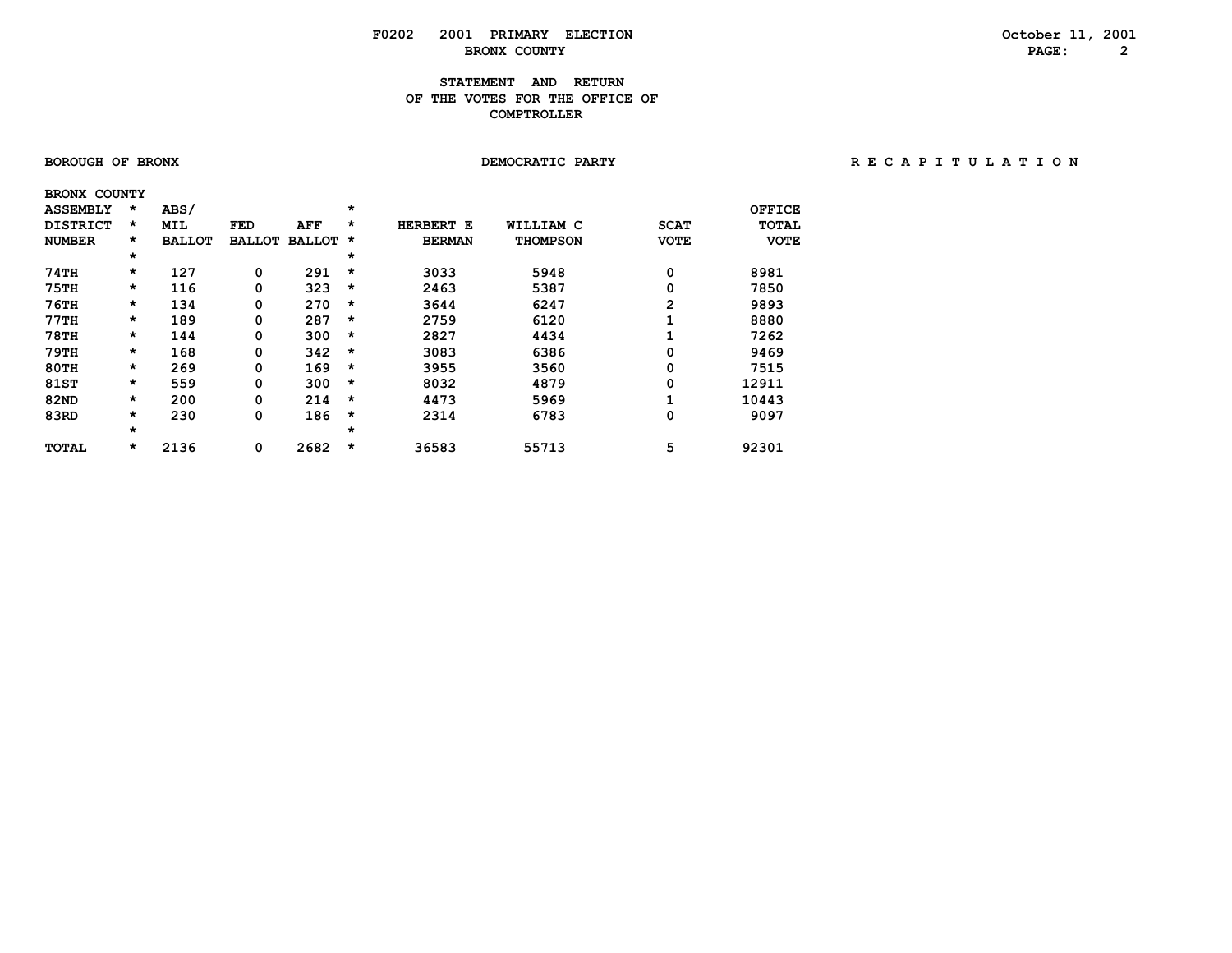### **STATEMENT AND RETURN OF THE VOTES FOR THE OFFICE OF COMPTROLLER**

| <b>BOROUGH OF BRONX</b> |  |  |  |
|-------------------------|--|--|--|
|-------------------------|--|--|--|

#### **BOROUGH OF BRONX DEMOCRATIC PARTY R E C A P I T U L A T I O N**

| <b>BRONX COUNTY</b> |         |               |               |               |          |               |                 |              |              |
|---------------------|---------|---------------|---------------|---------------|----------|---------------|-----------------|--------------|--------------|
| <b>ASSEMBLY</b>     | *       | ABS/          |               |               | $\star$  |               |                 |              | OFFICE       |
| <b>DISTRICT</b>     | *       | <b>MIL</b>    | <b>FED</b>    | AFF           | $\star$  | HERBERT<br>Е  | WILLIAM C       | <b>SCAT</b>  | <b>TOTAL</b> |
| <b>NUMBER</b>       | *       | <b>BALLOT</b> | <b>BALLOT</b> | <b>BALLOT</b> | *        | <b>BERMAN</b> | <b>THOMPSON</b> | <b>VOTE</b>  | <b>VOTE</b>  |
|                     | *       |               |               |               | *        |               |                 |              |              |
| 74TH                | $\star$ | 127           | 0             | 291           | $\star$  | 3033          | 5948            | 0            | 8981         |
| <b>75TH</b>         | *       | 116           | 0             | 323           | $\star$  | 2463          | 5387            | 0            | 7850         |
| $76$ TH             | *       | 134           | 0             | 270           | $\star$  | 3644          | 6247            | $\mathbf{2}$ | 9893         |
| 77TH                | *       | 189           | 0             | 287           | $\star$  | 2759          | 6120            | 1            | 8880         |
| <b>78TH</b>         | *       | 144           | 0             | 300           | $\star$  | 2827          | 4434            |              | 7262         |
| 79TH                | $\star$ | 168           | 0             | 342           | $\star$  | 3083          | 6386            | 0            | 9469         |
| $80$ TH             | *       | 269           | 0             | 169           | $^\star$ | 3955          | 3560            | 0            | 7515         |
| 81ST                | *       | 559           | 0             | 300           | $\star$  | 8032          | 4879            | 0            | 12911        |
| <b>82ND</b>         | *       | 200           | 0             | 214           | $^\star$ | 4473          | 5969            | 1            | 10443        |
| 83RD                | *       | 230           | 0             | 186           | $\star$  | 2314          | 6783            | 0            | 9097         |
|                     | $\star$ |               |               |               | $\star$  |               |                 |              |              |
| <b>TOTAL</b>        | *       | 2136          | 0             | 2682          | $\star$  | 36583         | 55713           | 5            | 92301        |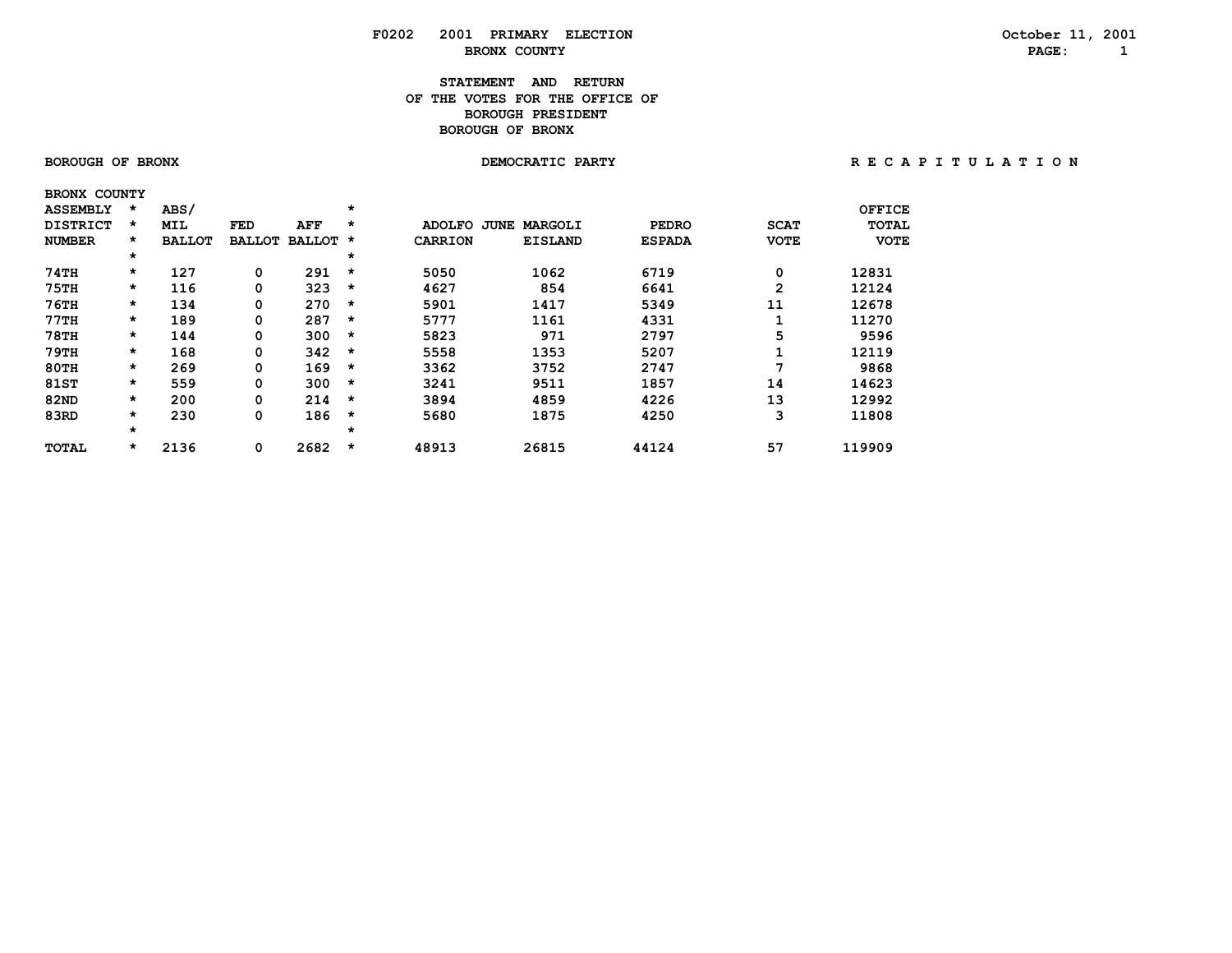### **STATEMENT AND RETURN OF THE VOTES FOR THE OFFICE OFBOROUGH PRESIDENT BOROUGH OF BRONX**

 **BRONX COUNTY**

 **BOROUGH OF BRONX DEMOCRATIC PARTY R E C A P I T U L A T I O N**

|             | <b>ASSEMBLY</b> | $\star$  | ABS/          |               |               | *       |                |                 |               |              | OFFICE      |
|-------------|-----------------|----------|---------------|---------------|---------------|---------|----------------|-----------------|---------------|--------------|-------------|
|             | <b>DISTRICT</b> | $\star$  | <b>MIL</b>    | FED           | AFF           | $\star$ | <b>ADOLFO</b>  | MARGOLI<br>JUNE | <b>PEDRO</b>  | <b>SCAT</b>  | TOTAL       |
|             | <b>NUMBER</b>   | $\star$  | <b>BALLOT</b> | <b>BALLOT</b> | <b>BALLOT</b> | *       | <b>CARRION</b> | <b>EISLAND</b>  | <b>ESPADA</b> | <b>VOTE</b>  | <b>VOTE</b> |
|             |                 | $^\star$ |               |               |               | $\star$ |                |                 |               |              |             |
| 74TH        |                 | $\star$  | 127           | 0             | 291           | $\star$ | 5050           | 1062            | 6719          | 0            | 12831       |
| <b>75TH</b> |                 | $\star$  | 116           | 0             | 323           | $\star$ | 4627           | 854             | 6641          | $\mathbf{2}$ | 12124       |
| 76TH        |                 | $\star$  | 134           | 0             | 270           | $\star$ | 5901           | 1417            | 5349          | 11           | 12678       |
| 77TH        |                 | $\star$  | 189           | 0             | 287           | $\star$ | 5777           | 1161            | 4331          |              | 11270       |
| <b>78TH</b> |                 | $\star$  | 144           | 0             | 300           | $\star$ | 5823           | 971             | 2797          | 5            | 9596        |
| 79TH        |                 | $\star$  | 168           | 0             | 342           | $\star$ | 5558           | 1353            | 5207          |              | 12119       |
| 80TH        |                 | $\star$  | 269           | 0             | 169           | $\star$ | 3362           | 3752            | 2747          | 7            | 9868        |
| <b>81ST</b> |                 | $\star$  | 559           | 0             | 300           | $\star$ | 3241           | 9511            | 1857          | 14           | 14623       |
| 82ND        |                 | $\star$  | 200           | 0             | 214           | $\star$ | 3894           | 4859            | 4226          | 13           | 12992       |
| 83RD        |                 | $\star$  | 230           | 0             | 186           | $\star$ | 5680           | 1875            | 4250          | 3            | 11808       |
|             |                 | $\star$  |               |               |               | *       |                |                 |               |              |             |
|             | <b>TOTAL</b>    | $\star$  | 2136          | 0             | 2682          | $\star$ | 48913          | 26815           | 44124         | 57           | 119909      |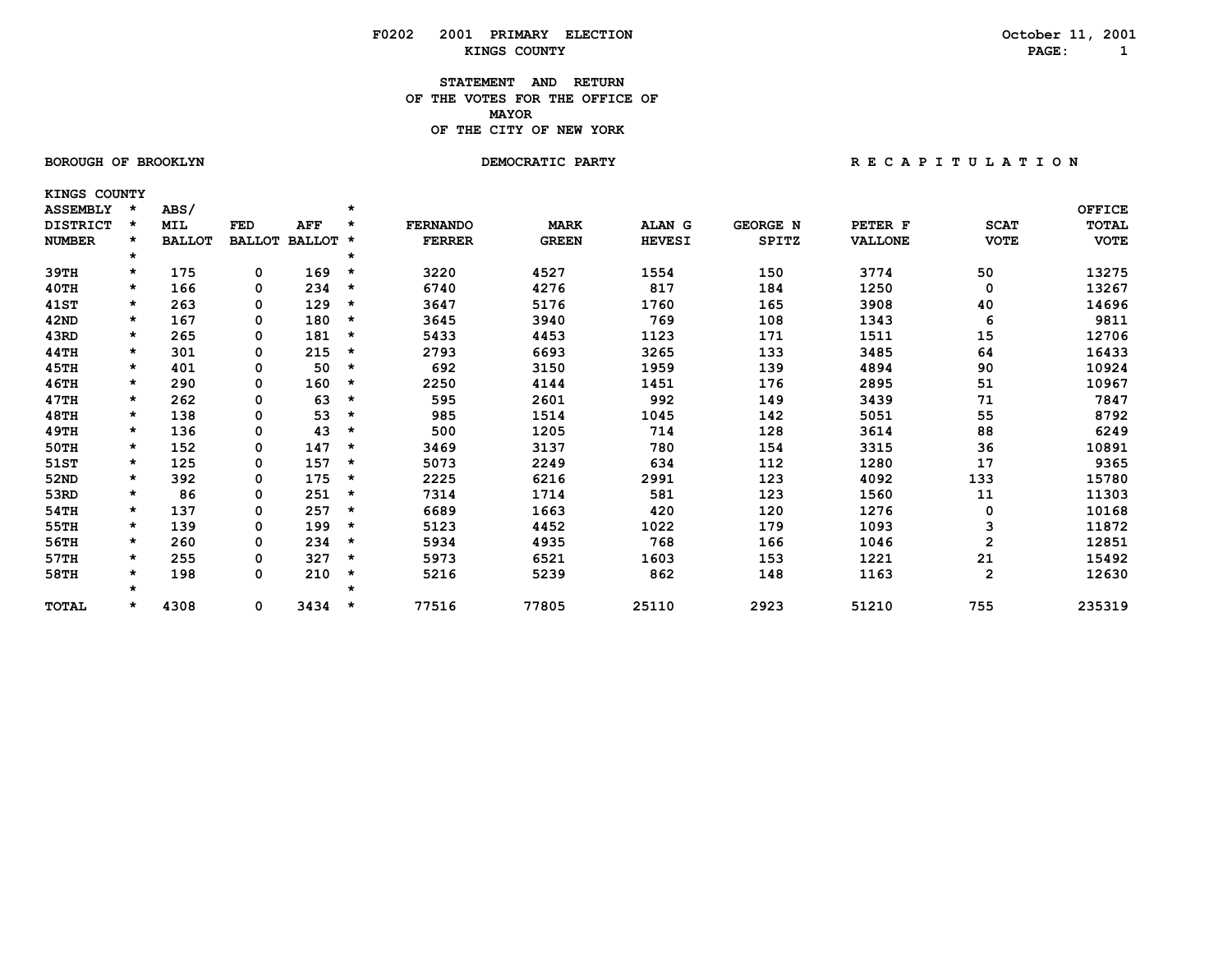### **STATEMENT AND RETURN OF THE VOTES FOR THE OFFICE OF** *MAYOR*  **OF THE CITY OF NEW YORK**

### **BOROUGH OF BROOKLYN DEMOCRATIC PARTY**

 **KINGS COUNTY**

|  | RECAPITULATION |  |  |  |  |  |  |  |  |  |  |  |  |  |
|--|----------------|--|--|--|--|--|--|--|--|--|--|--|--|--|
|--|----------------|--|--|--|--|--|--|--|--|--|--|--|--|--|

| <b>ASSEMBLY</b> |         | ABS/          |               |               | $\star$ |                 |              |               |                 |                |              | <b>OFFICE</b> |
|-----------------|---------|---------------|---------------|---------------|---------|-----------------|--------------|---------------|-----------------|----------------|--------------|---------------|
| <b>DISTRICT</b> | $\star$ | <b>MIL</b>    | FED           | AFF           | $\star$ | <b>FERNANDO</b> | <b>MARK</b>  | ALAN G        | <b>GEORGE N</b> | PETER F        | <b>SCAT</b>  | <b>TOTAL</b>  |
| <b>NUMBER</b>   |         | <b>BALLOT</b> | <b>BALLOT</b> | <b>BALLOT</b> | *       | <b>FERRER</b>   | <b>GREEN</b> | <b>HEVESI</b> | <b>SPITZ</b>    | <b>VALLONE</b> | <b>VOTE</b>  | <b>VOTE</b>   |
|                 | $\star$ |               |               |               | $\star$ |                 |              |               |                 |                |              |               |
| 39тн            | $\star$ | 175           | 0             | 169           | $\star$ | 3220            | 4527         | 1554          | 150             | 3774           | 50           | 13275         |
| 40TH            | $\star$ | 166           | 0             | 234           | *       | 6740            | 4276         | 817           | 184             | 1250           | 0            | 13267         |
| 41ST            | $\star$ | 263           | 0             | 129           | *       | 3647            | 5176         | 1760          | 165             | 3908           | 40           | 14696         |
| 42ND            | $\star$ | 167           | 0             | 180           | *       | 3645            | 3940         | 769           | 108             | 1343           | 6            | 9811          |
| 43RD            | $\star$ | 265           | 0             | 181           | $\star$ | 5433            | 4453         | 1123          | 171             | 1511           | 15           | 12706         |
| 44TH            | $\star$ | 301           | 0             | 215           | *       | 2793            | 6693         | 3265          | 133             | 3485           | 64           | 16433         |
| 45TH            | $\star$ | 401           | 0             | 50            | *       | 692             | 3150         | 1959          | 139             | 4894           | 90           | 10924         |
| 46TH            | $\star$ | 290           | 0             | 160           | *       | 2250            | 4144         | 1451          | 176             | 2895           | 51           | 10967         |
| 47TH            | $\star$ | 262           | 0             | 63            | *       | 595             | 2601         | 992           | 149             | 3439           | 71           | 7847          |
| 48TH            | $\star$ | 138           | 0             | 53            | *       | 985             | 1514         | 1045          | 142             | 5051           | 55           | 8792          |
| 49TH            | $\star$ | 136           | 0             | 43            | *       | 500             | 1205         | 714           | 128             | 3614           | 88           | 6249          |
| 50TH            | $\star$ | 152           | 0             | 147           | *       | 3469            | 3137         | 780           | 154             | 3315           | 36           | 10891         |
| 51ST            | $\star$ | 125           | 0             | 157           | $\star$ | 5073            | 2249         | 634           | 112             | 1280           | 17           | 9365          |
| 52ND            | $\star$ | 392           | 0             | 175           | $\star$ | 2225            | 6216         | 2991          | 123             | 4092           | 133          | 15780         |
| 53RD            | $\star$ | 86            | 0             | 251           | $\star$ | 7314            | 1714         | 581           | 123             | 1560           | 11           | 11303         |
| 54TH            | $\star$ | 137           | 0             | 257           | $\star$ | 6689            | 1663         | 420           | 120             | 1276           | 0            | 10168         |
| 55TH            | $\star$ | 139           | 0             | 199           | *       | 5123            | 4452         | 1022          | 179             | 1093           | 3            | 11872         |
| 56TH            | $\star$ | 260           | 0             | 234           | *       | 5934            | 4935         | 768           | 166             | 1046           | $\mathbf{2}$ | 12851         |
| 57TH            | $\star$ | 255           | 0             | 327           | $\star$ | 5973            | 6521         | 1603          | 153             | 1221           | 21           | 15492         |
| 58TH            | $\star$ | 198           | 0             | 210           | $\star$ | 5216            | 5239         | 862           | 148             | 1163           | $\mathbf{2}$ | 12630         |
|                 | $\star$ |               |               |               | $\star$ |                 |              |               |                 |                |              |               |
| <b>TOTAL</b>    | $\star$ | 4308          | 0             | 3434          | *       | 77516           | 77805        | 25110         | 2923            | 51210          | 755          | 235319        |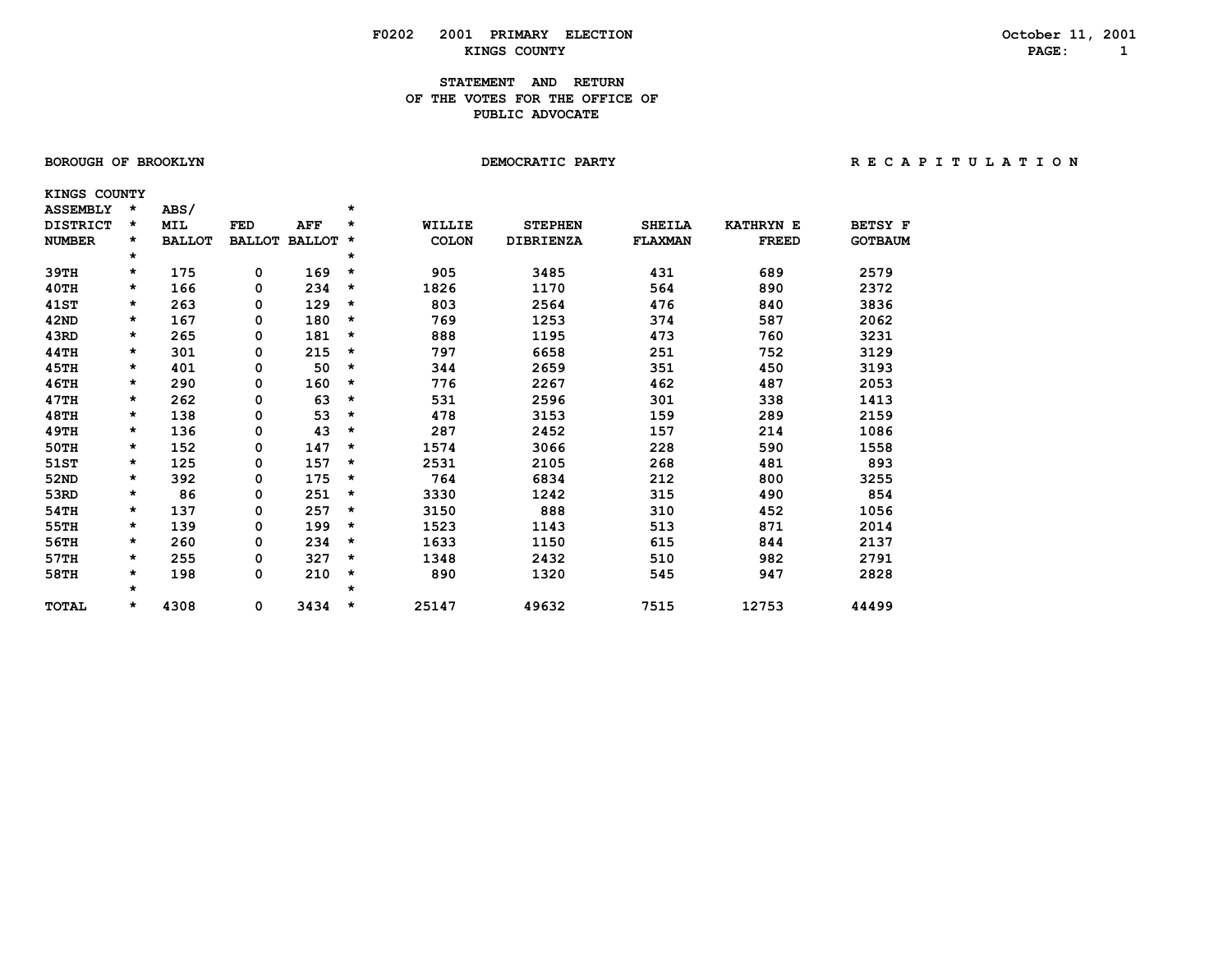#### **STATEMENT AND RETURN OF THE VOTES FOR THE OFFICE OFPUBLIC ADVOCATE**

 **KINGS COUNTY**

| <b>ASSEMBLY</b> | $\star$  | ABS/          |               |               | $\star$ |               |                  |               |                  |                |
|-----------------|----------|---------------|---------------|---------------|---------|---------------|------------------|---------------|------------------|----------------|
| <b>DISTRICT</b> | $\star$  | <b>MIL</b>    | <b>FED</b>    | <b>AFF</b>    | $\star$ | <b>WILLIE</b> | <b>STEPHEN</b>   | <b>SHEILA</b> | <b>KATHRYN E</b> | <b>BETSY F</b> |
| <b>NUMBER</b>   | $\star$  | <b>BALLOT</b> | <b>BALLOT</b> | <b>BALLOT</b> | $\star$ | <b>COLON</b>  | <b>DIBRIENZA</b> | FLAXMAN       | <b>FREED</b>     | <b>GOTBAUM</b> |
|                 | $\star$  |               |               |               | $\star$ |               |                  |               |                  |                |
| 39TH            | *        | 175           | 0             | 169           | $\star$ | 905           | 3485             | 431           | 689              | 2579           |
| 40TH            | $^\star$ | 166           | 0             | 234           | $\star$ | 1826          | 1170             | 564           | 890              | 2372           |
| <b>41ST</b>     | *        | 263           | 0             | 129           | $\star$ | 803           | 2564             | 476           | 840              | 3836           |
| 42ND            | $\star$  | 167           | 0             | 180           | $\star$ | 769           | 1253             | 374           | 587              | 2062           |
| 43RD            | *        | 265           | 0             | 181           | $\star$ | 888           | 1195             | 473           | 760              | 3231           |
| 44TH            | *        | 301           | 0             | 215           | $\star$ | 797           | 6658             | 251           | 752              | 3129           |
| 45TH            | $\star$  | 401           | 0             | 50            | $\star$ | 344           | 2659             | 351           | 450              | 3193           |
| 46TH            | $^\star$ | 290           | 0             | 160           | $\star$ | 776           | 2267             | 462           | 487              | 2053           |
| 47TH            | $^\star$ | 262           | 0             | 63            | $\star$ | 531           | 2596             | 301           | 338              | 1413           |
| <b>48TH</b>     | *        | 138           | 0             | 53            | $\star$ | 478           | 3153             | 159           | 289              | 2159           |
| 49TH            | *        | 136           | 0             | 43            | $\star$ | 287           | 2452             | 157           | 214              | 1086           |
| 50TH            | *        | 152           | 0             | 147           | $\star$ | 1574          | 3066             | 228           | 590              | 1558           |
| 51ST            | $^\star$ | 125           | 0             | 157           | $\star$ | 2531          | 2105             | 268           | 481              | 893            |
| 52ND            | *        | 392           | 0             | 175           | $\star$ | 764           | 6834             | 212           | 800              | 3255           |
| 53RD            | $\star$  | 86            | 0             | 251           | $\star$ | 3330          | 1242             | 315           | 490              | 854            |
| 54TH            | $^\star$ | 137           | 0             | 257           | $\star$ | 3150          | 888              | 310           | 452              | 1056           |
| 55TH            | $^\star$ | 139           | 0             | 199           | $\star$ | 1523          | 1143             | 513           | 871              | 2014           |
| 56TH            | $\star$  | 260           | 0             | 234           | $\star$ | 1633          | 1150             | 615           | 844              | 2137           |
| 57TH            | *        | 255           | 0             | 327           | $\star$ | 1348          | 2432             | 510           | 982              | 2791           |
| 58TH            | *        | 198           | 0             | 210           | $\star$ | 890           | 1320             | 545           | 947              | 2828           |
|                 | $\star$  |               |               |               | $\star$ |               |                  |               |                  |                |
| <b>TOTAL</b>    | $\star$  | 4308          | 0             | 3434          | $\star$ | 25147         | 49632            | 7515          | 12753            | 44499          |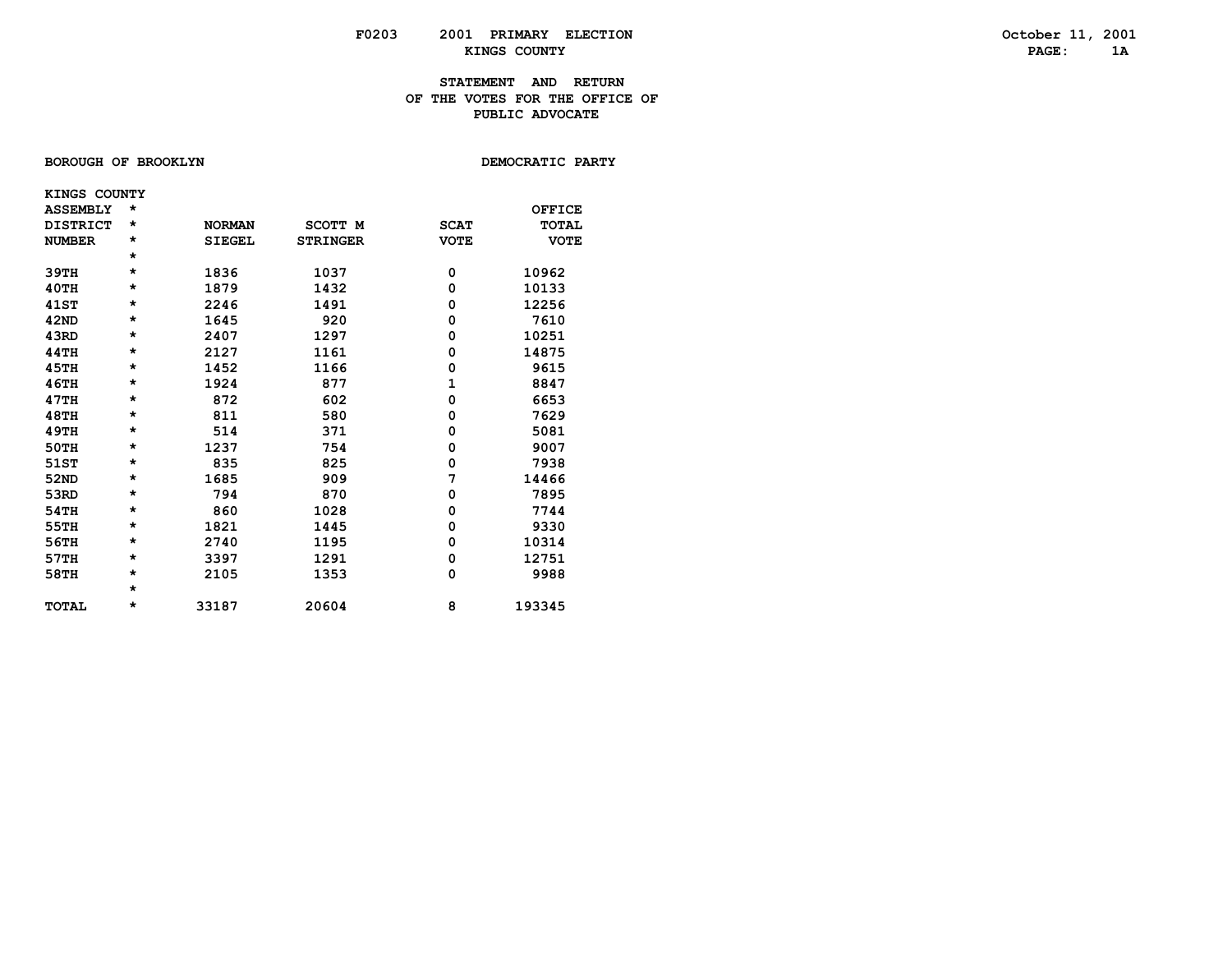### **STATEMENT AND RETURN OF THE VOTES FOR THE OFFICE OF PUBLIC ADVOCATE**

### BOROUGH OF BROOKLYN

DEMOCRATIC PARTY

| KINGS COUNTY    |         |               |                 |             |              |
|-----------------|---------|---------------|-----------------|-------------|--------------|
| <b>ASSEMBLY</b> | $\star$ |               |                 |             | OFFICE       |
| <b>DISTRICT</b> | $\star$ | <b>NORMAN</b> | <b>SCOTT M</b>  | <b>SCAT</b> | <b>TOTAL</b> |
| <b>NUMBER</b>   | *       | <b>SIEGEL</b> | <b>STRINGER</b> | <b>VOTE</b> | <b>VOTE</b>  |
|                 | $\star$ |               |                 |             |              |
| 39TH            | $\star$ | 1836          | 1037            | 0           | 10962        |
| 40TH            | *       | 1879          | 1432            | 0           | 10133        |
| <b>41ST</b>     | *       | 2246          | 1491            | 0           | 12256        |
| 42ND            | *       | 1645          | 920             | 0           | 7610         |
| 43RD            | $\star$ | 2407          | 1297            | 0           | 10251        |
| <b>44TH</b>     | *       | 2127          | 1161            | 0           | 14875        |
| 45TH            | *       | 1452          | 1166            | 0           | 9615         |
| 46TH            | $\star$ | 1924          | 877             | 1           | 8847         |
| 47TH            | *       | 872           | 602             | 0           | 6653         |
| <b>48TH</b>     | $\star$ | 811           | 580             | 0           | 7629         |
| <b>49TH</b>     | *       | 514           | 371             | 0           | 5081         |
| 50TH            | $\star$ | 1237          | 754             | 0           | 9007         |
| 51ST            | $\star$ | 835           | 825             | 0           | 7938         |
| 52ND            | *       | 1685          | 909             | 7           | 14466        |
| 53RD            | *       | 794           | 870             | 0           | 7895         |
| 54TH            | $\star$ | 860           | 1028            | 0           | 7744         |
| 55TH            | *       | 1821          | 1445            | 0           | 9330         |
| 56TH            | $\star$ | 2740          | 1195            | 0           | 10314        |
| 57TH            | *       | 3397          | 1291            | 0           | 12751        |
| 58TH            | $\star$ | 2105          | 1353            | 0           | 9988         |
|                 | $\star$ |               |                 |             |              |
| <b>TOTAL</b>    | *       | 33187         | 20604           | 8           | 193345       |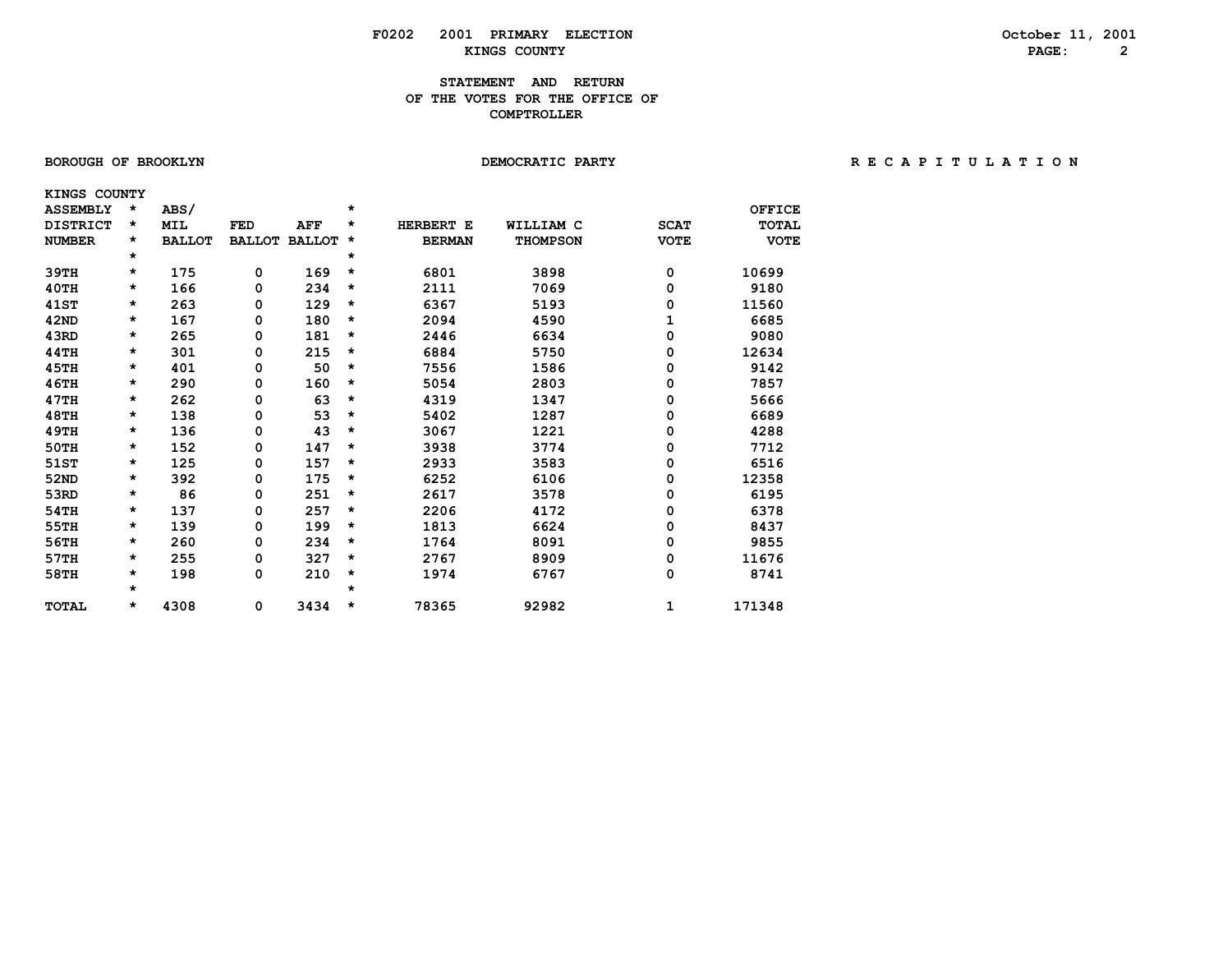### **STATEMENT AND RETURN OF THE VOTES FOR THE OFFICE OF COMPTROLLER**

| <b>BOROUGH OF BROOKLYN</b> |  |
|----------------------------|--|
|----------------------------|--|

| KINGS COUNTY    |         |               |               |               |         |               |                 |             |               |
|-----------------|---------|---------------|---------------|---------------|---------|---------------|-----------------|-------------|---------------|
| <b>ASSEMBLY</b> | $\star$ | ABS/          |               |               | $\star$ |               |                 |             | <b>OFFICE</b> |
| <b>DISTRICT</b> | *       | <b>MIL</b>    | <b>FED</b>    | AFF           | *       | HERBERT E     | WILLIAM C       | <b>SCAT</b> | TOTAL         |
| <b>NUMBER</b>   | *       | <b>BALLOT</b> | <b>BALLOT</b> | <b>BALLOT</b> | *       | <b>BERMAN</b> | <b>THOMPSON</b> | <b>VOTE</b> | <b>VOTE</b>   |
|                 | *       |               |               |               | *       |               |                 |             |               |
| 39TH            | *       | 175           | 0             | 169           | $\star$ | 6801          | 3898            | 0           | 10699         |
| 40TH            | *       | 166           | 0             | 234           | *       | 2111          | 7069            | 0           | 9180          |
| <b>41ST</b>     | $\star$ | 263           | 0             | 129           | $\star$ | 6367          | 5193            | 0           | 11560         |
| 42ND            | *       | 167           | 0             | 180           | $\star$ | 2094          | 4590            |             | 6685          |
| 43RD            | *       | 265           | 0             | 181           | *       | 2446          | 6634            | 0           | 9080          |
| 44TH            | *       | 301           | 0             | 215           | *       | 6884          | 5750            | 0           | 12634         |
| <b>45TH</b>     | *       | 401           | 0             | 50            | $\star$ | 7556          | 1586            | 0           | 9142          |
| <b>46TH</b>     | *       | 290           | 0             | 160           | *       | 5054          | 2803            | 0           | 7857          |
| 47TH            | *       | 262           | 0             | 63            | $\star$ | 4319          | 1347            | 0           | 5666          |
| <b>48TH</b>     | *       | 138           | 0             | 53            | $\star$ | 5402          | 1287            | 0           | 6689          |
| <b>49TH</b>     | *       | 136           | 0             | 43            | *       | 3067          | 1221            | 0           | 4288          |
| <b>50TH</b>     | *       | 152           | 0             | 147           | *       | 3938          | 3774            | 0           | 7712          |
| 51ST            | *       | 125           | 0             | 157           | *       | 2933          | 3583            | 0           | 6516          |
| 52ND            | *       | 392           | 0             | 175           | *       | 6252          | 6106            | 0           | 12358         |
| 53RD            | *       | 86            | 0             | 251           | *       | 2617          | 3578            | 0           | 6195          |
| 54TH            | *       | 137           | 0             | 257           | *       | 2206          | 4172            | 0           | 6378          |
| 55TH            | *       | 139           | 0             | 199           | *       | 1813          | 6624            | 0           | 8437          |
| 56TH            | *       | 260           | 0             | 234           | $\star$ | 1764          | 8091            | 0           | 9855          |
| 57TH            | *       | 255           | 0             | 327           | *       | 2767          | 8909            | 0           | 11676         |
| 58TH            | *       | 198           | 0             | 210           | *       | 1974          | 6767            | 0           | 8741          |
|                 | $\star$ |               |               |               | *       |               |                 |             |               |
| <b>TOTAL</b>    | *       | 4308          | 0             | 3434          | *       | 78365         | 92982           | 1           | 171348        |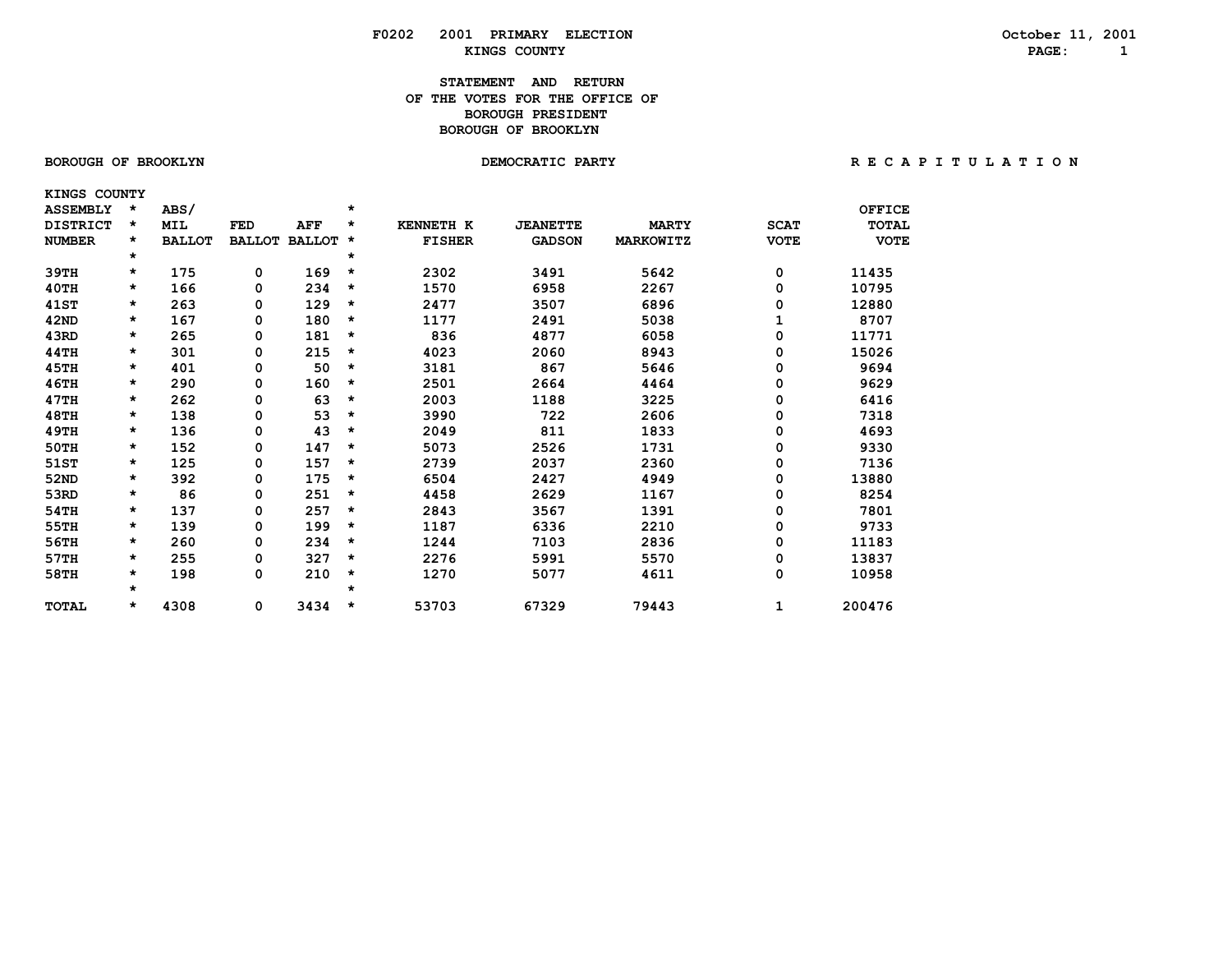### **STATEMENT AND RETURN OF THE VOTES FOR THE OFFICE OFBOROUGH PRESIDENT BOROUGH OF BROOKLYN**

 **KINGS COUNTY**

| <b>ASSEMBLY</b> | *       | ABS/          |            |                      | $\star$ |                  |                 |              |             | <b>OFFICE</b> |
|-----------------|---------|---------------|------------|----------------------|---------|------------------|-----------------|--------------|-------------|---------------|
| <b>DISTRICT</b> | $\star$ | MIL           | <b>FED</b> | AFF                  | *       | <b>KENNETH K</b> | <b>JEANETTE</b> | <b>MARTY</b> | <b>SCAT</b> | <b>TOTAL</b>  |
| <b>NUMBER</b>   | *       | <b>BALLOT</b> |            | <b>BALLOT BALLOT</b> | $\star$ | <b>FISHER</b>    | <b>GADSON</b>   | MARKOWITZ    | <b>VOTE</b> | <b>VOTE</b>   |
|                 | $\star$ |               |            |                      | *       |                  |                 |              |             |               |
| 39TH            | *       | 175           | 0          | 169                  | *       | 2302             | 3491            | 5642         | 0           | 11435         |
| 40TH            | $\star$ | 166           | 0          | 234                  | *       | 1570             | 6958            | 2267         | 0           | 10795         |
| 41ST            | $\star$ | 263           | 0          | 129                  | *       | 2477             | 3507            | 6896         | 0           | 12880         |
| 42ND            | *       | 167           | 0          | 180                  | *       | 1177             | 2491            | 5038         |             | 8707          |
| 43RD            | *       | 265           | 0          | 181                  | *       | 836              | 4877            | 6058         | 0           | 11771         |
| 44TH            | *       | 301           | 0          | 215                  | *       | 4023             | 2060            | 8943         | 0           | 15026         |
| 45TH            | $\star$ | 401           | 0          | 50                   | *       | 3181             | 867             | 5646         | 0           | 9694          |
| 46TH            | $\star$ | 290           | 0          | 160                  | *       | 2501             | 2664            | 4464         | 0           | 9629          |
| 47TH            | $\star$ | 262           | 0          | 63                   | $\star$ | 2003             | 1188            | 3225         | 0           | 6416          |
| <b>48TH</b>     | *       | 138           | 0          | 53                   | *       | 3990             | 722             | 2606         | 0           | 7318          |
| 49TH            | $\star$ | 136           | 0          | 43                   | *       | 2049             | 811             | 1833         | 0           | 4693          |
| 50TH            | *       | 152           | 0          | 147                  | *       | 5073             | 2526            | 1731         | 0           | 9330          |
| 51ST            | $\star$ | 125           | 0          | 157                  | *       | 2739             | 2037            | 2360         | 0           | 7136          |
| 52ND            | *       | 392           | 0          | 175                  | *       | 6504             | 2427            | 4949         | 0           | 13880         |
| 53RD            | *       | 86            | 0          | 251                  | *       | 4458             | 2629            | 1167         | 0           | 8254          |
| 54TH            | *       | 137           | 0          | 257                  | *       | 2843             | 3567            | 1391         | 0           | 7801          |
| 55TH            | *       | 139           | 0          | 199                  | *       | 1187             | 6336            | 2210         | 0           | 9733          |
| 56TH            | $\star$ | 260           | 0          | 234                  | *       | 1244             | 7103            | 2836         | 0           | 11183         |
| 57TH            | *       | 255           | 0          | 327                  | *       | 2276             | 5991            | 5570         | 0           | 13837         |
| 58TH            | $\star$ | 198           | 0          | 210                  | *       | 1270             | 5077            | 4611         | 0           | 10958         |
|                 | $\star$ |               |            |                      | $\star$ |                  |                 |              |             |               |
| <b>TOTAL</b>    | $\star$ | 4308          | 0          | 3434                 | $\star$ | 53703            | 67329           | 79443        | 1           | 200476        |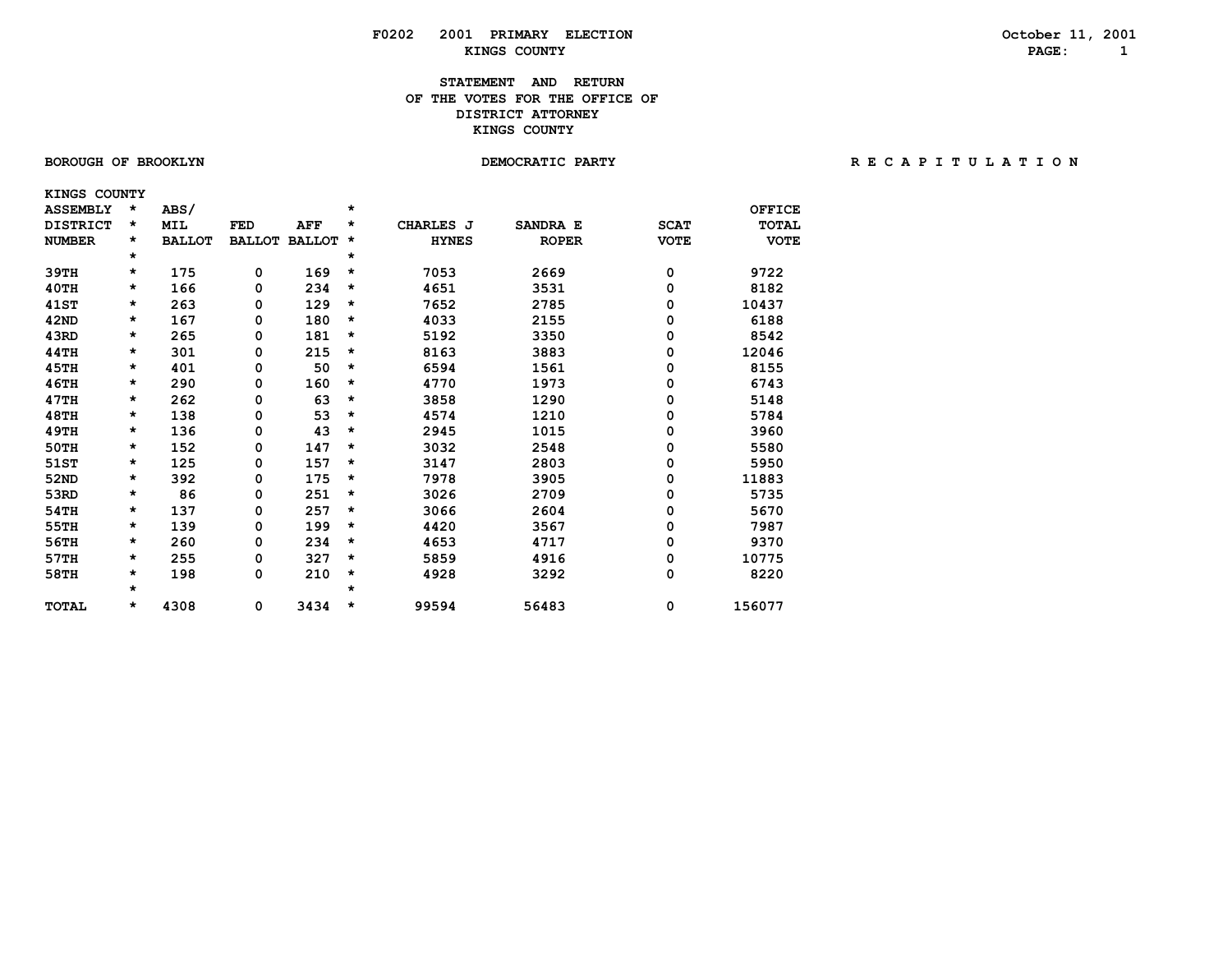### **STATEMENT AND RETURN OF THE VOTES FOR THE OFFICE OF DISTRICT ATTORNEY KINGS COUNTY**

 **KINGS COUNTY**

| <b>ASSEMBLY</b> | *       | ABS/          |               |               | *        |              |              |             | <b>OFFICE</b> |
|-----------------|---------|---------------|---------------|---------------|----------|--------------|--------------|-------------|---------------|
| <b>DISTRICT</b> | *       | <b>MIL</b>    | <b>FED</b>    | <b>AFF</b>    | *        | CHARLES J    | SANDRA E     | <b>SCAT</b> | <b>TOTAL</b>  |
| <b>NUMBER</b>   | *       | <b>BALLOT</b> | <b>BALLOT</b> | <b>BALLOT</b> | $^\star$ | <b>HYNES</b> | <b>ROPER</b> | <b>VOTE</b> | <b>VOTE</b>   |
|                 | *       |               |               |               | *        |              |              |             |               |
| 39TH            | *       | 175           | 0             | 169           | $\star$  | 7053         | 2669         | 0           | 9722          |
| 40TH            | *       | 166           | 0             | 234           | *        | 4651         | 3531         | 0           | 8182          |
| <b>41ST</b>     | *       | 263           | 0             | 129           | *        | 7652         | 2785         | 0           | 10437         |
| 42ND            | *       | 167           | 0             | 180           | *        | 4033         | 2155         | 0           | 6188          |
| 43RD            | *       | 265           | 0             | 181           | *        | 5192         | 3350         | 0           | 8542          |
| 44TH            | *       | 301           | 0             | 215           | $\star$  | 8163         | 3883         | 0           | 12046         |
| 45TH            | *       | 401           | 0             | 50            | $\star$  | 6594         | 1561         | 0           | 8155          |
| <b>46TH</b>     | *       | 290           | 0             | 160           | $\star$  | 4770         | 1973         | 0           | 6743          |
| 47TH            | *       | 262           | 0             | 63            | $\star$  | 3858         | 1290         | 0           | 5148          |
| <b>48TH</b>     | *       | 138           | 0             | 53            | *        | 4574         | 1210         | 0           | 5784          |
| <b>49TH</b>     | *       | 136           | 0             | 43            | *        | 2945         | 1015         | 0           | 3960          |
| 50TH            | *       | 152           | 0             | 147           | $\star$  | 3032         | 2548         | 0           | 5580          |
| 51ST            | *       | 125           | 0             | 157           | *        | 3147         | 2803         | 0           | 5950          |
| 52ND            | *       | 392           | 0             | 175           | $\star$  | 7978         | 3905         | 0           | 11883         |
| 53RD            | *       | 86            | 0             | 251           | *        | 3026         | 2709         | 0           | 5735          |
| 54TH            | *       | 137           | 0             | 257           | *        | 3066         | 2604         | 0           | 5670          |
| 55TH            | *       | 139           | 0             | 199           | $\star$  | 4420         | 3567         | 0           | 7987          |
| 56TH            | *       | 260           | 0             | 234           | $\star$  | 4653         | 4717         | 0           | 9370          |
| 57TH            | *       | 255           | 0             | 327           | *        | 5859         | 4916         | 0           | 10775         |
| 58TH            | *       | 198           | 0             | 210           | $\star$  | 4928         | 3292         | 0           | 8220          |
|                 | $\star$ |               |               |               | $\star$  |              |              |             |               |
| <b>TOTAL</b>    | *       | 4308          | 0             | 3434          | $\star$  | 99594        | 56483        | 0           | 156077        |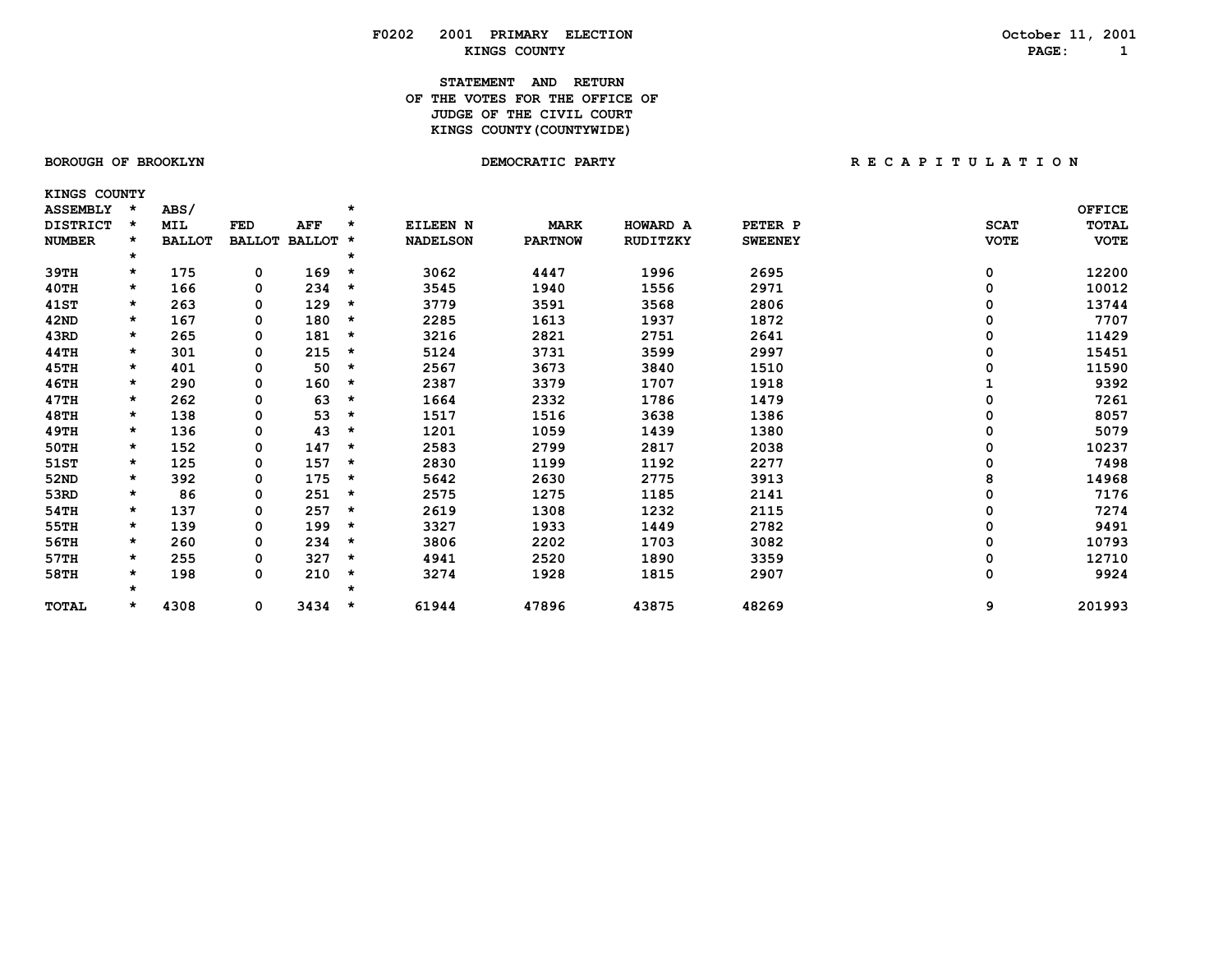### **STATEMENT AND RETURN OF THE VOTES FOR THE OFFICE OF** *JUDGE OF THE CIVIL COURT*  **KINGS COUNTY(COUNTYWIDE)**

 **KINGS COUNTY**

| <b>ASSEMBLY</b> |         | ABS/          |               |          |          |                 |                |          |                |             | <b>OFFICE</b> |
|-----------------|---------|---------------|---------------|----------|----------|-----------------|----------------|----------|----------------|-------------|---------------|
| <b>DISTRICT</b> | *       | <b>MIL</b>    | FED           | AFF      | $\star$  | EILEEN N        | <b>MARK</b>    | HOWARD A | PETER P        | <b>SCAT</b> | TOTAL         |
| <b>NUMBER</b>   |         | <b>BALLOT</b> | <b>BALLOT</b> | BALLOT * |          | <b>NADELSON</b> | <b>PARTNOW</b> | RUDITZKY | <b>SWEENEY</b> | <b>VOTE</b> | <b>VOTE</b>   |
|                 | $\star$ |               |               |          | $\star$  |                 |                |          |                |             |               |
| 39TH            | $\star$ | 175           | 0             | 169      | $^\star$ | 3062            | 4447           | 1996     | 2695           | 0           | 12200         |
| 40TH            | $\star$ | 166           | 0             | 234      | $\star$  | 3545            | 1940           | 1556     | 2971           | 0           | 10012         |
| 41ST            | $\star$ | 263           | 0             | 129      | $\star$  | 3779            | 3591           | 3568     | 2806           | 0           | 13744         |
| 42ND            | $\star$ | 167           | 0             | 180      | *        | 2285            | 1613           | 1937     | 1872           | 0           | 7707          |
| 43RD            | *       | 265           | 0             | 181      | $\star$  | 3216            | 2821           | 2751     | 2641           | 0           | 11429         |
| 44TH            | $\star$ | 301           | 0             | 215      | *        | 5124            | 3731           | 3599     | 2997           | 0           | 15451         |
| 45TH            | $\star$ | 401           | 0             | 50       | *        | 2567            | 3673           | 3840     | 1510           | Ω           | 11590         |
| 46TH            | $\star$ | 290           | 0             | 160      | *        | 2387            | 3379           | 1707     | 1918           |             | 9392          |
| 47TH            | $\star$ | 262           | 0             | 63       | *        | 1664            | 2332           | 1786     | 1479           | 0           | 7261          |
| 48TH            | $\star$ | 138           | 0             | 53       | $\star$  | 1517            | 1516           | 3638     | 1386           | 0           | 8057          |
| 49TH            | $\star$ | 136           | 0             | 43       | $\star$  | 1201            | 1059           | 1439     | 1380           | 0           | 5079          |
| 50TH            | $\star$ | 152           | 0             | 147      | $\star$  | 2583            | 2799           | 2817     | 2038           | 0           | 10237         |
| 51ST            | $\star$ | 125           | 0             | 157      | $\star$  | 2830            | 1199           | 1192     | 2277           | 0           | 7498          |
| 52ND            | $\star$ | 392           | 0             | 175      | $\star$  | 5642            | 2630           | 2775     | 3913           | 8           | 14968         |
| 53RD            | $\star$ | 86            | 0             | 251      | $\star$  | 2575            | 1275           | 1185     | 2141           | $\Omega$    | 7176          |
| 54TH            | $\star$ | 137           | 0             | 257      | $\star$  | 2619            | 1308           | 1232     | 2115           | $\Omega$    | 7274          |
| 55TH            | $\star$ | 139           | 0             | 199      | $\star$  | 3327            | 1933           | 1449     | 2782           | 0           | 9491          |
| 56TH            | $\star$ | 260           | 0             | 234      | $\star$  | 3806            | 2202           | 1703     | 3082           | 0           | 10793         |
| 57TH            | $\star$ | 255           | 0             | 327      | *        | 4941            | 2520           | 1890     | 3359           | 0           | 12710         |
| 58TH            | $\star$ | 198           | 0             | 210      | $\star$  | 3274            | 1928           | 1815     | 2907           | 0           | 9924          |
|                 | $\star$ |               |               |          | ÷        |                 |                |          |                |             |               |
| TOTAL           | *       | 4308          | 0             | 3434     | *        | 61944           | 47896          | 43875    | 48269          | 9           | 201993        |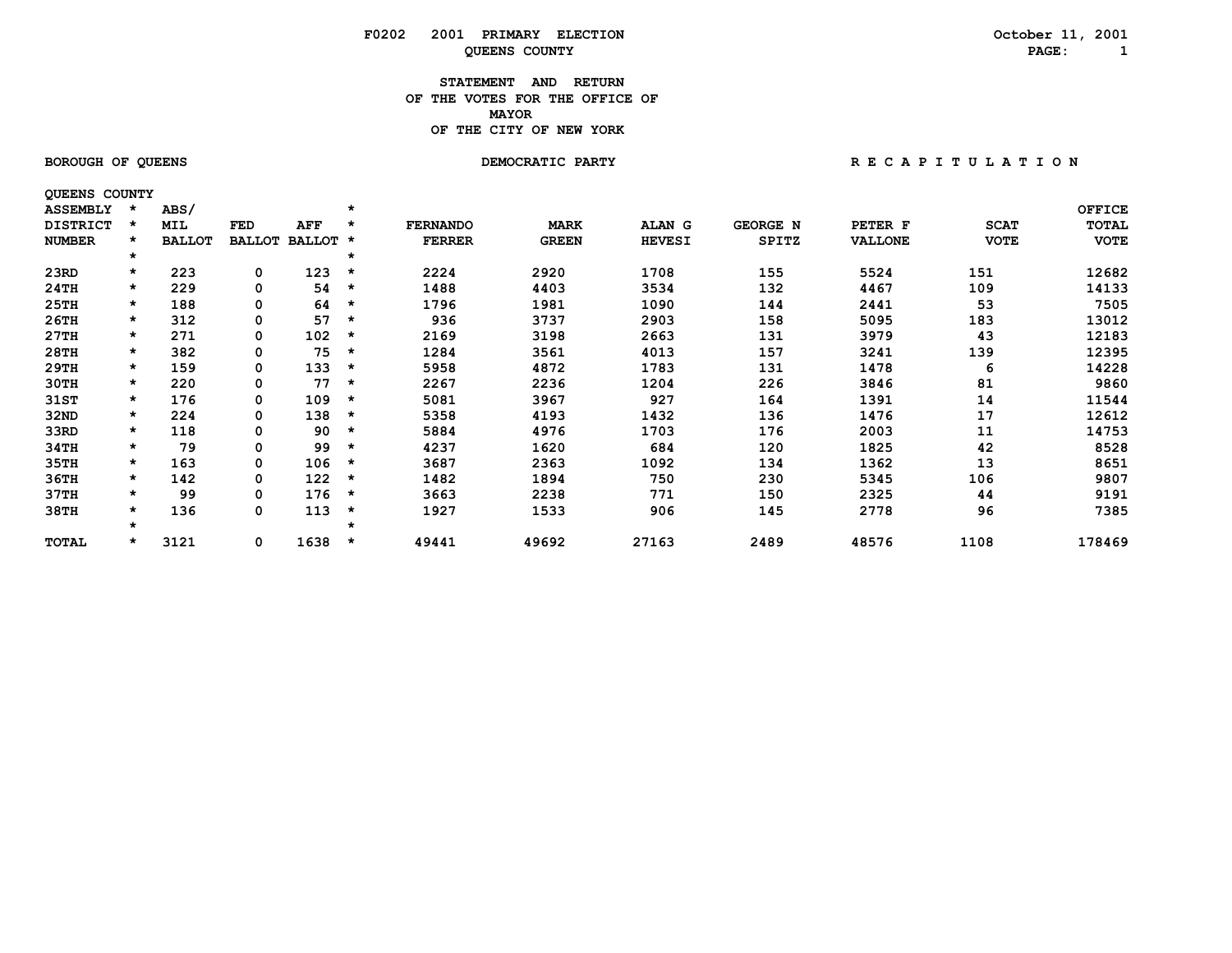#### **STATEMENT AND RETURN OF THE VOTES FOR THE OFFICE OF MAYORMAYOR OF THE CITY OF NEW YORK**

 **QUEENS COUNTY**

BOROUGH OF QUEENS **BOROUGH OF QUEENS BEACH OF A T I O N** DEMOCRATIC PARTY **RECAPITULATION** 

| <b>ASSEMBLY</b> | $\star$ | ABS/          |               |            | $\star$ |                 |              |               |                 |                |             | <b>OFFICE</b> |
|-----------------|---------|---------------|---------------|------------|---------|-----------------|--------------|---------------|-----------------|----------------|-------------|---------------|
| <b>DISTRICT</b> |         | <b>MIL</b>    | FED           | <b>AFF</b> | $\star$ | <b>FERNANDO</b> | <b>MARK</b>  | <b>ALAN G</b> | <b>GEORGE N</b> | PETER F        | <b>SCAT</b> | TOTAL         |
| <b>NUMBER</b>   |         | <b>BALLOT</b> | <b>BALLOT</b> | BALLOT *   |         | <b>FERRER</b>   | <b>GREEN</b> | <b>HEVESI</b> | <b>SPITZ</b>    | <b>VALLONE</b> | <b>VOTE</b> | <b>VOTE</b>   |
|                 | $\star$ |               |               |            | *       |                 |              |               |                 |                |             |               |
| 23RD            | $\star$ | 223           | 0             | 123        | *       | 2224            | 2920         | 1708          | 155             | 5524           | 151         | 12682         |
| 24TH            | $\star$ | 229           | 0             | 54         | $\star$ | 1488            | 4403         | 3534          | 132             | 4467           | 109         | 14133         |
| 25TH            | $\star$ | 188           | 0             | 64         | $\star$ | 1796            | 1981         | 1090          | 144             | 2441           | 53          | 7505          |
| 26TH            | $\star$ | 312           | 0             | 57         | *       | 936             | 3737         | 2903          | 158             | 5095           | 183         | 13012         |
| 27TH            | $\star$ | 271           | 0             | 102        | *       | 2169            | 3198         | 2663          | 131             | 3979           | 43          | 12183         |
| 28TH            | $\star$ | 382           | 0             | 75         | *       | 1284            | 3561         | 4013          | 157             | 3241           | 139         | 12395         |
| 29TH            | $\star$ | 159           | 0             | 133        | *       | 5958            | 4872         | 1783          | 131             | 1478           | 6           | 14228         |
| 30TH            | $\star$ | 220           | 0             | 77         | $\star$ | 2267            | 2236         | 1204          | 226             | 3846           | 81          | 9860          |
| 31ST            | $\star$ | 176           | 0             | 109        | $\star$ | 5081            | 3967         | 927           | 164             | 1391           | 14          | 11544         |
| 32ND            | $\star$ | 224           | 0             | 138        | $\star$ | 5358            | 4193         | 1432          | 136             | 1476           | 17          | 12612         |
| 33RD            | $\star$ | 118           | 0             | 90         | *       | 5884            | 4976         | 1703          | 176             | 2003           | 11          | 14753         |
| 34TH            | $\star$ | 79            | 0             | 99         | *       | 4237            | 1620         | 684           | 120             | 1825           | 42          | 8528          |
| 35TH            | $\star$ | 163           | 0             | 106        | $\star$ | 3687            | 2363         | 1092          | 134             | 1362           | 13          | 8651          |
| 36TH            | $\star$ | 142           | 0             | 122        | $\star$ | 1482            | 1894         | 750           | 230             | 5345           | 106         | 9807          |
| 37TH            | $\star$ | 99            | 0             | 176        | $\star$ | 3663            | 2238         | 771           | 150             | 2325           | 44          | 9191          |
| 38TH            | *       | 136           | 0             | 113        | *       | 1927            | 1533         | 906           | 145             | 2778           | 96          | 7385          |
|                 | $\star$ |               |               |            | *       |                 |              |               |                 |                |             |               |
| TOTAL           | *       | 3121          | 0             | 1638       | *       | 49441           | 49692        | 27163         | 2489            | 48576          | 1108        | 178469        |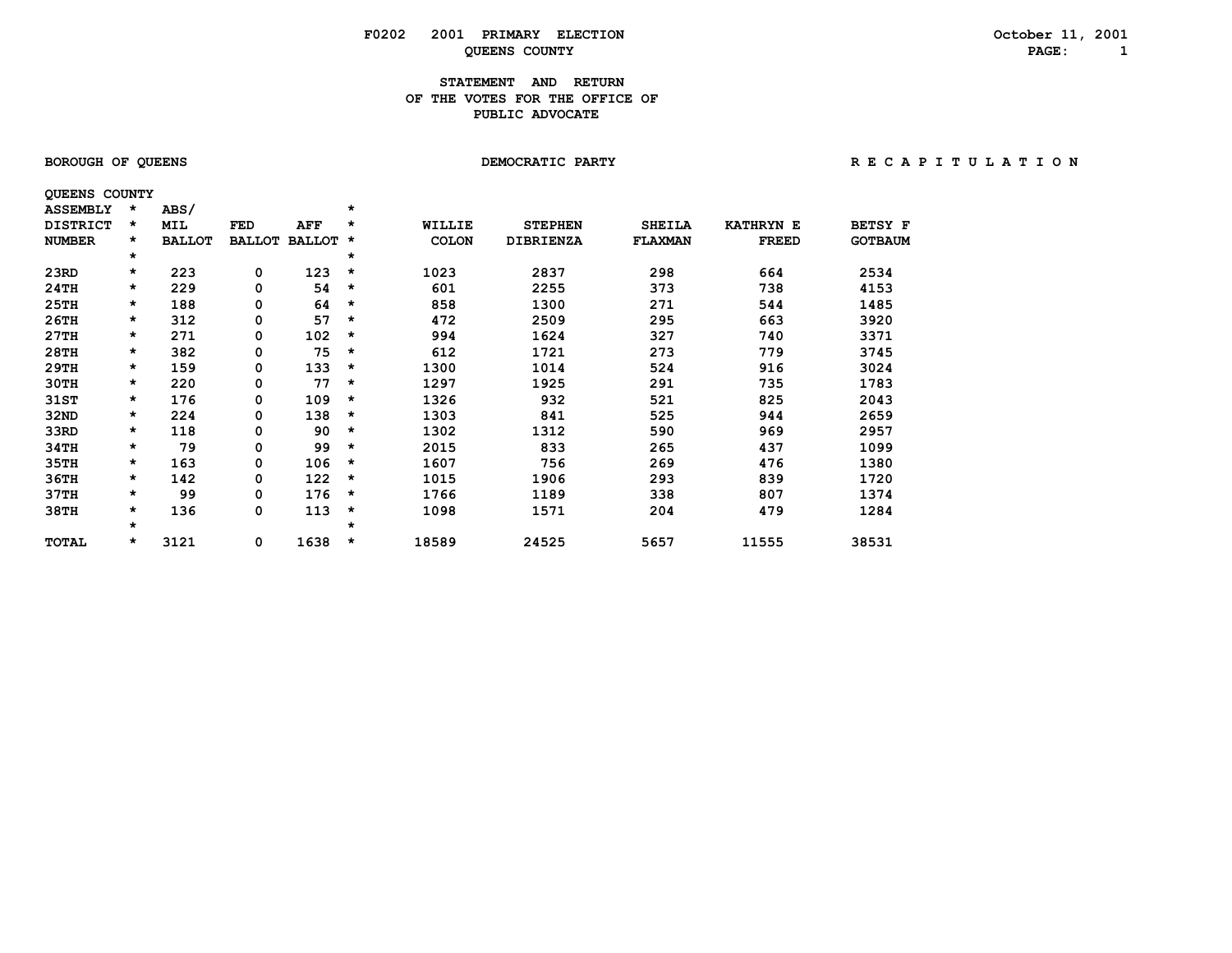### **STATEMENT AND RETURN OF THE VOTES FOR THE OFFICE OFPUBLIC ADVOCATE**

| <b>QUEENS COUNTY</b> |   |      |                        |     |            |              |
|----------------------|---|------|------------------------|-----|------------|--------------|
| ASSEMBLY *           |   | ABS/ |                        |     | *          |              |
| DISTRICT             | * | MTT. | FED                    | AFF | $^{\star}$ | WILLIF       |
| <b>NUMBER</b>        | * |      | BALLOT BALLOT BALLOT * |     |            | <b>COLON</b> |
|                      | * |      |                        |     | ×          |              |
|                      |   |      |                        |     |            |              |

| <b>DISTRICT</b> | $\star$  | MIL           | FED           | AFF           | *       | WILLIE       | <b>STEPHEN</b>   | <b>SHEILA</b>  | <b>KATHRYN E</b> | <b>BETSY F</b> |
|-----------------|----------|---------------|---------------|---------------|---------|--------------|------------------|----------------|------------------|----------------|
| <b>NUMBER</b>   | $\star$  | <b>BALLOT</b> | <b>BALLOT</b> | <b>BALLOT</b> | *       | <b>COLON</b> | <b>DIBRIENZA</b> | <b>FLAXMAN</b> | <b>FREED</b>     | <b>GOTBAUM</b> |
|                 | $\star$  |               |               |               | *       |              |                  |                |                  |                |
| 23RD            | *        | 223           | 0             | 123           | $\star$ | 1023         | 2837             | 298            | 664              | 2534           |
| 24TH            | $\star$  | 229           | 0             | 54            | $\star$ | 601          | 2255             | 373            | 738              | 4153           |
| 25TH            | $\star$  | 188           | 0             | 64            | $\star$ | 858          | 1300             | 271            | 544              | 1485           |
| 26TH            | $\star$  | 312           | 0             | 57            | $\star$ | 472          | 2509             | 295            | 663              | 3920           |
| 27TH            | $\star$  | 271           | 0             | 102           | $\star$ | 994          | 1624             | 327            | 740              | 3371           |
| 28TH            | $\star$  | 382           | 0             | 75            | *       | 612          | 1721             | 273            | 779              | 3745           |
| 29TH            | $\star$  | 159           | 0             | 133           | $\star$ | 1300         | 1014             | 524            | 916              | 3024           |
| 30TH            | $\star$  | 220           | 0             | 77            | $\star$ | 1297         | 1925             | 291            | 735              | 1783           |
| 31ST            | *        | 176           | 0             | 109           | *       | 1326         | 932              | 521            | 825              | 2043           |
| 32ND            | $\star$  | 224           | 0             | 138           | *       | 1303         | 841              | 525            | 944              | 2659           |
| 33RD            | $\star$  | 118           | 0             | 90            | $\star$ | 1302         | 1312             | 590            | 969              | 2957           |
| 34TH            | $^\star$ | 79            | 0             | 99            | *       | 2015         | 833              | 265            | 437              | 1099           |
| 35TH            | *        | 163           | 0             | 106           | *       | 1607         | 756              | 269            | 476              | 1380           |
| 36TH            | *        | 142           | 0             | 122           | $\star$ | 1015         | 1906             | 293            | 839              | 1720           |
| 37TH            | $\star$  | 99            | 0             | 176           | *       | 1766         | 1189             | 338            | 807              | 1374           |
| 38TH            | *        | 136           | 0             | 113           | *       | 1098         | 1571             | 204            | 479              | 1284           |
|                 | $\star$  |               |               |               | $\star$ |              |                  |                |                  |                |
| TOTAL           | $\star$  | 3121          | 0             | 1638          | $\star$ | 18589        | 24525            | 5657           | 11555            | 38531          |

# BOROUGH OF QUEENS **BOROUGH OF QUEENS BEACH OF A T I O N** DEMOCRATIC PARTY **RECAPITULATION**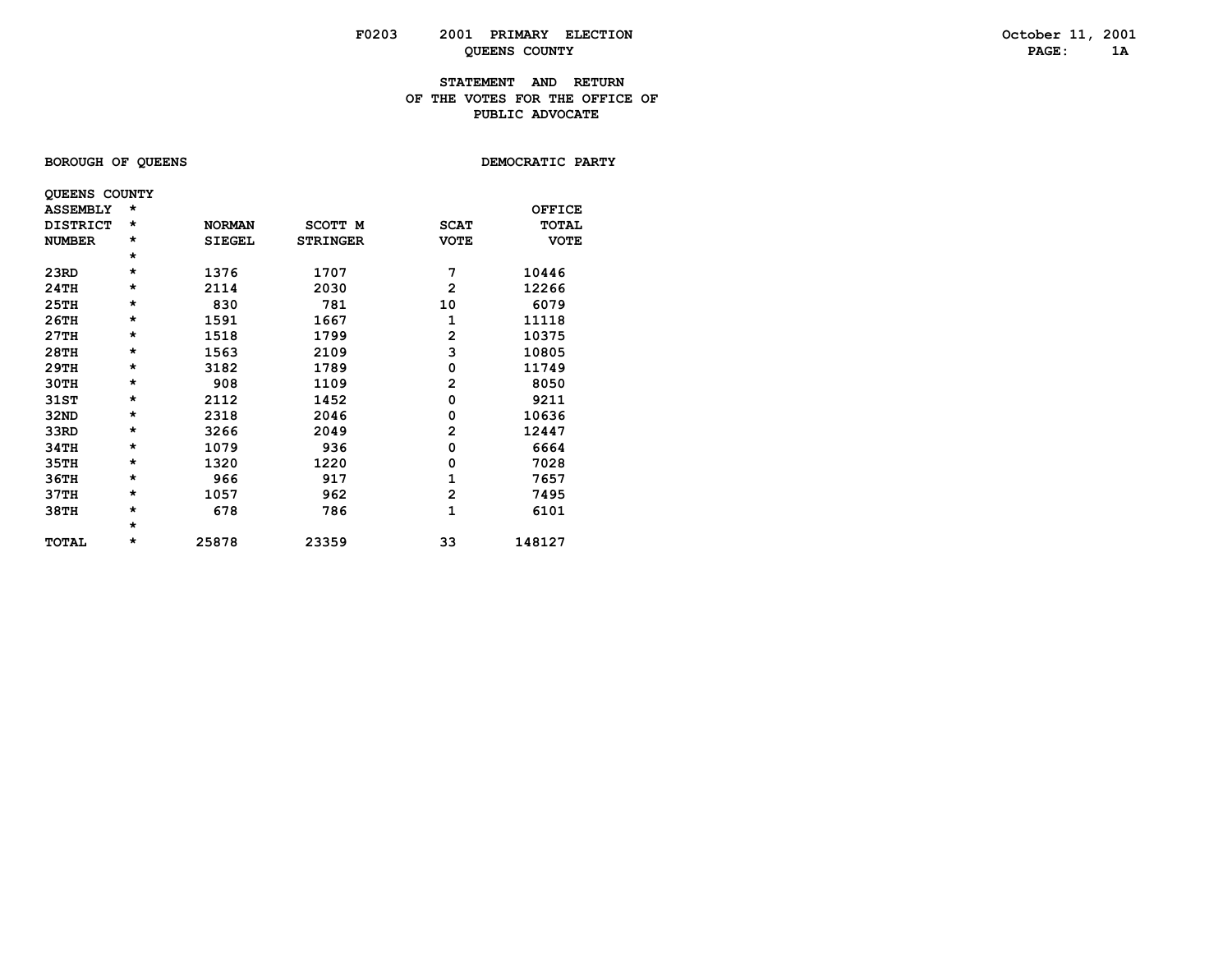### **STATEMENT AND RETURN OF THE VOTES FOR THE OFFICE OFPUBLIC ADVOCATE**

**BOROUGH OF QUEENS BOROUGH OF QUEENS** 

|                 | <b>QUEENS COUNTY</b> |               |                 |             |               |
|-----------------|----------------------|---------------|-----------------|-------------|---------------|
| <b>ASSEMBLY</b> | $\star$              |               |                 |             | <b>OFFICE</b> |
| <b>DISTRICT</b> | $\star$              | <b>NORMAN</b> | SCOTT M         | <b>SCAT</b> | <b>TOTAL</b>  |
| <b>NUMBER</b>   | $\star$              | <b>SIEGEL</b> | <b>STRINGER</b> | <b>VOTE</b> | <b>VOTE</b>   |
|                 | $\star$              |               |                 |             |               |
| 23RD            | $\star$              | 1376          | 1707            | 7           | 10446         |
| 24TH            | $\star$              | 2114          | 2030            | 2           | 12266         |
| 25TH            | $\star$              | 830           | 781             | 10          | 6079          |
| 26TH            | $\star$              | 1591          | 1667            | 1           | 11118         |
| 27TH            | $\star$              | 1518          | 1799            | 2           | 10375         |
| 28TH            | $\star$              | 1563          | 2109            | 3           | 10805         |
| 29TH            | $\star$              | 3182          | 1789            | 0           | 11749         |
| 30TH            | $\star$              | 908           | 1109            | 2           | 8050          |
| 31ST            | $\star$              | 2112          | 1452            | 0           | 9211          |
| 32ND            | $\star$              | 2318          | 2046            | 0           | 10636         |
| 33RD            | $\star$              | 3266          | 2049            | 2           | 12447         |
| 34TH            | $\star$              | 1079          | 936             | 0           | 6664          |
| 35TH            | $\star$              | 1320          | 1220            | 0           | 7028          |
| 36TH            | $\star$              | 966           | 917             | 1           | 7657          |
| 37TH            | $\star$              | 1057          | 962             | 2           | 7495          |
| 38TH            | $\star$              | 678           | 786             | 1           | 6101          |
|                 | $\star$              |               |                 |             |               |
| <b>TOTAL</b>    | *                    | 25878         | 23359           | 33          | 148127        |
|                 |                      |               |                 |             |               |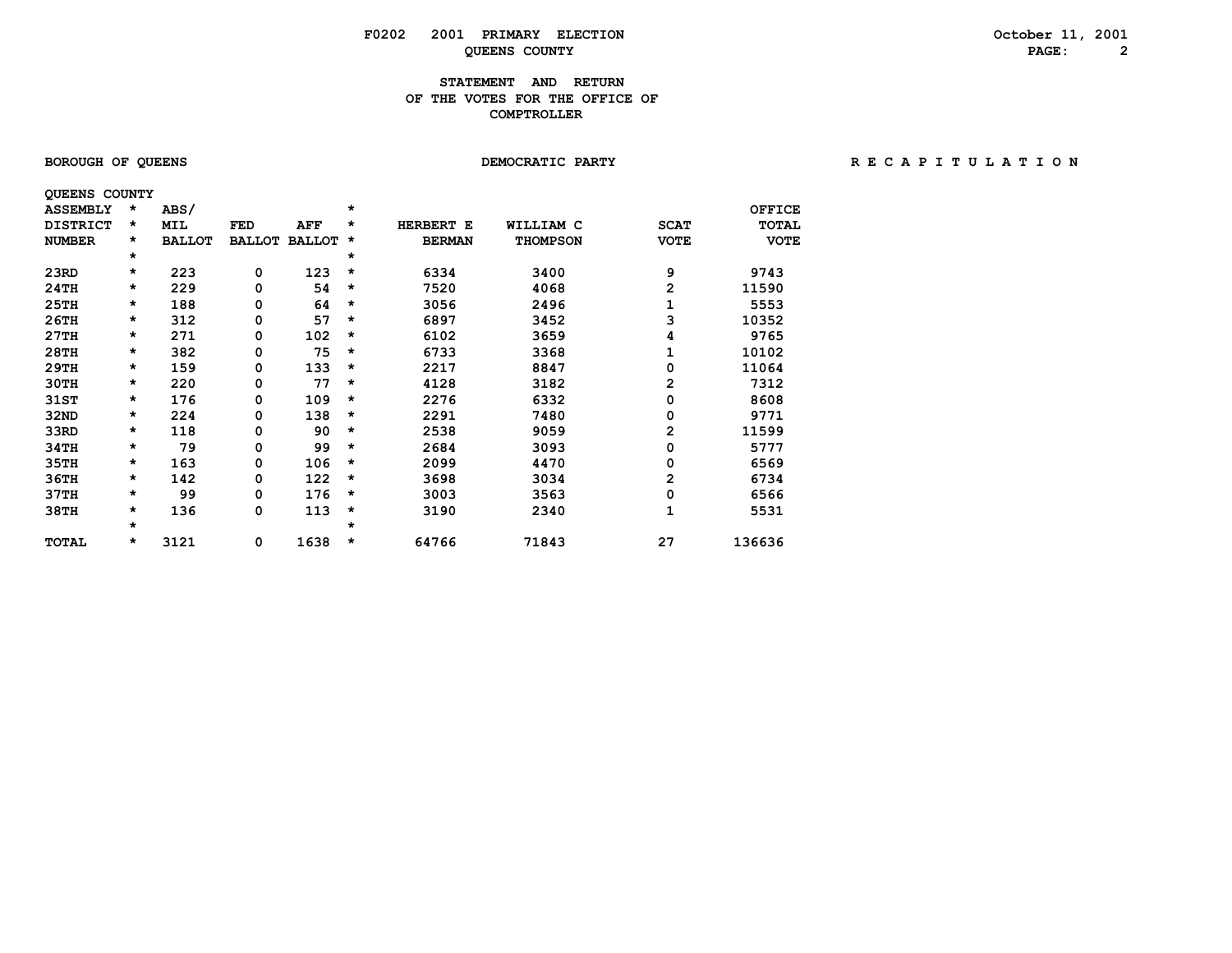# **F0202** 2001 PRIMARY ELECTION CONSIDERTY OCTOBER 11, 2001<br>
OUERNS COUNTY PAGE: 2 **QUEENS COUNTY**

### **STATEMENT AND RETURN OF THE VOTES FOR THE OFFICE OF COMPTROLLER**

| <b>BOROUGH OF QUEENS</b> |  |  |
|--------------------------|--|--|
|--------------------------|--|--|

# **DEMOCRATIC PARTY CONTRACT CONTRACT CONTRACT CONTRACT CONTRACT CONTRACT CONTRACT CONTRACT CONTRACT CONTRACT CONTRACT CONTRACT CONTRACT CONTRACT CONTRACT CONTRACT CONTRACT CONTRACT CONTRACT CONTRACT CONTRACT CONTRACT CONTRA**

| <b>QUEENS COUNTY</b> |         |               |               |               |         |               |                 |                |               |
|----------------------|---------|---------------|---------------|---------------|---------|---------------|-----------------|----------------|---------------|
| <b>ASSEMBLY</b>      | *       | ABS/          |               |               | $\star$ |               |                 |                | <b>OFFICE</b> |
| <b>DISTRICT</b>      | *       | <b>MIL</b>    | FED           | AFF           | *       | HERBERT E     | WILLIAM C       | <b>SCAT</b>    | <b>TOTAL</b>  |
| <b>NUMBER</b>        | $\star$ | <b>BALLOT</b> | <b>BALLOT</b> | <b>BALLOT</b> | *       | <b>BERMAN</b> | <b>THOMPSON</b> | <b>VOTE</b>    | <b>VOTE</b>   |
|                      | $\star$ |               |               |               | $\star$ |               |                 |                |               |
| 23RD                 | $\star$ | 223           | 0             | 123           | *       | 6334          | 3400            | 9              | 9743          |
| 24TH                 | $\star$ | 229           | 0             | 54            | $\star$ | 7520          | 4068            | 2              | 11590         |
| 25TH                 | $\star$ | 188           | 0             | 64            | $\star$ | 3056          | 2496            | 1              | 5553          |
| 26TH                 | $\star$ | 312           | 0             | 57            | $\star$ | 6897          | 3452            | 3              | 10352         |
| 27TH                 | $\star$ | 271           | 0             | 102           | *       | 6102          | 3659            | 4              | 9765          |
| 28TH                 | $\star$ | 382           | 0             | 75            | $\star$ | 6733          | 3368            | 1              | 10102         |
| 29TH                 | $\star$ | 159           | 0             | 133           | $\star$ | 2217          | 8847            | 0              | 11064         |
| 30TH                 | $\star$ | 220           | 0             | 77            | *       | 4128          | 3182            | $\overline{2}$ | 7312          |
| 31ST                 | $\star$ | 176           | 0             | 109           | $\star$ | 2276          | 6332            | 0              | 8608          |
| 32ND                 | $\star$ | 224           | 0             | 138           | $\star$ | 2291          | 7480            | 0              | 9771          |
| 33RD                 | *       | 118           | 0             | 90            | $\star$ | 2538          | 9059            | 2              | 11599         |
| 34TH                 | $\star$ | 79            | 0             | 99            | $\star$ | 2684          | 3093            | 0              | 5777          |
| 35TH                 | $\star$ | 163           | 0             | 106           | $\star$ | 2099          | 4470            | 0              | 6569          |
| 36TH                 | *       | 142           | 0             | 122           | $\star$ | 3698          | 3034            | 2              | 6734          |
| 37TH                 | *       | 99            | 0             | 176           | $\star$ | 3003          | 3563            | 0              | 6566          |
| 38TH                 | $\star$ | 136           | 0             | 113           | *       | 3190          | 2340            | 1              | 5531          |
|                      | $\star$ |               |               |               | $\star$ |               |                 |                |               |
| TOTAL                | *       | 3121          | 0             | 1638          | $\star$ | 64766         | 71843           | 27             | 136636        |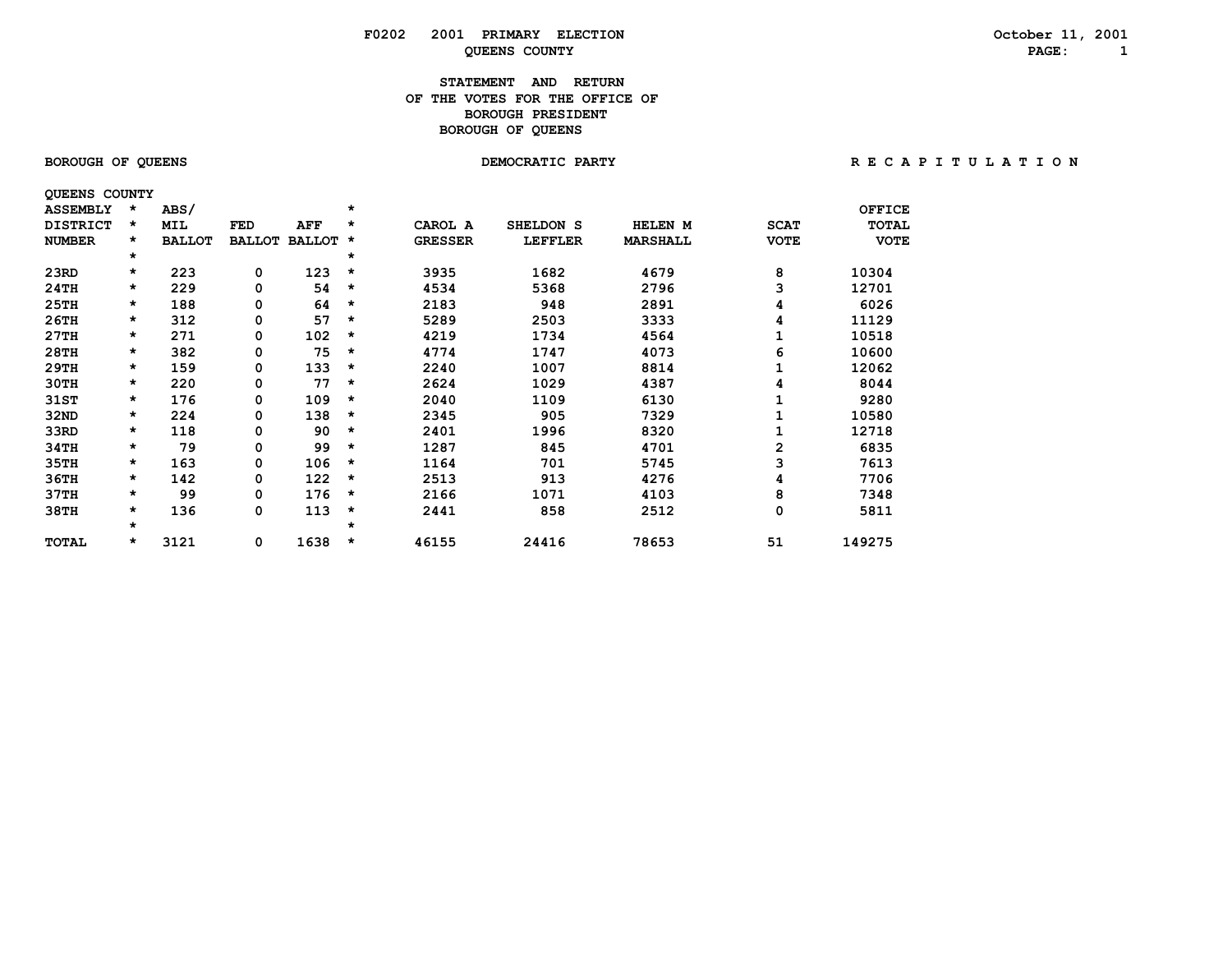### **STATEMENT AND RETURN OF THE VOTES FOR THE OFFICE OFBOROUGH PRESIDENT BOROUGH OF QUEENS**

| <b>BOROUGH OF QUEENS</b> |  |  |
|--------------------------|--|--|
|--------------------------|--|--|

 **QUEENS COUNTY**

BOROUGH OF QUEENS **BOROUGH OF QUEENS BEOROUGH OF A T I O N** DEMOCRATIC PARTY **RECAPITULATION** 

| <b>ASSEMBLY</b> | $\star$ | ABS/          |               |               | $\star$  |                |                |                 |             | <b>OFFICE</b> |
|-----------------|---------|---------------|---------------|---------------|----------|----------------|----------------|-----------------|-------------|---------------|
| <b>DISTRICT</b> | $\star$ | <b>MIL</b>    | FED           | AFF           | $\star$  | CAROL A        | SHELDON S      | HELEN M         | <b>SCAT</b> | <b>TOTAL</b>  |
| <b>NUMBER</b>   | $\star$ | <b>BALLOT</b> | <b>BALLOT</b> | <b>BALLOT</b> | $\star$  | <b>GRESSER</b> | <b>LEFFLER</b> | <b>MARSHALL</b> | <b>VOTE</b> | <b>VOTE</b>   |
|                 | $\star$ |               |               |               | *        |                |                |                 |             |               |
| 23RD            | $\star$ | 223           | 0             | 123           | $\star$  | 3935           | 1682           | 4679            | 8           | 10304         |
| 24TH            | $\star$ | 229           | 0             | 54            | $^\star$ | 4534           | 5368           | 2796            | 3           | 12701         |
| 25TH            | $\star$ | 188           | 0             | 64            | $\star$  | 2183           | 948            | 2891            | 4           | 6026          |
| 26TH            | $\star$ | 312           | 0             | 57            | $^\star$ | 5289           | 2503           | 3333            | 4           | 11129         |
| 27TH            | $\star$ | 271           | 0             | 102           | $^\star$ | 4219           | 1734           | 4564            |             | 10518         |
| 28TH            | $\star$ | 382           | 0             | 75            | $\star$  | 4774           | 1747           | 4073            | 6           | 10600         |
| 29TH            | $\star$ | 159           | 0             | 133           | $\star$  | 2240           | 1007           | 8814            |             | 12062         |
| 30TH            | $\star$ | 220           | 0             | 77            | $\star$  | 2624           | 1029           | 4387            | 4           | 8044          |
| 31ST            | *       | 176           | 0             | 109           | $\star$  | 2040           | 1109           | 6130            |             | 9280          |
| 32ND            | $\star$ | 224           | 0             | 138           | $\star$  | 2345           | 905            | 7329            |             | 10580         |
| 33RD            | *       | 118           | 0             | 90            | $\star$  | 2401           | 1996           | 8320            |             | 12718         |
| 34TH            | $\star$ | 79            | 0             | 99            | $^\star$ | 1287           | 845            | 4701            | 2           | 6835          |
| 35TH            | $\star$ | 163           | 0             | 106           | $\star$  | 1164           | 701            | 5745            | 3           | 7613          |
| 36TH            | $\star$ | 142           | 0             | 122           | $\star$  | 2513           | 913            | 4276            |             | 7706          |
| 37TH            | $\star$ | 99            | 0             | 176           | $^\star$ | 2166           | 1071           | 4103            | 8           | 7348          |
| 38TH            | *       | 136           | 0             | 113           | $\star$  | 2441           | 858            | 2512            | 0           | 5811          |
|                 | $\star$ |               |               |               | $\star$  |                |                |                 |             |               |
| TOTAL           | $\star$ | 3121          | 0             | 1638          | $\star$  | 46155          | 24416          | 78653           | 51          | 149275        |
|                 |         |               |               |               |          |                |                |                 |             |               |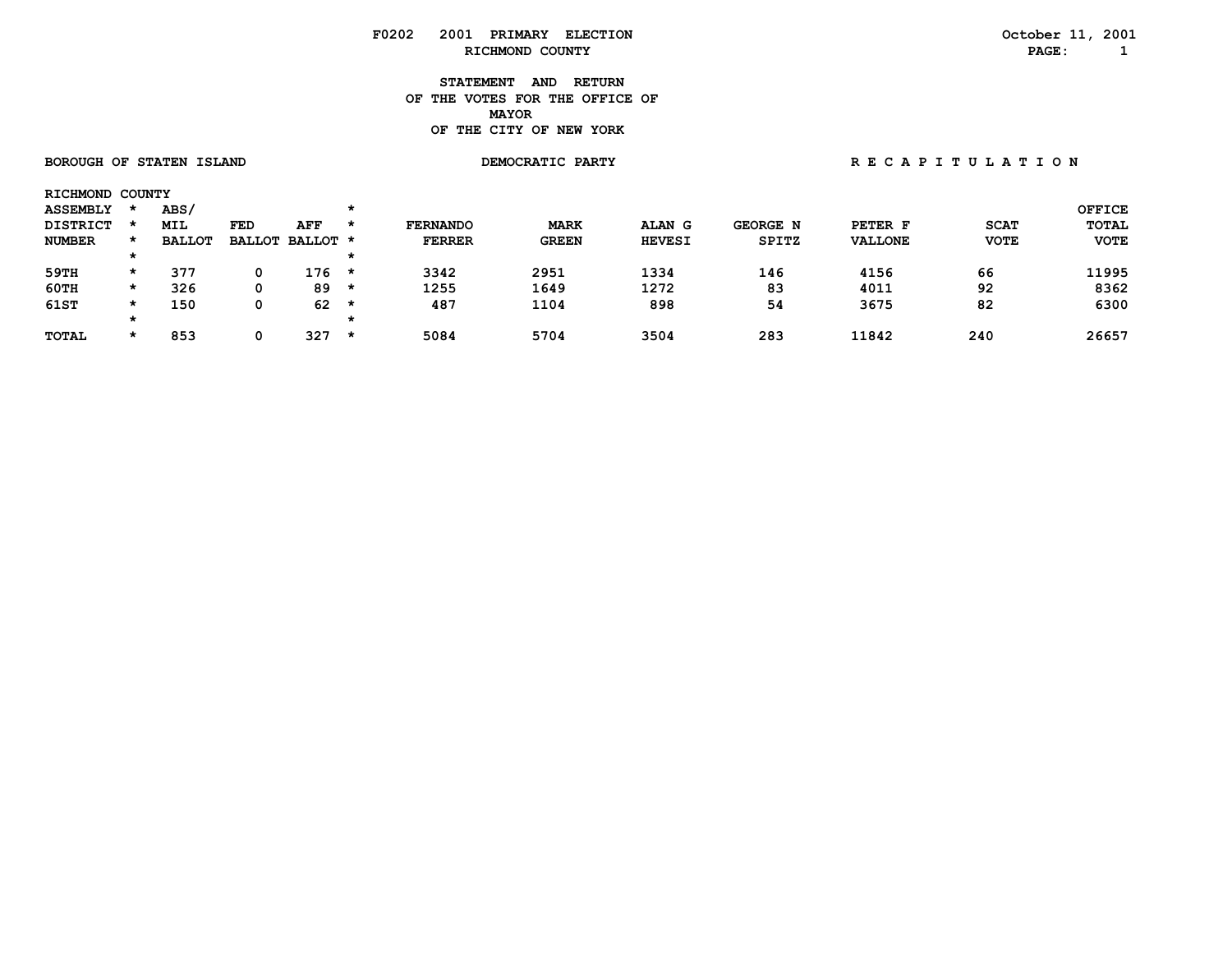**STATEMENT AND RETURN OF THE VOTES FOR THE OFFICE OF MAYORMAYOR OF THE CITY OF NEW YORK**

|                 | <b>BOROUGH OF STATEN ISLAND</b> |               |     |                 |         |                 | DEMOCRATIC PARTY |               | RECAPITULATION  |                |             |               |
|-----------------|---------------------------------|---------------|-----|-----------------|---------|-----------------|------------------|---------------|-----------------|----------------|-------------|---------------|
| RICHMOND COUNTY |                                 |               |     |                 |         |                 |                  |               |                 |                |             |               |
| <b>ASSEMBLY</b> |                                 | ABS/          |     |                 | $\star$ |                 |                  |               |                 |                |             | <b>OFFICE</b> |
| <b>DISTRICT</b> |                                 | <b>MIL</b>    | FED | AFF             | $\star$ | <b>FERNANDO</b> | <b>MARK</b>      | ALAN G        | <b>GEORGE N</b> | PETER F        | <b>SCAT</b> | TOTAL         |
| <b>NUMBER</b>   | $\star$                         | <b>BALLOT</b> |     | BALLOT BALLOT * |         | <b>FERRER</b>   | <b>GREEN</b>     | <b>HEVESI</b> | <b>SPITZ</b>    | <b>VALLONE</b> | <b>VOTE</b> | <b>VOTE</b>   |
|                 |                                 |               |     |                 | $\star$ |                 |                  |               |                 |                |             |               |
| 59TH            | $\star$                         | 377           | 0   | 176             | $\star$ | 3342            | 2951             | 1334          | 146             | 4156           | 66          | 11995         |
| 60TH            | $\star$                         | 326           | 0   | 89              | $\star$ | 1255            | 1649             | 1272          | 83              | 4011           | 92          | 8362          |
| 61ST            | $\star$                         | 150           | 0   | 62              | *       | 487             | 1104             | 898           | 54              | 3675           | 82          | 6300          |
|                 | $^\star$                        |               |     |                 | $\star$ |                 |                  |               |                 |                |             |               |
| <b>TOTAL</b>    | $\star$                         | 853           | 0   | 327             | $\star$ | 5084            | 5704             | 3504          | 283             | 11842          | 240         | 26657         |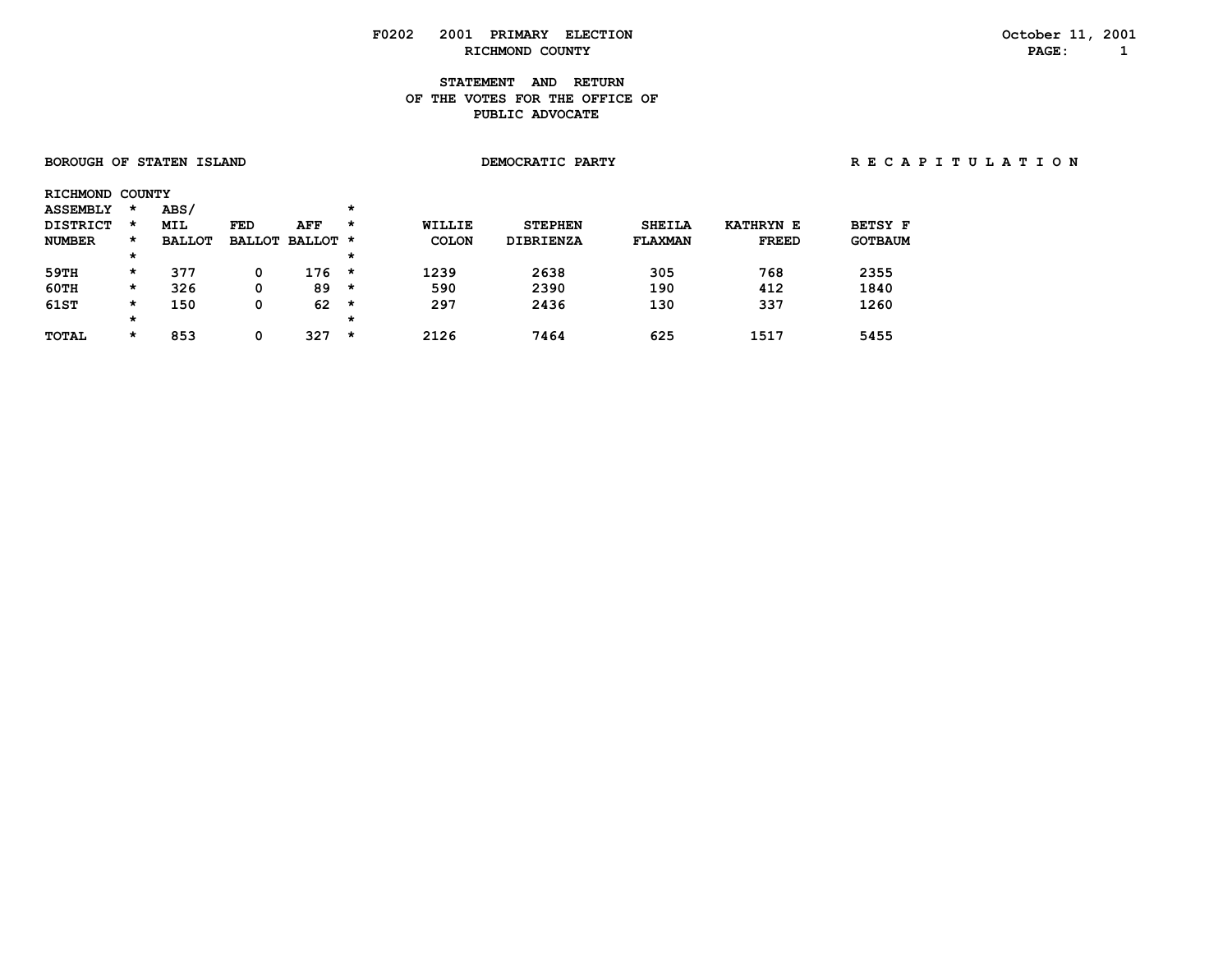### **STATEMENT AND RETURN OF THE VOTES FOR THE OFFICE OF PUBLIC ADVOCATE**

| <b>BOROUGH OF STATEN ISLAND</b> |         |               |     |                 |          |               | DEMOCRATIC PARTY | RECAPITULATION |                  |                |  |
|---------------------------------|---------|---------------|-----|-----------------|----------|---------------|------------------|----------------|------------------|----------------|--|
| RICHMOND COUNTY                 |         |               |     |                 |          |               |                  |                |                  |                |  |
| <b>ASSEMBLY</b>                 | $\star$ | <b>ABS/</b>   |     |                 | $^\star$ |               |                  |                |                  |                |  |
| <b>DISTRICT</b>                 | $\star$ | MIL           | FED | AFF             | $\star$  | <b>WILLIE</b> | <b>STEPHEN</b>   | <b>SHEILA</b>  | <b>KATHRYN E</b> | <b>BETSY F</b> |  |
| <b>NUMBER</b>                   | *       | <b>BALLOT</b> |     | BALLOT BALLOT * |          | <b>COLON</b>  | <b>DIBRIENZA</b> | FLAXMAN        | <b>FREED</b>     | <b>GOTBAUM</b> |  |
|                                 | $\star$ |               |     |                 | *        |               |                  |                |                  |                |  |
| 59TH                            | $\star$ | 377           | 0   | $176 *$         |          | 1239          | 2638             | 305            | 768              | 2355           |  |
| $60$ TH                         | $\star$ | 326           | 0   | 89              | *        | 590           | 2390             | 190            | 412              | 1840           |  |
| 61ST                            | $\star$ | 150           | 0   | 62              | *        | 297           | 2436             | 130            | 337              | 1260           |  |
|                                 | $\star$ |               |     |                 | $^\star$ |               |                  |                |                  |                |  |
| TOTAL                           | $\star$ | 853           | 0   | 327             | *        | 2126          | 7464             | 625            | 1517             | 5455           |  |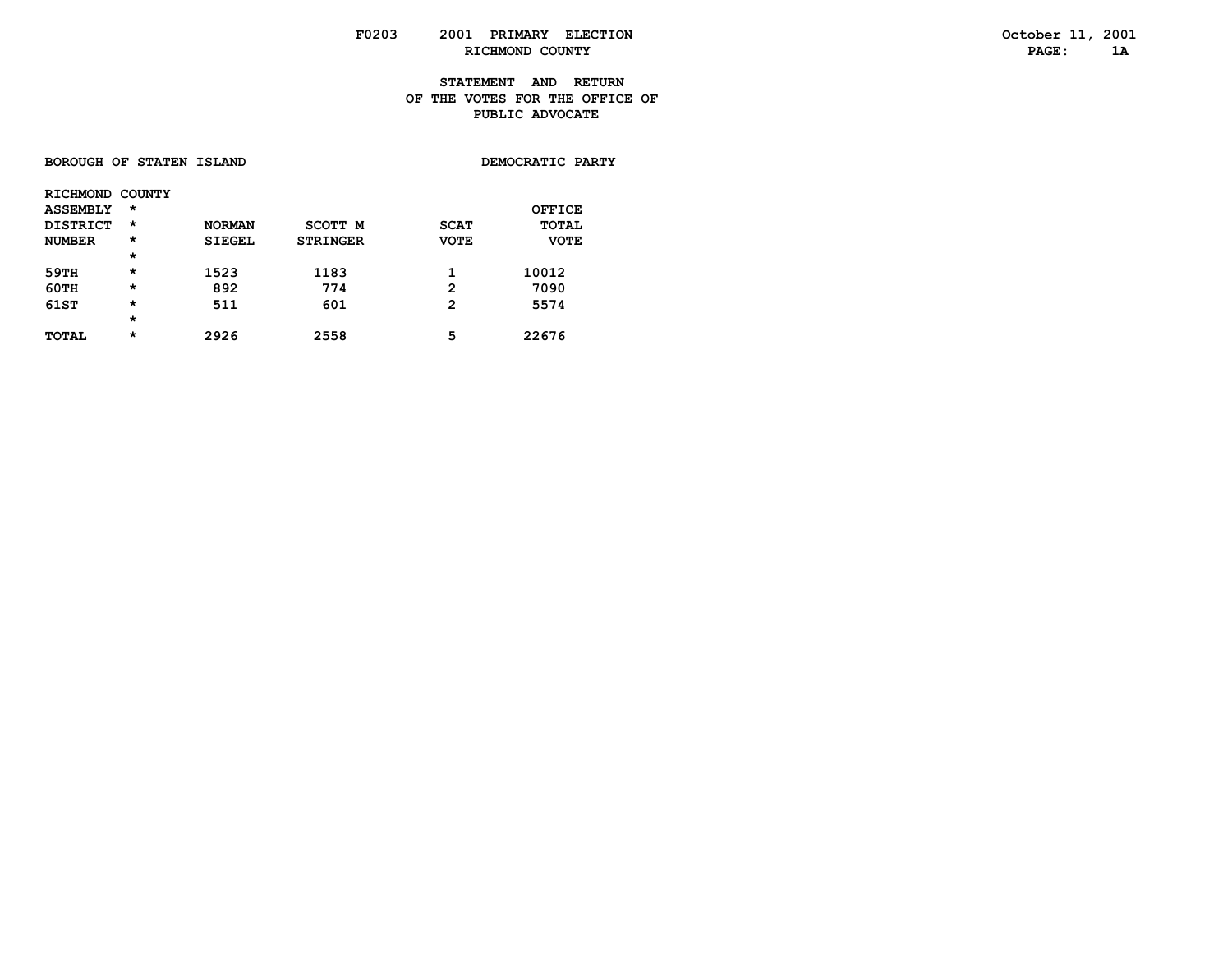### **STATEMENT AND RETURN OF THE VOTES FOR THE OFFICE OF PUBLIC ADVOCATE**

| DEMOCRATIC PARTY<br><b>BOROUGH OF STATEN ISLAND</b> |
|-----------------------------------------------------|
|-----------------------------------------------------|

| <b>RICHMOND</b> | COUNTY   |               |                 |              |              |
|-----------------|----------|---------------|-----------------|--------------|--------------|
| <b>ASSEMBLY</b> | $\star$  |               |                 |              | OFFICE       |
| <b>DISTRICT</b> | $\star$  | <b>NORMAN</b> | SCOTT M         | <b>SCAT</b>  | <b>TOTAL</b> |
| <b>NUMBER</b>   | $^\star$ | <b>SIEGEL</b> | <b>STRINGER</b> | <b>VOTE</b>  | <b>VOTE</b>  |
|                 | $\star$  |               |                 |              |              |
| 59TH            | $\star$  | 1523          | 1183            |              | 10012        |
| 60TH            | $\star$  | 892           | 774             | $\mathbf{2}$ | 7090         |
| 61ST            | $\star$  | 511           | 601             | 2            | 5574         |
|                 | $\star$  |               |                 |              |              |
| <b>TOTAL</b>    | $\star$  | 2926          | 2558            | 5            | 22676        |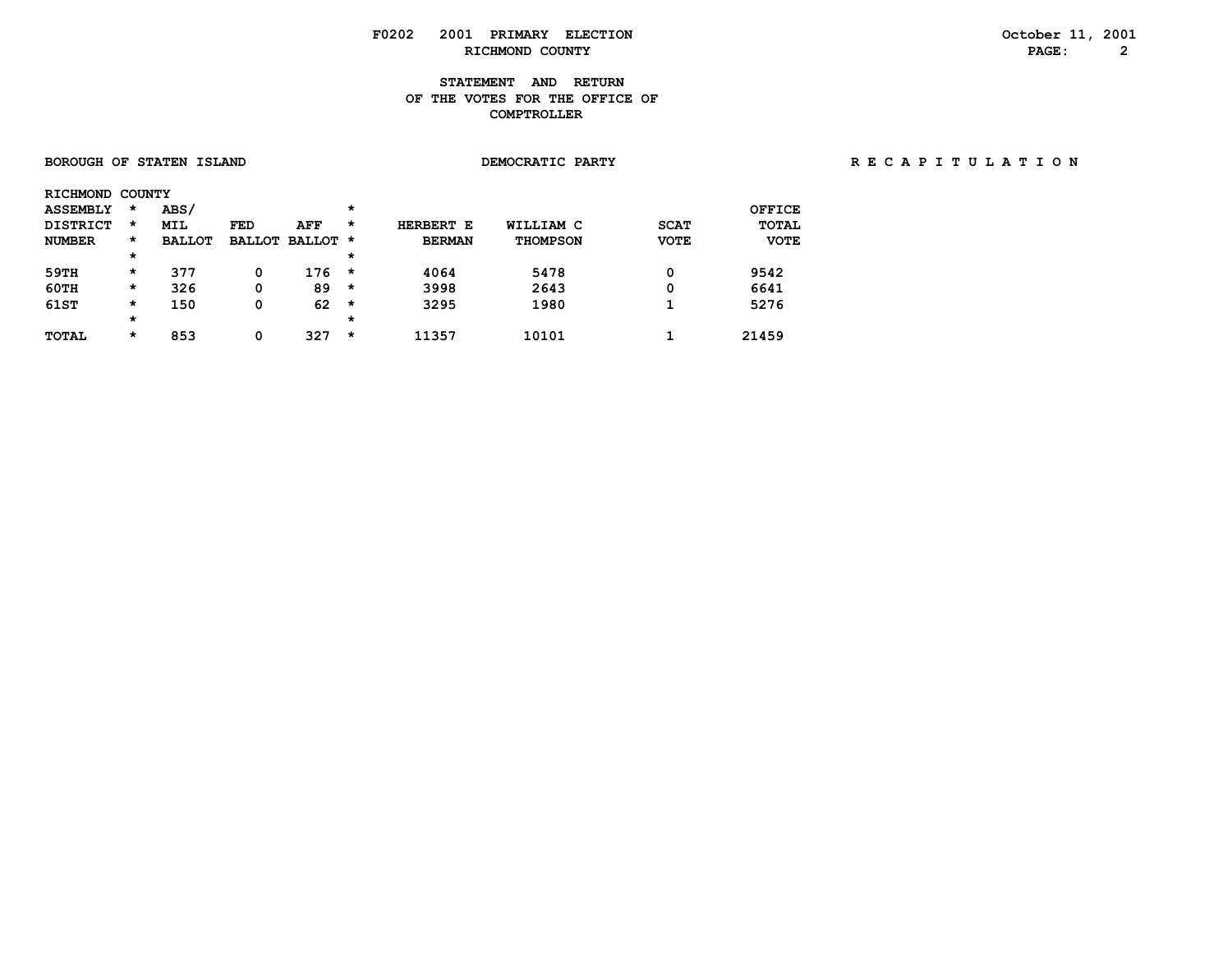### **STATEMENT AND RETURN OF THE VOTES FOR THE OFFICE OF COMPTROLLER**

| <b>BOROUGH OF STATEN ISLAND</b> |         |               |     |                 |          | DEMOCRATIC PARTY | RECAPITULATION  |             |               |  |  |  |  |  |
|---------------------------------|---------|---------------|-----|-----------------|----------|------------------|-----------------|-------------|---------------|--|--|--|--|--|
| RICHMOND COUNTY                 |         |               |     |                 |          |                  |                 |             |               |  |  |  |  |  |
| <b>ASSEMBLY</b>                 | *       | <b>ABS/</b>   |     |                 | $\star$  |                  |                 |             | <b>OFFICE</b> |  |  |  |  |  |
| <b>DISTRICT</b>                 | $\star$ | MIL           | FED | AFF             | $\star$  | HERBERT E        | WILLIAM C       | <b>SCAT</b> | <b>TOTAL</b>  |  |  |  |  |  |
| <b>NUMBER</b>                   | $\star$ | <b>BALLOT</b> |     | BALLOT BALLOT * |          | <b>BERMAN</b>    | <b>THOMPSON</b> | <b>VOTE</b> | <b>VOTE</b>   |  |  |  |  |  |
|                                 | $\star$ |               |     |                 | $^\star$ |                  |                 |             |               |  |  |  |  |  |
| 59TH                            | $\star$ | 377           | 0   | $176 *$         |          | 4064             | 5478            | 0           | 9542          |  |  |  |  |  |
| 60TH                            | $\star$ | 326           | 0   | $89 *$          |          | 3998             | 2643            | 0           | 6641          |  |  |  |  |  |
| 61ST                            | $\star$ | 150           | 0   | 62              | $\star$  | 3295             | 1980            |             | 5276          |  |  |  |  |  |
|                                 | $\star$ |               |     |                 | $\star$  |                  |                 |             |               |  |  |  |  |  |
| <b>TOTAL</b>                    | $\star$ | 853           | 0   | 327             | $\star$  | 11357            | 10101           |             | 21459         |  |  |  |  |  |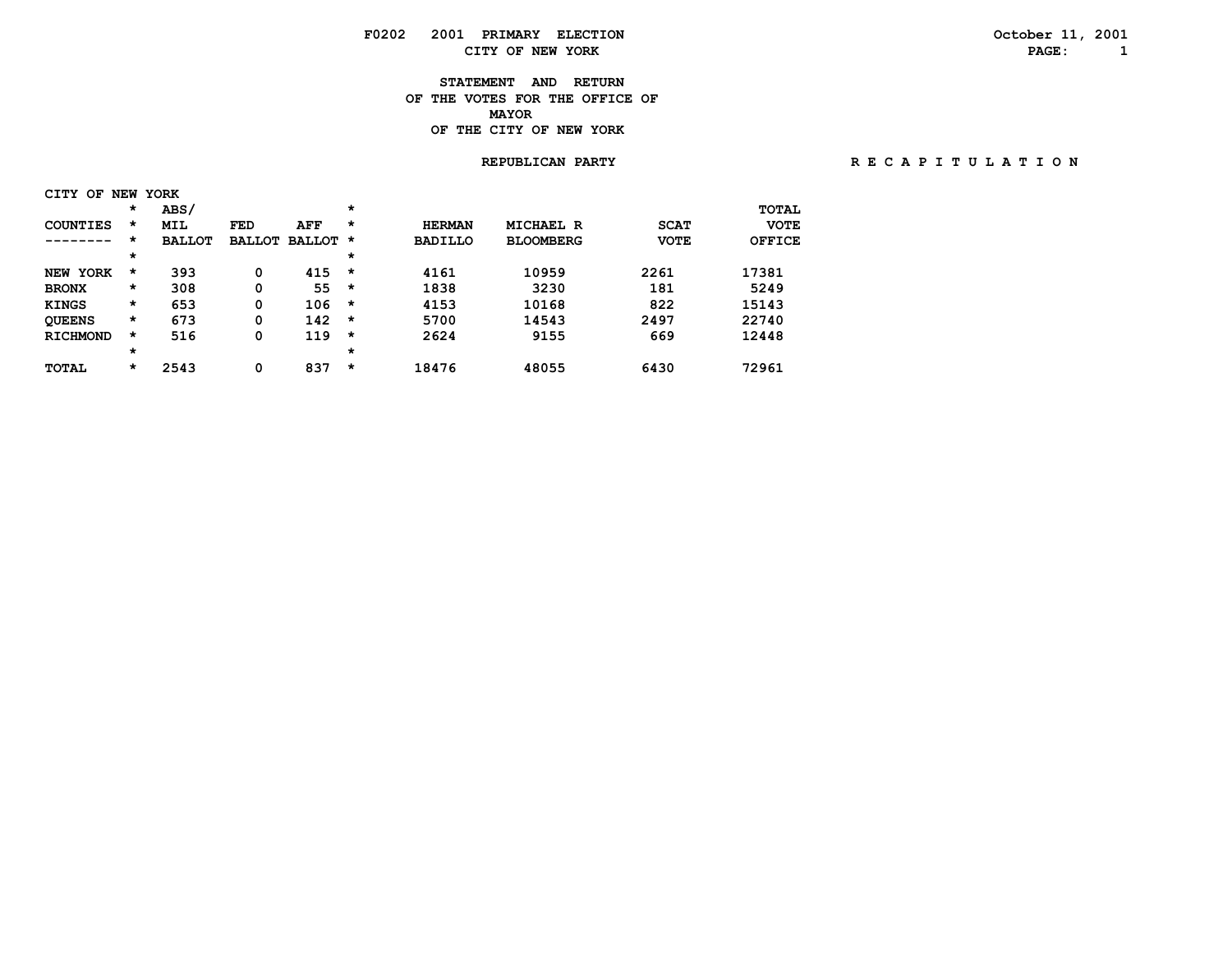# **F0202 2001 PRIMARY ELECTION October 11, 2001 CITY OF NEW YORK PAGE: 1**

### **STATEMENT AND RETURN OF THE VOTES FOR THE OFFICE OF***MAYOR*  **OF THE CITY OF NEW YORK**

#### **REPUBLICAN PARTY R E C A P I T U L A T I O N**

| <b>CITY</b><br>OF         |         | NEW YORK      |               |               |         |                |                  |             |               |
|---------------------------|---------|---------------|---------------|---------------|---------|----------------|------------------|-------------|---------------|
|                           | $\star$ | ABS/          |               |               | $\star$ |                |                  |             | <b>TOTAL</b>  |
| <b>COUNTIES</b>           | *       | <b>MIL</b>    | <b>FED</b>    | AFF           | $\star$ | <b>HERMAN</b>  | MICHAEL R        | <b>SCAT</b> | <b>VOTE</b>   |
| -----                     | $\star$ | <b>BALLOT</b> | <b>BALLOT</b> | <b>BALLOT</b> | *       | <b>BADILLO</b> | <b>BLOOMBERG</b> | <b>VOTE</b> | <b>OFFICE</b> |
|                           | $\star$ |               |               |               | $\star$ |                |                  |             |               |
| <b>YORK</b><br><b>NEW</b> | *       | 393           | 0             | 415           | $\star$ | 4161           | 10959            | 2261        | 17381         |
| <b>BRONX</b>              | *       | 308           | 0             | 55            | $\star$ | 1838           | 3230             | 181         | 5249          |
| <b>KINGS</b>              | *       | 653           | 0             | 106           | $\star$ | 4153           | 10168            | 822         | 15143         |
| <b>QUEENS</b>             | $\star$ | 673           | 0             | 142           | $\star$ | 5700           | 14543            | 2497        | 22740         |
| <b>RICHMOND</b>           | $\star$ | 516           | 0             | 119           | $\star$ | 2624           | 9155             | 669         | 12448         |
|                           | $\star$ |               |               |               | $\star$ |                |                  |             |               |
| <b>TOTAL</b>              | $\star$ | 2543          | 0             | 837           | *       | 18476          | 48055            | 6430        | 72961         |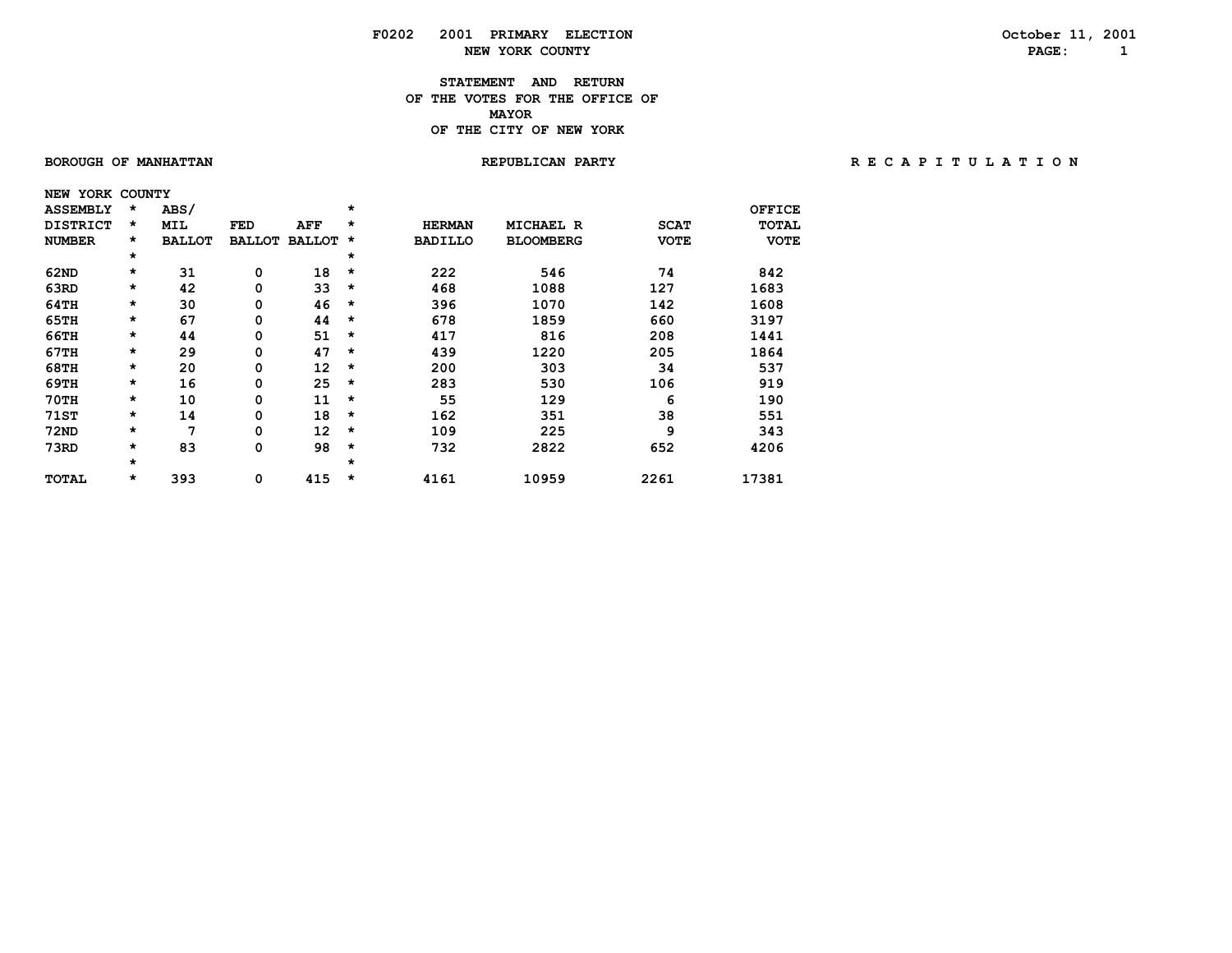**STATEMENT AND RETURN OF THE VOTES FOR THE OFFICE OF MAYORMAYOR OF THE CITY OF NEW YORK**

 **NEW YORK COUNTY**

 **BOROUGH OF MANHATTAN REPUBLICAN PARTY R E C A P I T U L A T I O N**

| <b>ASSEMBLY</b> | *       | <b>ABS/</b>   |               |               | $\star$ |                |                  |             | OFFICE      |
|-----------------|---------|---------------|---------------|---------------|---------|----------------|------------------|-------------|-------------|
| <b>DISTRICT</b> | *       | MIL           | <b>FED</b>    | AFF           | $\star$ | <b>HERMAN</b>  | <b>MICHAEL R</b> | <b>SCAT</b> | TOTAL       |
| <b>NUMBER</b>   | $\star$ | <b>BALLOT</b> | <b>BALLOT</b> | <b>BALLOT</b> | $\star$ | <b>BADILLO</b> | <b>BLOOMBERG</b> | <b>VOTE</b> | <b>VOTE</b> |
|                 | $\star$ |               |               |               | $\star$ |                |                  |             |             |
| 62ND            | $\star$ | 31            | 0             | 18            | $\star$ | 222            | 546              | 74          | 842         |
| 63RD            | *       | 42            | 0             | 33            | $\star$ | 468            | 1088             | 127         | 1683        |
| 64TH            | *       | 30            | 0             | 46            | $\star$ | 396            | 1070             | 142         | 1608        |
| 65TH            | *       | 67            | 0             | 44            | $\star$ | 678            | 1859             | 660         | 3197        |
| 66TH            | *       | 44            | 0             | 51            | $\star$ | 417            | 816              | 208         | 1441        |
| 67TH            | *       | 29            | 0             | 47            | $\star$ | 439            | 1220             | 205         | 1864        |
| 68TH            | $\star$ | 20            | 0             | 12            | $\star$ | 200            | 303              | 34          | 537         |
| 69TH            | $\star$ | 16            | 0             | 25            | $\star$ | 283            | 530              | 106         | 919         |
| <b>70TH</b>     | $\star$ | 10            | 0             | 11            | $\star$ | 55             | 129              | 6           | 190         |
| <b>71ST</b>     | $\star$ | 14            | 0             | 18            | $\star$ | 162            | 351              | 38          | 551         |
| <b>72ND</b>     | *       | 7             | 0             | 12            | $\star$ | 109            | 225              | 9           | 343         |
| 73RD            | *       | 83            | 0             | 98            | $\star$ | 732            | 2822             | 652         | 4206        |
|                 | *       |               |               |               | $\star$ |                |                  |             |             |
| <b>TOTAL</b>    | *       | 393           | 0             | 415           | $\star$ | 4161           | 10959            | 2261        | 17381       |
|                 |         |               |               |               |         |                |                  |             |             |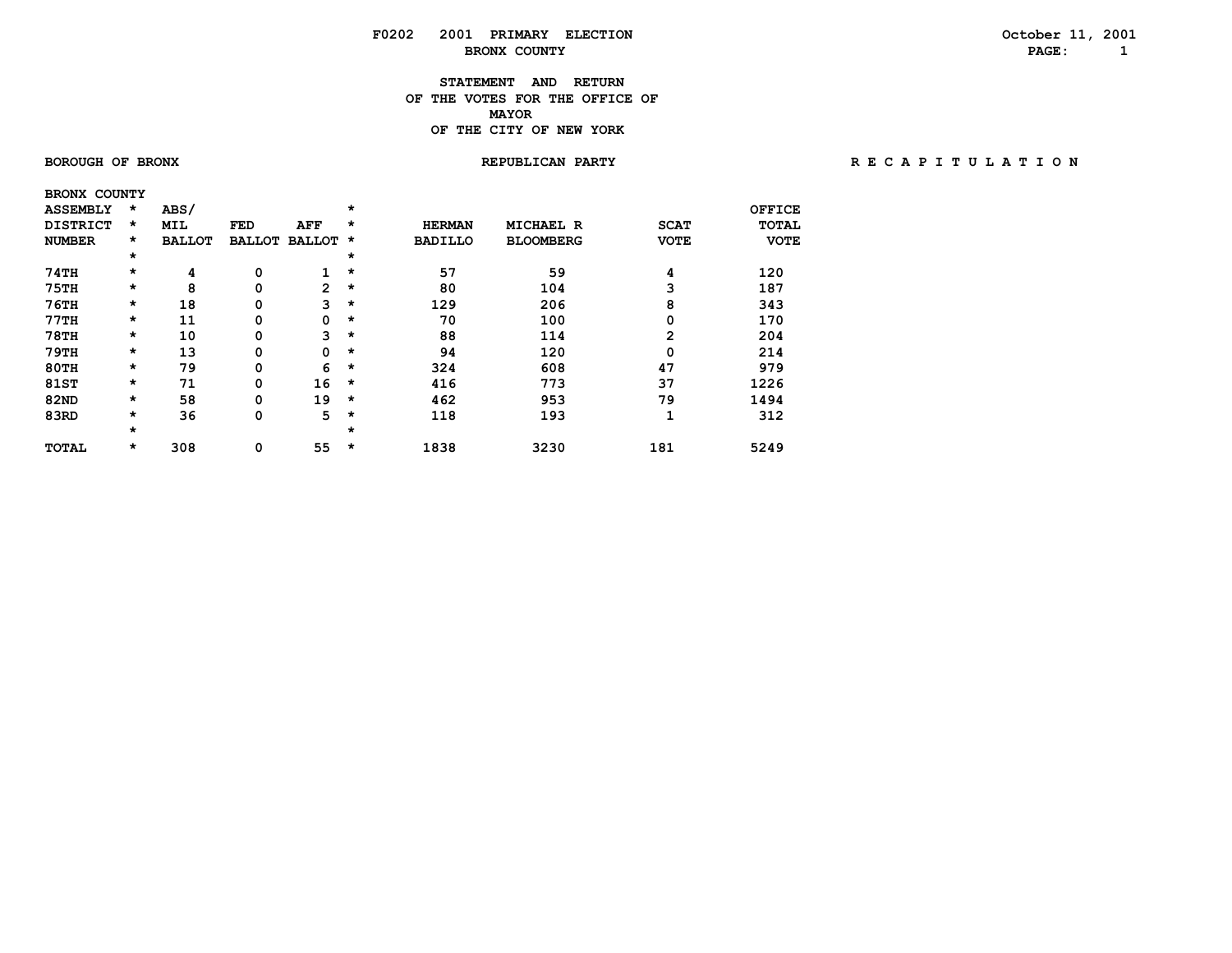#### **STATEMENT AND RETURN OF THE VOTES FOR THE OFFICE OF MAYORMAYOR OF THE CITY OF NEW YORK**

 **BRONX COUNTY**

 **BOROUGH OF BRONX REPUBLICAN PARTY R E C A P I T U L A T I O N**

| <b>ASSEMBLY</b> | $\star$ | ABS/          |               |                | $\star$  |                |                  |             | OFFICE       |
|-----------------|---------|---------------|---------------|----------------|----------|----------------|------------------|-------------|--------------|
| <b>DISTRICT</b> | $\star$ | <b>MIL</b>    | <b>FED</b>    | AFF            | $\star$  | <b>HERMAN</b>  | <b>MICHAEL R</b> | <b>SCAT</b> | <b>TOTAL</b> |
| <b>NUMBER</b>   | $\star$ | <b>BALLOT</b> | <b>BALLOT</b> | <b>BALLOT</b>  | $^\star$ | <b>BADILLO</b> | <b>BLOOMBERG</b> | <b>VOTE</b> | <b>VOTE</b>  |
|                 | $\star$ |               |               |                | $\star$  |                |                  |             |              |
| 74TH            | $\star$ | 4             | 0             | 1              | $\star$  | 57             | 59               | 4           | 120          |
| <b>75TH</b>     | $\star$ | 8             | 0             | $\overline{2}$ | $\star$  | 80             | 104              | 3           | 187          |
| $76$ TH         | $\star$ | 18            | 0             | 3              | $\star$  | 129            | 206              | 8           | 343          |
| 77TH            | $\star$ | 11            | 0             | 0              | $\star$  | 70             | 100              | 0           | 170          |
| <b>78TH</b>     | $\star$ | 10            | 0             | 3              | $\star$  | 88             | 114              | 2           | 204          |
| 79TH            | $\star$ | 13            | 0             | 0              | $\star$  | 94             | 120              | 0           | 214          |
| 80TH            | $\star$ | 79            | 0             | 6              | $\star$  | 324            | 608              | 47          | 979          |
| 81ST            | $\star$ | 71            | 0             | 16             | $\star$  | 416            | 773              | 37          | 1226         |
| <b>82ND</b>     | $\star$ | 58            | 0             | 19             | $\star$  | 462            | 953              | 79          | 1494         |
| 83RD            | $\star$ | 36            | 0             | 5              | $\star$  | 118            | 193              | 1           | 312          |
|                 | $\star$ |               |               |                | $\star$  |                |                  |             |              |
| <b>TOTAL</b>    | $\star$ | 308           | 0             | 55             | $\star$  | 1838           | 3230             | 181         | 5249         |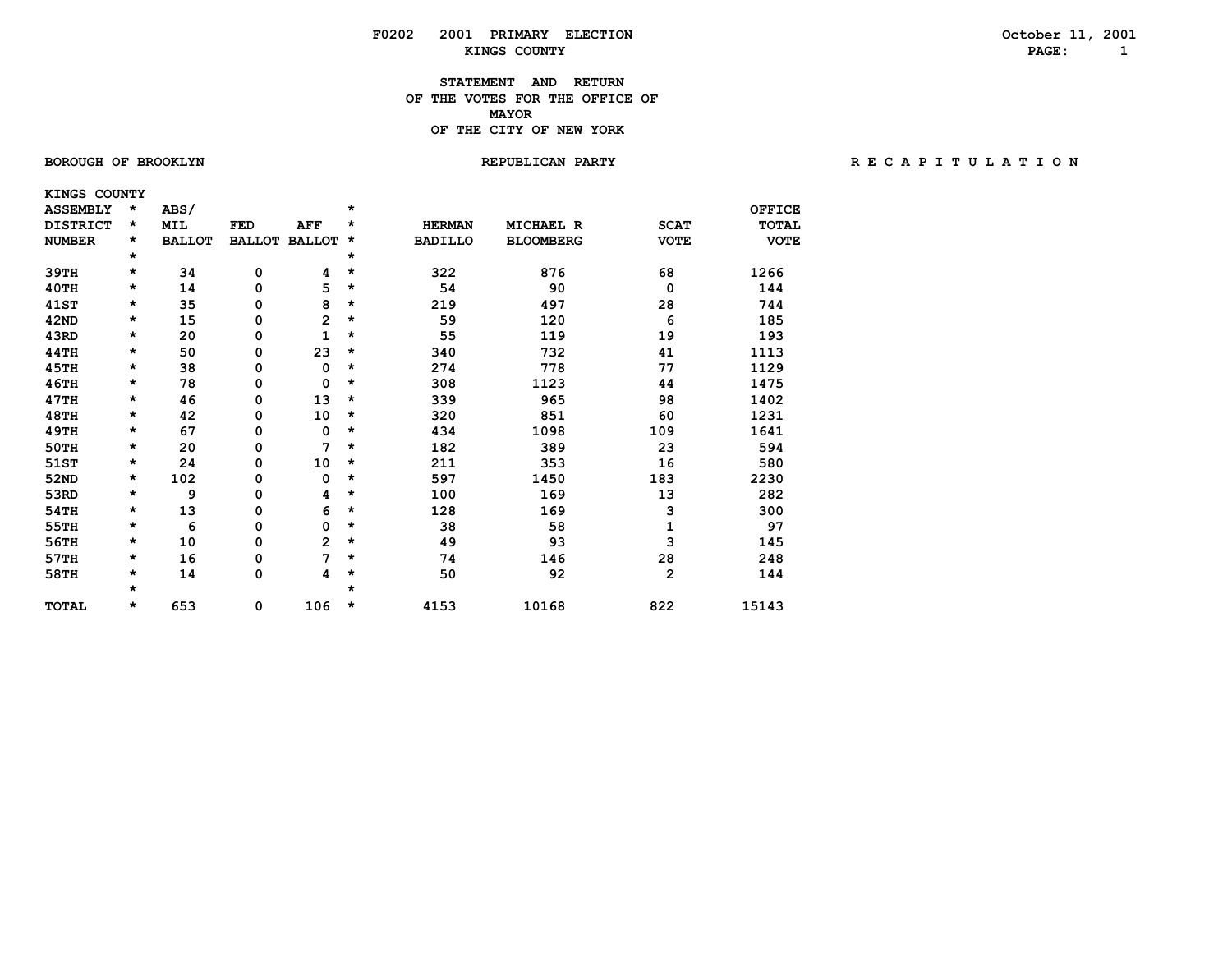#### **STATEMENT AND RETURN OF THE VOTES FOR THE OFFICE OF MAYORMAYOR OF THE CITY OF NEW YORK**

 **KINGS COUNTY**

#### **BOROUGH OF BROOKLYN REPUBLICAN PARTY R E C A P I T U L A T I O N**

| <b>ASSEMBLY</b> | $\star$ | ABS/          |               |                | $\star$ |                |                  |             | <b>OFFICE</b> |
|-----------------|---------|---------------|---------------|----------------|---------|----------------|------------------|-------------|---------------|
| <b>DISTRICT</b> | $\star$ | <b>MIL</b>    | <b>FED</b>    | <b>AFF</b>     | *       | <b>HERMAN</b>  | <b>MICHAEL R</b> | <b>SCAT</b> | <b>TOTAL</b>  |
| <b>NUMBER</b>   | $\star$ | <b>BALLOT</b> | <b>BALLOT</b> | <b>BALLOT</b>  | *       | <b>BADILLO</b> | <b>BLOOMBERG</b> | <b>VOTE</b> | <b>VOTE</b>   |
|                 | $\star$ |               |               |                | $\star$ |                |                  |             |               |
| 39TH            | $\star$ | 34            | 0             | 4              | $\star$ | 322            | 876              | 68          | 1266          |
| 40TH            | $\star$ | 14            | 0             | 5              | *       | 54             | 90               | $\mathbf 0$ | 144           |
| <b>41ST</b>     | $\star$ | 35            | 0             | 8              | *       | 219            | 497              | 28          | 744           |
| 42ND            | $\star$ | 15            | 0             | 2              | *       | 59             | 120              | 6           | 185           |
| 43RD            | $\star$ | 20            | 0             | 1              | *       | 55             | 119              | 19          | 193           |
| 44TH            | $\star$ | 50            | 0             | 23             | $\star$ | 340            | 732              | 41          | 1113          |
| 45TH            | $\star$ | 38            | 0             | 0              | *       | 274            | 778              | 77          | 1129          |
| <b>46TH</b>     | $\star$ | 78            | 0             | 0              | $\star$ | 308            | 1123             | 44          | 1475          |
| 47TH            | $\star$ | 46            | 0             | 13             | $\star$ | 339            | 965              | 98          | 1402          |
| <b>48TH</b>     | $\star$ | 42            | 0             | 10             | *       | 320            | 851              | 60          | 1231          |
| <b>49TH</b>     | $\star$ | 67            | 0             | 0              | $\star$ | 434            | 1098             | 109         | 1641          |
| <b>50TH</b>     | $\star$ | 20            | 0             | 7              | $\star$ | 182            | 389              | 23          | 594           |
| 51ST            | $\star$ | 24            | 0             | 10             | $\star$ | 211            | 353              | 16          | 580           |
| <b>52ND</b>     | $\star$ | 102           | 0             | 0              | $\star$ | 597            | 1450             | 183         | 2230          |
| 53RD            | $\star$ | 9             | 0             | 4              | *       | 100            | 169              | 13          | 282           |
| 54TH            | $\star$ | 13            | 0             | 6              | $\star$ | 128            | 169              | 3           | 300           |
| 55TH            | $\star$ | 6             | 0             | 0              | $\star$ | 38             | 58               | 1           | 97            |
| 56TH            | $\star$ | 10            | 0             | $\overline{2}$ | $\star$ | 49             | 93               | 3           | 145           |
| 57TH            | $\star$ | 16            | 0             | 7              | *       | 74             | 146              | 28          | 248           |
| 58TH            | $\star$ | 14            | 0             | 4              | $\star$ | 50             | 92               | 2           | 144           |
|                 | $\star$ |               |               |                | $\star$ |                |                  |             |               |
| <b>TOTAL</b>    | $\star$ | 653           | 0             | 106            | *       | 4153           | 10168            | 822         | 15143         |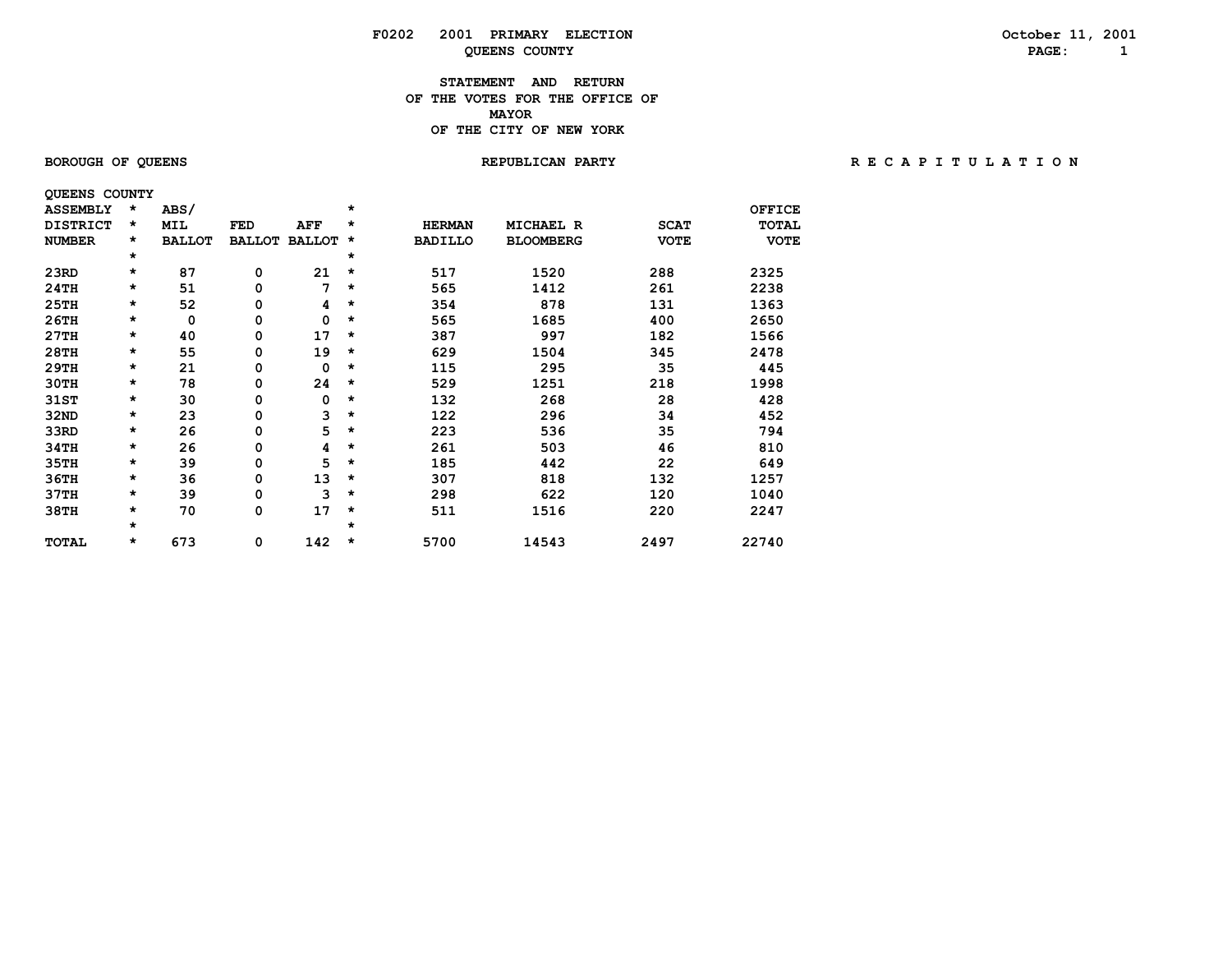#### **STATEMENT AND RETURN OF THE VOTES FOR THE OFFICE OF MAYORMAYOR OF THE CITY OF NEW YORK**

 **QUEENS COUNTY**

 **BOROUGH OF QUEENS REPUBLICAN PARTY R E C A P I T U L A T I O N**

| <b>ASSEMBLY</b> | *       | ABS/          |               |               | $\star$ |                |                  |             | <b>OFFICE</b> |
|-----------------|---------|---------------|---------------|---------------|---------|----------------|------------------|-------------|---------------|
| <b>DISTRICT</b> | *       | MIL           | FED           | AFF           | $\star$ | <b>HERMAN</b>  | <b>MICHAEL R</b> | <b>SCAT</b> | TOTAL         |
| <b>NUMBER</b>   | *       | <b>BALLOT</b> | <b>BALLOT</b> | <b>BALLOT</b> | $\star$ | <b>BADILLO</b> | <b>BLOOMBERG</b> | <b>VOTE</b> | <b>VOTE</b>   |
|                 | *       |               |               |               | *       |                |                  |             |               |
| 23RD            | *       | 87            | 0             | 21            | $\star$ | 517            | 1520             | 288         | 2325          |
| 24TH            | *       | 51            | 0             | 7             | $\star$ | 565            | 1412             | 261         | 2238          |
| 25TH            | *       | 52            | 0             | 4             | $\star$ | 354            | 878              | 131         | 1363          |
| 26TH            | *       | 0             | 0             | 0             | $\star$ | 565            | 1685             | 400         | 2650          |
| 27TH            | *       | 40            | 0             | 17            | $\star$ | 387            | 997              | 182         | 1566          |
| <b>28TH</b>     | *       | 55            | 0             | 19            | $\star$ | 629            | 1504             | 345         | 2478          |
| 29TH            | $\star$ | 21            | 0             | 0             | $\star$ | 115            | 295              | 35          | 445           |
| 30TH            | *       | 78            | 0             | 24            | $\star$ | 529            | 1251             | 218         | 1998          |
| 31ST            | *       | 30            | 0             | 0             | $\star$ | 132            | 268              | 28          | 428           |
| 32ND            | *       | 23            | 0             | 3             | $\star$ | 122            | 296              | 34          | 452           |
| 33RD            | *       | 26            | 0             | 5             | $\star$ | 223            | 536              | 35          | 794           |
| 34TH            | *       | 26            | 0             | 4             | $\star$ | 261            | 503              | 46          | 810           |
| 35TH            | *       | 39            | 0             | 5             | $\star$ | 185            | 442              | 22          | 649           |
| 36TH            | *       | 36            | 0             | 13            | *       | 307            | 818              | 132         | 1257          |
| 37TH            | *       | 39            | 0             | 3             | $\star$ | 298            | 622              | 120         | 1040          |
| 38TH            | *       | 70            | 0             | 17            | $\star$ | 511            | 1516             | 220         | 2247          |
|                 | *       |               |               |               | $\star$ |                |                  |             |               |
| <b>TOTAL</b>    | $\star$ | 673           | 0             | 142           | $\star$ | 5700           | 14543            | 2497        | 22740         |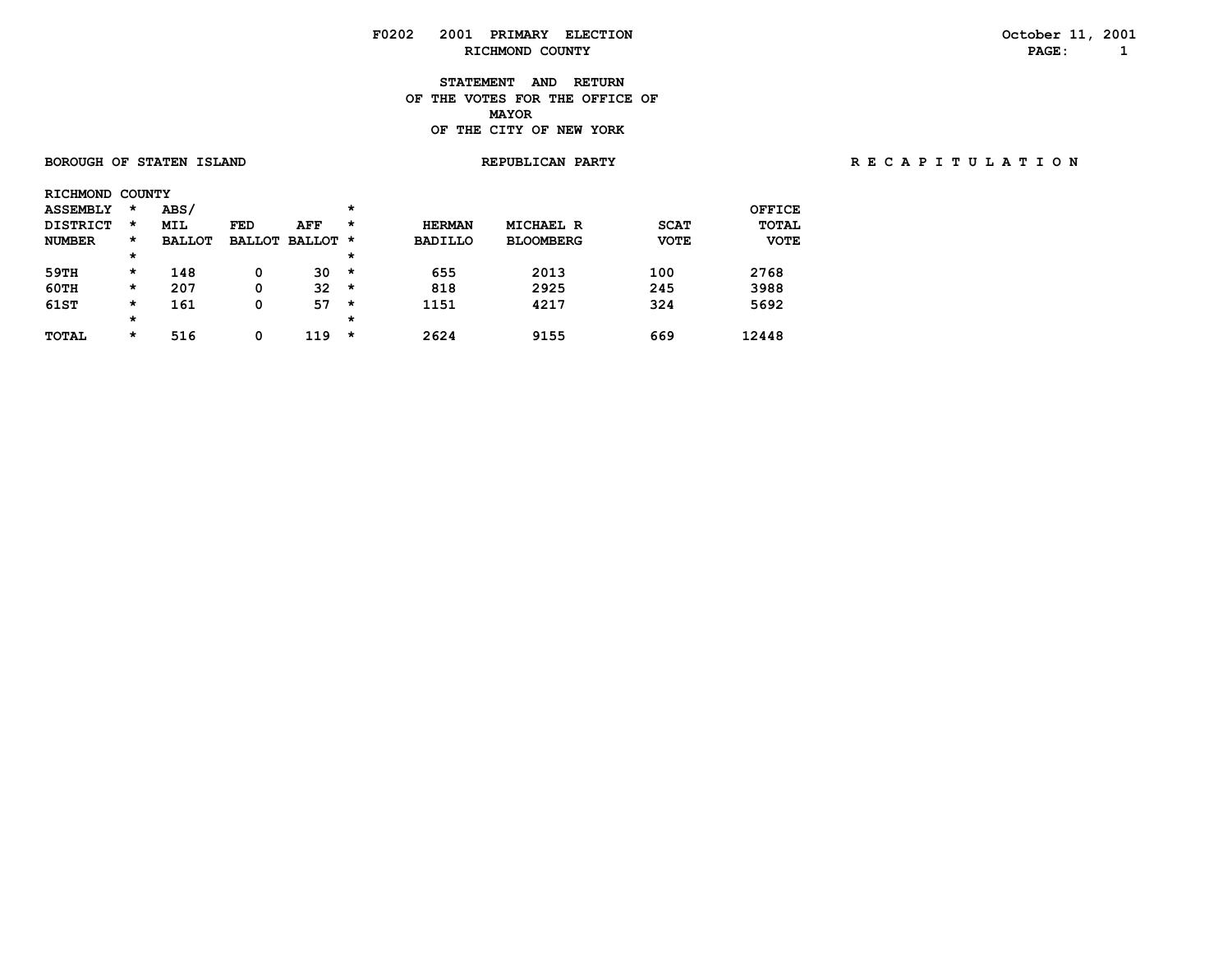**STATEMENT AND RETURN OF THE VOTES FOR THE OFFICE OF MAYORMAYOR OF THE CITY OF NEW YORK**

#### **BOROUGH OF STATEN ISLAND REPUBLICAN PARTY R E C A P I T U L A T I O N**

| <b>RICHMOND</b> | <b>COUNTY</b> |               |            |                 |         |                |                  |             |               |
|-----------------|---------------|---------------|------------|-----------------|---------|----------------|------------------|-------------|---------------|
| <b>ASSEMBLY</b> | $\star$       | ABS/          |            |                 | $\star$ |                |                  |             | <b>OFFICE</b> |
| <b>DISTRICT</b> | *             | <b>MIL</b>    | <b>FED</b> | <b>AFF</b>      | $\star$ | <b>HERMAN</b>  | <b>MICHAEL R</b> | <b>SCAT</b> | <b>TOTAL</b>  |
| <b>NUMBER</b>   | $\star$       | <b>BALLOT</b> |            | BALLOT BALLOT * |         | <b>BADILLO</b> | <b>BLOOMBERG</b> | <b>VOTE</b> | <b>VOTE</b>   |
|                 | $\star$       |               |            |                 | $\star$ |                |                  |             |               |
| 59TH            | $\star$       | 148           | 0          | 30              | *       | 655            | 2013             | 100         | 2768          |
| 60TH            | $\star$       | 207           | 0          | 32              | *       | 818            | 2925             | 245         | 3988          |
| 61ST            | $\star$       | 161           | 0          | 57              | *       | 1151           | 4217             | 324         | 5692          |
|                 | $\star$       |               |            |                 | $\star$ |                |                  |             |               |
| <b>TOTAL</b>    | *             | 516           | 0          | 119             | *       | 2624           | 9155             | 669         | 12448         |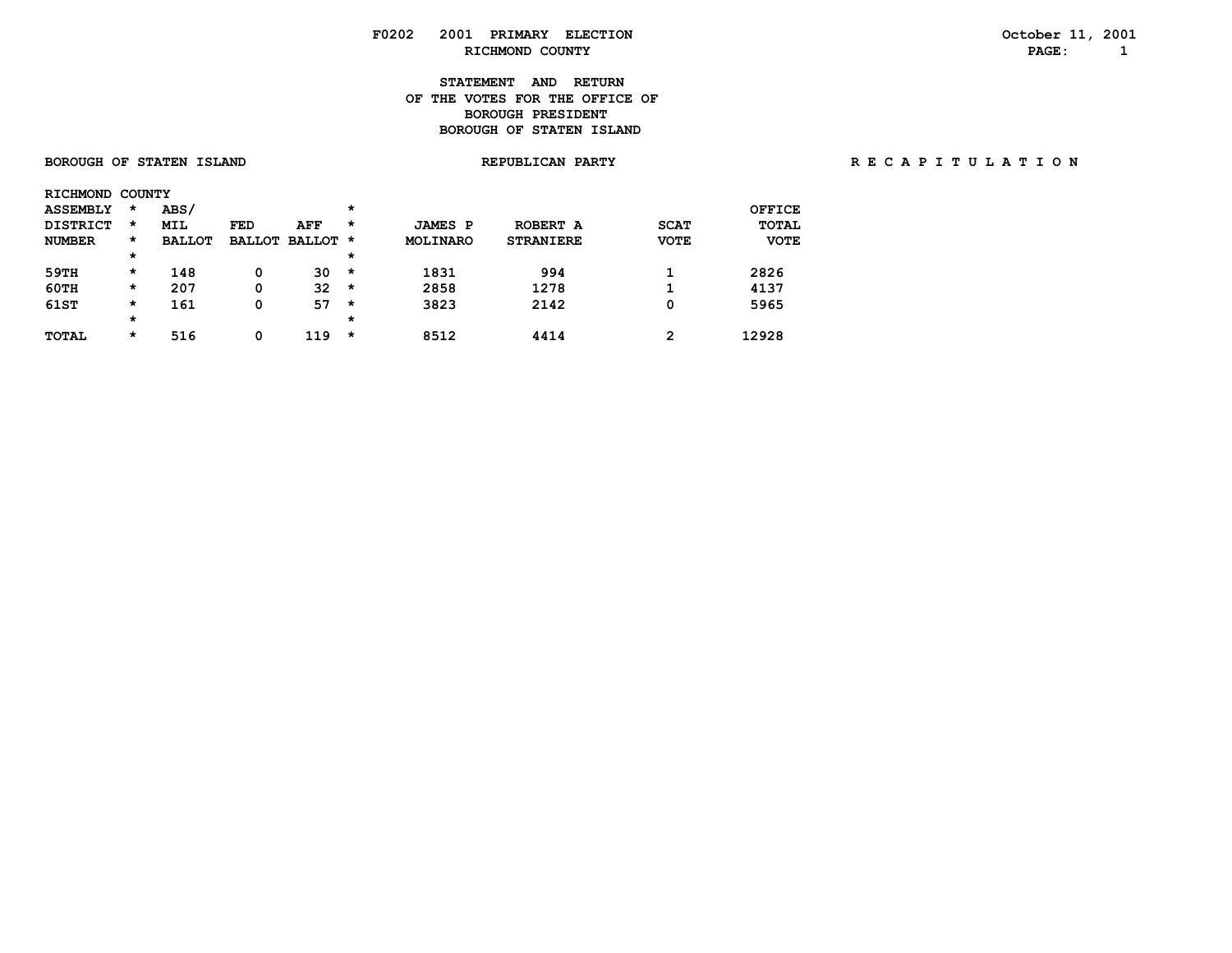# **F0202 2001 PRIMARY ELECTION October 11, 2001**

#### **STATEMENT AND RETURN OF THE VOTES FOR THE OFFICE OFBOROUGH PRESIDENT BOROUGH OF STATEN ISLAND**

| <b>BOROUGH OF STATEN ISLAND</b> |         |               |                 |     |                | <b>REPUBLICAN PARTY</b> |             |               | RECAPITULATION |
|---------------------------------|---------|---------------|-----------------|-----|----------------|-------------------------|-------------|---------------|----------------|
| RICHMOND COUNTY                 |         |               |                 |     |                |                         |             |               |                |
| <b>ASSEMBLY</b>                 | *       | ABS/          |                 |     |                |                         |             | <b>OFFICE</b> |                |
| <b>DISTRICT</b>                 | $\star$ | MIL           | FED             | AFF | <b>JAMES P</b> | ROBERT A                | <b>SCAT</b> | TOTAL         |                |
| <b>NUMBER</b>                   |         | <b>BALLOT</b> | BALLOT BALLOT * |     | MOLINARO       | <b>STRANIERE</b>        | <b>VOTE</b> | <b>VOTE</b>   |                |
|                                 |         |               |                 |     |                |                         |             |               |                |
|                                 |         |               |                 |     |                |                         |             |               |                |

 **\* \***

 **59TH \* 148 0 30 \* 1831 994 1 2826 60TH \* 207 0 32 \* 2858 1278 1 4137 61ST \* 161 0 57 \* 3823 2142 0 5965**

 **TOTAL \* 516 0 119 \* 8512 4414 2 12928**

| PAGE: |
|-------|
|       |
|       |

 **RICHMOND COUNTY PAGE: 1**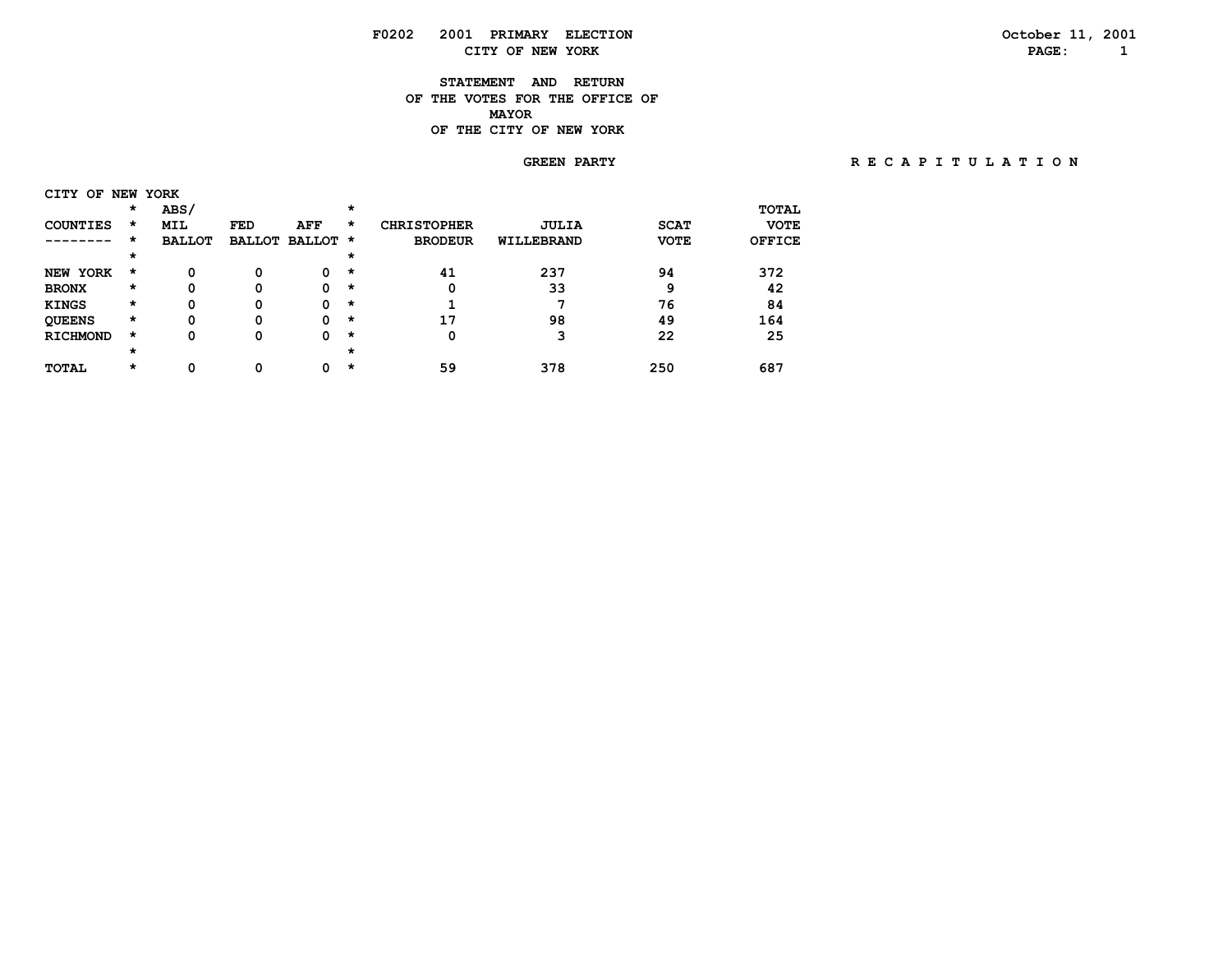# **F0202 2001 PRIMARY ELECTION October 11, 2001 CITY OF NEW YORK PAGE: 1**

### **STATEMENT AND RETURN OF THE VOTES FOR THE OFFICE OF MAYORMAYOR OF THE CITY OF NEW YORK**

## **GREEN PARTY R E C A P I T U L A T I O N**

| CITY OF            |         | NEW YORK      |            |                      |          |                    |              |             |              |
|--------------------|---------|---------------|------------|----------------------|----------|--------------------|--------------|-------------|--------------|
|                    | $\star$ | ABS/          |            |                      | *        |                    |              |             | <b>TOTAL</b> |
| <b>COUNTIES</b>    | $\star$ | <b>MIL</b>    | <b>FED</b> | AFF                  | *        | <b>CHRISTOPHER</b> | <b>JULIA</b> | <b>SCAT</b> | <b>VOTE</b>  |
|                    | *       | <b>BALLOT</b> |            | <b>BALLOT BALLOT</b> | *        | <b>BRODEUR</b>     | WILLEBRAND   | <b>VOTE</b> | OFFICE       |
|                    | $\star$ |               |            |                      | *        |                    |              |             |              |
| YORK<br><b>NEW</b> | *       | 0             | 0          | 0                    | $\star$  | 41                 | 237          | 94          | 372          |
| <b>BRONX</b>       | $\star$ | 0             | 0          | 0                    | *        | 0                  | 33           | 9           | 42           |
| <b>KINGS</b>       | $\star$ | 0             | 0          | 0                    | *        |                    |              | 76          | 84           |
| <b>QUEENS</b>      | *       | 0             | 0          | 0                    | $\star$  | 17                 | 98           | 49          | 164          |
| <b>RICHMOND</b>    | $\star$ | 0             | 0          | 0                    | $\star$  | 0                  |              | 22          | 25           |
|                    | $\star$ |               |            |                      | $^\star$ |                    |              |             |              |
| <b>TOTAL</b>       | *       | 0             |            | 0                    | *        | 59                 | 378          | 250         | 687          |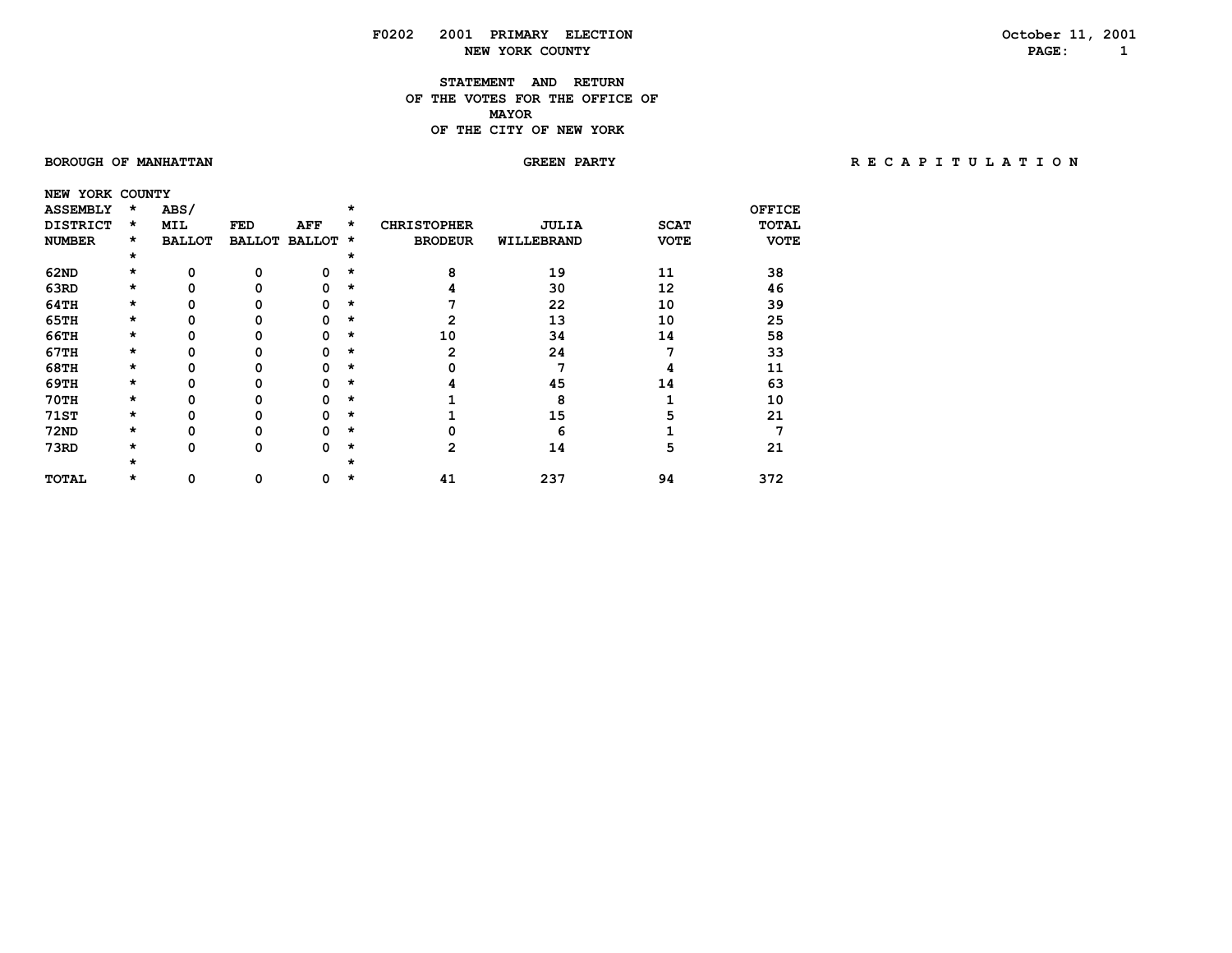### **STATEMENT AND RETURN OF THE VOTES FOR THE OFFICE OF MAYORMAYOR OF THE CITY OF NEW YORK**

### **BOROUGH OF MANHATTAN GREEN PARTY R E C A P I T U L A T I O N**

| NEW YORK COUNTY |   |               |               |               |          |                    |              |             |             |
|-----------------|---|---------------|---------------|---------------|----------|--------------------|--------------|-------------|-------------|
| <b>ASSEMBLY</b> | * | ABS/          |               |               | $\star$  |                    |              |             | OFFICE      |
| <b>DISTRICT</b> | * | MIL           | FED           | AFF           | *        | <b>CHRISTOPHER</b> | <b>JULIA</b> | <b>SCAT</b> | TOTAL       |
| <b>NUMBER</b>   | * | <b>BALLOT</b> | <b>BALLOT</b> | <b>BALLOT</b> | *        | <b>BRODEUR</b>     | WILLEBRAND   | <b>VOTE</b> | <b>VOTE</b> |
|                 | * |               |               |               | $^\star$ |                    |              |             |             |
| <b>62ND</b>     | * | O             | O             | ŋ             | *        | 8                  | 19           | 11          | 38          |
| 63RD            | * |               |               | n             | *        |                    | 30           | 12          | 46          |
| 64TH            | * |               | 0             | n             | *        |                    | 22           | 10          | 39          |
| <b>65TH</b>     | * |               |               | n             | *        | 2                  | 13           | 10          | 25          |
| 66TH            | * |               |               | n             | *        | 10                 | 34           | 14          | 58          |
| 67TH            | * |               |               | n             | *        | 2                  | 24           |             | 33          |
| <b>68TH</b>     | * |               |               | O             | *        |                    |              |             | 11          |
| 69TH            | * |               |               | n             | *        |                    | 45           | 14          | 63          |
| <b>70TH</b>     | * |               |               |               | *        |                    | 8            |             | 10          |
| <b>71ST</b>     | * |               |               | n             | *        |                    | 15           |             | 21          |
| <b>72ND</b>     | * |               |               | O             | $^\star$ |                    |              |             |             |
| 73RD            | * | 0             | 0             | O             | *        | 2                  | 14           | 5           | 21          |
|                 | × |               |               |               |          |                    |              |             |             |
| <b>TOTAL</b>    | × | 0             | 0             |               | ×        | 41                 | 237          | 94          | 372         |
|                 |   |               |               |               |          |                    |              |             |             |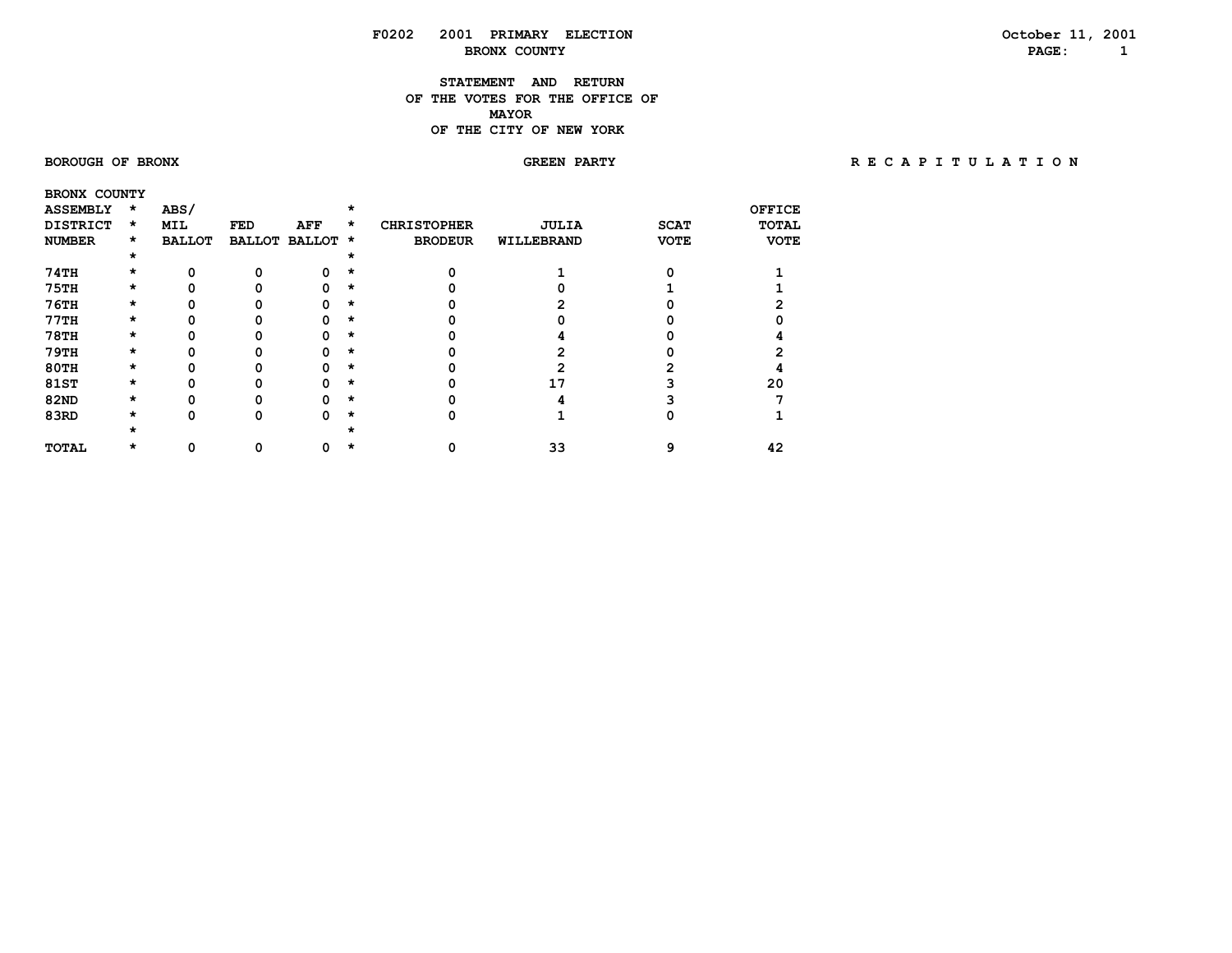### **STATEMENT AND RETURN OF THE VOTES FOR THE OFFICE OF MAYORMAYOR OF THE CITY OF NEW YORK**

 **BRONX COUNTY**

### **BOROUGH OF BRONX GREEN PARTY R E C A P I T U L A T I O N**

| <b>ASSEMBLY</b> | $\star$ | ABS/          |     |                      |   |                    |              |             | <b>OFFICE</b> |
|-----------------|---------|---------------|-----|----------------------|---|--------------------|--------------|-------------|---------------|
| <b>DISTRICT</b> | $\star$ | MIL           | FED | AFF                  | * | <b>CHRISTOPHER</b> | <b>JULIA</b> | <b>SCAT</b> | <b>TOTAL</b>  |
| <b>NUMBER</b>   | $\star$ | <b>BALLOT</b> |     | <b>BALLOT BALLOT</b> | * | <b>BRODEUR</b>     | WILLEBRAND   | <b>VOTE</b> | <b>VOTE</b>   |
|                 | $\star$ |               |     |                      |   |                    |              |             |               |
| 74TH            | $\star$ |               |     |                      |   |                    |              |             |               |
| <b>75TH</b>     | $\star$ |               |     |                      | * |                    |              |             |               |
| <b>76TH</b>     | *       |               |     |                      | * |                    |              |             |               |
| 77TH            | *       |               |     |                      | * |                    |              |             |               |
| <b>78TH</b>     | *       |               |     |                      | × |                    |              |             |               |
| <b>79TH</b>     | *       |               |     |                      | * |                    |              |             |               |
| <b>80TH</b>     | *       |               |     |                      | * |                    |              |             |               |
| <b>81ST</b>     | $\star$ |               |     |                      | × |                    |              |             | 20            |
| <b>82ND</b>     | *       |               |     |                      | * |                    |              |             |               |
| 83RD            | $\star$ |               |     |                      |   |                    |              |             |               |
|                 |         |               |     |                      |   |                    |              |             |               |
| <b>TOTAL</b>    |         |               |     |                      |   |                    | 33           |             | 42            |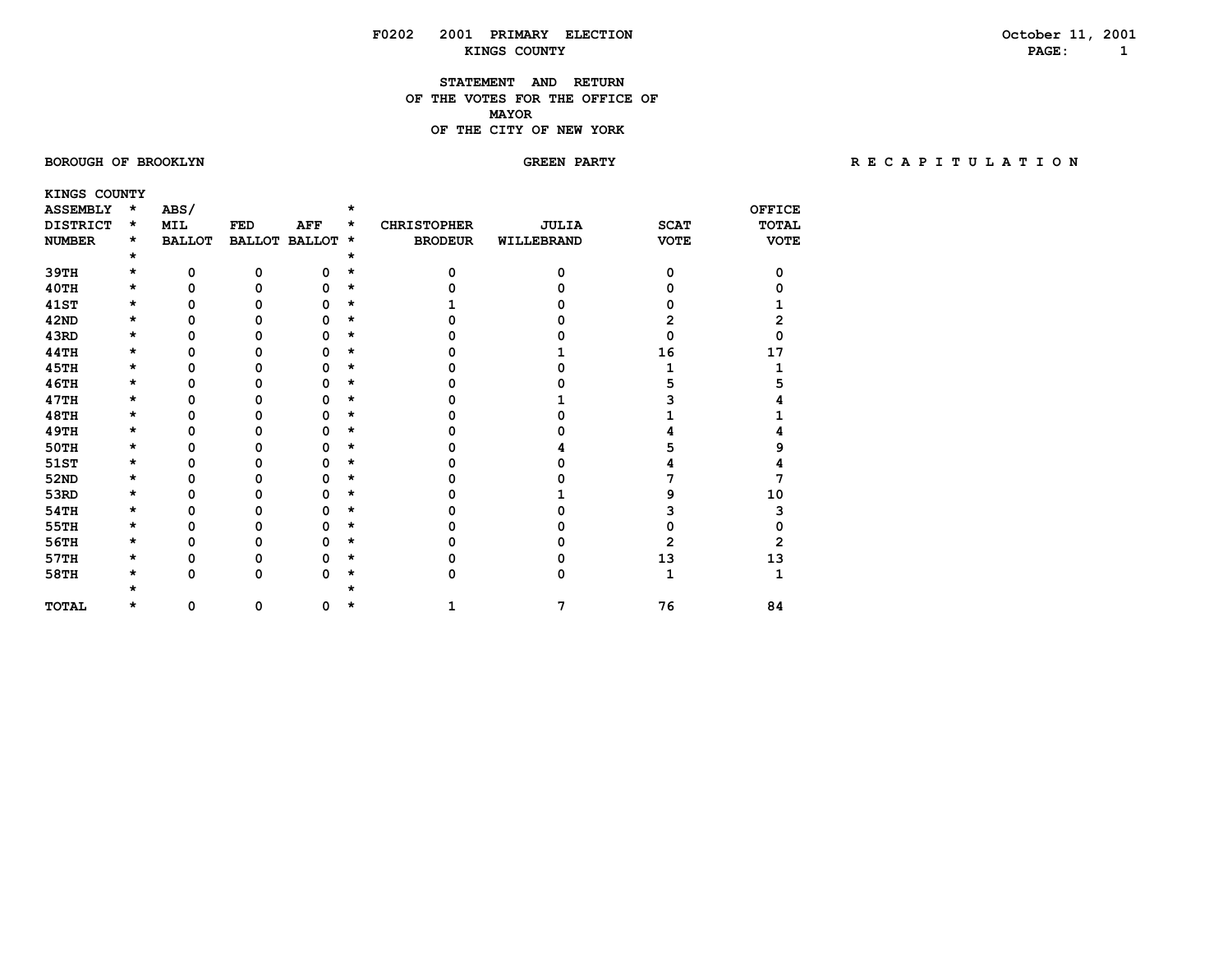### **STATEMENT AND RETURN OF THE VOTES FOR THE OFFICE OF MAYORMAYOR OF THE CITY OF NEW YORK**

 **KINGS COUNTY**

### BOROUGH OF BROOKLYN **GREEN PARTY BROOKLYN BROOKLYN GREEN FARTY** BE CAPITULATION

| <b>ASSEMBLY</b> | $\star$ | ABS/          |               |               |   |                    |              |             | <b>OFFICE</b> |
|-----------------|---------|---------------|---------------|---------------|---|--------------------|--------------|-------------|---------------|
| <b>DISTRICT</b> | *       | MIL           | <b>FED</b>    | <b>AFF</b>    | * | <b>CHRISTOPHER</b> | <b>JULIA</b> | <b>SCAT</b> | TOTAL         |
| <b>NUMBER</b>   | *       | <b>BALLOT</b> | <b>BALLOT</b> | <b>BALLOT</b> | * | <b>BRODEUR</b>     | WILLEBRAND   | <b>VOTE</b> | <b>VOTE</b>   |
|                 | *       |               |               |               |   |                    |              |             |               |
| 39TH            | *       | 0             | 0             | 0             | * | O                  | O            | O           |               |
| 40TH            | *       | $\Omega$      | O             | n             | * |                    |              |             |               |
| <b>41ST</b>     | $\star$ | 0             | 0             | n             | * |                    |              |             |               |
| 42ND            | *       | 0             | 0             | n             | * |                    |              |             |               |
| 43RD            | *       | 0             | 0             | o             | * |                    |              |             |               |
| 44TH            | *       | 0             | ი             |               | * |                    |              | 16          | 17            |
| <b>45TH</b>     | *       | 0             | n             |               | * |                    |              |             |               |
| <b>46TH</b>     | *       | 0             | n             |               | * |                    |              |             |               |
| 47TH            | *       | 0             | ი             |               | * |                    |              |             |               |
| <b>48TH</b>     | *       | 0             | 0             |               | * |                    |              |             |               |
| <b>49TH</b>     | *       | 0             | 0             |               | * |                    |              |             |               |
| 50TH            | $\star$ | 0             | 0             | n             | * |                    |              |             |               |
| 51ST            | *       | 0             | U             |               | * |                    |              |             |               |
| 52ND            | *       | 0             | ი             |               | * |                    |              |             |               |
| 53RD            | *       | 0             | 0             |               | * |                    |              |             | 10            |
| 54TH            | *       | O             | n             |               |   |                    |              |             | 3             |
| 55TH            | *       | 0             | 0             | n             | * |                    |              |             |               |
| 56TH            | *       | 0             | 0             | n             | * |                    |              | 2           |               |
| 57TH            | *       | 0             | 0             | 0             | * |                    |              | 13          | 13            |
| 58TH            | $\star$ | 0             | 0             | 0             |   | o                  | n            |             |               |
|                 |         |               |               |               |   |                    |              |             |               |
| <b>TOTAL</b>    | *       | 0             | 0             | 0             |   |                    |              | 76          | 84            |
|                 |         |               |               |               |   |                    |              |             |               |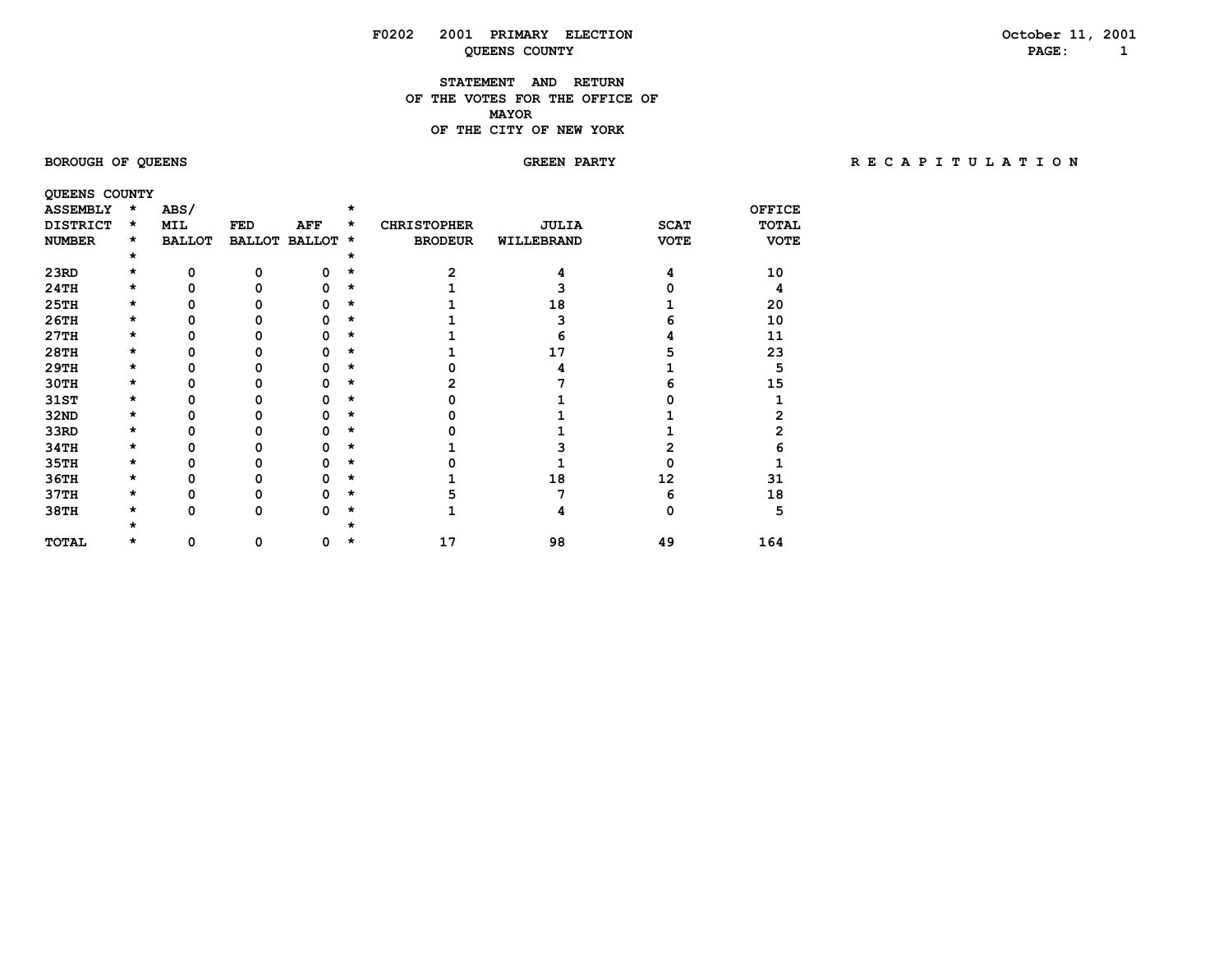### **STATEMENT AND RETURN OF THE VOTES FOR THE OFFICE OF MAYORMAYOR OF THE CITY OF NEW YORK**

# BOROUGH OF QUEENS **BOROUGH OF QUEENS** SORE A PARTY **REARTY RECAPITULATION**

| <b>QUEENS COUNTY</b> |         |               |               |               |         |                    |              |             |               |
|----------------------|---------|---------------|---------------|---------------|---------|--------------------|--------------|-------------|---------------|
| <b>ASSEMBLY</b>      | $\star$ | ABS/          |               |               | ÷       |                    |              |             | <b>OFFICE</b> |
| <b>DISTRICT</b>      | $\star$ | MIL           | FED           | AFF           | *       | <b>CHRISTOPHER</b> | <b>JULIA</b> | <b>SCAT</b> | <b>TOTAL</b>  |
| <b>NUMBER</b>        | $\star$ | <b>BALLOT</b> | <b>BALLOT</b> | <b>BALLOT</b> | $\star$ | <b>BRODEUR</b>     | WILLEBRAND   | <b>VOTE</b> | <b>VOTE</b>   |
|                      | *       |               |               |               |         |                    |              |             |               |
| 23RD                 | *       | 0             | ი             | O             | *       |                    |              |             | 10            |
| 24TH                 | *       | ŋ             |               | n             | *       |                    |              |             | 4             |
| 25TH                 | $\star$ | ŋ             |               |               | $\star$ |                    | 18           |             | 20            |
| 26TH                 | *       |               |               |               | $\star$ |                    |              |             | 10            |
| 27TH                 | *       |               |               |               | *       |                    |              |             | 11            |
| 28TH                 | *       |               |               |               | *       |                    | 17           |             | 23            |
| 29TH                 | *       | ŋ             |               |               | $\star$ |                    |              |             | 5             |
| 30TH                 | *       |               |               | n             | $\star$ |                    |              |             | 15            |
| 31ST                 | *       |               |               |               | $\star$ |                    |              |             |               |
| <b>32ND</b>          | *       |               |               |               | $\star$ |                    |              |             |               |
| 33RD                 | *       | n             |               |               | $\star$ |                    |              |             |               |
| 34TH                 | *       | n             |               |               | $\star$ |                    |              |             |               |
| 35TH                 | *       |               |               |               | *       |                    |              |             |               |
| 36TH                 | *       |               |               |               | $\star$ |                    | 18           | 12          | 31            |
| 37TH                 | *       | ŋ             |               |               | $\star$ |                    |              |             | 18            |
| 38TH                 | *       | 0             | 0             | ŋ             | *       |                    |              |             | 5             |
|                      |         |               |               |               |         |                    |              |             |               |
| TOTAL                | *       | 0             | 0             | 0             | *       | 17                 | 98           | 49          | 164           |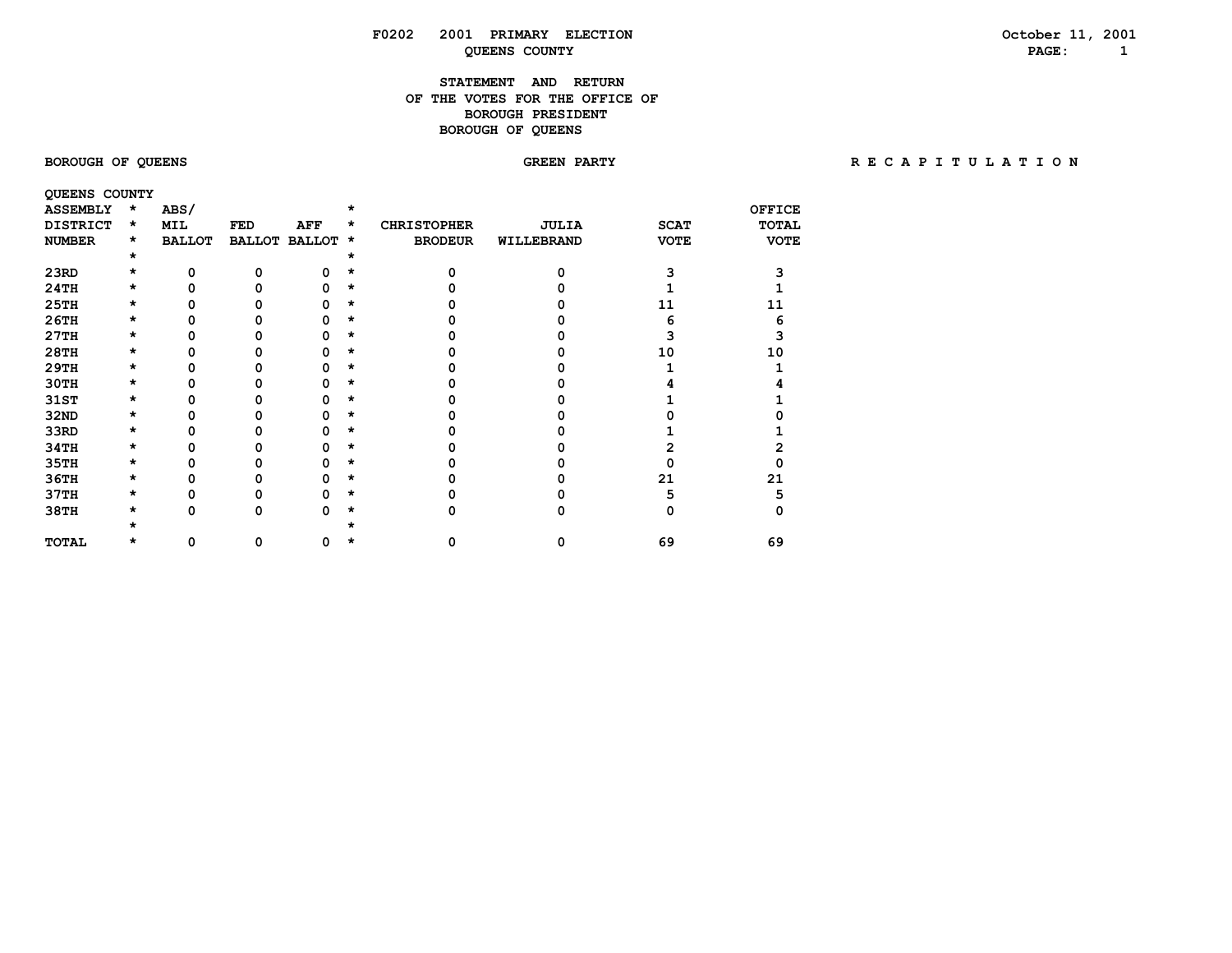# **F0202 2001 PRIMARY ELECTION October 11, 2001 QUEENS COUNTY**

# **STATEMENT AND RETURN OF THE VOTES FOR THE OFFICE OFBOROUGH PRESIDENT BOROUGH OF QUEENS**

BOROUGH OF QUEENS **BOROUGH OF QUEENS** SORE A PARTY **REARTY RECAPITULATION** 

| QUEENS COUNTY   |         |               |               |               |          |                    |              |             |               |
|-----------------|---------|---------------|---------------|---------------|----------|--------------------|--------------|-------------|---------------|
| <b>ASSEMBLY</b> | $\star$ | ABS/          |               |               | $\star$  |                    |              |             | <b>OFFICE</b> |
| <b>DISTRICT</b> | $\star$ | <b>MIL</b>    | FED           | AFF           | *        | <b>CHRISTOPHER</b> | <b>JULIA</b> | <b>SCAT</b> | <b>TOTAL</b>  |
| <b>NUMBER</b>   | $\star$ | <b>BALLOT</b> | <b>BALLOT</b> | <b>BALLOT</b> | $\star$  | <b>BRODEUR</b>     | WILLEBRAND   | <b>VOTE</b> | <b>VOTE</b>   |
|                 | $\star$ |               |               |               |          |                    |              |             |               |
| 23RD            | *       | 0             |               |               |          |                    |              |             |               |
| 24TH            | *       | U             |               |               | $\star$  |                    |              |             |               |
| <b>25TH</b>     | *       |               |               |               | $\star$  |                    |              | 11          | 11            |
| 26TH            | $\star$ |               |               |               | *        |                    |              |             |               |
| 27TH            | $\star$ |               |               |               | $^\star$ |                    |              |             |               |
| 28TH            | *       |               |               |               | $\star$  |                    |              | 10          | 10            |
| 29TH            | *       |               |               |               | $\star$  |                    |              |             |               |
| 30TH            | $\star$ |               |               |               | $\star$  |                    |              |             |               |
| 31ST            | *       |               |               |               | $\star$  |                    |              |             |               |
| <b>32ND</b>     | $\star$ |               |               |               | $^\star$ |                    |              |             |               |
| 33RD            | *       |               |               |               | $\star$  |                    |              |             |               |
| 34TH            | *       |               |               |               | *        |                    |              |             |               |
| 35TH            | $\star$ |               |               |               | $^\star$ |                    |              |             |               |
| 36TH            | *       |               |               |               | $\star$  |                    |              | 21          | 21            |
| 37TH            | *       |               |               |               |          |                    |              |             | 5             |
| 38TH            | $\star$ | n             | ი             | n             | $\star$  |                    |              |             |               |
|                 |         |               |               |               |          |                    |              |             |               |
| TOTAL           | *       | 0             | 0             | o             |          |                    | 0            | 69          | 69            |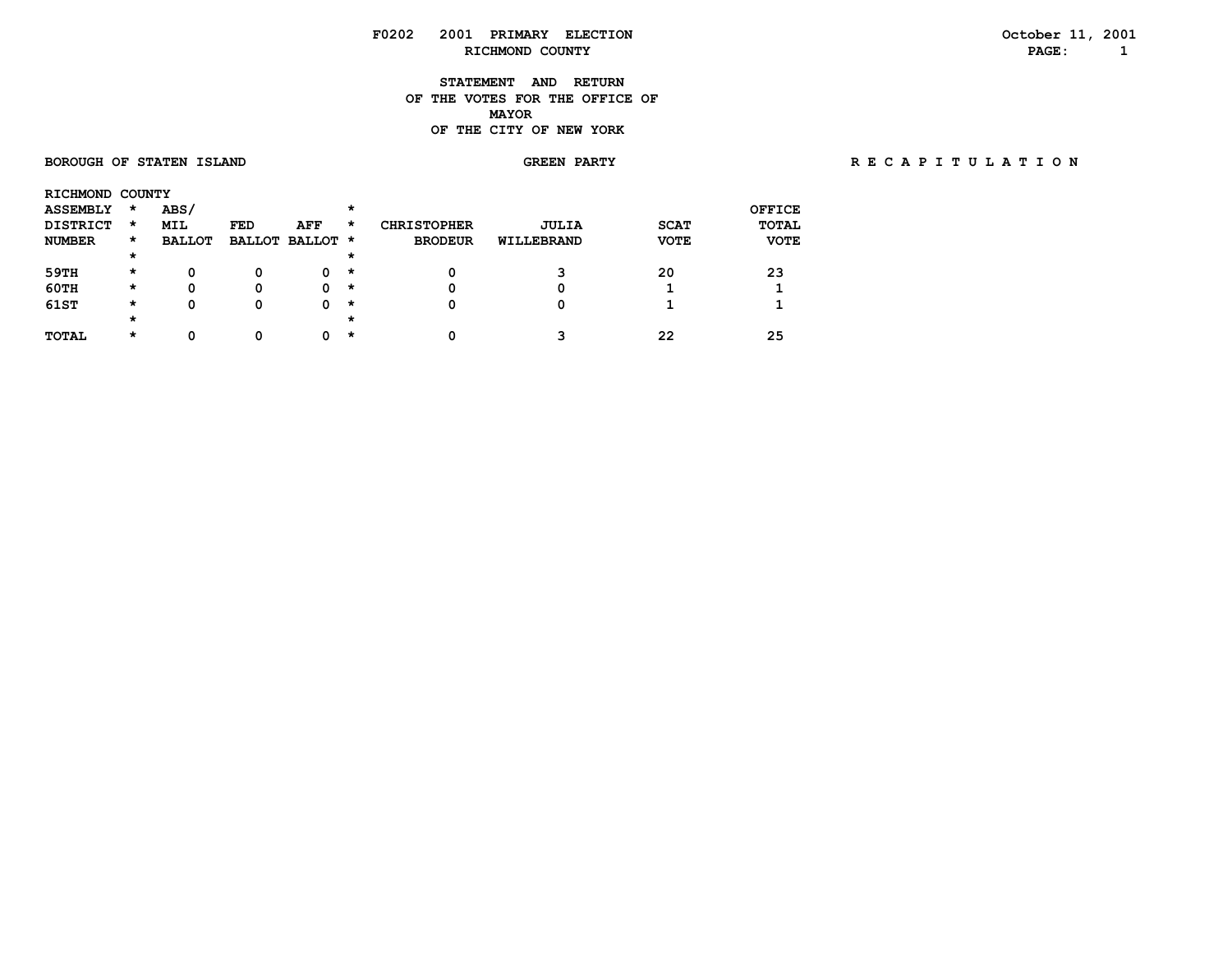**STATEMENT AND RETURN OF THE VOTES FOR THE OFFICE OF MAYORMAYOR OF THE CITY OF NEW YORK**

 **BOROUGH OF STATEN ISLAND GREEN PARTY R E C A P I T U L A T I O N**

| RICHMOND COUNTY |         |               |            |                 |          |                    |              |             |              |
|-----------------|---------|---------------|------------|-----------------|----------|--------------------|--------------|-------------|--------------|
| <b>ASSEMBLY</b> | $\star$ | ABS/          |            |                 | $\star$  |                    |              |             | OFFICE       |
| <b>DISTRICT</b> | $\star$ | <b>MIL</b>    | <b>FED</b> | AFF             | *        | <b>CHRISTOPHER</b> | <b>JULIA</b> | <b>SCAT</b> | <b>TOTAL</b> |
| <b>NUMBER</b>   | $\star$ | <b>BALLOT</b> |            | BALLOT BALLOT * |          | <b>BRODEUR</b>     | WILLEBRAND   | <b>VOTE</b> | <b>VOTE</b>  |
|                 | $\star$ |               |            |                 | $\star$  |                    |              |             |              |
| 59TH            | $\star$ | 0             | 0          | 0               | $\star$  | 0                  |              | 20          | 23           |
| 60TH            | *       | 0             | 0          | 0               | $\star$  | 0                  |              |             |              |
| 61ST            | *       | 0             | 0          | 0               | $\star$  | 0                  |              |             |              |
|                 | $\star$ |               |            |                 | $^\star$ |                    |              |             |              |
| TOTAL           | *       | Ω             |            | n               | *        | 0                  |              | 22          | 25           |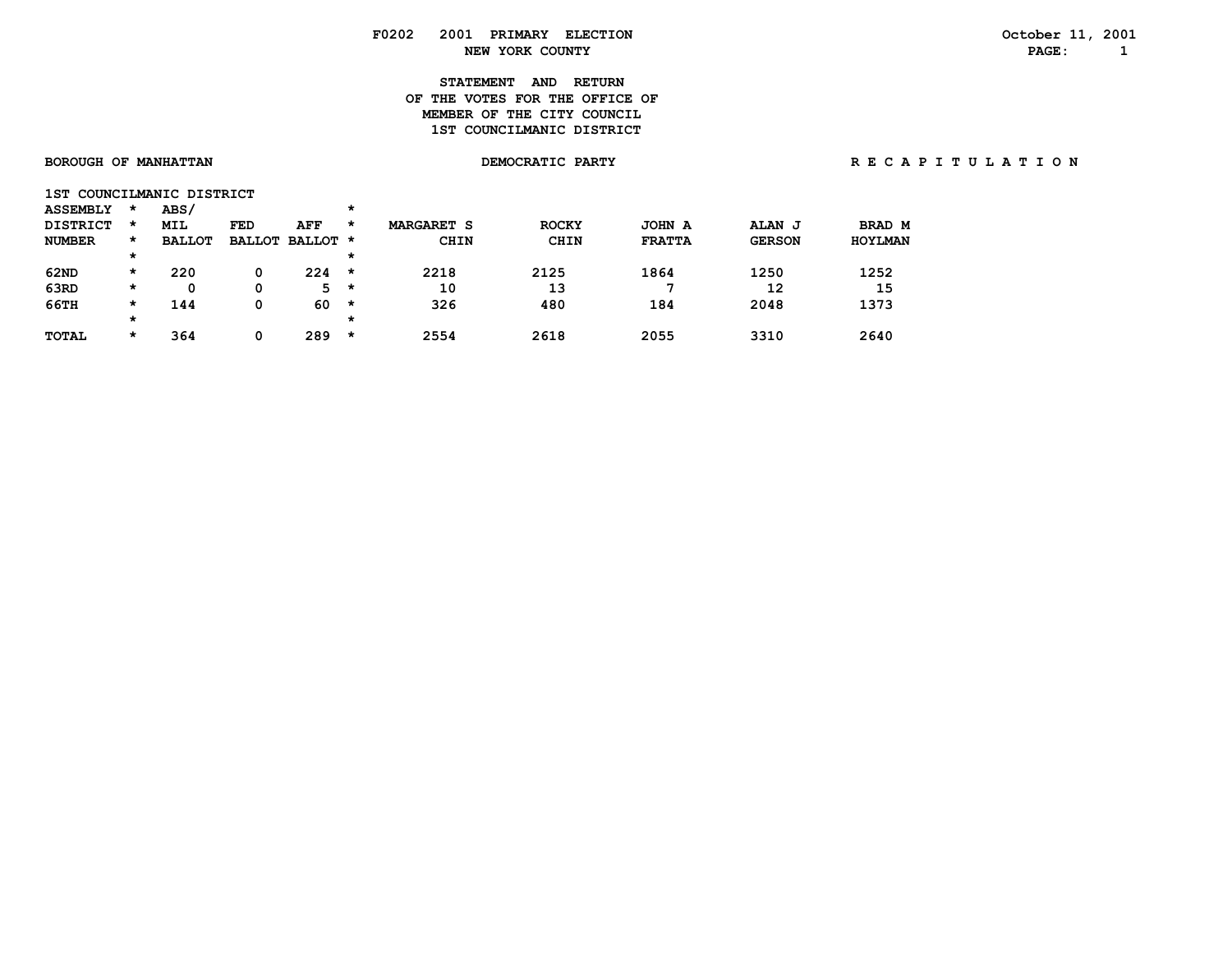# **STATEMENT AND RETURN OF THE VOTES FOR THE OFFICE OFMEMBER OF THE CITY COUNCIL 1ST COUNCILMANIC DISTRICT**

| BOROUGH OF MANHATTAN |                           |         |               |     |                 |         |                   | DEMOCRATIC PARTY |               | RECAPITULATION |         |  |
|----------------------|---------------------------|---------|---------------|-----|-----------------|---------|-------------------|------------------|---------------|----------------|---------|--|
|                      | 1ST COUNCILMANIC DISTRICT |         |               |     |                 |         |                   |                  |               |                |         |  |
|                      | <b>ASSEMBLY</b>           | *       | ABS/          |     |                 | *       |                   |                  |               |                |         |  |
|                      | <b>DISTRICT</b>           | *       | MIL           | FED | AFF             | $\star$ | <b>MARGARET S</b> | <b>ROCKY</b>     | JOHN A        | <b>ALAN J</b>  | BRAD M  |  |
|                      | <b>NUMBER</b>             | $\star$ | <b>BALLOT</b> |     | BALLOT BALLOT * |         | <b>CHIN</b>       | <b>CHIN</b>      | <b>FRATTA</b> | <b>GERSON</b>  | HOYLMAN |  |
|                      |                           | $\star$ |               |     |                 | *       |                   |                  |               |                |         |  |
|                      | 62ND                      | $\star$ | 220           | 0   | 224             | $\star$ | 2218              | 2125             | 1864          | 1250           | 1252    |  |
|                      | 63RD                      | $\star$ | 0             | 0   | $5 *$           |         | 10                | 13               |               | 12             | 15      |  |
|                      | 66TH                      | $\star$ | 144           | 0   | 60              | $\star$ | 326               | 480              | 184           | 2048           | 1373    |  |
|                      |                           | $\star$ |               |     |                 | $\star$ |                   |                  |               |                |         |  |
|                      | TOTAL                     | *       | 364           | 0   | 289             | *       | 2554              | 2618             | 2055          | 3310           | 2640    |  |
|                      |                           |         |               |     |                 |         |                   |                  |               |                |         |  |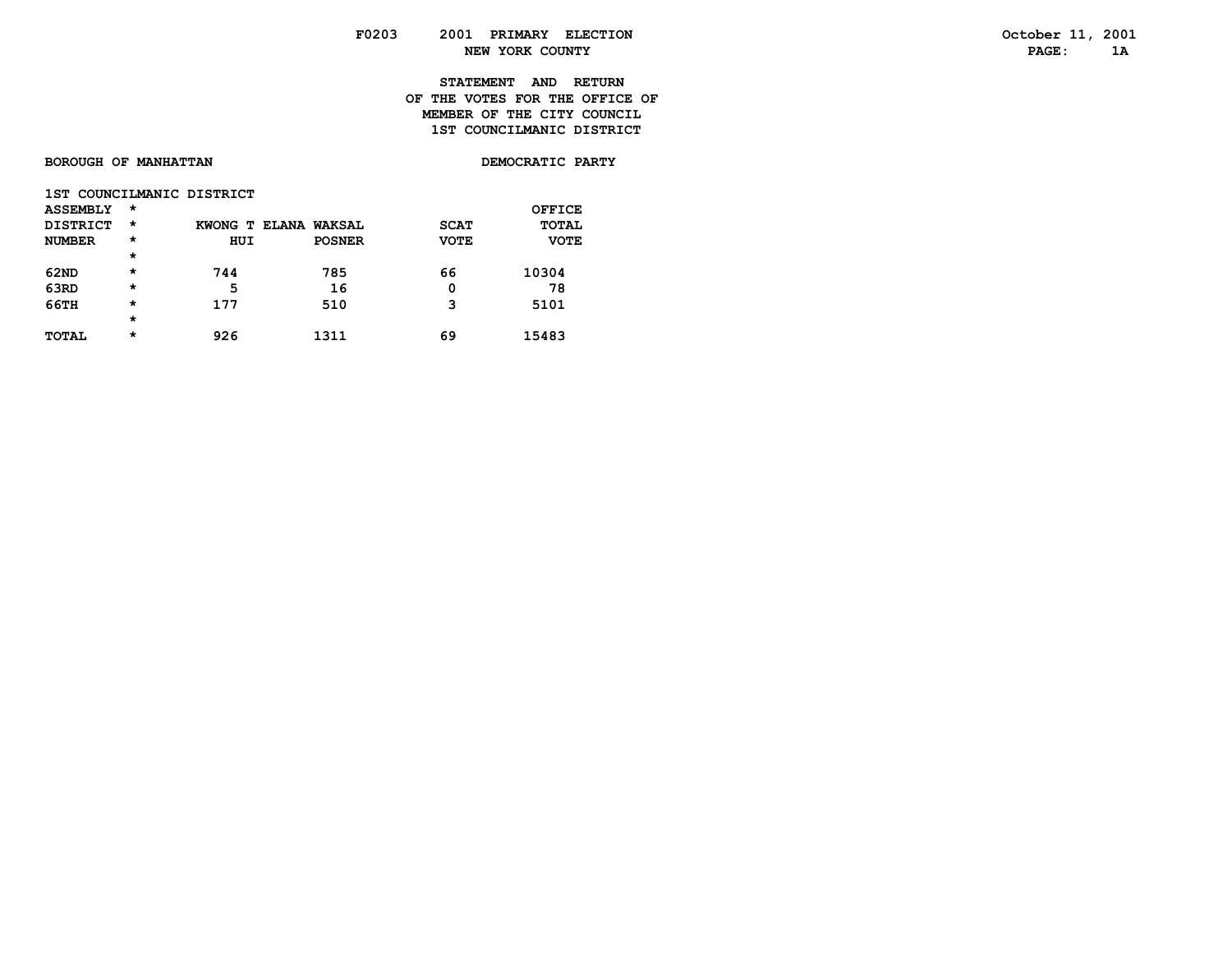**STATEMENT AND RETURN OF THE VOTES FOR THE OFFICE OFMEMBER OF THE CITY COUNCIL** 1ST COUNCILMANIC DISTRICT

| BOROUGH OF MANHATTAN | DEMOCRATIC PARTY |
|----------------------|------------------|
|----------------------|------------------|

| 1ST COUNCILMANIC DISTRICT |          |                      |               |             |              |
|---------------------------|----------|----------------------|---------------|-------------|--------------|
| <b>ASSEMBLY</b>           | $^\star$ |                      |               |             | OFFICE       |
| <b>DISTRICT</b>           | $^\star$ | KWONG T ELANA WAKSAL |               | <b>SCAT</b> | <b>TOTAL</b> |
| <b>NUMBER</b>             | $^\star$ | HUI                  | <b>POSNER</b> | <b>VOTE</b> | <b>VOTE</b>  |
|                           | $\star$  |                      |               |             |              |
| 62ND                      | $\star$  | 744                  | 785           | 66          | 10304        |
| 63RD                      | $\star$  | 5                    | 16            | 0           | 78           |
| 66TH                      | $\star$  | 177                  | 510           | 3           | 5101         |
|                           | $\star$  |                      |               |             |              |
| TOTAL                     | $^\star$ | 926                  | 1311          | 69          | 15483        |
|                           |          |                      |               |             |              |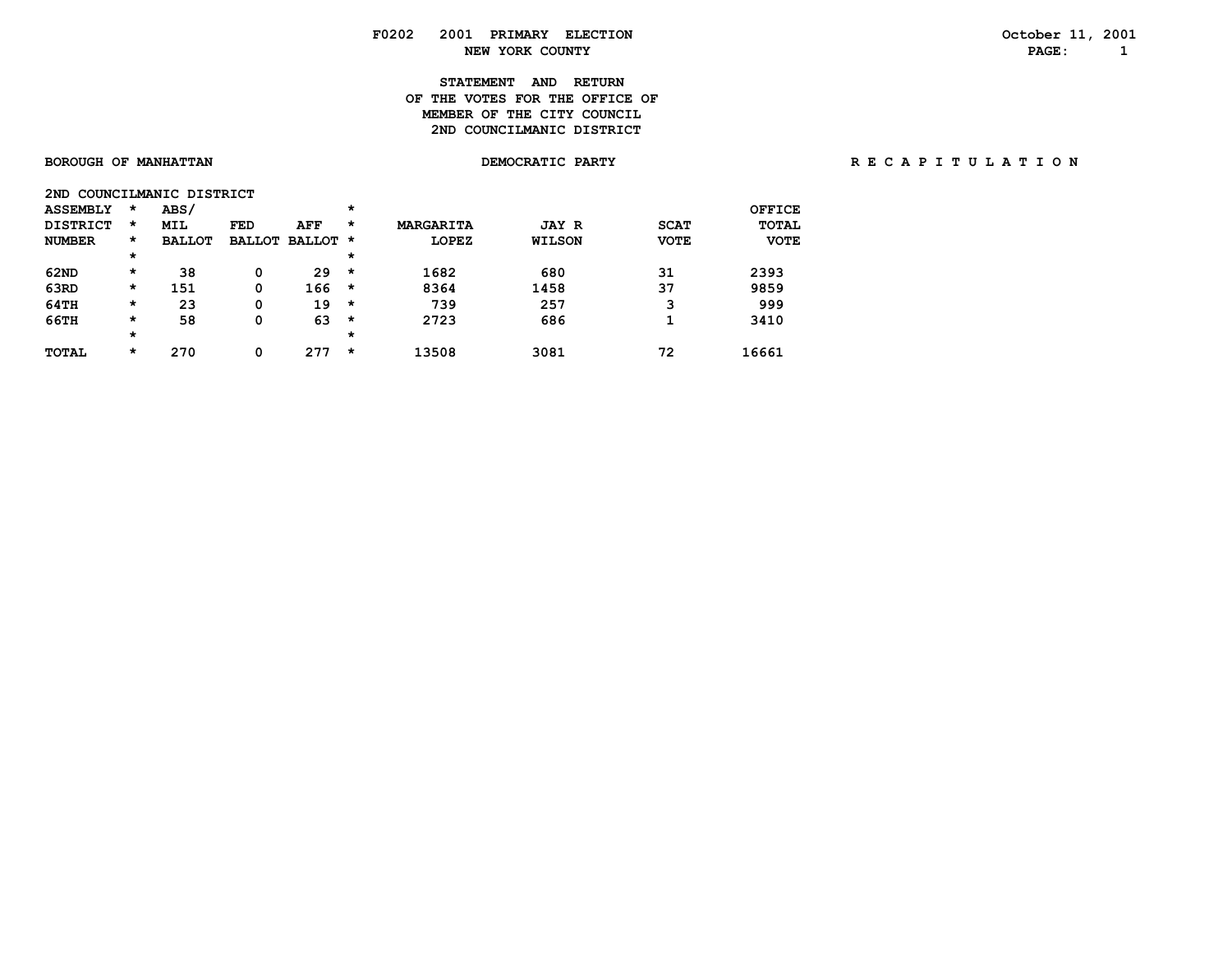# **STATEMENT AND RETURN OF THE VOTES FOR THE OFFICE OFMEMBER OF THE CITY COUNCIL** 2ND COUNCILMANIC DISTRICT

| 2ND             |          | COUNCILMANIC DISTRICT |               |               |         |                  |               |             |              |
|-----------------|----------|-----------------------|---------------|---------------|---------|------------------|---------------|-------------|--------------|
| <b>ASSEMBLY</b> | $\star$  | ABS/                  |               |               | $\star$ |                  |               |             | OFFICE       |
| <b>DISTRICT</b> | $\star$  | <b>MIL</b>            | <b>FED</b>    | AFF           | *       | <b>MARGARITA</b> | <b>JAY R</b>  | <b>SCAT</b> | <b>TOTAL</b> |
| <b>NUMBER</b>   | $\star$  | <b>BALLOT</b>         | <b>BALLOT</b> | <b>BALLOT</b> | *       | <b>LOPEZ</b>     | <b>WILSON</b> | <b>VOTE</b> | <b>VOTE</b>  |
|                 | $^\star$ |                       |               |               | $\star$ |                  |               |             |              |
| 62ND            | $\star$  | 38                    | 0             | 29            | *       | 1682             | 680           | 31          | 2393         |
| 63RD            | $\star$  | 151                   | 0             | 166           | $\star$ | 8364             | 1458          | 37          | 9859         |
| 64TH            | $\star$  | 23                    | 0             | 19            | $\star$ | 739              | 257           | 3           | 999          |
| 66TH            | $\star$  | 58                    | 0             | 63            | $\star$ | 2723             | 686           | 1           | 3410         |
|                 | $^\star$ |                       |               |               | $\star$ |                  |               |             |              |
| <b>TOTAL</b>    | $\star$  | 270                   | 0             | 277           | *       | 13508            | 3081          | 72          | 16661        |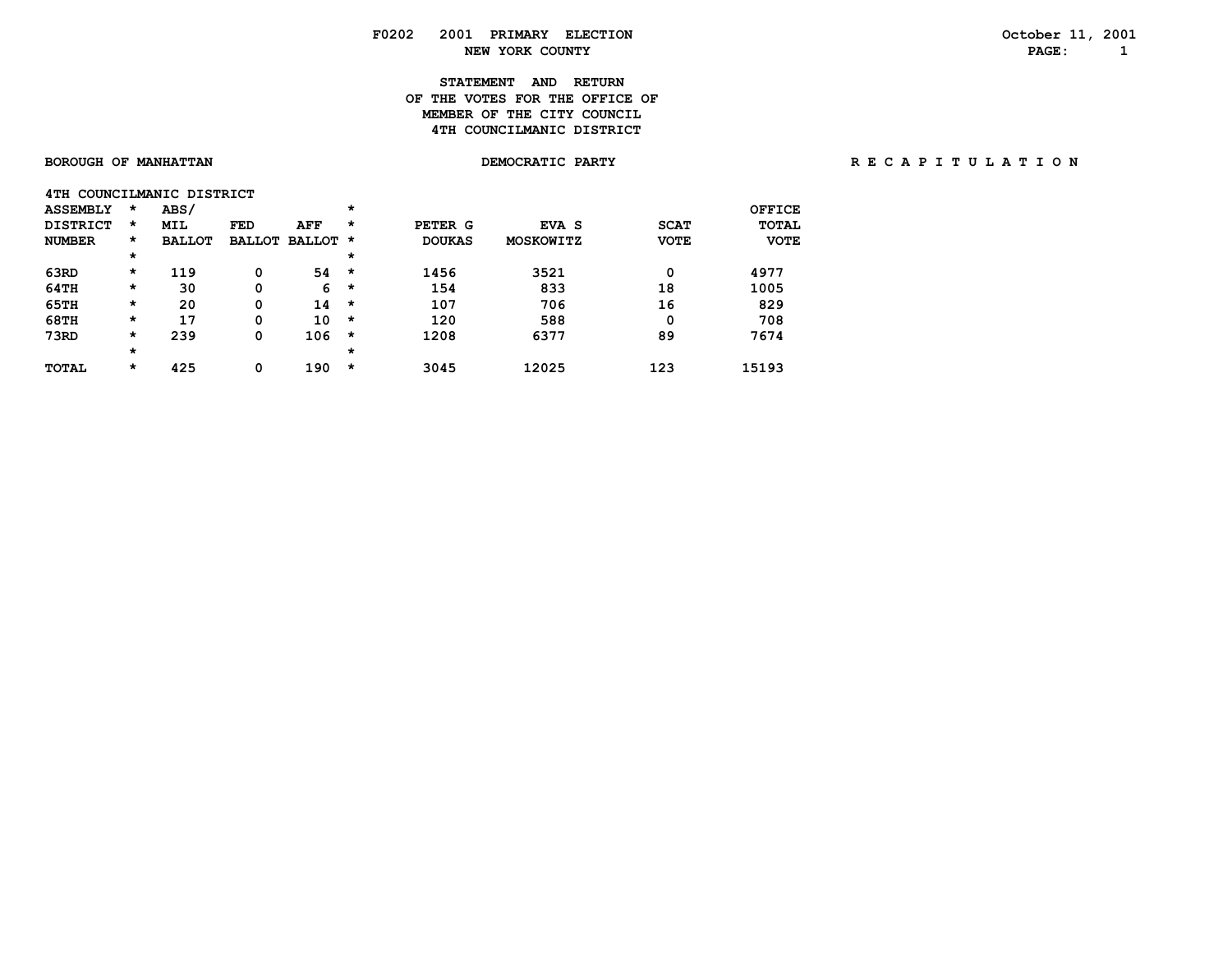# **STATEMENT AND RETURN OF THE VOTES FOR THE OFFICE OFMEMBER OF THE CITY COUNCIL 4TH COUNCILMANIC DISTRICT**

|  | SOROUGH OF MANHATTAN |  |
|--|----------------------|--|
|  |                      |  |

| 4TH COUNCILMANIC DISTRICT |         |               |               |               |          |               |                  |             |              |
|---------------------------|---------|---------------|---------------|---------------|----------|---------------|------------------|-------------|--------------|
| <b>ASSEMBLY</b>           | $\star$ | ABS/          |               |               | *        |               |                  |             | OFFICE       |
| <b>DISTRICT</b>           | $\star$ | <b>MIL</b>    | <b>FED</b>    | <b>AFF</b>    | $\star$  | PETER G       | EVA S            | <b>SCAT</b> | <b>TOTAL</b> |
| <b>NUMBER</b>             | $\star$ | <b>BALLOT</b> | <b>BALLOT</b> | <b>BALLOT</b> | *        | <b>DOUKAS</b> | <b>MOSKOWITZ</b> | <b>VOTE</b> | <b>VOTE</b>  |
|                           | $\star$ |               |               |               | $\star$  |               |                  |             |              |
| 63RD                      | $\star$ | 119           | 0             | 54            | $\star$  | 1456          | 3521             | 0           | 4977         |
| 64TH                      | $\star$ | 30            | 0             | 6             | $\star$  | 154           | 833              | 18          | 1005         |
| 65TH                      | $\star$ | 20            | 0             | 14            | $\star$  | 107           | 706              | 16          | 829          |
| <b>68TH</b>               | $\star$ | 17            | 0             | 10            | $\star$  | 120           | 588              | 0           | 708          |
| 73RD                      | $\star$ | 239           | 0             | 106           | $\star$  | 1208          | 6377             | 89          | 7674         |
|                           | $\star$ |               |               |               | $^\star$ |               |                  |             |              |
| <b>TOTAL</b>              | $\star$ | 425           | 0             | 190           | $\star$  | 3045          | 12025            | 123         | 15193        |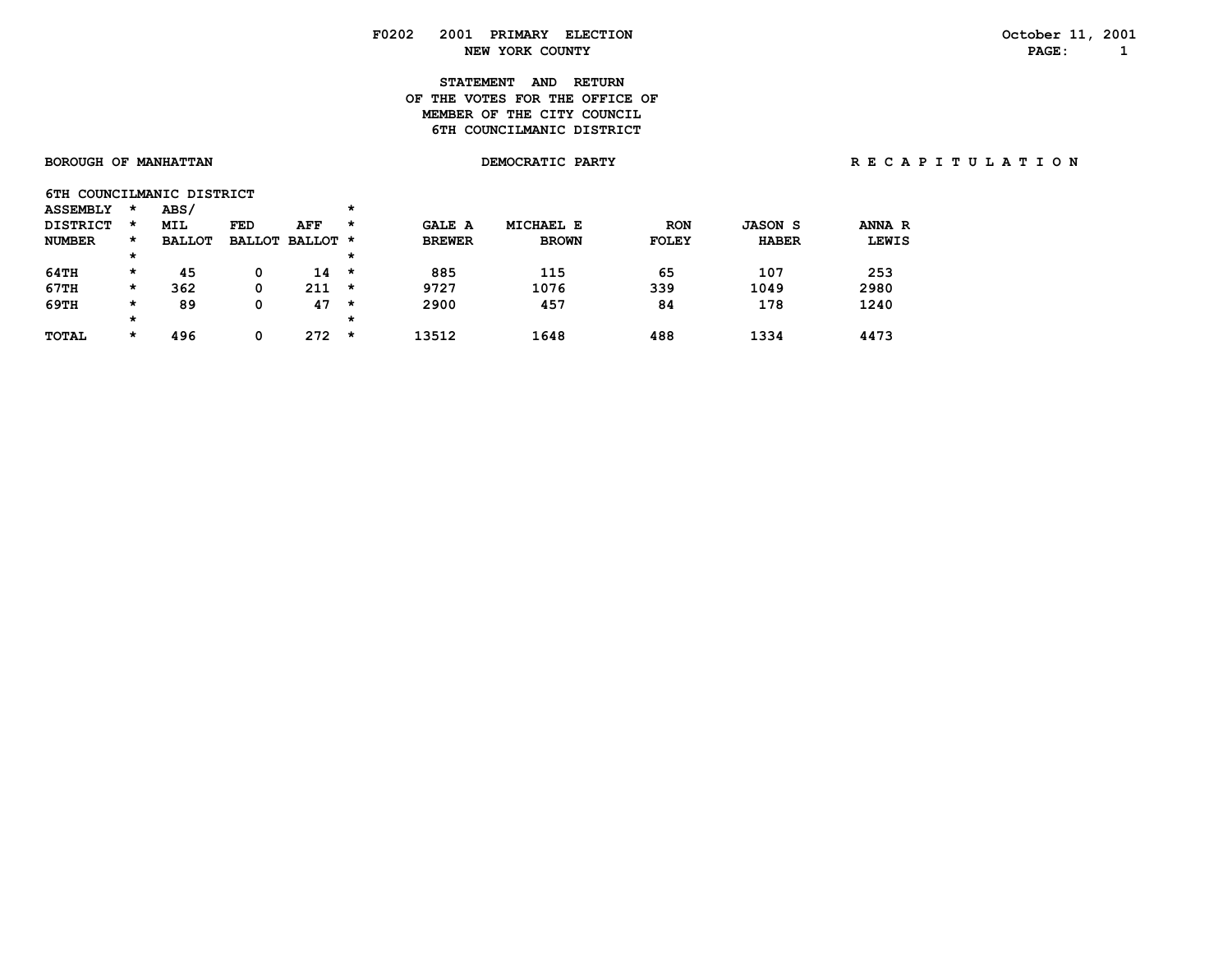# **STATEMENT AND RETURN OF THE VOTES FOR THE OFFICE OFMEMBER OF THE CITY COUNCIL 6TH COUNCILMANIC DISTRICT**

|  | <b>SOROUGH OF MANHATTAN</b> |  |
|--|-----------------------------|--|

**6TH COUNCILMANIC DISTRICT** 

| <b>ASSEMBLY</b> | *       | ABS/          |     |                 | $\star$ |               |                  |              |                |              |
|-----------------|---------|---------------|-----|-----------------|---------|---------------|------------------|--------------|----------------|--------------|
| <b>DISTRICT</b> | $\star$ | <b>MIL</b>    | FED | AFF             | *       | <b>GALE A</b> | <b>MICHAEL E</b> | <b>RON</b>   | <b>JASON S</b> | ANNA R       |
| <b>NUMBER</b>   | *       | <b>BALLOT</b> |     | BALLOT BALLOT * |         | <b>BREWER</b> | <b>BROWN</b>     | <b>FOLEY</b> | <b>HABER</b>   | <b>LEWIS</b> |
|                 | $\star$ |               |     |                 | $\star$ |               |                  |              |                |              |
| 64TH            | $\star$ | 45            |     | 14              | *       | 885           | 115              | 65           | 107            | 253          |
| 67TH            | $\star$ | 362           |     | 211             | $\star$ | 9727          | 1076             | 339          | 1049           | 2980         |
| 69TH            | $\star$ | 89            |     | 47              | *       | 2900          | 457              | 84           | 178            | 1240         |
|                 | $\star$ |               |     |                 | $\star$ |               |                  |              |                |              |
| <b>TOTAL</b>    | *       | 496           |     | 272             | *       | 13512         | 1648             | 488          | 1334           | 4473         |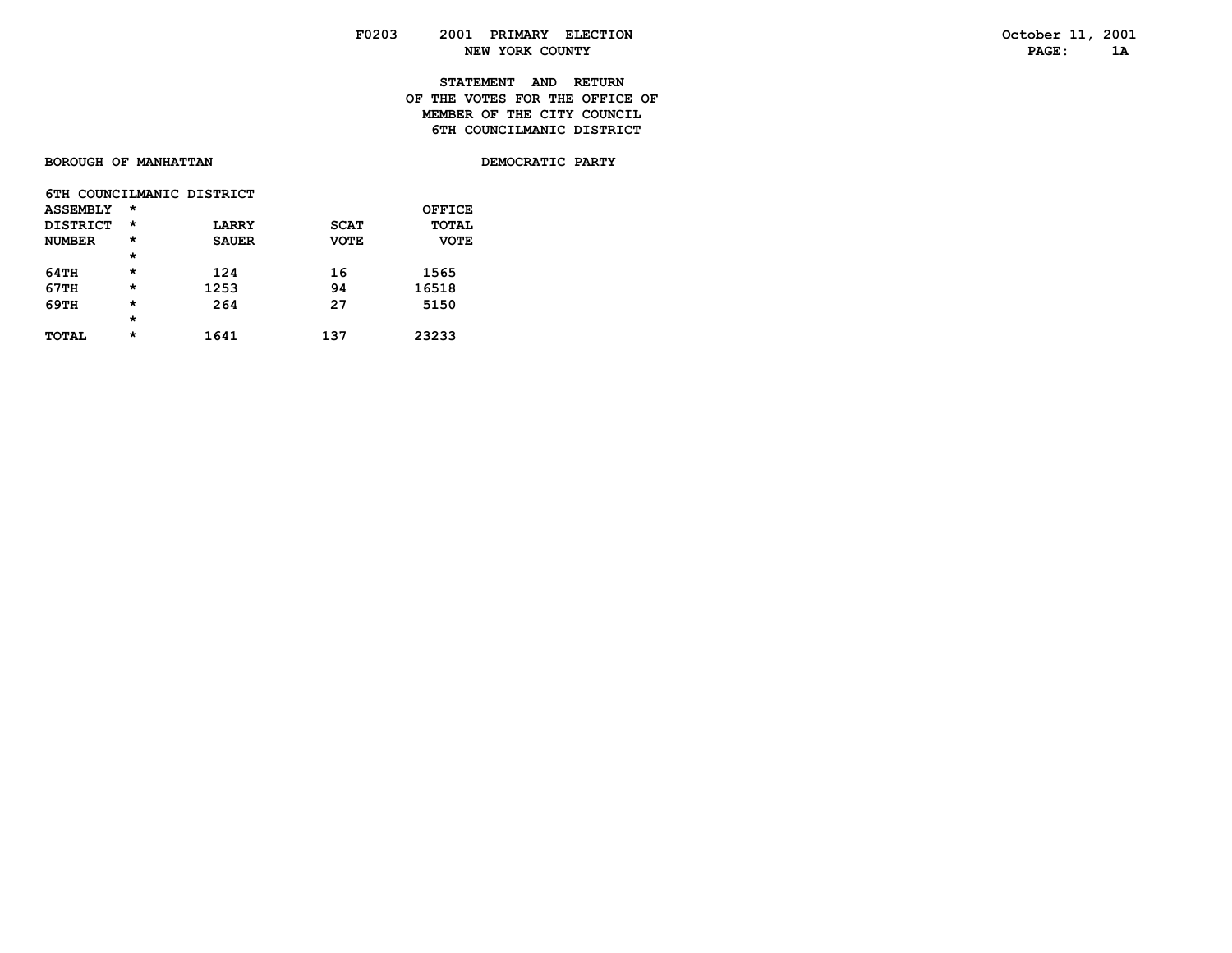**STATEMENT AND RETURN OF THE VOTES FOR THE OFFICE OF**

**MEMBER OF THE CITY COUNCIL 6TH COUNCILMANIC DISTRICT** 

# BOROUGH OF MANHATTAN

DEMOCRATIC PARTY

|                 |          | 6TH COUNCILMANIC DISTRICT |             |              |
|-----------------|----------|---------------------------|-------------|--------------|
| <b>ASSEMBLY</b> | $\star$  |                           |             | OFFICE       |
| DISTRICT        | $^\star$ | <b>LARRY</b>              | <b>SCAT</b> | <b>TOTAL</b> |
| <b>NUMBER</b>   | $\star$  | <b>SAUER</b>              | <b>VOTE</b> | <b>VOTE</b>  |
|                 | $\star$  |                           |             |              |
| 64TH            | $\star$  | 124                       | 16          | 1565         |
| 67TH            | $\star$  | 1253                      | 94          | 16518        |
| 69TH            | $\star$  | 264                       | 27          | 5150         |
|                 | $\star$  |                           |             |              |
| <b>TOTAL</b>    | $\star$  | 1641                      | 137         | 23233        |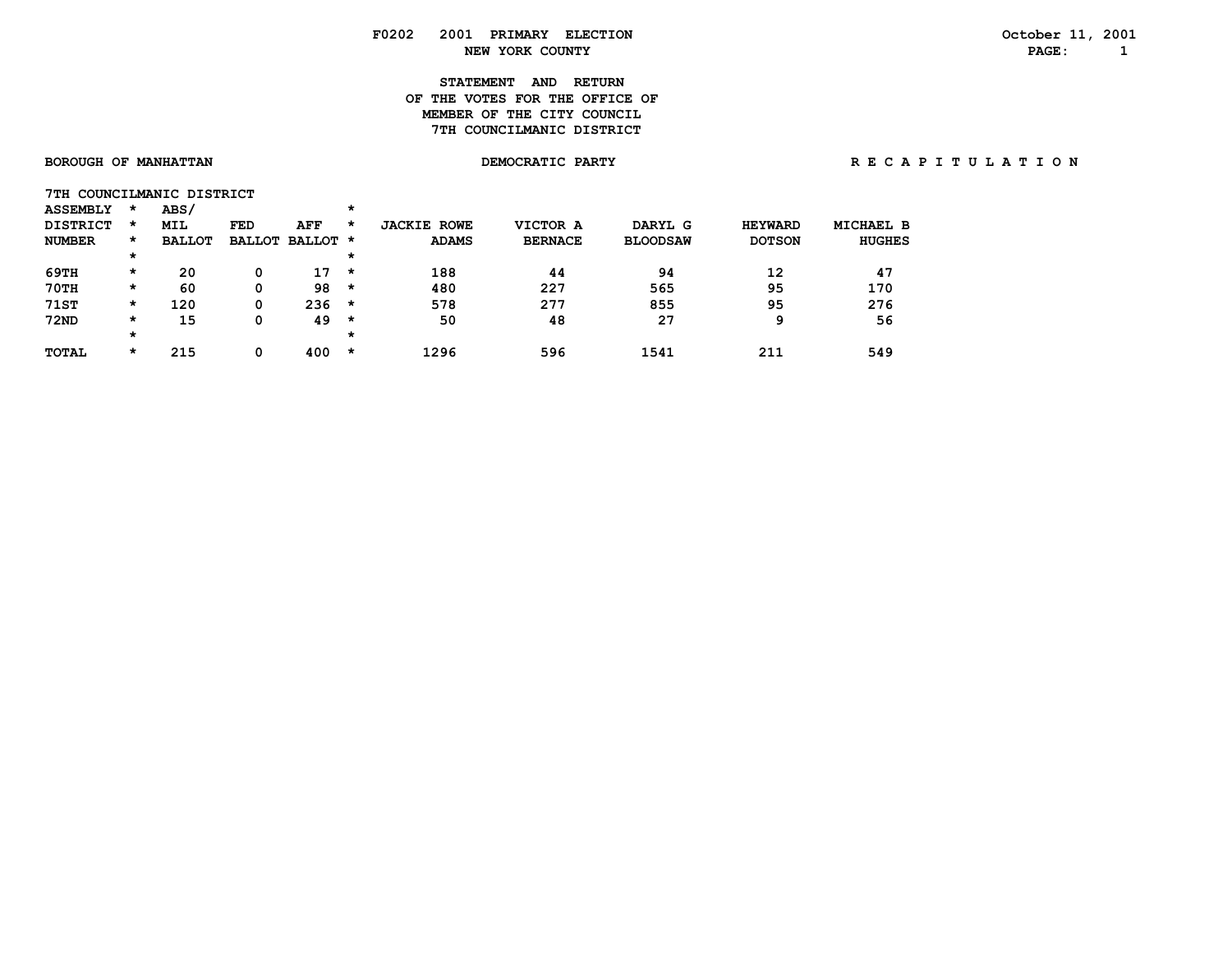# **STATEMENT AND RETURN OF THE VOTES FOR THE OFFICE OFMEMBER OF THE CITY COUNCIL 7TH COUNCILMANIC DISTRICT**

 **\* \***

\* 215 0 400 \*

BOROUGH OF MANHATTAN **DEMOCRATIC PARTY REGAPITULATION** 

|                 |         | 7TH COUNCILMANIC DISTRICT |     |                 |         |                    |                |                 |                |               |
|-----------------|---------|---------------------------|-----|-----------------|---------|--------------------|----------------|-----------------|----------------|---------------|
| <b>ASSEMBLY</b> | $\star$ | ABS/                      |     |                 | *       |                    |                |                 |                |               |
| <b>DISTRICT</b> | $\star$ | <b>MIL</b>                | FED | AFF             | *       | <b>JACKIE ROWE</b> | VICTOR A       | DARYL G         | <b>HEYWARD</b> | MICHAEL B     |
| <b>NUMBER</b>   | $\star$ | <b>BALLOT</b>             |     | BALLOT BALLOT * |         | <b>ADAMS</b>       | <b>BERNACE</b> | <b>BLOODSAW</b> | <b>DOTSON</b>  | <b>HUGHES</b> |
|                 | $\star$ |                           |     |                 | $\star$ |                    |                |                 |                |               |
| 69TH            | *       | 20                        |     | 17              | *       | 188                | 44             | 94              | 12             | 47            |
| 70TH            | *       | 60                        |     | 98              | *       | 480                | 227            | 565             | 95             | 170           |
| <b>71ST</b>     | *       | 120                       | 0   | 236             | *       | 578                | 277            | 855             | 95             | 276           |
| <b>72ND</b>     | *       | 15                        |     | 49              | *       | 50                 | 48             | 27              | q              | 56            |

 **TOTAL \* 215 0 400 \* 1296 596 1541 211 549**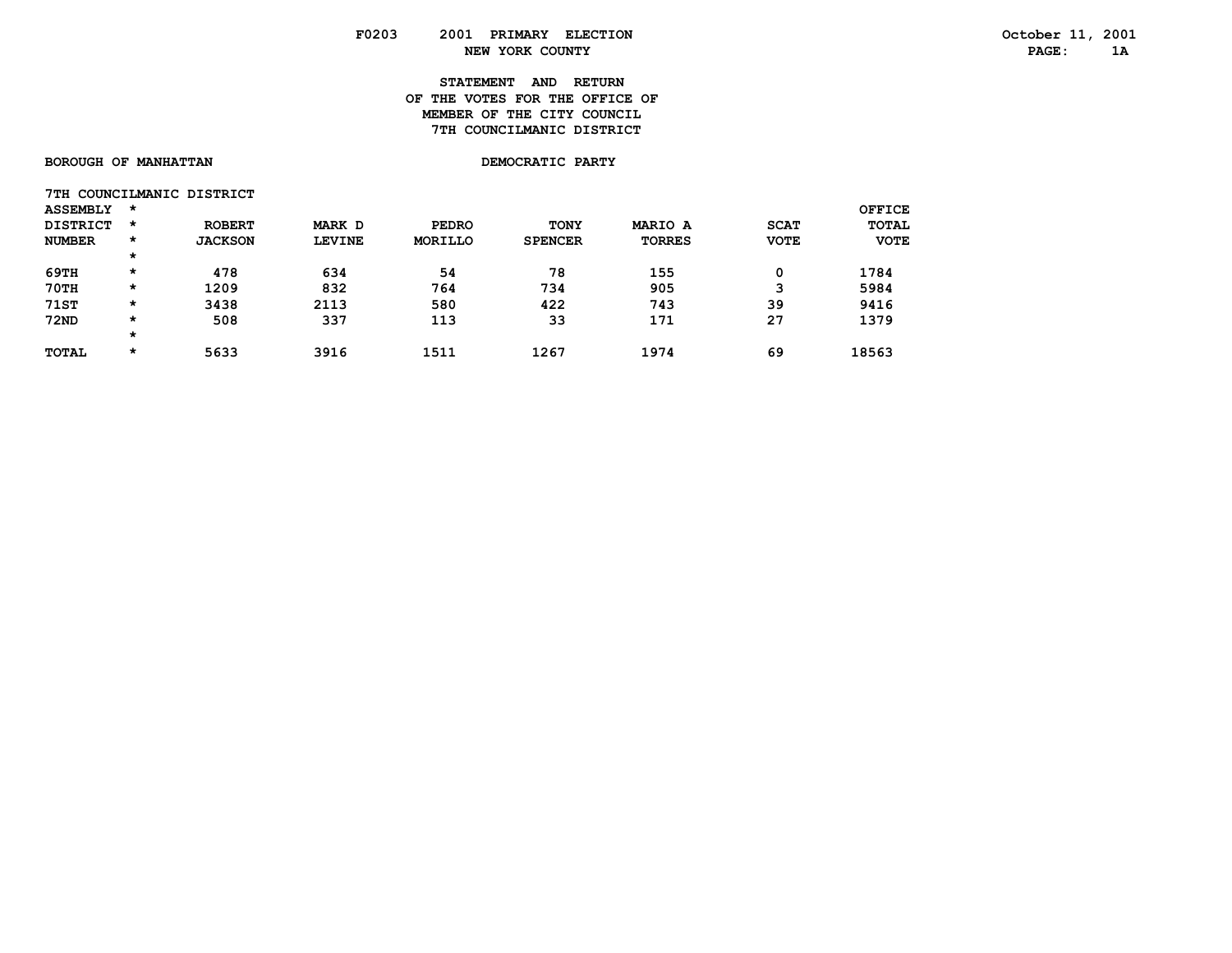# **STATEMENT AND RETURN OF THE VOTES FOR THE OFFICE OFMEMBER OF THE CITY COUNCIL 7TH COUNCILMANIC DISTRICT**

# BOROUGH OF MANHATTAN

DEMOCRATIC PARTY

|                 |          | 7TH COUNCILMANIC DISTRICT |               |              |                |               |             |               |
|-----------------|----------|---------------------------|---------------|--------------|----------------|---------------|-------------|---------------|
| <b>ASSEMBLY</b> | $\star$  |                           |               |              |                |               |             | <b>OFFICE</b> |
| <b>DISTRICT</b> | $\star$  | <b>ROBERT</b>             | MARK D        | <b>PEDRO</b> | <b>TONY</b>    | MARIO A       | <b>SCAT</b> | <b>TOTAL</b>  |
| <b>NUMBER</b>   | $\star$  | <b>JACKSON</b>            | <b>LEVINE</b> | MORILLO      | <b>SPENCER</b> | <b>TORRES</b> | <b>VOTE</b> | <b>VOTE</b>   |
|                 | $\star$  |                           |               |              |                |               |             |               |
| 69TH            | $\star$  | 478                       | 634           | 54           | 78             | 155           | 0           | 1784          |
| 70TH            | $^\star$ | 1209                      | 832           | 764          | 734            | 905           | ີ           | 5984          |
| <b>71ST</b>     | $\star$  | 3438                      | 2113          | 580          | 422            | 743           | 39          | 9416          |
| <b>72ND</b>     | $\star$  | 508                       | 337           | 113          | 33             | 171           | 27          | 1379          |
|                 | $\star$  |                           |               |              |                |               |             |               |
| <b>TOTAL</b>    | $\star$  | 5633                      | 3916          | 1511         | 1267           | 1974          | 69          | 18563         |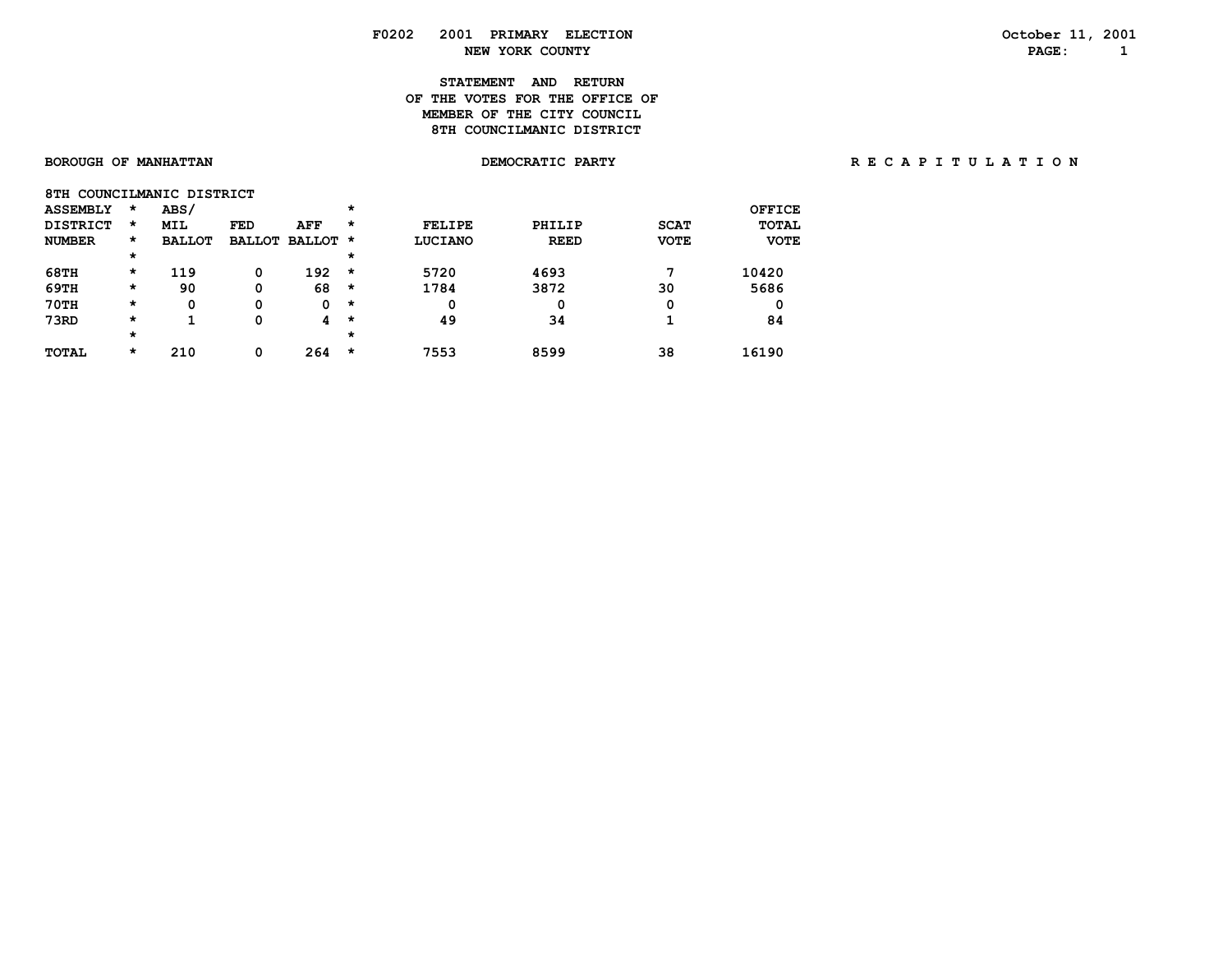# **STATEMENT AND RETURN OF THE VOTES FOR THE OFFICE OFMEMBER OF THE CITY COUNCIL 8TH COUNCILMANIC DISTRICT**

| 8TH COUNCILMANIC DISTRICT |          |               |               |          |         |               |             |             |               |
|---------------------------|----------|---------------|---------------|----------|---------|---------------|-------------|-------------|---------------|
| <b>ASSEMBLY</b>           | $\star$  | ABS/          |               |          | $\star$ |               |             |             | <b>OFFICE</b> |
| <b>DISTRICT</b>           | *        | <b>MIL</b>    | <b>FED</b>    | AFF      | $\star$ | <b>FELIPE</b> | PHILIP      | <b>SCAT</b> | <b>TOTAL</b>  |
| <b>NUMBER</b>             | *        | <b>BALLOT</b> | <b>BALLOT</b> | BALLOT * |         | LUCIANO       | <b>REED</b> | <b>VOTE</b> | <b>VOTE</b>   |
|                           | $^\star$ |               |               |          | $\star$ |               |             |             |               |
| <b>68TH</b>               | *        | 119           | 0             | 192      | $\star$ | 5720          | 4693        | ヮ           | 10420         |
| 69TH                      | $\star$  | 90            | 0             | 68       | $\star$ | 1784          | 3872        | 30          | 5686          |
| 70TH                      | *        | 0             | 0             | 0        | $\star$ | 0             | 0           | 0           | 0             |
| 73RD                      | *        | ٠             | 0             | 4        | $\star$ | 49            | 34          |             | 84            |
|                           | *        |               |               |          | $\star$ |               |             |             |               |
| <b>TOTAL</b>              | *        | 210           | 0             | 264      | $\star$ | 7553          | 8599        | 38          | 16190         |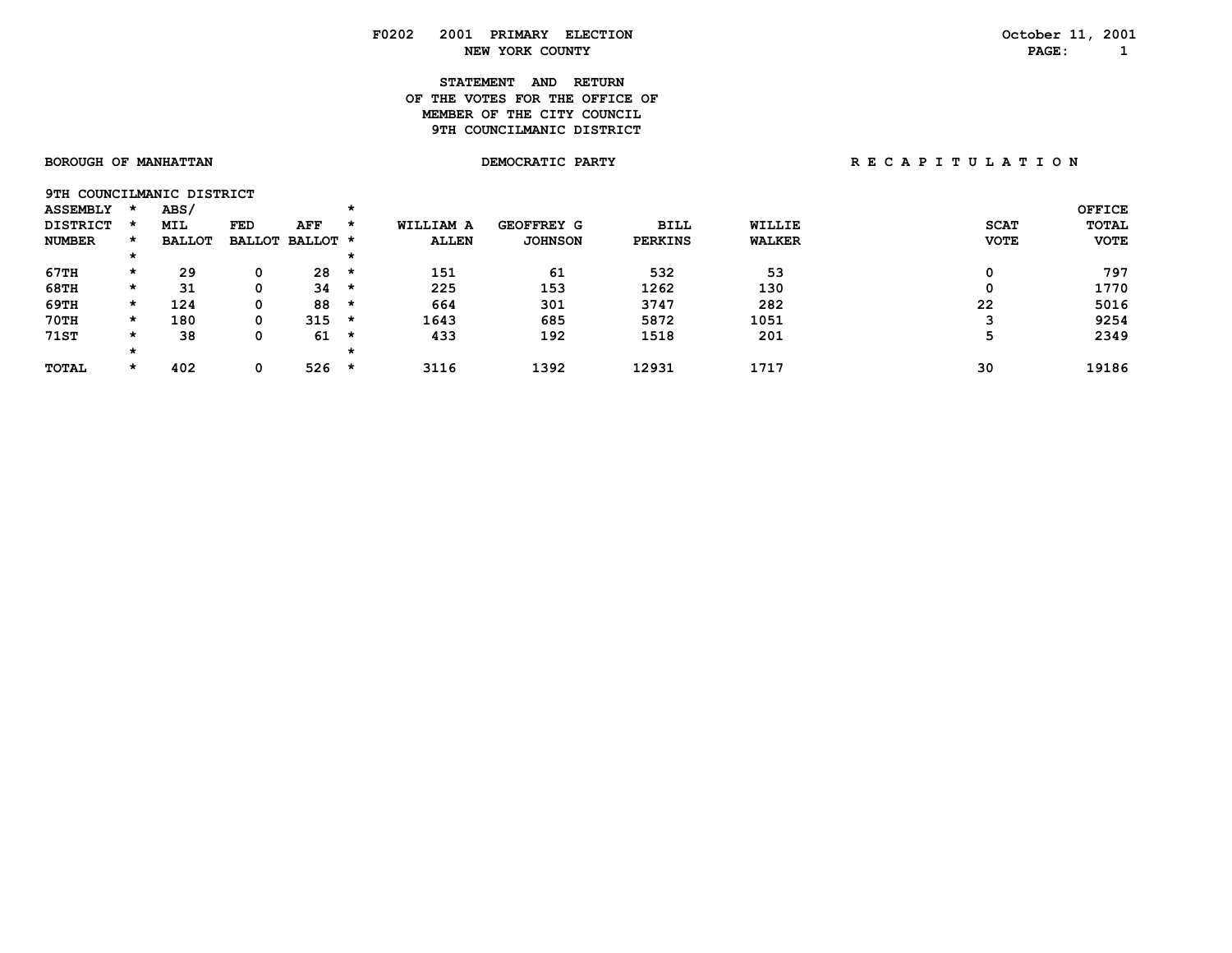# **STATEMENT AND RETURN OF THE VOTES FOR THE OFFICE OFMEMBER OF THE CITY COUNCIL 9TH COUNCILMANIC DISTRICT**

| <b>SOROUGH OF MANHATTAN</b> |  |
|-----------------------------|--|
|-----------------------------|--|

**9TH COUNCILMANIC DISTRICT** 

| <b>ASSEMBLY</b> |         | ABS/          |            |                 |         |              |                   |                |               |             | <b>OFFICE</b> |
|-----------------|---------|---------------|------------|-----------------|---------|--------------|-------------------|----------------|---------------|-------------|---------------|
| <b>DISTRICT</b> |         | <b>MIL</b>    | <b>FED</b> | AFF             | $\star$ | WILLIAM A    | <b>GEOFFREY G</b> | <b>BILL</b>    | <b>WILLIE</b> | <b>SCAT</b> | <b>TOTAL</b>  |
| <b>NUMBER</b>   |         | <b>BALLOT</b> |            | BALLOT BALLOT * |         | <b>ALLEN</b> | <b>JOHNSON</b>    | <b>PERKINS</b> | <b>WALKER</b> | <b>VOTE</b> | <b>VOTE</b>   |
|                 | $\star$ |               |            |                 |         |              |                   |                |               |             |               |
| 67TH            | *       | 29            | 0          | 28              | $\star$ | 151          | 61                | 532            | 53            |             | 797           |
| 68TH            | *       | 31            | 0          | 34              | *       | 225          | 153               | 1262           | 130           |             | 1770          |
| 69TH            | $\star$ | 124           | 0          | 88              | *       | 664          | 301               | 3747           | 282           | 22          | 5016          |
| $70$ TH         | $\star$ | 180           | 0          | 315             | *       | 1643         | 685               | 5872           | 1051          |             | 9254          |
| <b>71ST</b>     | $\star$ | 38            | 0          | 61              | *       | 433          | 192               | 1518           | 201           |             | 2349          |
|                 |         |               |            |                 | *       |              |                   |                |               |             |               |
| <b>TOTAL</b>    |         | 402           | 0          | 526             | $\star$ | 3116         | 1392              | 12931          | 1717          | 30          | 19186         |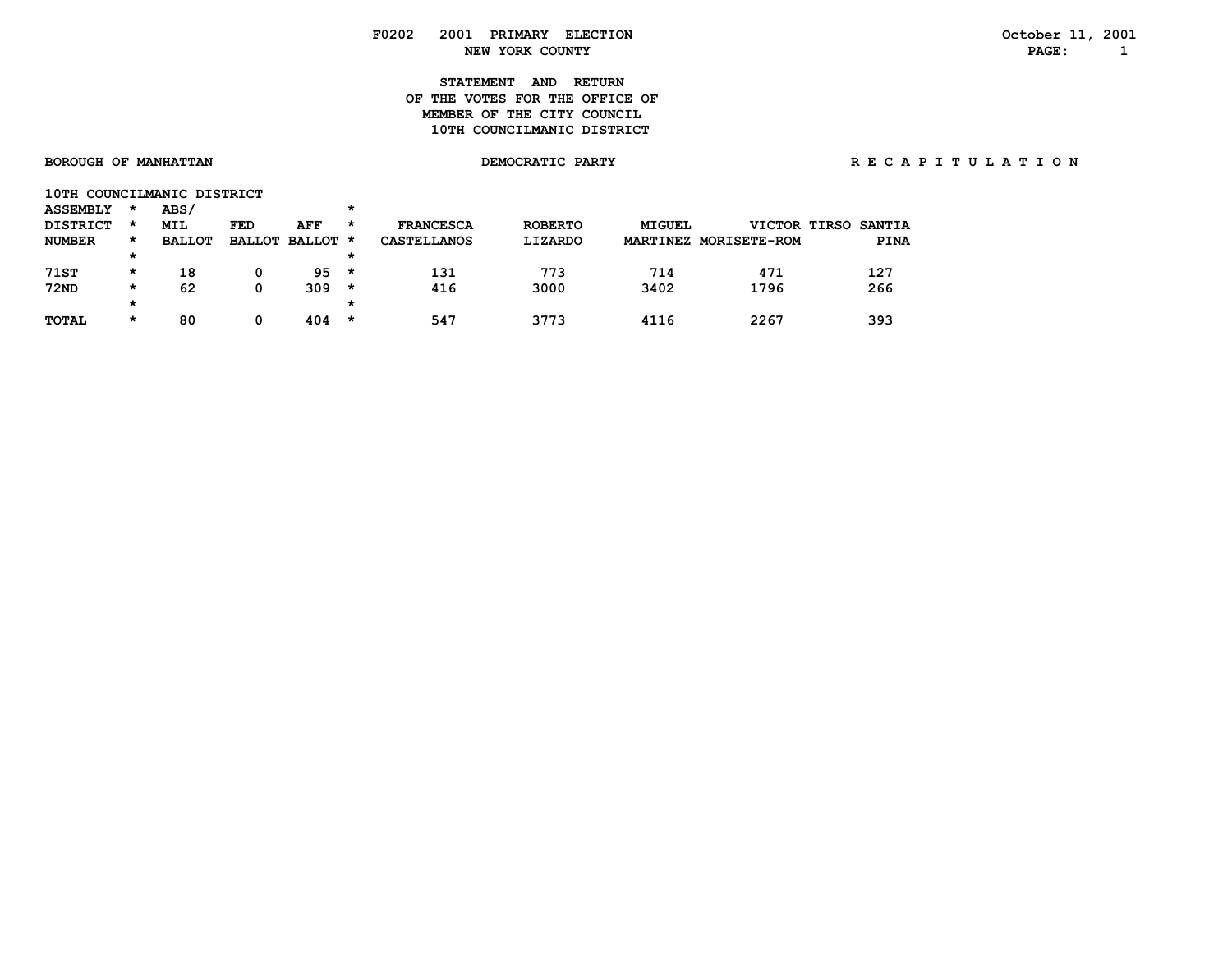# **STATEMENT AND RETURN OF THE VOTES FOR THE OFFICE OFMEMBER OF THE CITY COUNCIL 10TH COUNCILMANIC DISTRICT**

| <b>ASSEMBLY</b> | $\star$ | ABS/          |     |                 | $\star$ |                    |                |               |                       |                     |
|-----------------|---------|---------------|-----|-----------------|---------|--------------------|----------------|---------------|-----------------------|---------------------|
| <b>DISTRICT</b> | *       | <b>MIL</b>    | FED | AFF             | $\star$ | <b>FRANCESCA</b>   | <b>ROBERTO</b> | <b>MIGUEL</b> |                       | VICTOR TIRSO SANTIA |
| <b>NUMBER</b>   | *       | <b>BALLOT</b> |     | BALLOT BALLOT * |         | <b>CASTELLANOS</b> | LIZARDO        |               | MARTINEZ MORISETE-ROM | <b>PINA</b>         |
|                 | $\star$ |               |     |                 | $\star$ |                    |                |               |                       |                     |
| 71ST            | $\star$ | 18            | 0   | 95.             | *       | 131                | 773            | 714           | 471                   | 127                 |
| <b>72ND</b>     | *       | 62            | 0   | 309             | *       | 416                | 3000           | 3402          | 1796                  | 266                 |
|                 | $\star$ |               |     |                 | $\star$ |                    |                |               |                       |                     |
| <b>TOTAL</b>    | $\star$ | 80            |     | 404             | *       | 547                | 3773           | 4116          | 2267                  | 393                 |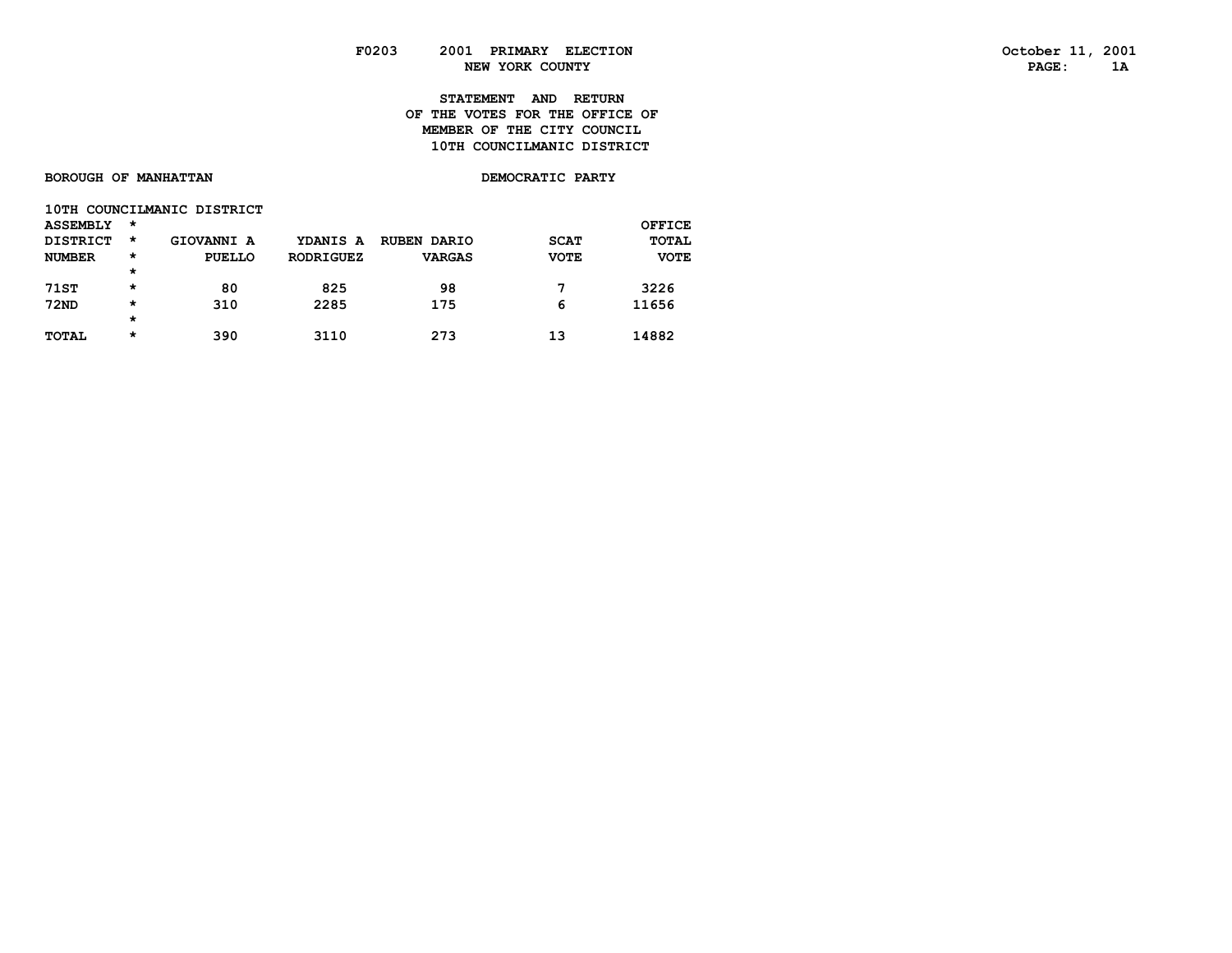# **STATEMENT AND RETURN OF THE VOTES FOR THE OFFICE OF MEMBER OF THE CITY COUNCIL10TH COUNCILMANIC DISTRICT**

|  |  | <b>BOROUGH OF MANHATTAN</b> |
|--|--|-----------------------------|
|--|--|-----------------------------|

**DEMOCRATIC PARTY** 

|  | 10TH COUNCILMANIC DISTRICT |  |
|--|----------------------------|--|
|--|----------------------------|--|

| <b>ASSEMBLY</b> | *        |            |                  |                    |             | OFFICE      |
|-----------------|----------|------------|------------------|--------------------|-------------|-------------|
| <b>DISTRICT</b> | *        | GIOVANNI A | YDANIS A         | <b>RUBEN DARIO</b> | <b>SCAT</b> | TOTAL       |
| <b>NUMBER</b>   | $^\star$ | PUELLO     | <b>RODRIGUEZ</b> | <b>VARGAS</b>      | <b>VOTE</b> | <b>VOTE</b> |
|                 | $^\star$ |            |                  |                    |             |             |
| <b>71ST</b>     | $^\star$ | 80         | 825              | 98                 | 7           | 3226        |
| <b>72ND</b>     | $^\star$ | 310        | 2285             | 175                | 6           | 11656       |
|                 | $^\star$ |            |                  |                    |             |             |
| <b>TOTAL</b>    | $^\star$ | 390        | 3110             | 273                | 13          | 14882       |
|                 |          |            |                  |                    |             |             |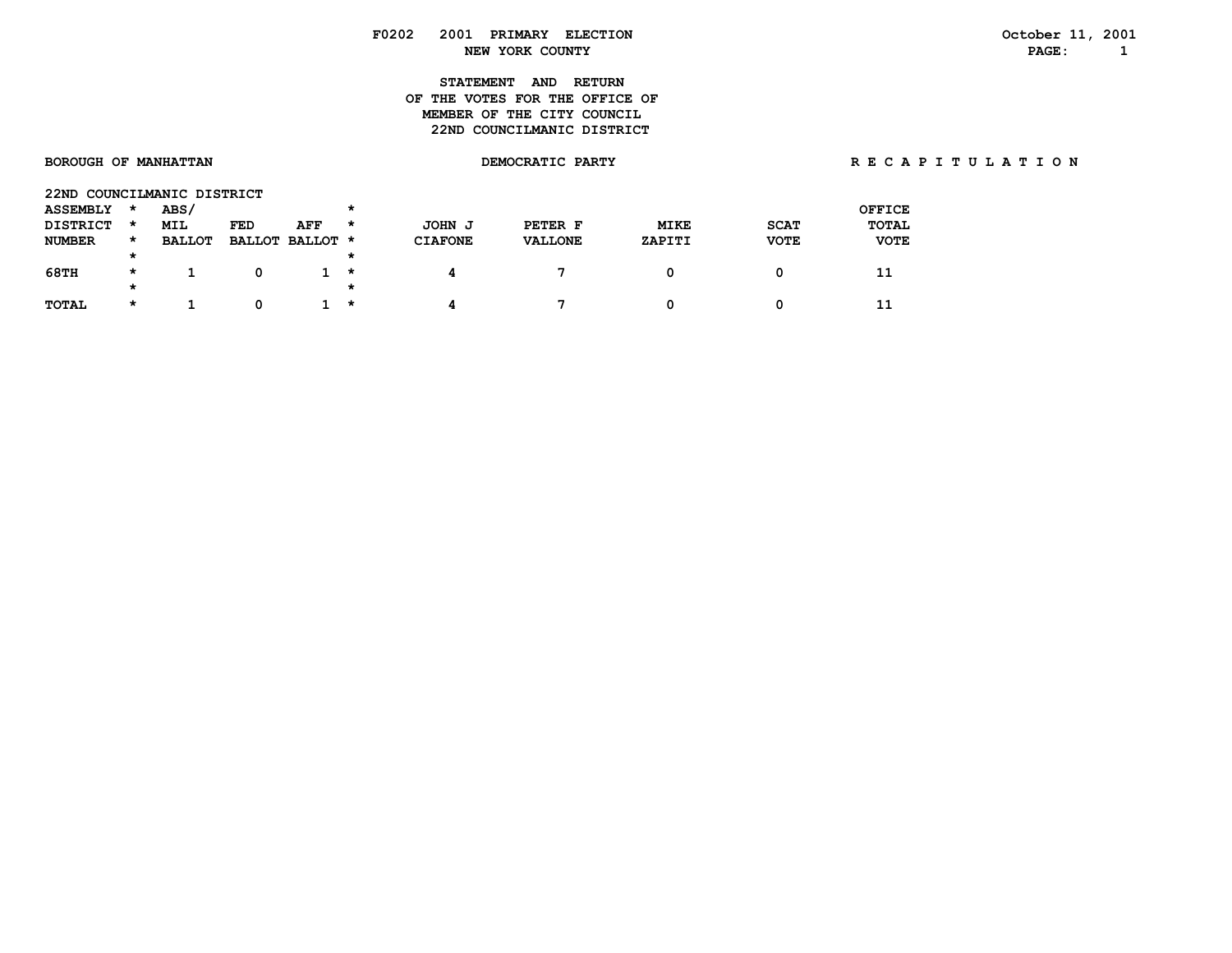**STATEMENT AND RETURN OF THE VOTES FOR THE OFFICE OFMEMBER OF THE CITY COUNCIL 22ND COUNCILMANIC DISTRICT** 

| 22ND            |         | COUNCILMANIC DISTRICT |     |                 |              |                  |                |             |             |               |
|-----------------|---------|-----------------------|-----|-----------------|--------------|------------------|----------------|-------------|-------------|---------------|
| <b>ASSEMBLY</b> | *       | <b>ABS/</b>           |     |                 | *            |                  |                |             |             | <b>OFFICE</b> |
| <b>DISTRICT</b> | $\star$ | <b>MIL</b>            | FED | AFF             | *            | <b>JOHN</b><br>J | PETER F        | <b>MIKE</b> | <b>SCAT</b> | <b>TOTAL</b>  |
| <b>NUMBER</b>   | $\star$ | <b>BALLOT</b>         |     | BALLOT BALLOT * |              | <b>CIAFONE</b>   | <b>VALLONE</b> | ZAPITI      | <b>VOTE</b> | <b>VOTE</b>   |
|                 | $\star$ |                       |     |                 | *            |                  |                |             |             |               |
| <b>68TH</b>     | $\star$ |                       |     |                 | *            |                  |                |             |             | 11            |
|                 | *       |                       |     |                 | *            |                  |                |             |             |               |
| <b>TOTAL</b>    | $\star$ |                       |     |                 | $\pmb{\ast}$ |                  |                |             |             | 11            |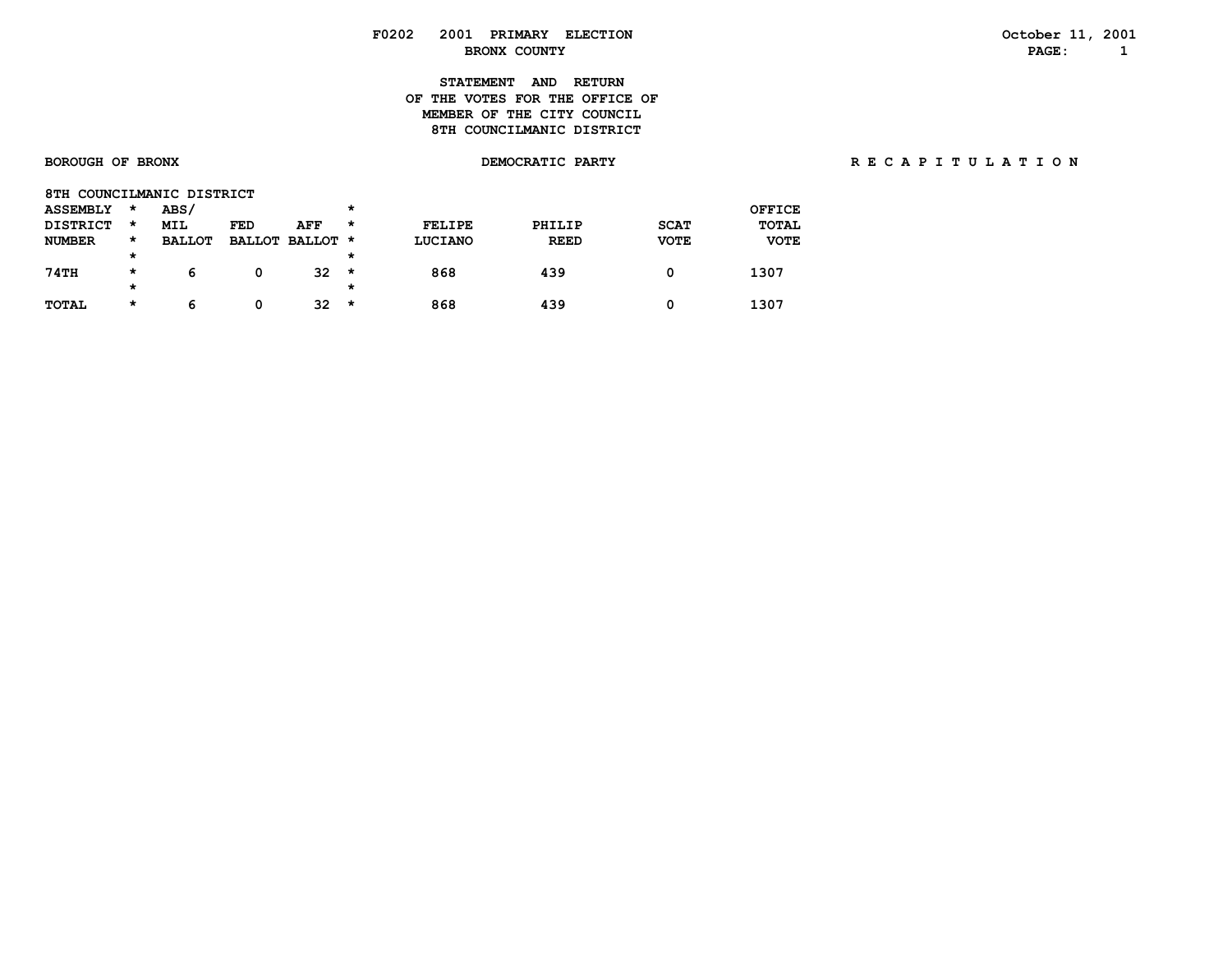# **STATEMENT AND RETURN OF THE VOTES FOR THE OFFICE OFMEMBER OF THE CITY COUNCIL 8TH COUNCILMANIC DISTRICT**

| 8TH COUNCILMANIC DISTRICT |   |               |     |                 |   |         |             |             |               |
|---------------------------|---|---------------|-----|-----------------|---|---------|-------------|-------------|---------------|
| <b>ASSEMBLY</b>           | * | ABS/          |     |                 | * |         |             |             | <b>OFFICE</b> |
| <b>DISTRICT</b>           | * | <b>MIL</b>    | FED | AFF             | * | FELIPE  | PHILIP      | <b>SCAT</b> | <b>TOTAL</b>  |
| <b>NUMBER</b>             | * | <b>BALLOT</b> |     | BALLOT BALLOT * |   | LUCIANO | <b>REED</b> | <b>VOTE</b> | <b>VOTE</b>   |
|                           | * |               |     |                 | * |         |             |             |               |
| 74TH                      | * | 6             | 0   | 32              | * | 868     | 439         | 0           | 1307          |
|                           | * |               |     |                 | * |         |             |             |               |
| <b>TOTAL</b>              | * | 6             | 0   | 32              | * | 868     | 439         | 0           | 1307          |
|                           |   |               |     |                 |   |         |             |             |               |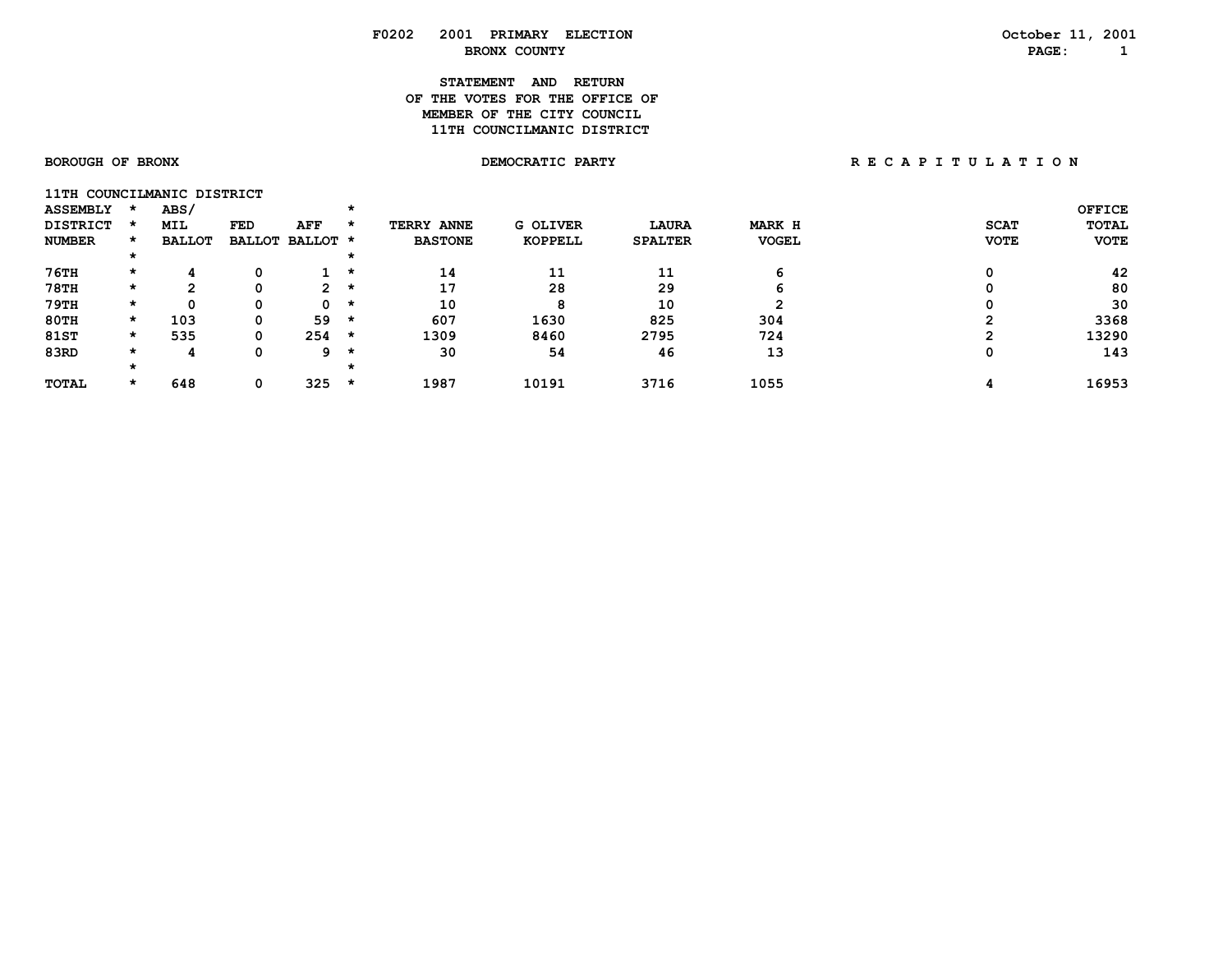# **STATEMENT AND RETURN OF THE VOTES FOR THE OFFICE OFMEMBER OF THE CITY COUNCIL 11TH COUNCILMANIC DISTRICT**

| 11TH COUNCILMANIC DISTRICT |         |               |     |                 |         |                   |                 |                |               |             |               |
|----------------------------|---------|---------------|-----|-----------------|---------|-------------------|-----------------|----------------|---------------|-------------|---------------|
| <b>ASSEMBLY</b>            |         | ABS/          |     |                 | $\star$ |                   |                 |                |               |             | <b>OFFICE</b> |
| <b>DISTRICT</b>            |         | <b>MIL</b>    | FED | AFF             | ×       | <b>TERRY ANNE</b> | <b>G OLIVER</b> | LAURA          | <b>MARK H</b> | <b>SCAT</b> | <b>TOTAL</b>  |
| <b>NUMBER</b>              | *       | <b>BALLOT</b> |     | BALLOT BALLOT * |         | <b>BASTONE</b>    | KOPPELL         | <b>SPALTER</b> | <b>VOGEL</b>  | <b>VOTE</b> | <b>VOTE</b>   |
|                            |         |               |     |                 | *       |                   |                 |                |               |             |               |
| 76TH                       | *       |               |     |                 | $\star$ | 14                | 11              | 11             | h             |             | 42            |
| <b>78TH</b>                | *       | <u>ົ</u>      |     | $\overline{2}$  | $\star$ | 17                | 28              | 29             | n             |             | 80            |
| 79TH                       | $\star$ | Ω             | 0   | 0               | $\star$ | 10                | 8               | 10             |               |             | 30            |
| <b>80TH</b>                | $\star$ | 103           |     | 59              | $\star$ | 607               | 1630            | 825            | 304           |             | 3368          |
| <b>81ST</b>                | $\star$ | 535           | 0   | 254             | $\star$ | 1309              | 8460            | 2795           | 724           |             | 13290         |
| 83RD                       | *       |               | 0   | 9               | *       | 30                | 54              | 46             | 13            |             | 143           |
|                            |         |               |     |                 |         |                   |                 |                |               |             |               |
| <b>TOTAL</b>               | *       | 648           | 0   | 325             | $\star$ | 1987              | 10191           | 3716           | 1055          |             | 16953         |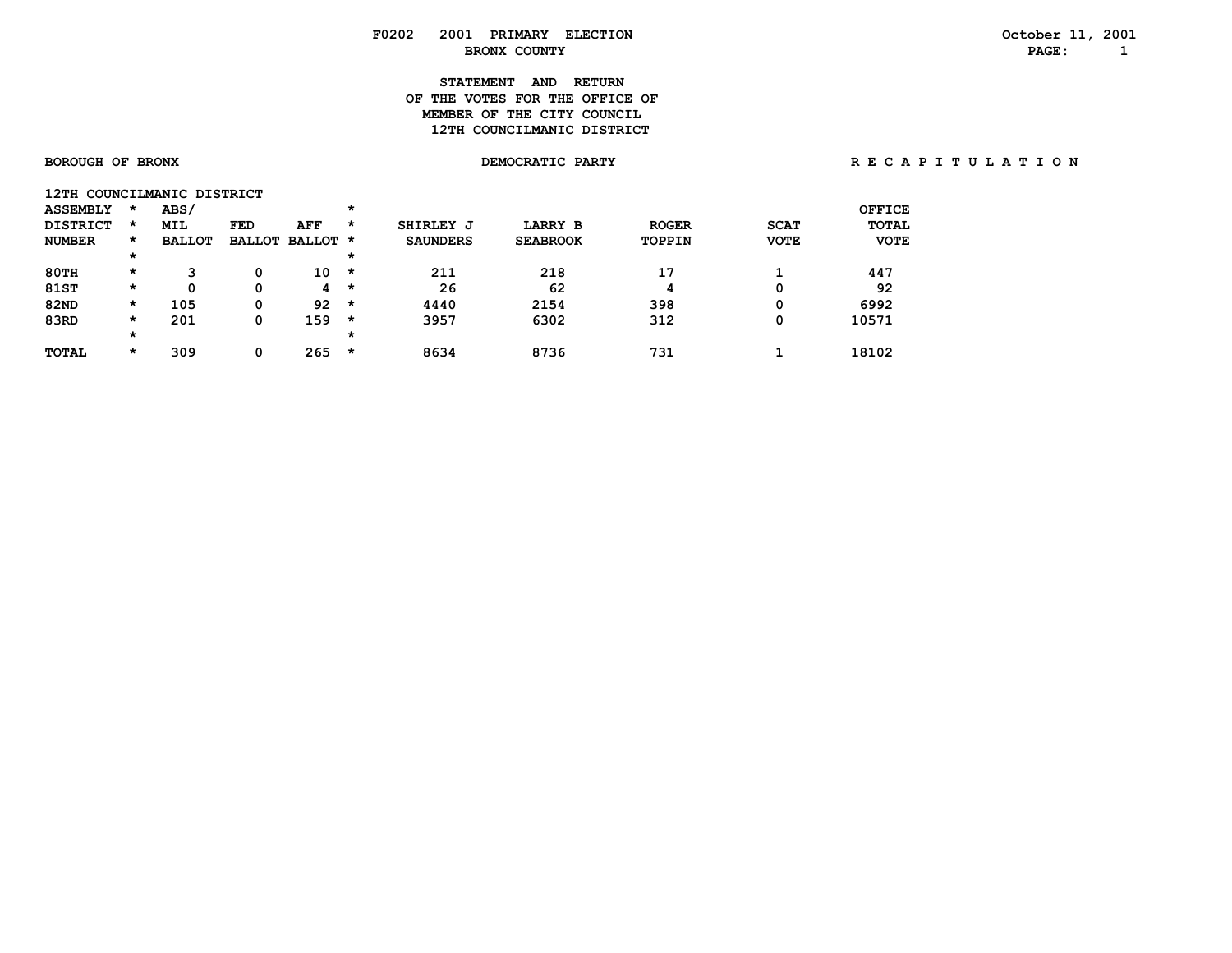# **STATEMENT AND RETURN OF THE VOTES FOR THE OFFICE OFMEMBER OF THE CITY COUNCIL 12TH COUNCILMANIC DISTRICT**

| 12TH            |         | COUNCILMANIC DISTRICT |               |            |         |                 |                 |              |             |              |
|-----------------|---------|-----------------------|---------------|------------|---------|-----------------|-----------------|--------------|-------------|--------------|
| <b>ASSEMBLY</b> | $\star$ | ABS/                  |               |            | $\star$ |                 |                 |              |             | OFFICE       |
| <b>DISTRICT</b> | $\star$ | <b>MIL</b>            | FED           | <b>AFF</b> | *       | SHIRLEY J       | <b>LARRY B</b>  | <b>ROGER</b> | <b>SCAT</b> | <b>TOTAL</b> |
| <b>NUMBER</b>   | $\star$ | <b>BALLOT</b>         | <b>BALLOT</b> | BALLOT *   |         | <b>SAUNDERS</b> | <b>SEABROOK</b> | TOPPIN       | <b>VOTE</b> | <b>VOTE</b>  |
|                 | $\star$ |                       |               |            | $\star$ |                 |                 |              |             |              |
| $80$ TH         | $\star$ | 3                     | 0             | 10         | $\star$ | 211             | 218             | 17           |             | 447          |
| <b>81ST</b>     | $\star$ | 0                     | 0             | 4          | $\star$ | 26              | 62              | 4            | 0           | 92           |
| <b>82ND</b>     | $\star$ | 105                   | 0             | 92         | $\star$ | 4440            | 2154            | 398          | 0           | 6992         |
| 83RD            | $\star$ | 201                   | 0             | 159        | $\star$ | 3957            | 6302            | 312          | 0           | 10571        |
|                 | $\star$ |                       |               |            | $\star$ |                 |                 |              |             |              |
| <b>TOTAL</b>    | $\star$ | 309                   | 0             | 265        | $\star$ | 8634            | 8736            | 731          |             | 18102        |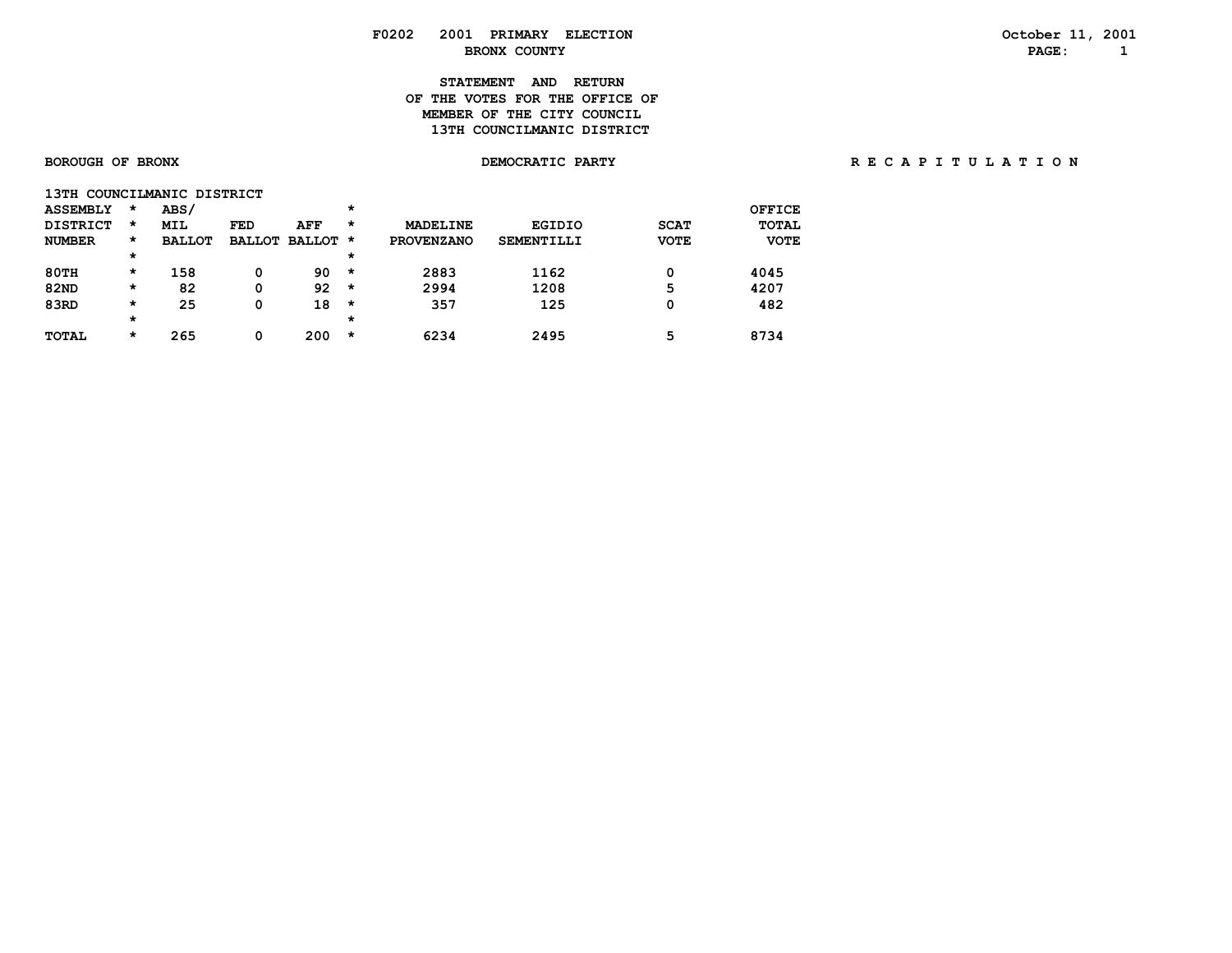# **STATEMENT AND RETURN OF THE VOTES FOR THE OFFICE OFMEMBER OF THE CITY COUNCIL**

# **13TH COUNCILMANIC DISTRICT**

| 13TH COUNCILMANIC DISTRICT |         |               |            |                 |         |                   |                   |             |              |
|----------------------------|---------|---------------|------------|-----------------|---------|-------------------|-------------------|-------------|--------------|
| <b>ASSEMBLY</b>            | $\star$ | ABS/          |            |                 | $\star$ |                   |                   |             | OFFICE       |
| <b>DISTRICT</b>            | $\star$ | <b>MIL</b>    | <b>FED</b> | AFF             | *       | <b>MADELINE</b>   | <b>EGIDIO</b>     | <b>SCAT</b> | <b>TOTAL</b> |
| <b>NUMBER</b>              | *       | <b>BALLOT</b> |            | BALLOT BALLOT * |         | <b>PROVENZANO</b> | <b>SEMENTILLI</b> | <b>VOTE</b> | <b>VOTE</b>  |
|                            | *       |               |            |                 | $\star$ |                   |                   |             |              |
| 80TH                       | *       | 158           | 0          | 90              | $\star$ | 2883              | 1162              | 0           | 4045         |
| <b>82ND</b>                | *       | 82            | 0          | 92              | $\star$ | 2994              | 1208              | 5           | 4207         |
| 83RD                       | *       | 25            | 0          | 18              | $\star$ | 357               | 125               | 0           | 482          |
|                            | *       |               |            |                 | $\star$ |                   |                   |             |              |
| <b>TOTAL</b>               | *       | 265           | 0          | 200             | $\star$ | 6234              | 2495              | 5           | 8734         |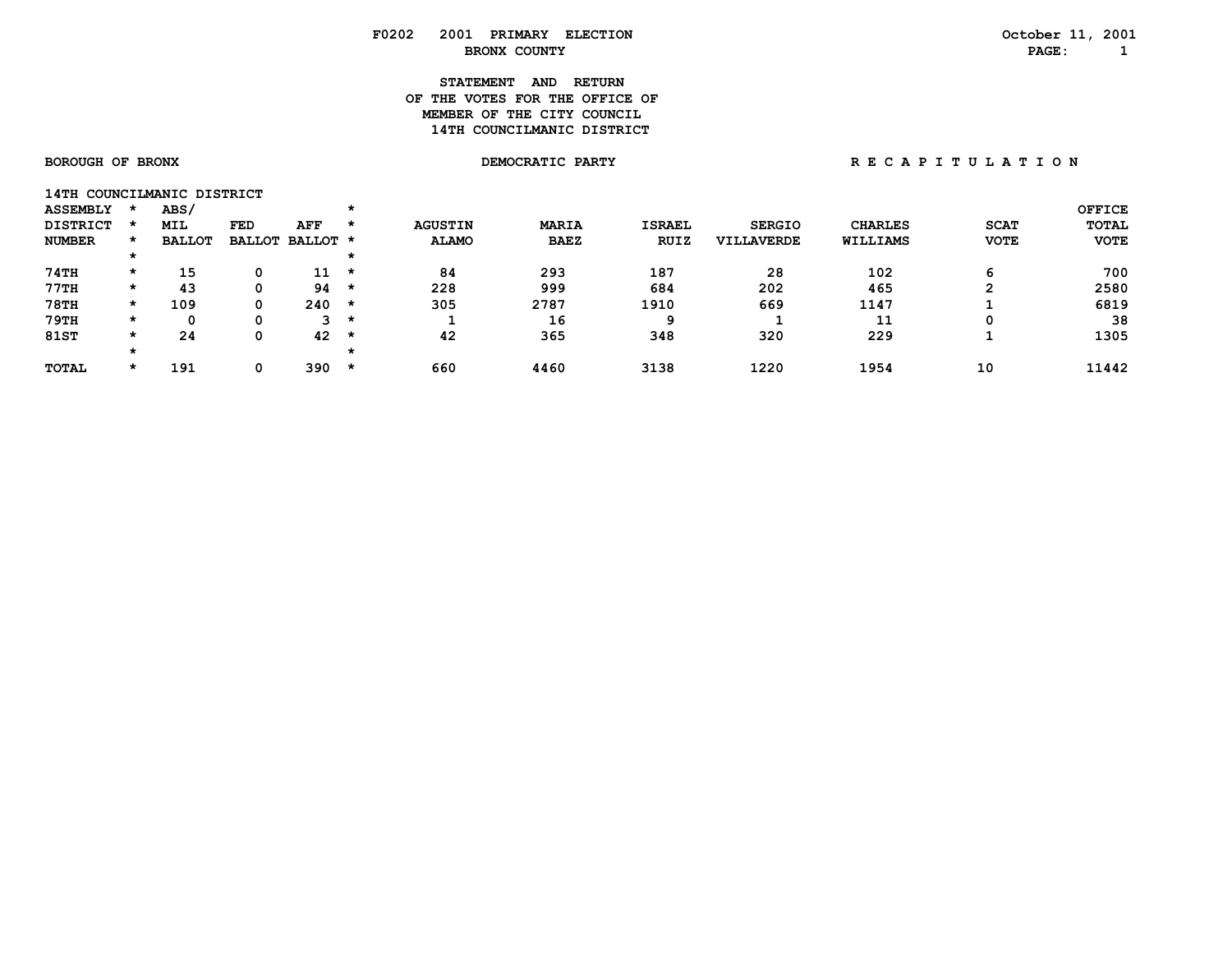# **STATEMENT AND RETURN OF THE VOTES FOR THE OFFICE OFMEMBER OF THE CITY COUNCIL 14TH COUNCILMANIC DISTRICT**

**14TH COUNCILMANIC DISTRICT** 

| <b>ASSEMBLY</b> |         | ABS/          |            |                 |         |                |              |               |                   |                |             | <b>OFFICE</b> |
|-----------------|---------|---------------|------------|-----------------|---------|----------------|--------------|---------------|-------------------|----------------|-------------|---------------|
| <b>DISTRICT</b> |         | <b>MIL</b>    | <b>FED</b> | AFF             | $\star$ | <b>AGUSTIN</b> | <b>MARIA</b> | <b>ISRAEL</b> | <b>SERGIO</b>     | <b>CHARLES</b> | <b>SCAT</b> | <b>TOTAL</b>  |
| <b>NUMBER</b>   |         | <b>BALLOT</b> |            | BALLOT BALLOT * |         | <b>ALAMO</b>   | <b>BAEZ</b>  | <b>RUIZ</b>   | <b>VILLAVERDE</b> | WILLIAMS       | <b>VOTE</b> | <b>VOTE</b>   |
|                 |         |               |            |                 |         |                |              |               |                   |                |             |               |
| 74TH            | *       | 15            | 0          | 11              | *       | 84             | 293          | 187           | 28                | 102            |             | 700           |
| 77TH            | $\star$ | 43            |            | 94              | $\star$ | 228            | 999          | 684           | 202               | 465            | ົ           | 2580          |
| <b>78TH</b>     | *       | 109           | 0          | 240             | $\star$ | 305            | 2787         | 1910          | 669               | 1147           |             | 6819          |
| <b>79TH</b>     | $\star$ | 0             | Ω          | -2              | $\star$ |                | 16           |               |                   | 11             | 0           | 38            |
| <b>81ST</b>     | *       | 24            | 0          | 42              | $\star$ | 42             | 365          | 348           | 320               | 229            |             | 1305          |
|                 |         |               |            |                 |         |                |              |               |                   |                |             |               |
| <b>TOTAL</b>    | $\star$ | 191           | 0          | 390             | *       | 660            | 4460         | 3138          | 1220              | 1954           | 10          | 11442         |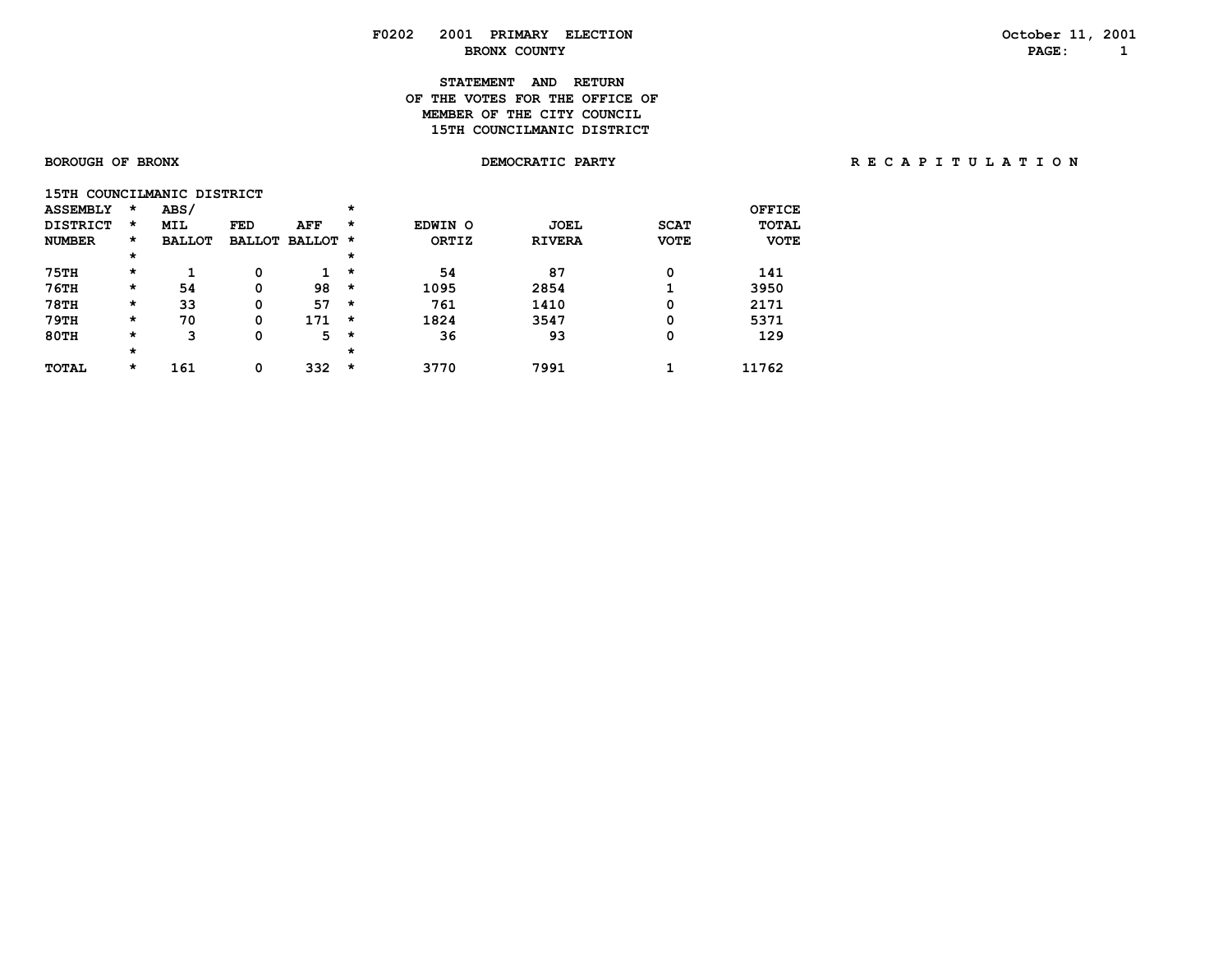# **STATEMENT AND RETURN OF THE VOTES FOR THE OFFICE OFMEMBER OF THE CITY COUNCIL 15TH COUNCILMANIC DISTRICT**

| 15TH COUNCILMANIC DISTRICT |         |               |               |               |         |              |               |             |              |
|----------------------------|---------|---------------|---------------|---------------|---------|--------------|---------------|-------------|--------------|
| <b>ASSEMBLY</b>            | $\star$ | ABS/          |               |               | $\star$ |              |               |             | OFFICE       |
| <b>DISTRICT</b>            | $\star$ | <b>MIL</b>    | <b>FED</b>    | <b>AFF</b>    | $\star$ | EDWIN O      | <b>JOEL</b>   | <b>SCAT</b> | <b>TOTAL</b> |
| <b>NUMBER</b>              | *       | <b>BALLOT</b> | <b>BALLOT</b> | <b>BALLOT</b> | $\star$ | <b>ORTIZ</b> | <b>RIVERA</b> | <b>VOTE</b> | <b>VOTE</b>  |
|                            | *       |               |               |               | $\star$ |              |               |             |              |
| <b>75TH</b>                | $\star$ |               | 0             |               | $\star$ | 54           | 87            | 0           | 141          |
| $76$ TH                    | *       | 54            | 0             | 98            | $\star$ | 1095         | 2854          | ٠           | 3950         |
| <b>78TH</b>                | $\star$ | 33            | 0             | 57            | $\star$ | 761          | 1410          | 0           | 2171         |
| 79TH                       | $\star$ | 70            | 0             | 171           | $\star$ | 1824         | 3547          | 0           | 5371         |
| 80TH                       | *       | 3             | 0             | 5             | $\star$ | 36           | 93            | 0           | 129          |
|                            | $\star$ |               |               |               | $\star$ |              |               |             |              |
| <b>TOTAL</b>               | *       | 161           | 0             | 332           | $\star$ | 3770         | 7991          |             | 11762        |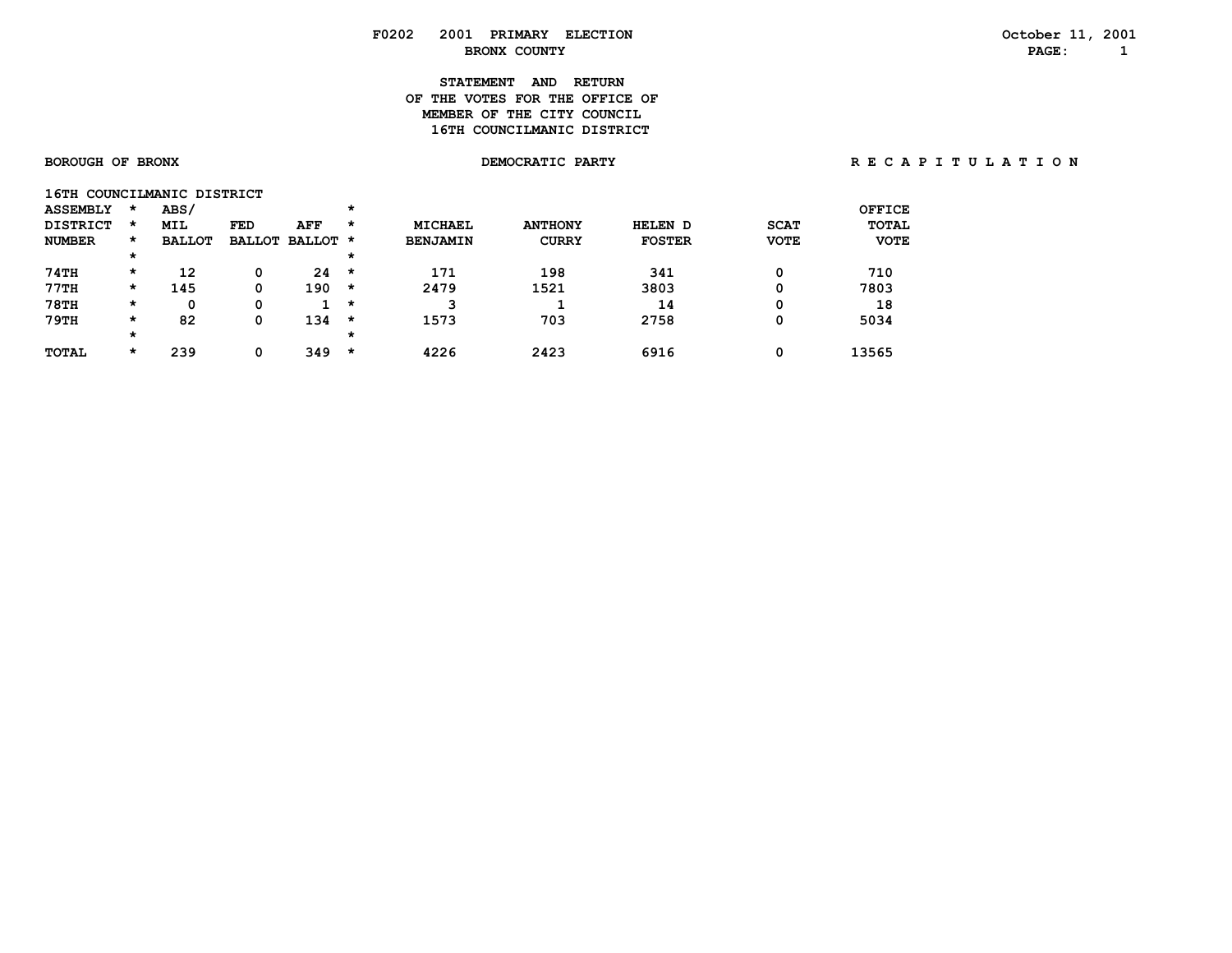# **F0202 2001 PRIMARY ELECTION October 11, 2001**

# **STATEMENT AND RETURN OF THE VOTES FOR THE OFFICE OFMEMBER OF THE CITY COUNCIL 16TH COUNCILMANIC DISTRICT**

 **BOROUGH OF BRONX DEMOCRATIC PARTY R E C A P I T U L A T I O N**

| 16TH COUNCILMANIC DISTRICT |         |               |     |                 |         |                 |                |               |             |             |
|----------------------------|---------|---------------|-----|-----------------|---------|-----------------|----------------|---------------|-------------|-------------|
| <b>ASSEMBLY</b>            | $\star$ | ABS/          |     |                 | $\star$ |                 |                |               |             | OFFICE      |
| <b>DISTRICT</b>            | $\star$ | <b>MIL</b>    | FED | AFF             | $\star$ | <b>MICHAEL</b>  | <b>ANTHONY</b> | HELEN D       | <b>SCAT</b> | TOTAL       |
| <b>NUMBER</b>              | $\star$ | <b>BALLOT</b> |     | BALLOT BALLOT * |         | <b>BENJAMIN</b> | <b>CURRY</b>   | <b>FOSTER</b> | <b>VOTE</b> | <b>VOTE</b> |
|                            | $\star$ |               |     |                 | $\star$ |                 |                |               |             |             |
| 74TH                       | $\star$ | 12            | 0   | 24              | $\star$ | 171             | 198            | 341           | 0           | 710         |
| 77TH                       | $\star$ | 145           | 0   | 190             | *       | 2479            | 1521           | 3803          | 0           | 7803        |
| <b>78TH</b>                | $\star$ | 0             | 0   |                 | *       | 3               |                | 14            | 0           | 18          |
| 79TH                       | $\star$ | 82            | 0   | 134             | *       | 1573            | 703            | 2758          | 0           | 5034        |
|                            | $\star$ |               |     |                 | $\star$ |                 |                |               |             |             |
| <b>TOTAL</b>               | $\star$ | 239           | 0   | 349             | *       | 4226            | 2423           | 6916          | 0           | 13565       |

 **BRONX COUNTY PAGE: 1**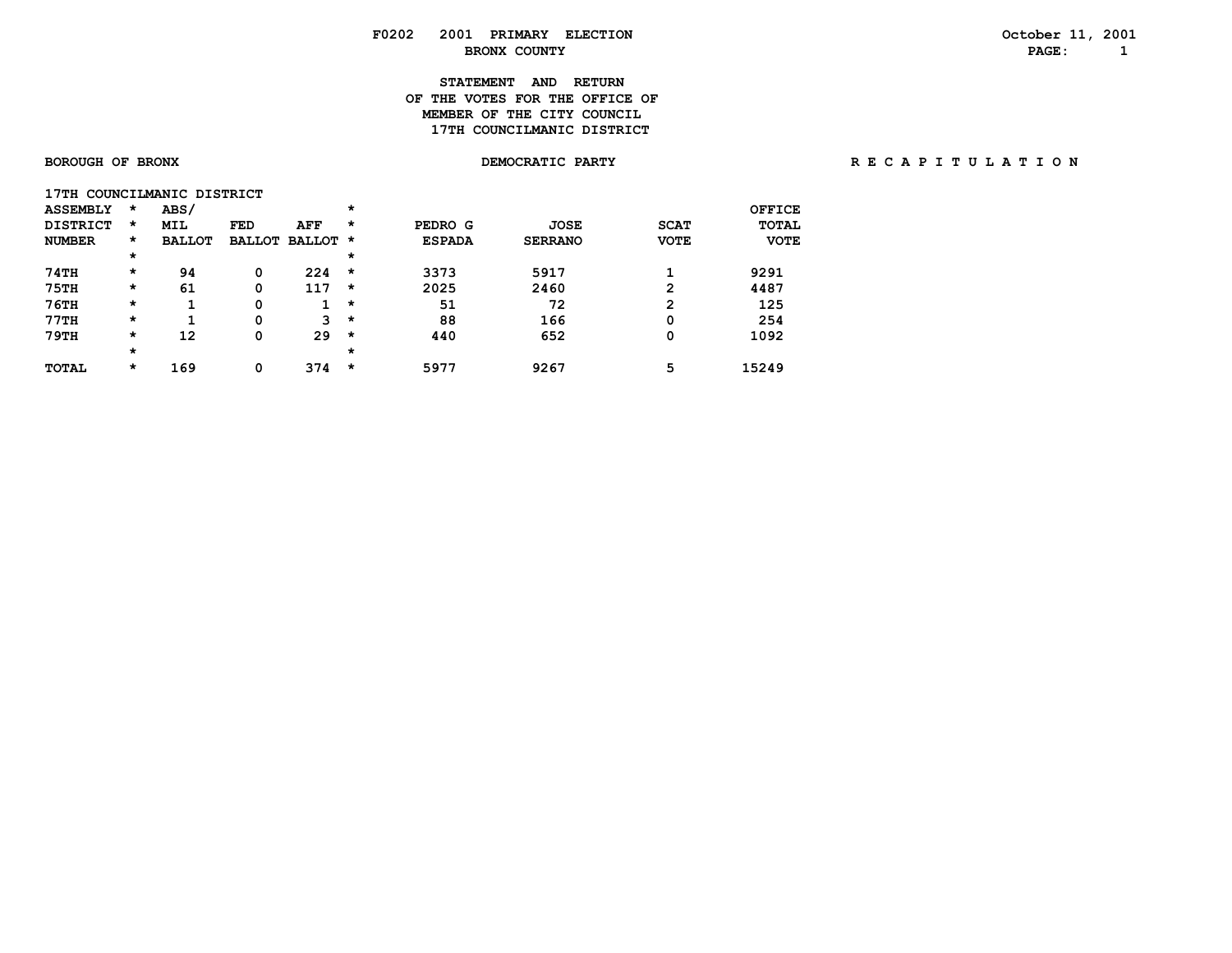# **STATEMENT AND RETURN OF THE VOTES FOR THE OFFICE OFMEMBER OF THE CITY COUNCIL 17TH COUNCILMANIC DISTRICT**

| 17TH COUNCILMANIC DISTRICT |         |               |               |               |          |               |                |             |               |
|----------------------------|---------|---------------|---------------|---------------|----------|---------------|----------------|-------------|---------------|
| <b>ASSEMBLY</b>            | $\star$ | ABS/          |               |               | $\star$  |               |                |             | <b>OFFICE</b> |
| <b>DISTRICT</b>            | $\star$ | <b>MIL</b>    | <b>FED</b>    | <b>AFF</b>    | $\star$  | PEDRO G       | <b>JOSE</b>    | <b>SCAT</b> | <b>TOTAL</b>  |
| <b>NUMBER</b>              | *       | <b>BALLOT</b> | <b>BALLOT</b> | <b>BALLOT</b> | $\star$  | <b>ESPADA</b> | <b>SERRANO</b> | <b>VOTE</b> | <b>VOTE</b>   |
|                            | *       |               |               |               | $\star$  |               |                |             |               |
| 74TH                       | *       | 94            | 0             | 224           | $\star$  | 3373          | 5917           |             | 9291          |
| <b>75TH</b>                | *       | 61            | 0             | 117           | *        | 2025          | 2460           | 2           | 4487          |
| <b>76TH</b>                | *       | ٠             | 0             |               | $^\star$ | 51            | 72             | 2           | 125           |
| 77TH                       | *       |               | 0             | 3             | $\star$  | 88            | 166            | 0           | 254           |
| 79TH                       | *       | 12            | 0             | 29            | $^\star$ | 440           | 652            | 0           | 1092          |
|                            | *       |               |               |               | $\star$  |               |                |             |               |
| <b>TOTAL</b>               | $\star$ | 169           | 0             | 374           | *        | 5977          | 9267           | 5           | 15249         |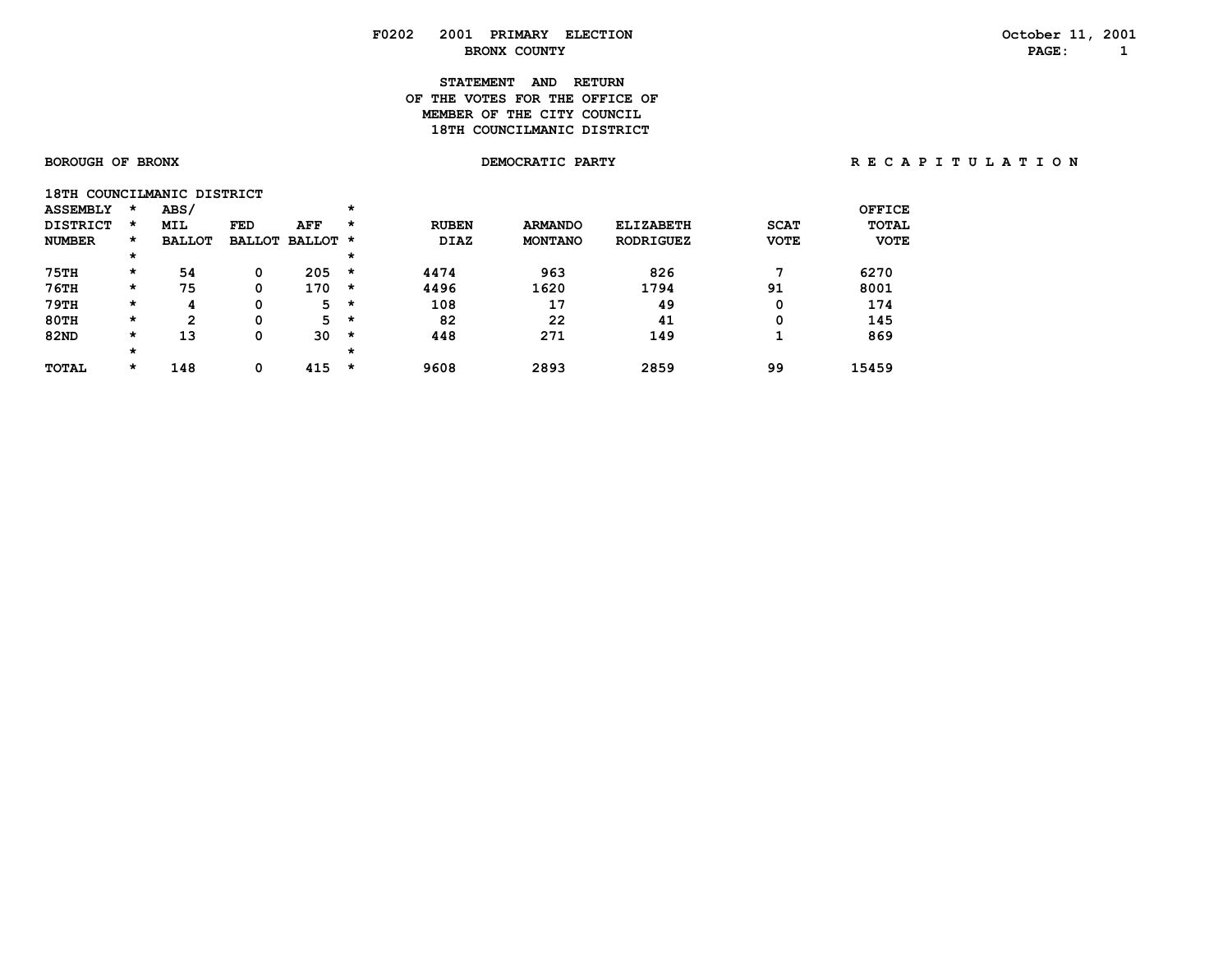# **STATEMENT AND RETURN OF THE VOTES FOR THE OFFICE OFMEMBER OF THE CITY COUNCIL** 18TH COUNCILMANIC DISTRICT

| 18TH            |         | COUNCILMANIC DISTRICT |            |                      |   |              |                |                  |             |               |
|-----------------|---------|-----------------------|------------|----------------------|---|--------------|----------------|------------------|-------------|---------------|
| <b>ASSEMBLY</b> | *       | ABS/                  |            |                      | * |              |                |                  |             | <b>OFFICE</b> |
| <b>DISTRICT</b> | $\star$ | <b>MIL</b>            | <b>FED</b> | AFF                  | * | <b>RUBEN</b> | <b>ARMANDO</b> | <b>ELIZABETH</b> | <b>SCAT</b> | <b>TOTAL</b>  |
| <b>NUMBER</b>   | $\star$ | <b>BALLOT</b>         |            | <b>BALLOT BALLOT</b> | * | <b>DIAZ</b>  | <b>MONTANO</b> | <b>RODRIGUEZ</b> | <b>VOTE</b> | <b>VOTE</b>   |
|                 | $\star$ |                       |            |                      | * |              |                |                  |             |               |
| <b>75TH</b>     | $\star$ | 54                    | 0          | 205                  | * | 4474         | 963            | 826              | ¬           | 6270          |
| 76TH            | $\star$ | 75                    | 0          | 170                  | * | 4496         | 1620           | 1794             | 91          | 8001          |
| 79TH            | $\star$ | 4                     | Ω          | 5                    | * | 108          | 17             | 49               | 0           | 174           |
| 80TH            | $\star$ | 2                     | 0          | 5                    | * | 82           | 22             | 41               | 0           | 145           |
| <b>82ND</b>     | $\star$ | 13                    | 0          | 30                   | * | 448          | 271            | 149              |             | 869           |
|                 | $\star$ |                       |            |                      | * |              |                |                  |             |               |
| <b>TOTAL</b>    | *       | 148                   | 0          | 415                  | * | 9608         | 2893           | 2859             | 99          | 15459         |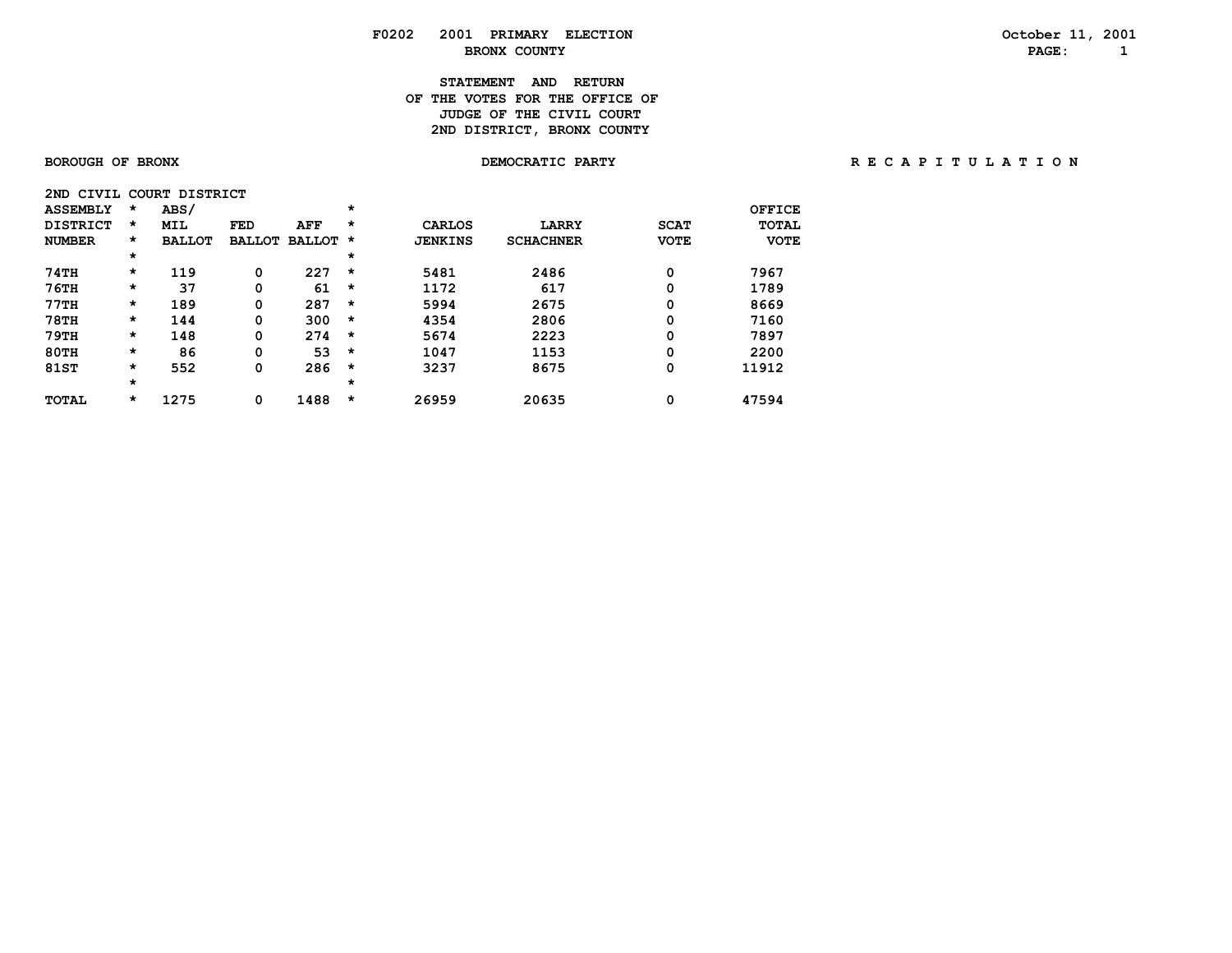# **STATEMENT AND RETURN OF THE VOTES FOR THE OFFICE OF JUDGE OF THE CIVIL COURT** 2ND DISTRICT, BRONX COUNTY

| CIVIL<br>2ND.   |          | <b>DISTRICT</b><br><b>COURT</b> |               |               |         |                |                  |             |              |
|-----------------|----------|---------------------------------|---------------|---------------|---------|----------------|------------------|-------------|--------------|
| <b>ASSEMBLY</b> | $\star$  | ABS/                            |               |               | $\star$ |                |                  |             | OFFICE       |
| <b>DISTRICT</b> | $\star$  | <b>MIL</b>                      | <b>FED</b>    | AFF           | $\star$ | <b>CARLOS</b>  | <b>LARRY</b>     | <b>SCAT</b> | <b>TOTAL</b> |
| <b>NUMBER</b>   | *        | <b>BALLOT</b>                   | <b>BALLOT</b> | <b>BALLOT</b> | *       | <b>JENKINS</b> | <b>SCHACHNER</b> | <b>VOTE</b> | <b>VOTE</b>  |
|                 | $^\star$ |                                 |               |               | $\star$ |                |                  |             |              |
| 74TH            | $\star$  | 119                             | 0             | 227           | $\star$ | 5481           | 2486             | 0           | 7967         |
| $76$ TH         | $\star$  | 37                              | 0             | 61            | $\star$ | 1172           | 617              | 0           | 1789         |
| 77TH            | $\star$  | 189                             | 0             | 287           | $\star$ | 5994           | 2675             | 0           | 8669         |
| <b>78TH</b>     | $\star$  | 144                             | 0             | 300           | $\star$ | 4354           | 2806             | 0           | 7160         |
| 79TH            | $\star$  | 148                             | 0             | 274           | $\star$ | 5674           | 2223             | 0           | 7897         |
| $80$ TH         | *        | 86                              | 0             | 53            | $\star$ | 1047           | 1153             | 0           | 2200         |
| <b>81ST</b>     | *        | 552                             | 0             | 286           | $\star$ | 3237           | 8675             | 0           | 11912        |
|                 | $\star$  |                                 |               |               | $\star$ |                |                  |             |              |
| <b>TOTAL</b>    | *        | 1275                            | 0             | 1488          | $\star$ | 26959          | 20635            | 0           | 47594        |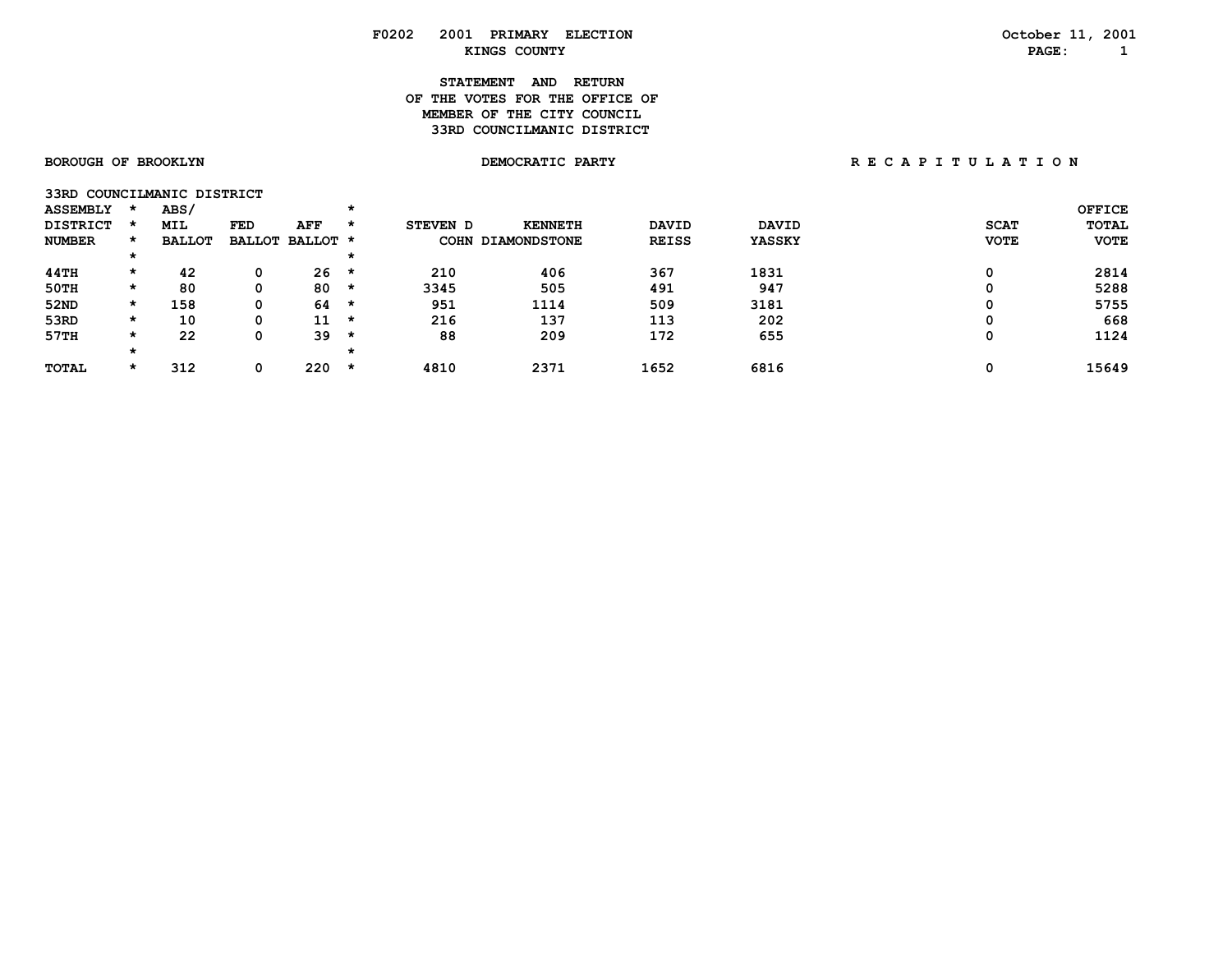# **STATEMENT AND RETURN OF THE VOTES FOR THE OFFICE OFMEMBER OF THE CITY COUNCIL 33RD COUNCILMANIC DISTRICT**

|  |  | <b>SOROUGH OF BROOKLYN</b> |
|--|--|----------------------------|
|--|--|----------------------------|

**33RD COUNCILMANIC DISTRICT** 

| <b>ASSEMBLY</b> |         | ABS/          |     |                 |         |          |                   |              |              |             | <b>OFFICE</b> |
|-----------------|---------|---------------|-----|-----------------|---------|----------|-------------------|--------------|--------------|-------------|---------------|
| <b>DISTRICT</b> |         | <b>MIL</b>    | FED | <b>AFF</b>      | $\star$ | STEVEN D | <b>KENNETH</b>    | <b>DAVID</b> | <b>DAVID</b> | <b>SCAT</b> | <b>TOTAL</b>  |
| <b>NUMBER</b>   |         | <b>BALLOT</b> |     | BALLOT BALLOT * |         |          | COHN DIAMONDSTONE | <b>REISS</b> | YASSKY       | <b>VOTE</b> | <b>VOTE</b>   |
|                 | *       |               |     |                 |         |          |                   |              |              |             |               |
| 44TH            | $\star$ | 42            |     | 26              | $\star$ | 210      | 406               | 367          | 1831         |             | 2814          |
| 50TH            | *       | 80            | 0   | 80              | $\star$ | 3345     | 505               | 491          | 947          |             | 5288          |
| 52ND            | *       | 158           | 0   | 64              | $\star$ | 951      | 1114              | 509          | 3181         |             | 5755          |
| 53RD            | $\star$ | 10            | 0   | 11              | $\star$ | 216      | 137               | 113          | 202          |             | 668           |
| 57TH            | *       | 22            | 0   | 39              | *       | 88       | 209               | 172          | 655          |             | 1124          |
|                 | *       |               |     |                 |         |          |                   |              |              |             |               |
| <b>TOTAL</b>    | *       | 312           |     | 220             | *       | 4810     | 2371              | 1652         | 6816         |             | 15649         |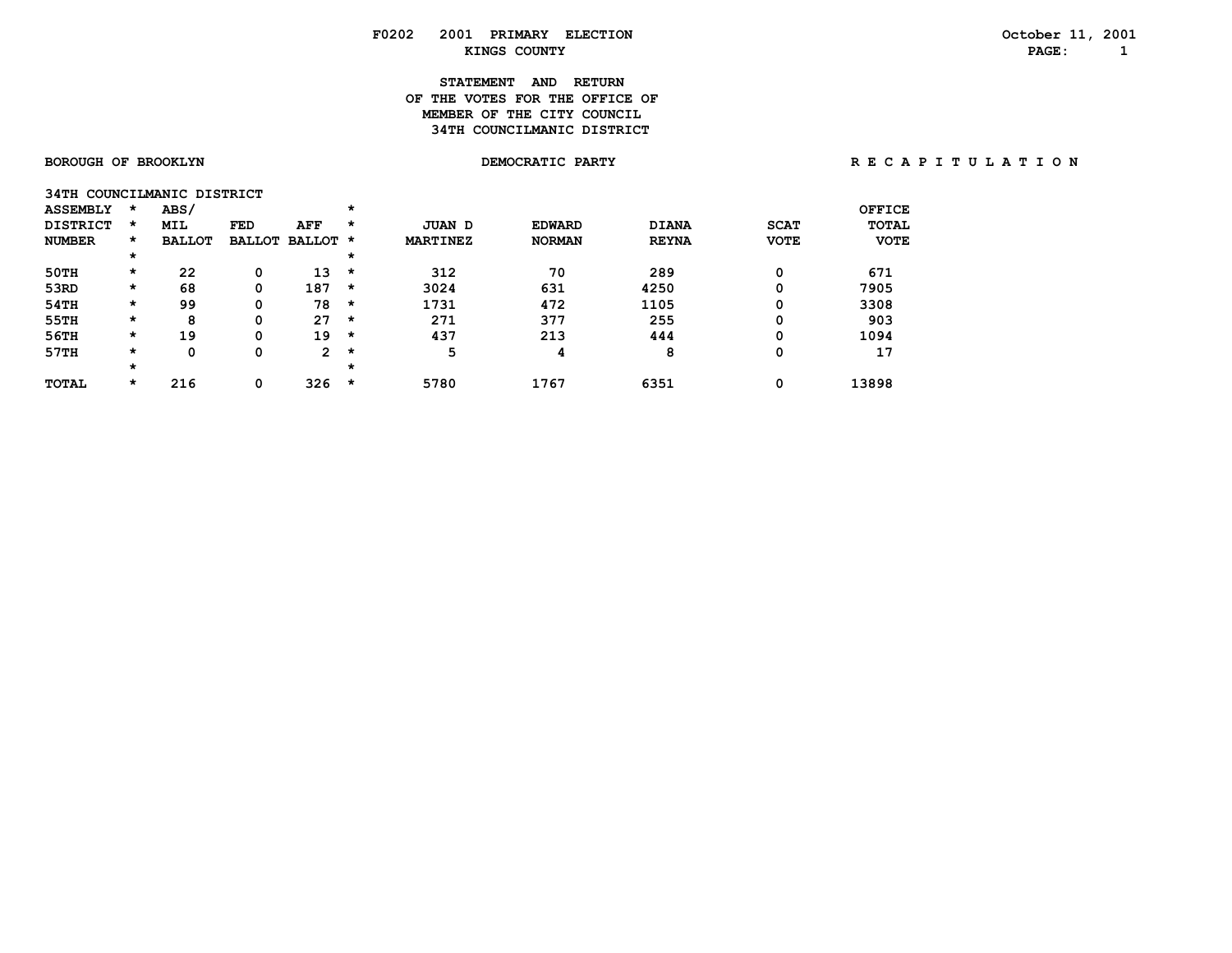# **STATEMENT AND RETURN OF THE VOTES FOR THE OFFICE OFMEMBER OF THE CITY COUNCIL 34TH COUNCILMANIC DISTRICT**

| 34TH            |         | COUNCILMANIC DISTRICT |               |                      |         |                 |               |              |             |               |
|-----------------|---------|-----------------------|---------------|----------------------|---------|-----------------|---------------|--------------|-------------|---------------|
| <b>ASSEMBLY</b> | *       | ABS/                  |               |                      | $\star$ |                 |               |              |             | <b>OFFICE</b> |
| <b>DISTRICT</b> | $\star$ | MIL                   | <b>FED</b>    | AFF                  | *       | JUAN D          | <b>EDWARD</b> | <b>DIANA</b> | <b>SCAT</b> | <b>TOTAL</b>  |
| <b>NUMBER</b>   | $\star$ | <b>BALLOT</b>         | <b>BALLOT</b> | <b>BALLOT</b>        | $\star$ | <b>MARTINEZ</b> | <b>NORMAN</b> | <b>REYNA</b> | <b>VOTE</b> | <b>VOTE</b>   |
|                 | $\star$ |                       |               |                      | *       |                 |               |              |             |               |
| 50TH            | $\star$ | 22                    | 0             | 13                   | $\star$ | 312             | 70            | 289          | 0           | 671           |
| 53RD            | $\star$ | 68                    | 0             | 187                  | *       | 3024            | 631           | 4250         | 0           | 7905          |
| 54TH            | $\star$ | 99                    | 0             | 78                   | *       | 1731            | 472           | 1105         | 0           | 3308          |
| 55TH            | $\star$ | 8                     | 0             | 27                   | *       | 271             | 377           | 255          | 0           | 903           |
| 56TH            | $\star$ | 19                    | 0             | 19                   | *       | 437             | 213           | 444          | 0           | 1094          |
| 57TH            | $\star$ | 0                     | 0             | $\mathbf{2}^{\circ}$ | *       | 5               | 4             | 8            | 0           | 17            |
|                 | $\star$ |                       |               |                      | *       |                 |               |              |             |               |
| <b>TOTAL</b>    | $\star$ | 216                   | 0             | 326                  | *       | 5780            | 1767          | 6351         | 0           | 13898         |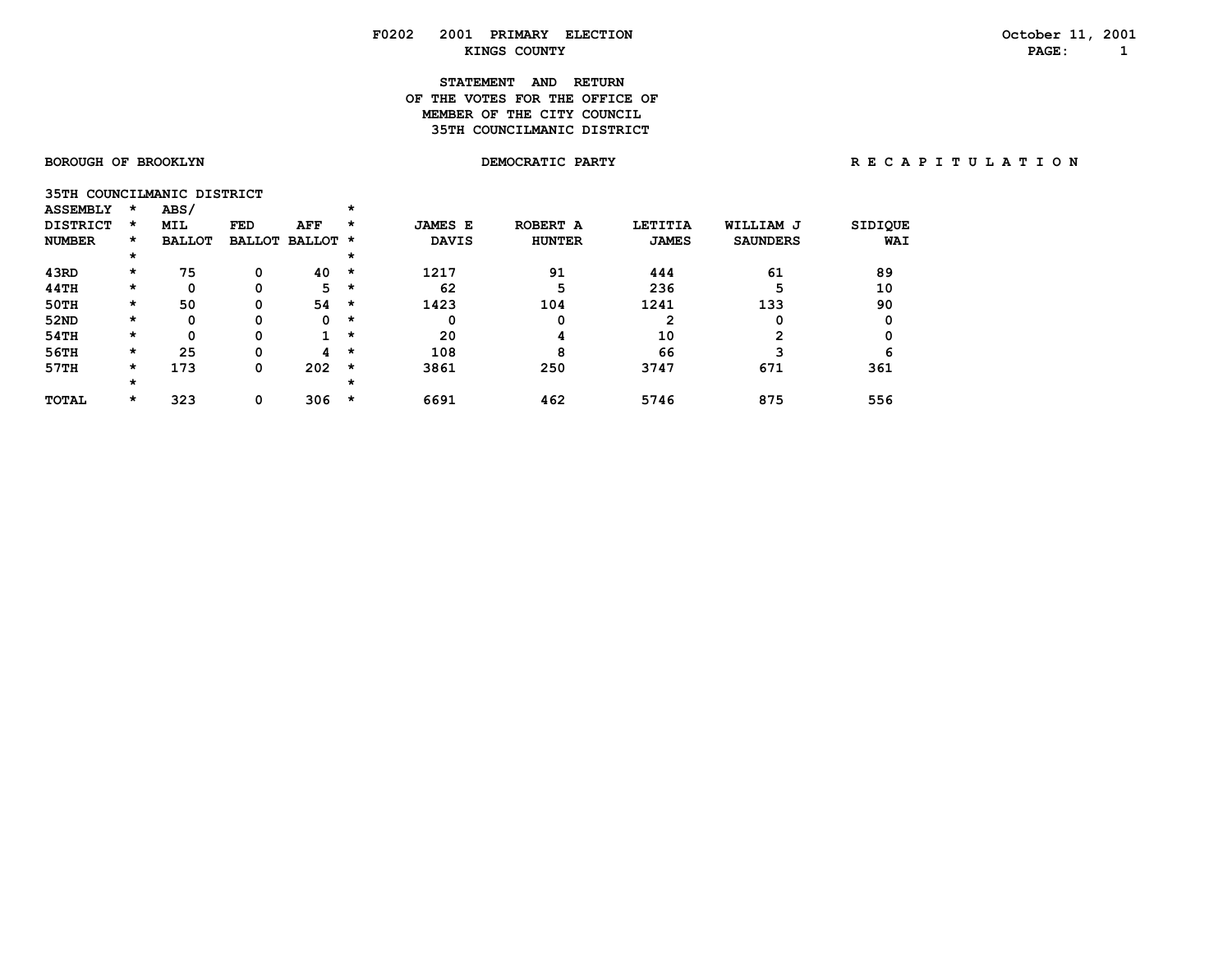# **STATEMENT AND RETURN OF THE VOTES FOR THE OFFICE OFMEMBER OF THE CITY COUNCIL 35TH COUNCILMANIC DISTRICT**

|                 |      | 35TH COUNCILMANIC DISTRICT |  |
|-----------------|------|----------------------------|--|
| <b>ASSEMBLY</b> | ARS/ |                            |  |

| .               |         |               |     |                      |   |                |               |                |                 |                |
|-----------------|---------|---------------|-----|----------------------|---|----------------|---------------|----------------|-----------------|----------------|
| <b>DISTRICT</b> | *       | <b>MIL</b>    | FED | AFF                  | * | <b>JAMES E</b> | ROBERT A      | <b>LETITIA</b> | WILLIAM J       | <b>SIDIQUE</b> |
| <b>NUMBER</b>   | $\star$ | <b>BALLOT</b> |     | <b>BALLOT BALLOT</b> | * | <b>DAVIS</b>   | <b>HUNTER</b> | <b>JAMES</b>   | <b>SAUNDERS</b> | WAI            |
|                 | $\star$ |               |     |                      | * |                |               |                |                 |                |
| 43RD            | $\star$ | 75            | 0   | 40                   | * | 1217           | 91            | 444            | 61              | 89             |
| 44TH            | $\star$ | 0             | 0   | 5.                   | * | 62             | 5             | 236            |                 | 10             |
| 50TH            | $\star$ | 50            | 0   | 54                   | * | 1423           | 104           | 1241           | 133             | 90             |
| 52ND            | $\star$ | 0             | 0   | 0                    | * | 0              | 0             |                |                 |                |
| 54TH            | $\star$ | 0             | 0   | $\mathbf 1$          | * | 20             | 4             | 10             | ົ               |                |
| 56TH            | $\star$ | 25            | 0   | 4                    | * | 108            | 8             | 66             |                 | 6              |
| 57TH            | $\star$ | 173           | 0   | 202                  | * | 3861           | 250           | 3747           | 671             | 361            |
|                 | $\star$ |               |     |                      | × |                |               |                |                 |                |
| <b>TOTAL</b>    | $\star$ | 323           | 0   | 306                  | * | 6691           | 462           | 5746           | 875             | 556            |
|                 |         |               |     |                      |   |                |               |                |                 |                |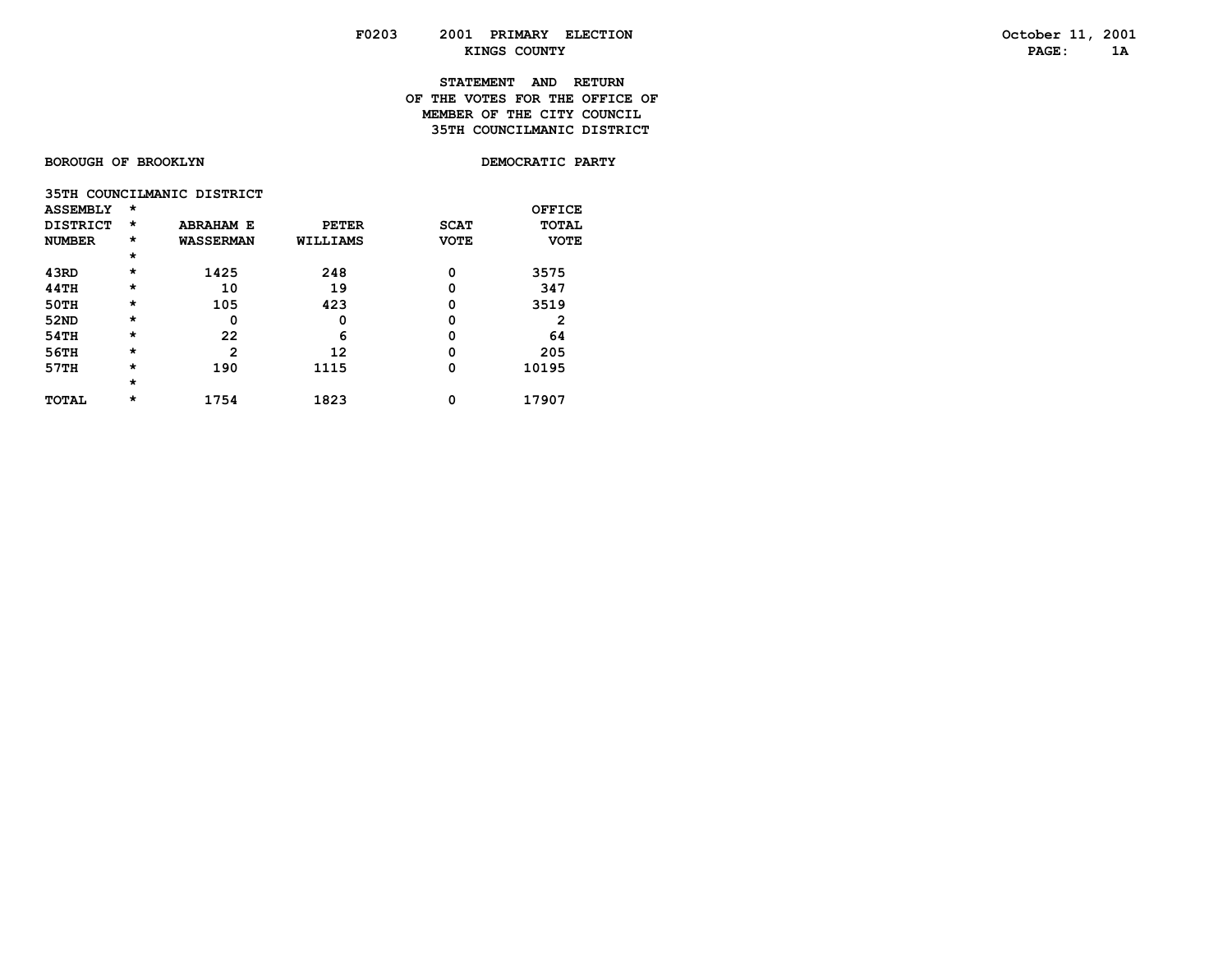# **STATEMENT AND RETURN OF THE VOTES FOR THE OFFICE OFMEMBER OF THE CITY COUNCIL 35TH COUNCILMANIC DISTRICT**

**BOROUGH OF BROOKLYN** 

DEMOCRATIC PARTY

|                 |          | 35TH COUNCILMANIC DISTRICT |              |             |             |
|-----------------|----------|----------------------------|--------------|-------------|-------------|
| <b>ASSEMBLY</b> | $^\star$ |                            |              |             | OFFICE      |
| <b>DISTRICT</b> | $^\star$ | <b>ABRAHAM E</b>           | <b>PETER</b> | <b>SCAT</b> | TOTAL       |
| <b>NUMBER</b>   | $^\star$ | <b>WASSERMAN</b>           | WILLIAMS     | <b>VOTE</b> | <b>VOTE</b> |
|                 | $\star$  |                            |              |             |             |
| 43RD            | $\star$  | 1425                       | 248          | 0           | 3575        |
| 44TH            | $^\star$ | 10                         | 19           | 0           | 347         |
| 50TH            | $\star$  | 105                        | 423          | 0           | 3519        |
| 52ND            | $\star$  | 0                          | 0            | 0           | 2           |
| 54TH            | $\star$  | 22                         | 6            | 0           | 64          |
| 56TH            | $\star$  | 2                          | 12           | 0           | 205         |
| 57TH            | $^\star$ | 190                        | 1115         | 0           | 10195       |
|                 | $\star$  |                            |              |             |             |
| <b>TOTAL</b>    | $\star$  | 1754                       | 1823         | 0           | 17907       |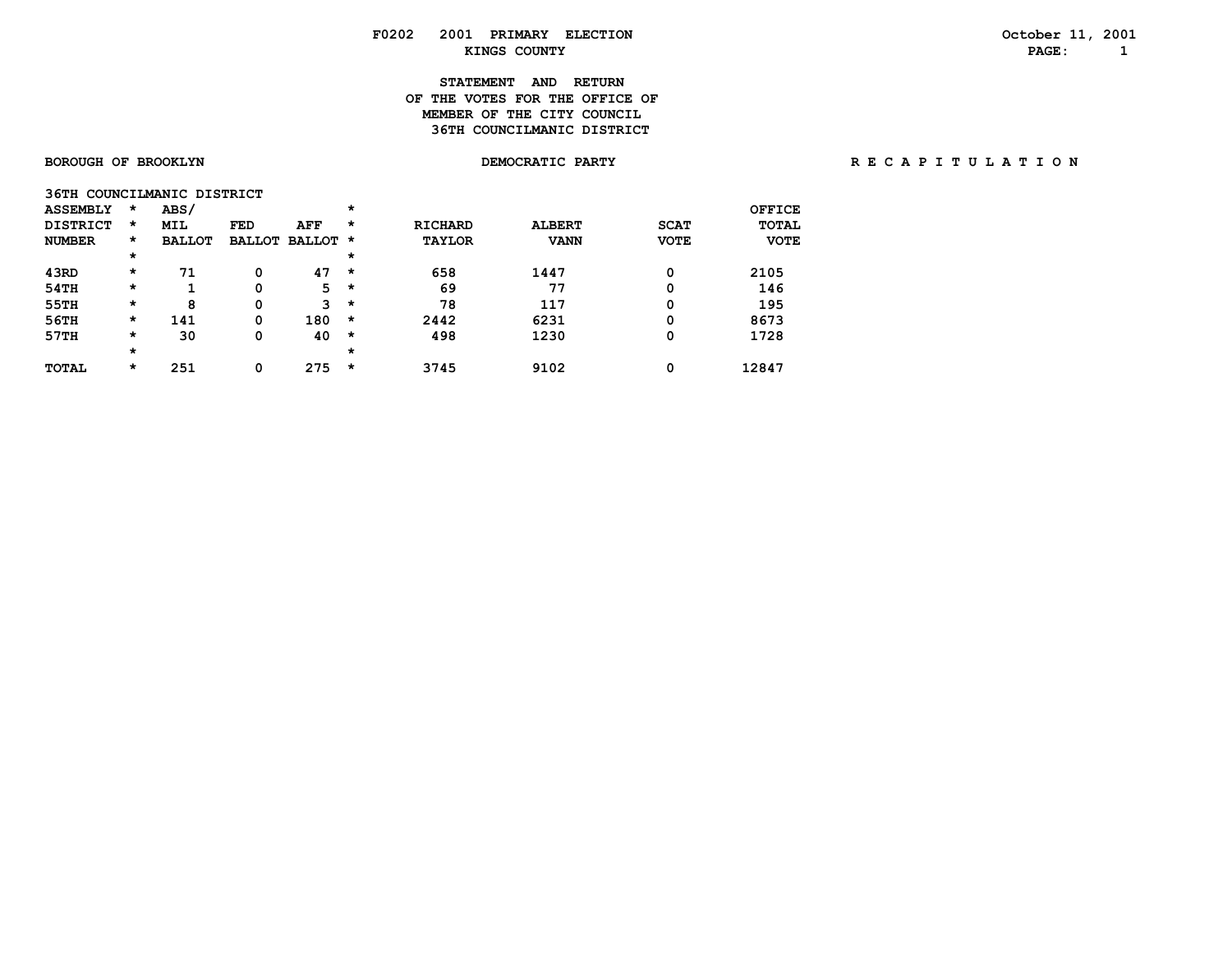# **STATEMENT AND RETURN OF THE VOTES FOR THE OFFICE OFMEMBER OF THE CITY COUNCIL 36TH COUNCILMANIC DISTRICT**

**36TH COUNCILMANIC DISTOR** 

| JUIN COONCILEMENTO DIDINICI |          |               |               |          |          |                |               |             |               |
|-----------------------------|----------|---------------|---------------|----------|----------|----------------|---------------|-------------|---------------|
| <b>ASSEMBLY</b>             | $\star$  | ABS/          |               |          | $^\star$ |                |               |             | <b>OFFICE</b> |
| <b>DISTRICT</b>             | $\star$  | <b>MIL</b>    | <b>FED</b>    | AFF      | $\star$  | <b>RICHARD</b> | <b>ALBERT</b> | <b>SCAT</b> | <b>TOTAL</b>  |
| <b>NUMBER</b>               | *        | <b>BALLOT</b> | <b>BALLOT</b> | BALLOT * |          | <b>TAYLOR</b>  | <b>VANN</b>   | <b>VOTE</b> | <b>VOTE</b>   |
|                             | $^\star$ |               |               |          | $\star$  |                |               |             |               |
| 43RD                        | *        | 71            | 0             | 47       | $\star$  | 658            | 1447          | 0           | 2105          |
| 54TH                        | *        |               | 0             | 5        | $\star$  | 69             | 77            | 0           | 146           |
| 55TH                        | *        | 8             | 0             | 3        | $\star$  | 78             | 117           | 0           | 195           |
| 56TH                        | $\star$  | 141           | 0             | 180      | $\star$  | 2442           | 6231          | 0           | 8673          |
| 57TH                        | *        | 30            | 0             | 40       | $\star$  | 498            | 1230          | 0           | 1728          |
|                             | *        |               |               |          | $\star$  |                |               |             |               |
| <b>TOTAL</b>                | *        | 251           | 0             | 275      | *        | 3745           | 9102          | 0           | 12847         |
|                             |          |               |               |          |          |                |               |             |               |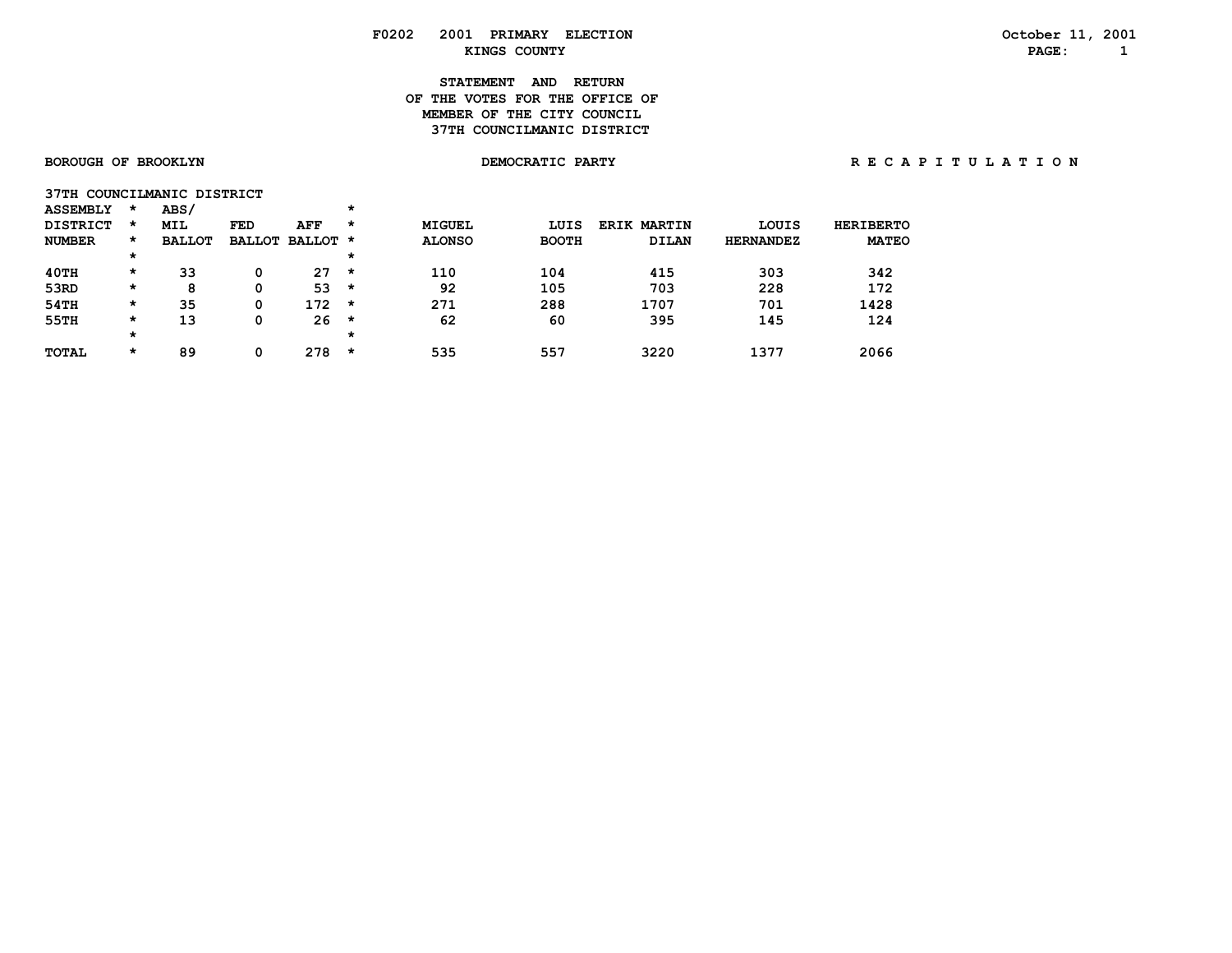# **STATEMENT AND RETURN OF THE VOTES FOR THE OFFICE OFMEMBER OF THE CITY COUNCIL 37TH COUNCILMANIC DISTRICT**

|                 | 37TH COUNCILMANIC DISTRICT |  |
|-----------------|----------------------------|--|
| <b>ASSEMBLY</b> | <b>ABS/</b>                |  |

| <b>DISTRICT</b> | *       | <b>MIL</b>    | FED           | <b>AFF</b> | $\star$ | <b>MIGUEL</b> | LUIS         | <b>ERIK MARTIN</b> | LOUIS            | <b>HERIBERTO</b> |
|-----------------|---------|---------------|---------------|------------|---------|---------------|--------------|--------------------|------------------|------------------|
| <b>NUMBER</b>   | *       | <b>BALLOT</b> | <b>BALLOT</b> | BALLOT *   |         | <b>ALONSO</b> | <b>BOOTH</b> | <b>DILAN</b>       | <b>HERNANDEZ</b> | <b>MATEO</b>     |
|                 | $\star$ |               |               |            | *       |               |              |                    |                  |                  |
| 40TH            | *       | 33            | 0             | 27         | *       | 110           | 104          | 415                | 303              | 342              |
| 53RD            | *       | 8             | 0             | 53         | *       | 92            | 105          | 703                | 228              | 172              |
| 54TH            | *       | 35            | 0             | 172        | *       | 271           | 288          | 1707               | 701              | 1428             |
| 55TH            | *       | 13            | 0             | 26         | *       | 62            | 60           | 395                | 145              | 124              |
|                 | *       |               |               |            | *       |               |              |                    |                  |                  |
| <b>TOTAL</b>    | $\star$ | 89            | 0             | 278        | $\star$ | 535           | 557          | 3220               | 1377             | 2066             |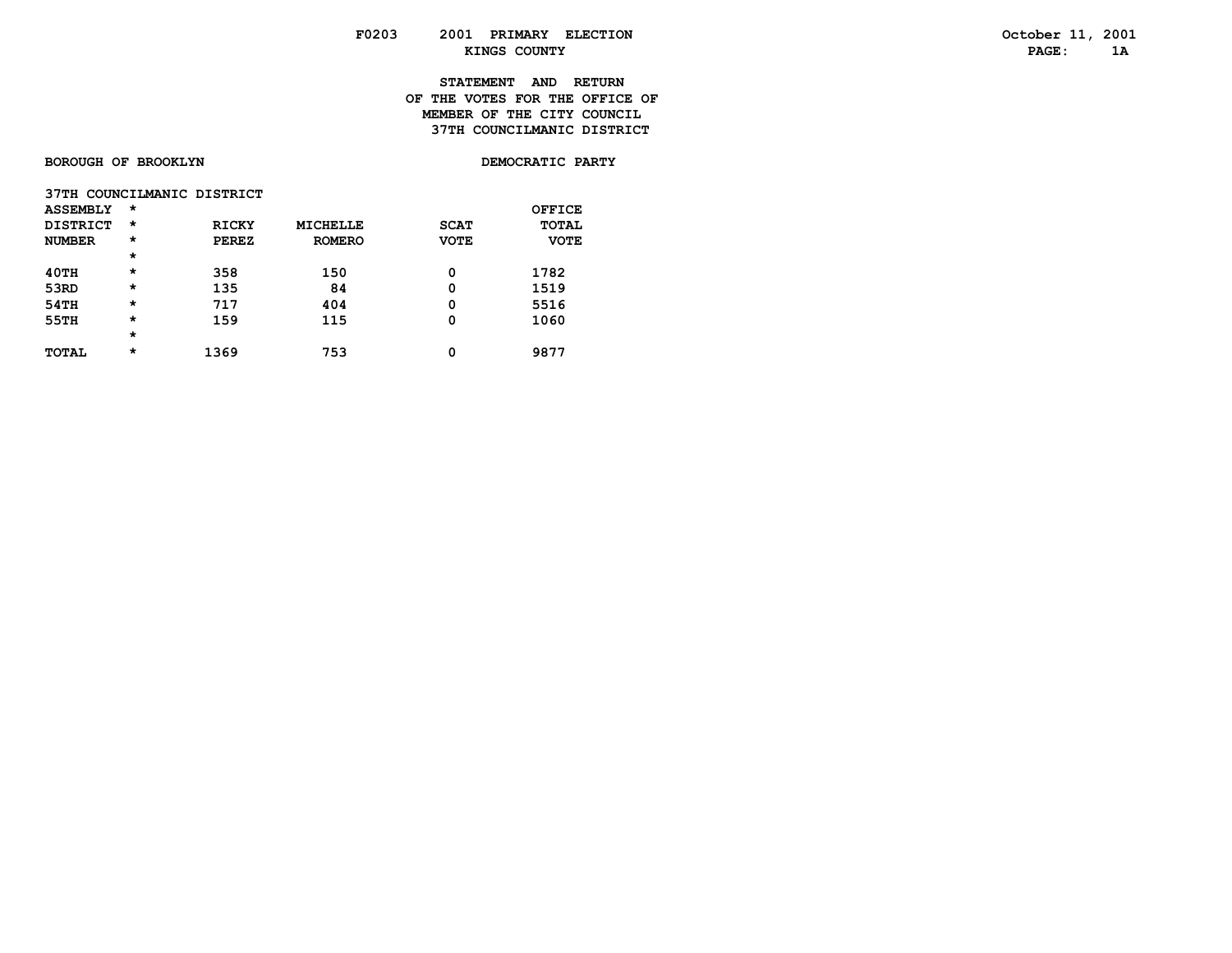# **STATEMENT AND RETURN OF THE VOTES FOR THE OFFICE OFMEMBER OF THE CITY COUNCIL 37TH COUNCILMANIC DISTRICT**

**BOROUGH OF BROOKLYN** 

DEMOCRATIC PARTY

| 37TH COUNCILMANIC DISTRICT |         |              |               |             |             |
|----------------------------|---------|--------------|---------------|-------------|-------------|
| <b>ASSEMBLY</b>            | $\star$ |              |               |             | OFFICE      |
| <b>DISTRICT</b>            | $\star$ | <b>RICKY</b> | MICHELLE      | <b>SCAT</b> | TOTAL       |
| <b>NUMBER</b>              | $\star$ | <b>PEREZ</b> | <b>ROMERO</b> | <b>VOTE</b> | <b>VOTE</b> |
|                            | $\star$ |              |               |             |             |
| 40TH                       | $\star$ | 358          | 150           | 0           | 1782        |
| 53RD                       | $\star$ | 135          | 84            | 0           | 1519        |
| 54TH                       | $\star$ | 717          | 404           | 0           | 5516        |
| 55TH                       | $\star$ | 159          | 115           | 0           | 1060        |
|                            | $\star$ |              |               |             |             |
| <b>TOTAL</b>               | $\star$ | 1369         | 753           | 0           | 9877        |
|                            |         |              |               |             |             |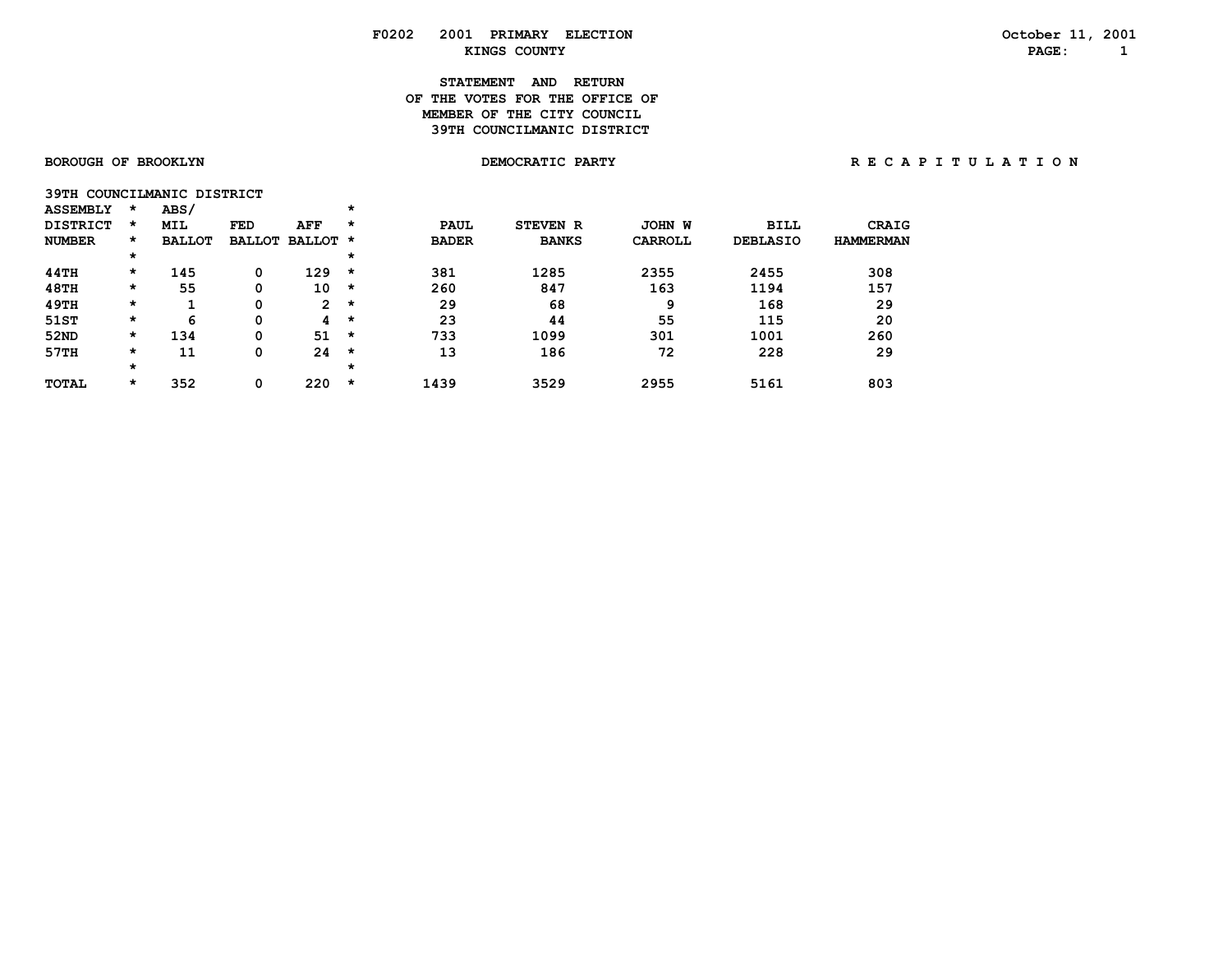# **STATEMENT AND RETURN OF THE VOTES FOR THE OFFICE OFMEMBER OF THE CITY COUNCIL 39TH COUNCILMANIC DISTRICT**

|                 |         | 39TH COUNCILMANIC DISTRICT |  |
|-----------------|---------|----------------------------|--|
| <b>ASSEMBLY</b> | $\star$ | ABS/                       |  |

| .               |          |               |     |                      |   |              |                 |         |                 |                  |
|-----------------|----------|---------------|-----|----------------------|---|--------------|-----------------|---------|-----------------|------------------|
| <b>DISTRICT</b> | *        | MIL           | FED | AFF                  | * | <b>PAUL</b>  | <b>STEVEN R</b> | JOHN W  | <b>BILL</b>     | <b>CRAIG</b>     |
| <b>NUMBER</b>   | $\star$  | <b>BALLOT</b> |     | <b>BALLOT BALLOT</b> | * | <b>BADER</b> | <b>BANKS</b>    | CARROLL | <b>DEBLASIO</b> | <b>HAMMERMAN</b> |
|                 | $^\star$ |               |     |                      | * |              |                 |         |                 |                  |
| 44TH            | $\star$  | 145           | 0   | 129                  | * | 381          | 1285            | 2355    | 2455            | 308              |
| <b>48TH</b>     | *        | 55            | 0   | 10                   | * | 260          | 847             | 163     | 1194            | 157              |
| 49TH            | $\star$  |               | 0   | $\mathbf{2}^{\circ}$ | * | 29           | 68              | 9       | 168             | 29               |
| 51ST            | $^\star$ | 6             |     | 4                    | * | 23           | 44              | 55      | 115             | 20               |
| 52ND            | $\star$  | 134           | 0   | 51                   | * | 733          | 1099            | 301     | 1001            | 260              |
| 57TH            | $\star$  | 11            | 0   | 24                   | * | 13           | 186             | 72      | 228             | 29               |
|                 | $^\star$ |               |     |                      | * |              |                 |         |                 |                  |
| TOTAL           | *        | 352           |     | 220                  | * | 1439         | 3529            | 2955    | 5161            | 803              |
|                 |          |               |     |                      |   |              |                 |         |                 |                  |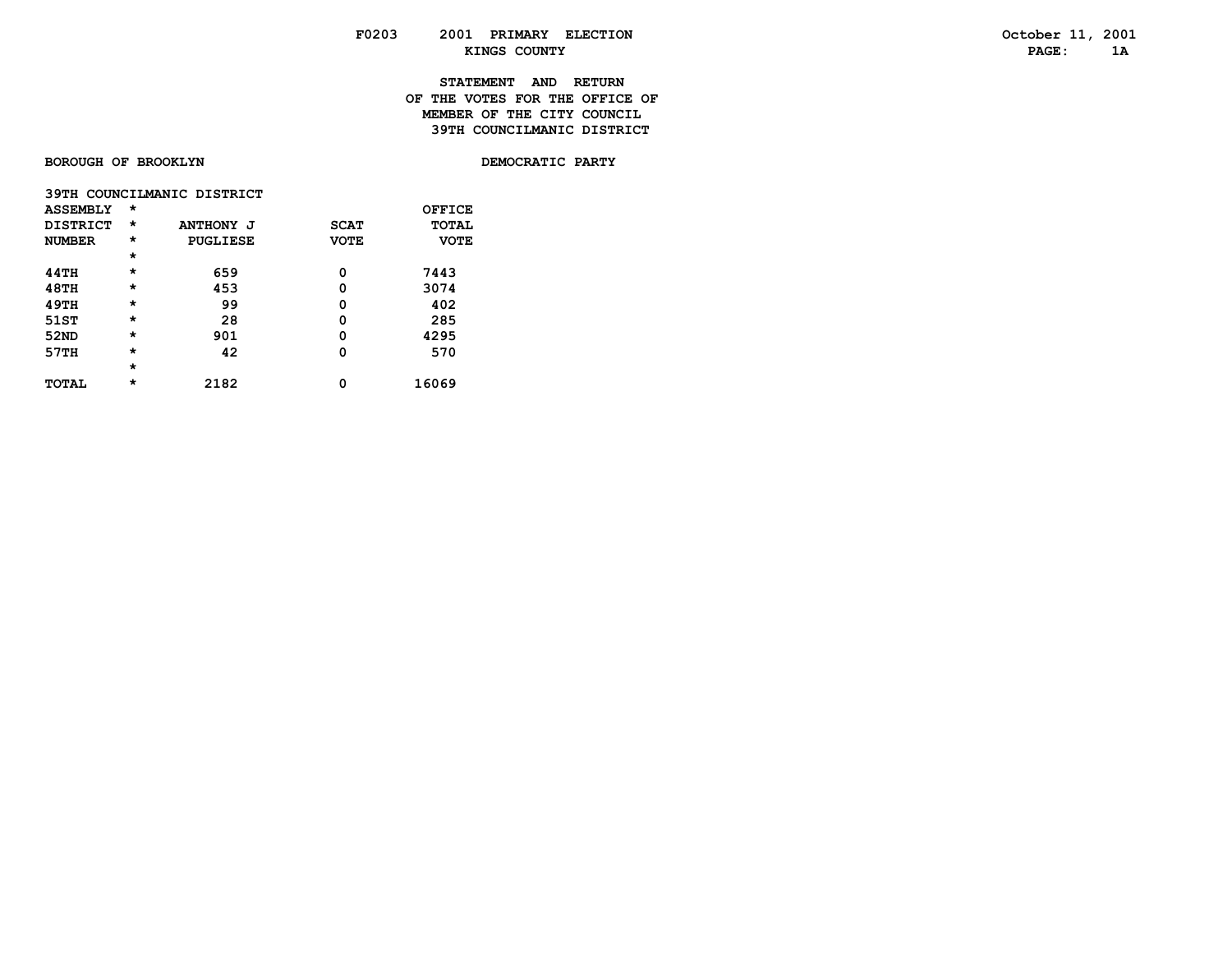# **STATEMENT AND RETURN OF THE VOTES FOR THE OFFICE OFMEMBER OF THE CITY COUNCIL 39TH COUNCILMANIC DISTRICT**

**BOROUGH OF BROOKLYN** 

DEMOCRATIC PARTY

|                 |         | 39TH COUNCILMANIC DISTRICT |             |             |
|-----------------|---------|----------------------------|-------------|-------------|
| <b>ASSEMBLY</b> | $\star$ |                            |             | OFFICE      |
| <b>DISTRICT</b> | $\star$ | <b>ANTHONY J</b>           | <b>SCAT</b> | TOTAL       |
| <b>NUMBER</b>   | $\star$ | PUGLIESE                   | <b>VOTE</b> | <b>VOTE</b> |
|                 | $\star$ |                            |             |             |
| 44TH            | $\star$ | 659                        | 0           | 7443        |
| <b>48TH</b>     | $\star$ | 453                        | 0           | 3074        |
| 49TH            | $\star$ | 99                         | 0           | 402         |
| 51ST            | $\star$ | 28                         | 0           | 285         |
| 52ND            | $\star$ | 901                        | 0           | 4295        |
| 57TH            | $\star$ | 42                         | 0           | 570         |
|                 | $\star$ |                            |             |             |
| <b>TOTAL</b>    | $\star$ | 2182                       | 0           | 16069       |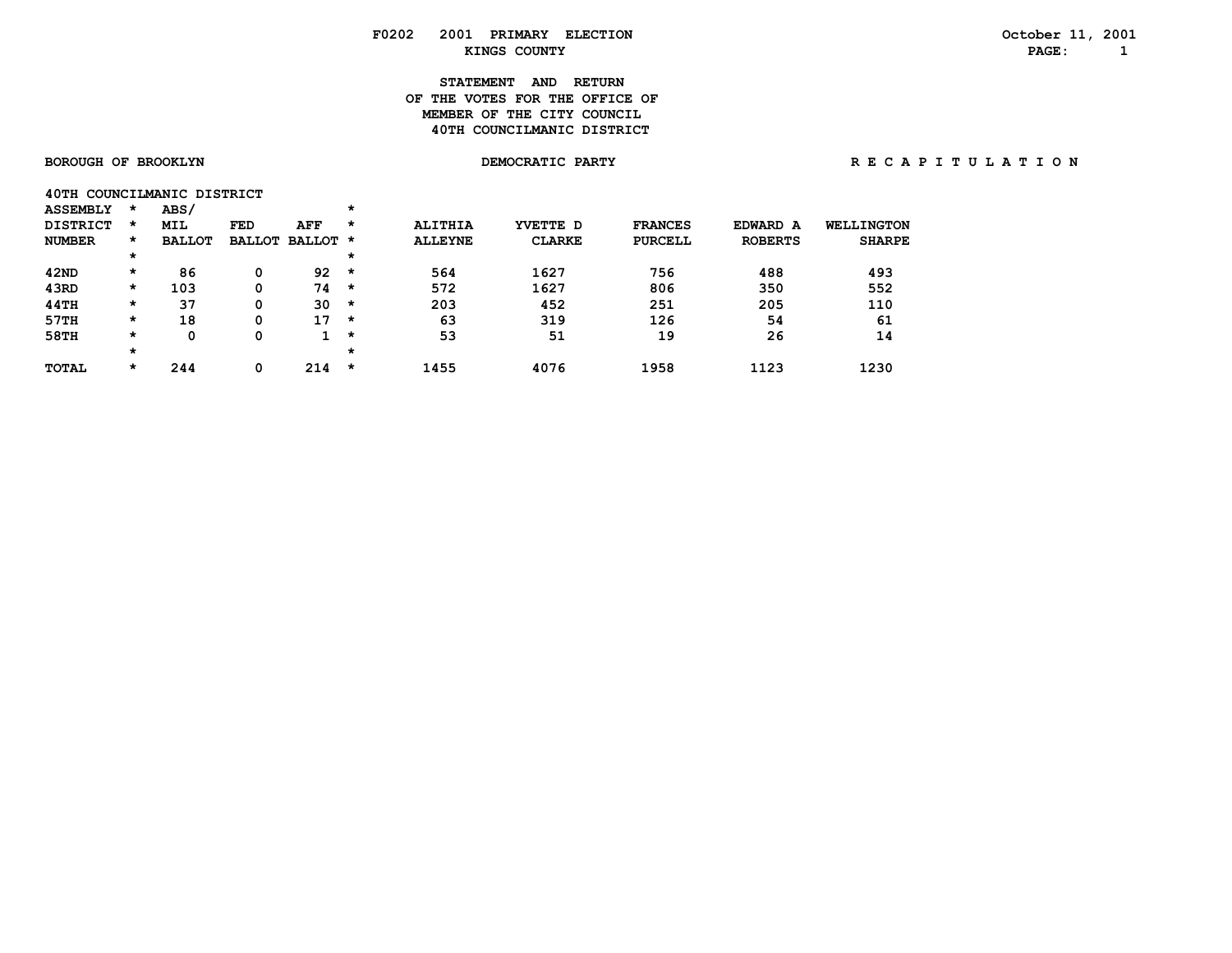# **STATEMENT AND RETURN OF THE VOTES FOR THE OFFICE OF MEMBER OF THE CITY COUNCIL 40TH COUNCILMANIC DISTRICT**

|  |  | <b>BOROUGH OF BROOKLYN</b> |
|--|--|----------------------------|
|--|--|----------------------------|

|                 | 40TH COUNCILMANIC DISTRICT |  |
|-----------------|----------------------------|--|
| <b>ASSEMBLY</b> | ABS/                       |  |

| <b>DISTRICT</b> | $\star$  | MIL           | FED           | AFF           | $\star$  | <b>ALITHIA</b> | YVETTE D      | <b>FRANCES</b> | EDWARD A       | <b>WELLINGTON</b> |
|-----------------|----------|---------------|---------------|---------------|----------|----------------|---------------|----------------|----------------|-------------------|
| <b>NUMBER</b>   | $\star$  | <b>BALLOT</b> | <b>BALLOT</b> | <b>BALLOT</b> | *        | <b>ALLEYNE</b> | <b>CLARKE</b> | <b>PURCELL</b> | <b>ROBERTS</b> | <b>SHARPE</b>     |
|                 | $^\star$ |               |               |               | $^\star$ |                |               |                |                |                   |
| 42ND            | *        | 86            |               | 92            | *        | 564            | 1627          | 756            | 488            | 493               |
| 43RD            | *        | 103           |               | 74            | $\star$  | 572            | 1627          | 806            | 350            | 552               |
| 44TH            | *        | 37            | 0             | 30            | *        | 203            | 452           | 251            | 205            | 110               |
| 57TH            | *        | 18            | 0             | 17            | *        | 63             | 319           | 126            | 54             | 61                |
| 58TH            | *        |               |               |               | $\star$  | 53             | 51            | 19             | 26             | 14                |
|                 | $^\star$ |               |               |               | $^\star$ |                |               |                |                |                   |
| <b>TOTAL</b>    | $\star$  | 244           |               | 214           | $\star$  | 1455           | 4076          | 1958           | 1123           | 1230              |
|                 |          |               |               |               |          |                |               |                |                |                   |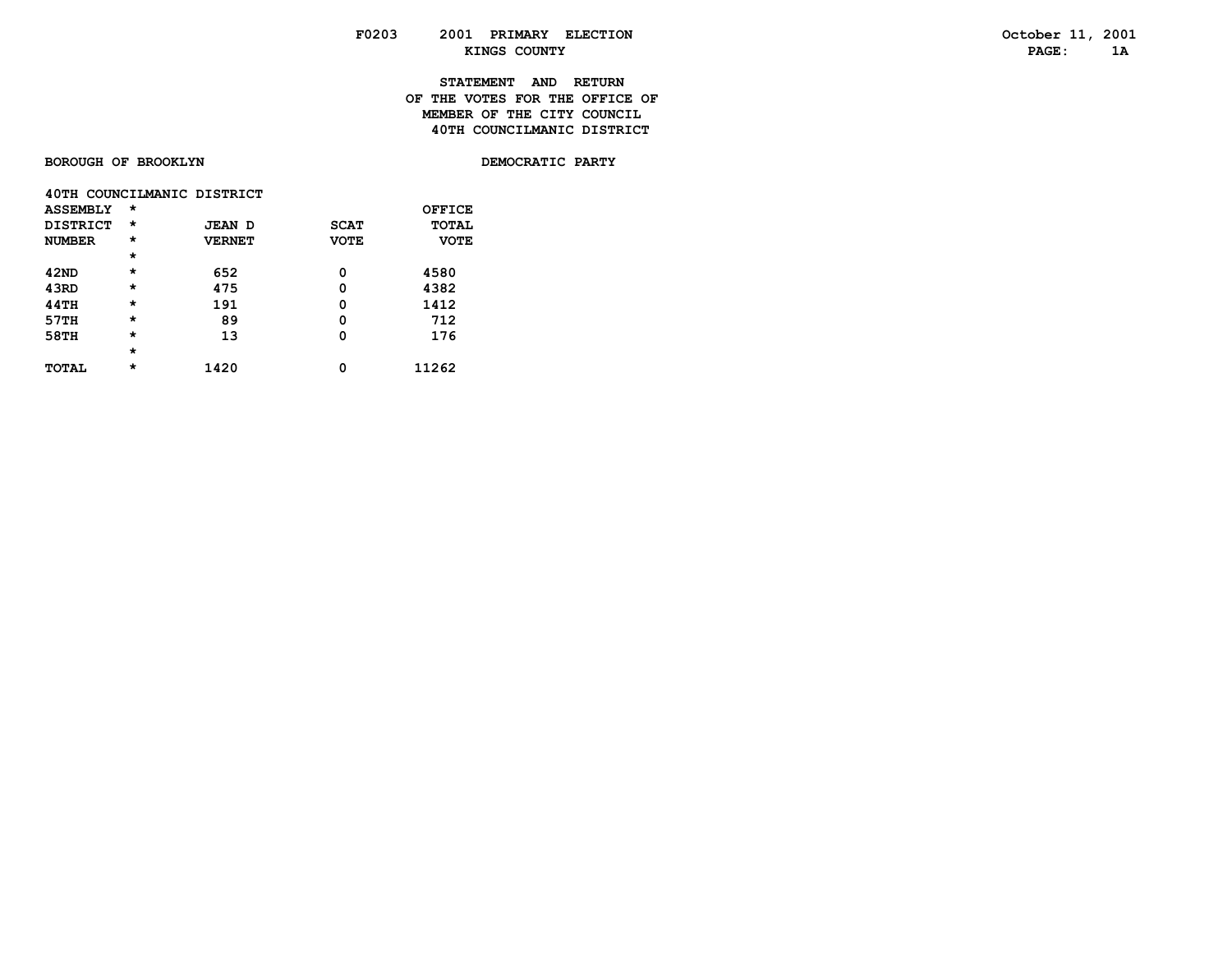# **STATEMENT AND RETURN OF THE VOTES FOR THE OFFICE OFMEMBER OF THE CITY COUNCIL 40TH COUNCILMANIC DISTRICT**

**BOROUGH OF BROOKLYN** 

DEMOCRATIC PARTY

|                 |         | 40TH COUNCILMANIC DISTRICT |             |              |
|-----------------|---------|----------------------------|-------------|--------------|
| <b>ASSEMBLY</b> | $\star$ |                            |             | OFFICE       |
| DISTRICT        | $\star$ | JEAN D                     | <b>SCAT</b> | <b>TOTAL</b> |
| <b>NUMBER</b>   | $\star$ | <b>VERNET</b>              | <b>VOTE</b> | <b>VOTE</b>  |
|                 | $\star$ |                            |             |              |
| 42ND            | $\star$ | 652                        | Ω           | 4580         |
| 43RD            | $\star$ | 475                        | 0           | 4382         |
| <b>44TH</b>     | $\star$ | 191                        | 0           | 1412         |
| 57TH            | $\star$ | 89                         | 0           | 712          |
| 58TH            | $\star$ | 13                         | Ω           | 176          |
|                 | $\star$ |                            |             |              |
| <b>TOTAL</b>    | $\star$ | 1420                       | 0           | 11262        |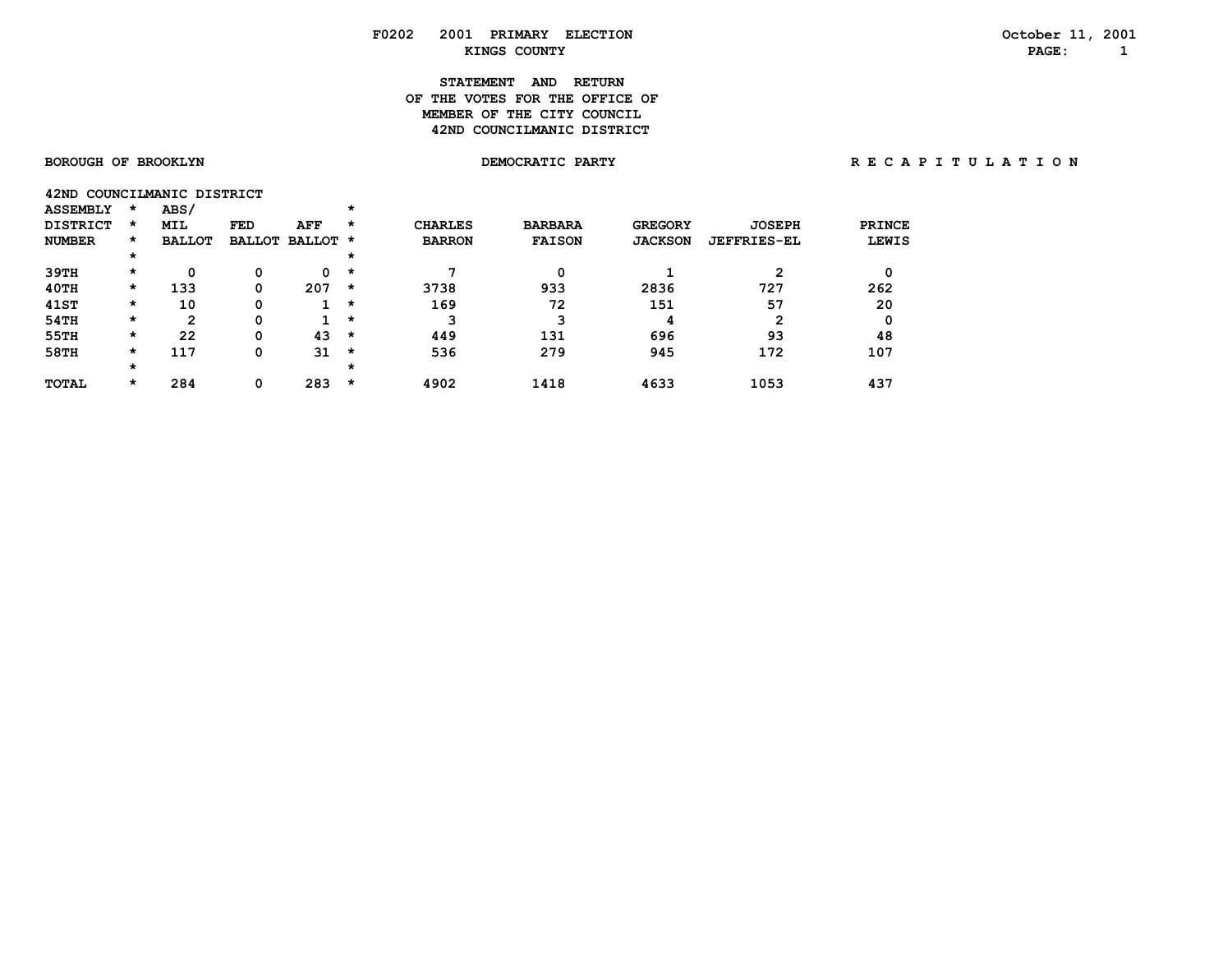# **STATEMENT AND RETURN OF THE VOTES FOR THE OFFICE OFMEMBER OF THE CITY COUNCIL 42ND COUNCILMANIC DISTRICT**

| 42ND COUNCILMANIC DISTRICT |      |  |
|----------------------------|------|--|
| <b>ASSEMBLY</b>            | ARS/ |  |

| .               |         |               |     |                 |         |                |                |                |                    |              |
|-----------------|---------|---------------|-----|-----------------|---------|----------------|----------------|----------------|--------------------|--------------|
| <b>DISTRICT</b> | $\star$ | <b>MIL</b>    | FED | AFF             | $\star$ | <b>CHARLES</b> | <b>BARBARA</b> | <b>GREGORY</b> | <b>JOSEPH</b>      | PRINCE       |
| <b>NUMBER</b>   | $\star$ | <b>BALLOT</b> |     | BALLOT BALLOT * |         | <b>BARRON</b>  | <b>FAISON</b>  | <b>JACKSON</b> | <b>JEFFRIES-EL</b> | <b>LEWIS</b> |
|                 | $\star$ |               |     |                 | $\star$ |                |                |                |                    |              |
| 39TH            | $\star$ | 0             | 0   | 0               | $\star$ |                | 0              |                | 2                  |              |
| 40TH            | $\star$ | 133           | 0   | 207             | $\star$ | 3738           | 933            | 2836           | 727                | 262          |
| 41ST            | $\star$ | 10            | 0   |                 | $\star$ | 169            | 72             | 151            | 57                 | 20           |
| 54TH            | $\star$ | 2             | 0   |                 | $\star$ | 3              |                | 4              | 2                  |              |
| 55TH            | $\star$ | 22            | 0   | 43              | *       | 449            | 131            | 696            | 93                 | 48           |
| 58TH            | $\star$ | 117           | 0   | 31              | $\star$ | 536            | 279            | 945            | 172                | 107          |
|                 | $\star$ |               |     |                 | $\star$ |                |                |                |                    |              |
| <b>TOTAL</b>    | $\star$ | 284           | 0   | 283             | $\star$ | 4902           | 1418           | 4633           | 1053               | 437          |
|                 |         |               |     |                 |         |                |                |                |                    |              |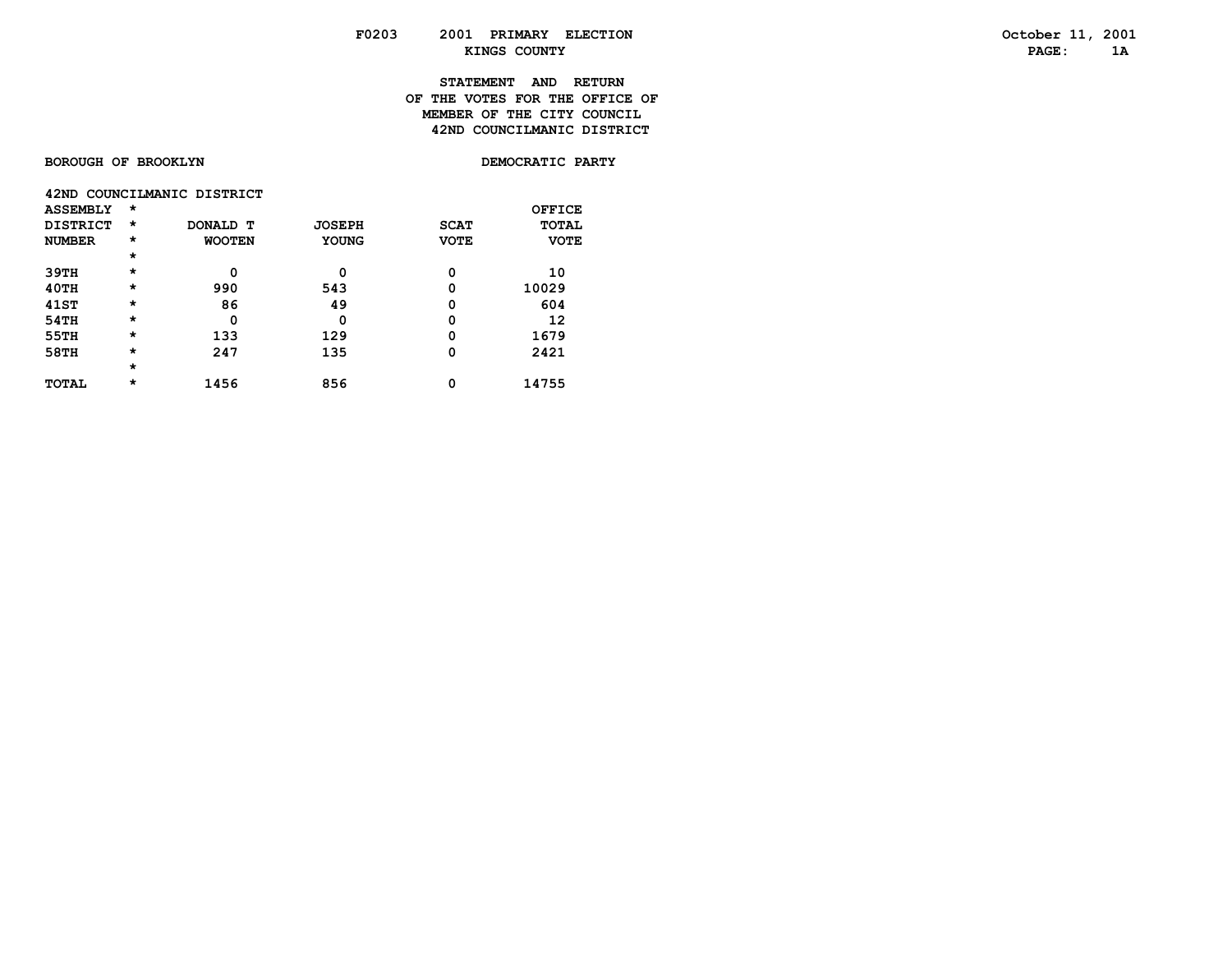# **STATEMENT AND RETURN OF THE VOTES FOR THE OFFICE OFMEMBER OF THE CITY COUNCIL 42ND COUNCILMANIC DISTRICT**

**BOROUGH OF BROOKLYN** 

DEMOCRATIC PARTY

|                 |         | 42ND COUNCILMANIC DISTRICT |               |             |              |
|-----------------|---------|----------------------------|---------------|-------------|--------------|
| <b>ASSEMBLY</b> | $\star$ |                            |               |             | OFFICE       |
| <b>DISTRICT</b> | $\star$ | <b>DONALD T</b>            | <b>JOSEPH</b> | <b>SCAT</b> | <b>TOTAL</b> |
| <b>NUMBER</b>   | $\star$ | <b>WOOTEN</b>              | <b>YOUNG</b>  | <b>VOTE</b> | <b>VOTE</b>  |
|                 | $\star$ |                            |               |             |              |
| 39TH            | $\star$ | 0                          | 0             | 0           | 10           |
| 40TH            | $\star$ | 990                        | 543           | 0           | 10029        |
| <b>41ST</b>     | $\star$ | 86                         | 49            | 0           | 604          |
| 54TH            | $\star$ | 0                          | Ω             | 0           | 12           |
| 55TH            | $\star$ | 133                        | 129           | 0           | 1679         |
| 58TH            | $\star$ | 247                        | 135           | 0           | 2421         |
|                 | $\star$ |                            |               |             |              |
| <b>TOTAL</b>    | $\star$ | 1456                       | 856           | 0           | 14755        |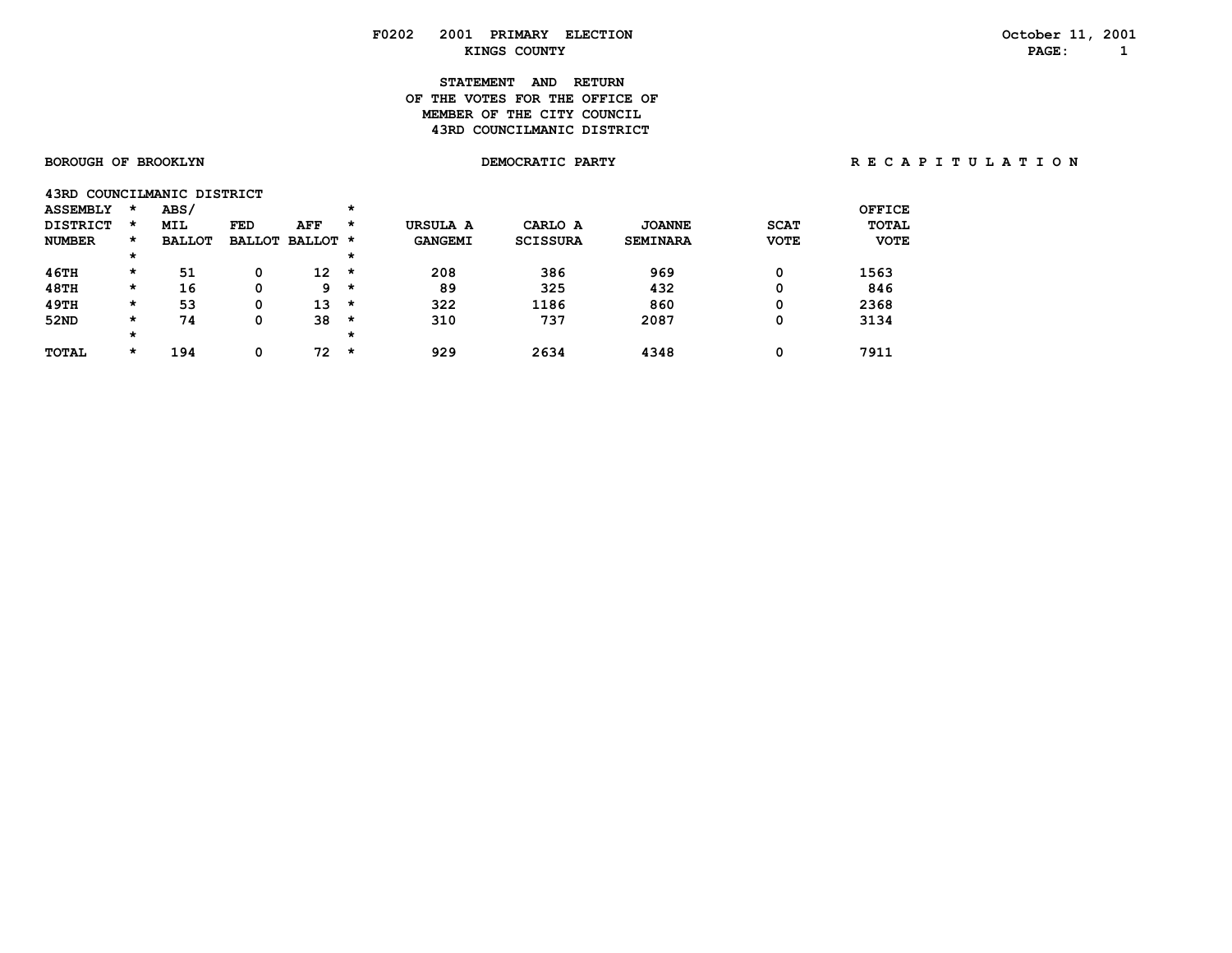# **STATEMENT AND RETURN OF THE VOTES FOR THE OFFICE OFMEMBER OF THE CITY COUNCIL 43RD COUNCILMANIC DISTRICT**

| 43RD            |          | COUNCILMANIC DISTRICT |               |          |         |                |                 |                 |             |              |
|-----------------|----------|-----------------------|---------------|----------|---------|----------------|-----------------|-----------------|-------------|--------------|
| <b>ASSEMBLY</b> | $\star$  | ABS/                  |               |          | $\star$ |                |                 |                 |             | OFFICE       |
| <b>DISTRICT</b> | $\star$  | <b>MIL</b>            | FED           | AFF      | $\star$ | URSULA A       | CARLO A         | <b>JOANNE</b>   | <b>SCAT</b> | <b>TOTAL</b> |
| <b>NUMBER</b>   | $\star$  | <b>BALLOT</b>         | <b>BALLOT</b> | BALLOT * |         | <b>GANGEMI</b> | <b>SCISSURA</b> | <b>SEMINARA</b> | <b>VOTE</b> | <b>VOTE</b>  |
|                 | $\star$  |                       |               |          | $\star$ |                |                 |                 |             |              |
| 46TH            | $\star$  | 51                    | 0             | 12       | $\star$ | 208            | 386             | 969             | 0           | 1563         |
| <b>48TH</b>     | $\star$  | 16                    | 0             | 9        | $\star$ | 89             | 325             | 432             | 0           | 846          |
| 49TH            | $\star$  | 53                    | 0             | 13       | $\star$ | 322            | 1186            | 860             | 0           | 2368         |
| 52ND            | $\star$  | 74                    | 0             | 38       | $\star$ | 310            | 737             | 2087            | 0           | 3134         |
|                 | $^\star$ |                       |               |          | $\star$ |                |                 |                 |             |              |
| <b>TOTAL</b>    | $\star$  | 194                   | 0             | 72       | $\star$ | 929            | 2634            | 4348            | 0           | 7911         |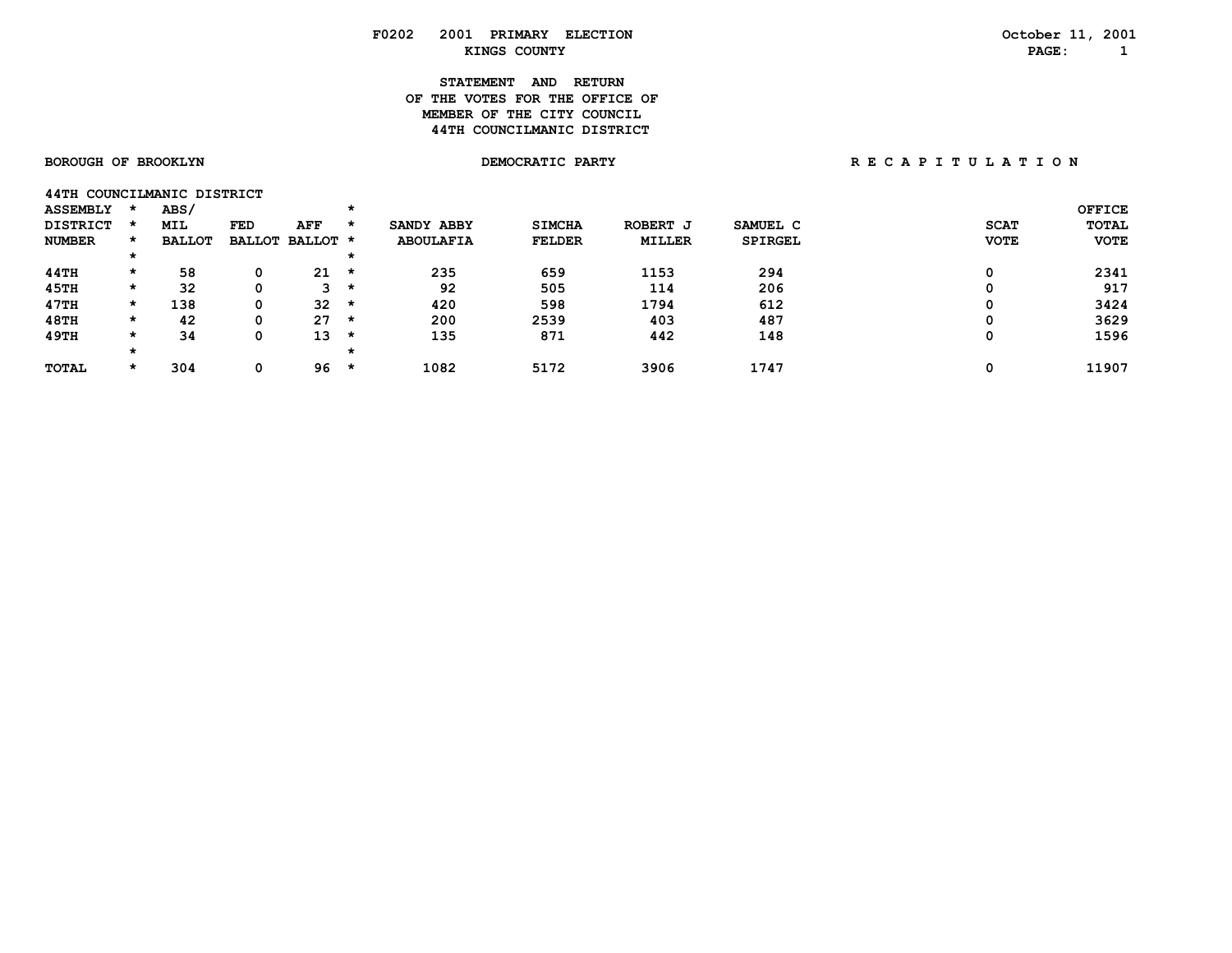# **STATEMENT AND RETURN OF THE VOTES FOR THE OFFICE OFMEMBER OF THE CITY COUNCIL 44TH COUNCILMANIC DISTRICT**

|  |  | <b>BOROUGH OF BROOKLYN</b> |  |
|--|--|----------------------------|--|
|--|--|----------------------------|--|

**44TH COUNCILMANIC DISTRICT** 

| <b>ASSEMBLY</b> |         | ABS/          |            |                 |         |                  |               |          |          |             | <b>OFFICE</b> |
|-----------------|---------|---------------|------------|-----------------|---------|------------------|---------------|----------|----------|-------------|---------------|
| <b>DISTRICT</b> |         | <b>MIL</b>    | <b>FED</b> | AFF             | $\star$ | SANDY ABBY       | <b>SIMCHA</b> | ROBERT J | SAMUEL C | <b>SCAT</b> | <b>TOTAL</b>  |
| <b>NUMBER</b>   | $\star$ | <b>BALLOT</b> |            | BALLOT BALLOT * |         | <b>ABOULAFIA</b> | <b>FELDER</b> | MILLER   | SPIRGEL  | <b>VOTE</b> | <b>VOTE</b>   |
|                 |         |               |            |                 |         |                  |               |          |          |             |               |
| 44TH            | *       | 58            | 0          | 21              | $\star$ | 235              | 659           | 1153     | 294      |             | 2341          |
| 45TH            | $\star$ | 32            | 0          | 3               | $\star$ | 92               | 505           | 114      | 206      |             | 917           |
| 47TH            | $\star$ | 138           | 0          | 32              | *       | 420              | 598           | 1794     | 612      |             | 3424          |
| 48TH            | $\star$ | 42            | 0          | 27              | *       | 200              | 2539          | 403      | 487      |             | 3629          |
| 49TH            | *       | 34            | 0          | 13              | *       | 135              | 871           | 442      | 148      |             | 1596          |
|                 |         |               |            |                 |         |                  |               |          |          |             |               |
| <b>TOTAL</b>    | $\star$ | 304           | 0          | 96              | $\star$ | 1082             | 5172          | 3906     | 1747     | o           | 11907         |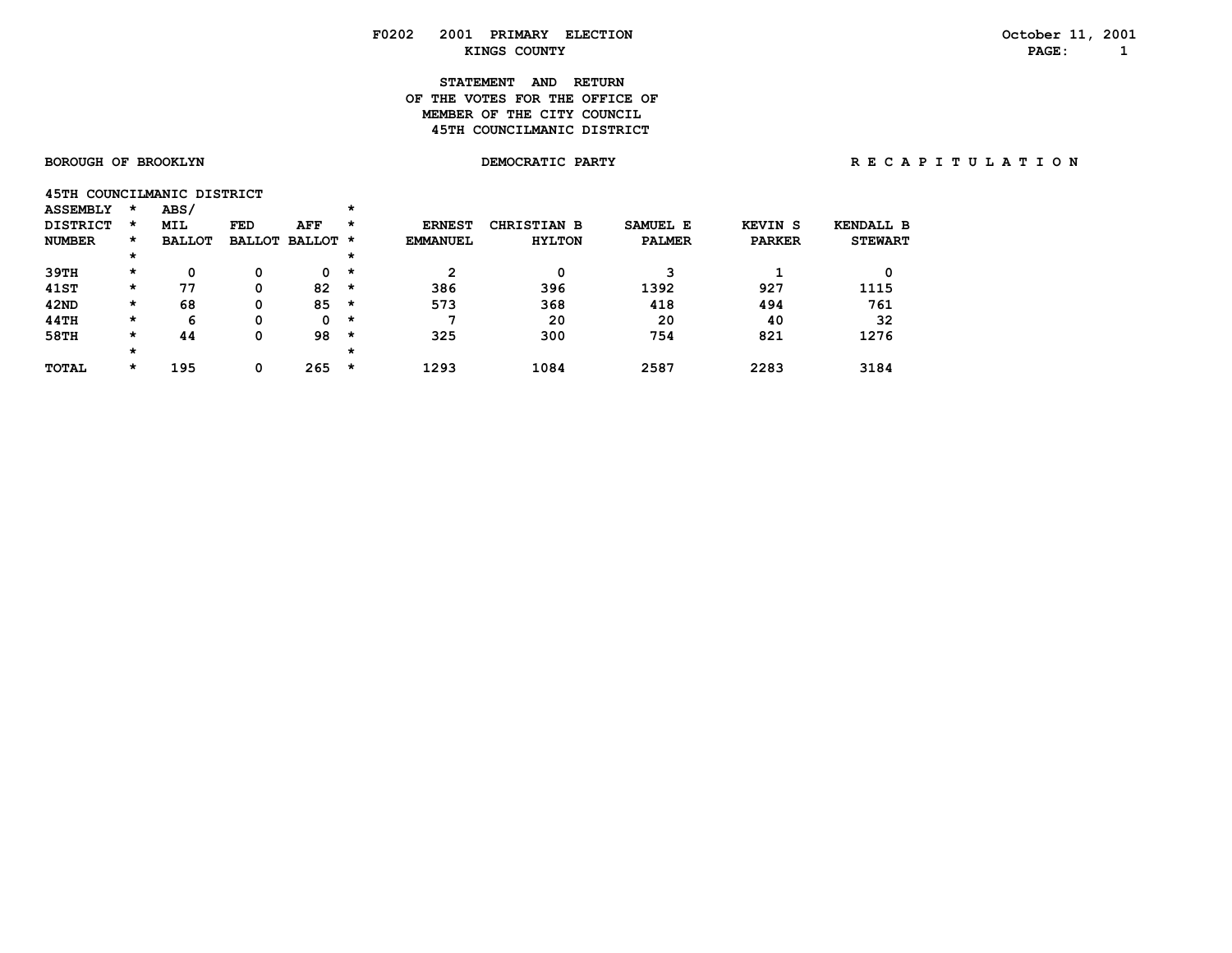# **STATEMENT AND RETURN OF THE VOTES FOR THE OFFICE OFMEMBER OF THE CITY COUNCIL 45TH COUNCILMANIC DISTRICT**

|                 | 45TH COUNCILMANIC DISTRICT |  |
|-----------------|----------------------------|--|
| <b>ASSEMBLY</b> | ABS/                       |  |

| <b>DISTRICT</b> | $\star$  | <b>MIL</b>    | FED | AFF                  | *       | <b>ERNEST</b>   | <b>CHRISTIAN B</b> | SAMUEL E      | <b>KEVIN S</b> | KENDALL B      |
|-----------------|----------|---------------|-----|----------------------|---------|-----------------|--------------------|---------------|----------------|----------------|
| <b>NUMBER</b>   | $\star$  | <b>BALLOT</b> |     | <b>BALLOT BALLOT</b> | *       | <b>EMMANUEL</b> | <b>HYLTON</b>      | <b>PALMER</b> | <b>PARKER</b>  | <b>STEWART</b> |
|                 | $^\star$ |               |     |                      | *       |                 |                    |               |                |                |
| 39TH            | $\star$  |               |     | 0                    | *       | 2               |                    | 3             |                | 0              |
| 41ST            | $\star$  | 77            | 0   | 82                   | *       | 386             | 396                | 1392          | 927            | 1115           |
| 42ND            | $\star$  | 68            | 0   | 85                   | *       | 573             | 368                | 418           | 494            | 761            |
| 44TH            | $\star$  | 6             |     | 0                    | $\star$ |                 | 20                 | 20            | 40             | 32             |
| 58TH            | *        | 44            |     | 98                   | *       | 325             | 300                | 754           | 821            | 1276           |
|                 | $^\star$ |               |     |                      | *       |                 |                    |               |                |                |
| TOTAL           | *        | 195           |     | 265                  | *       | 1293            | 1084               | 2587          | 2283           | 3184           |
|                 |          |               |     |                      |         |                 |                    |               |                |                |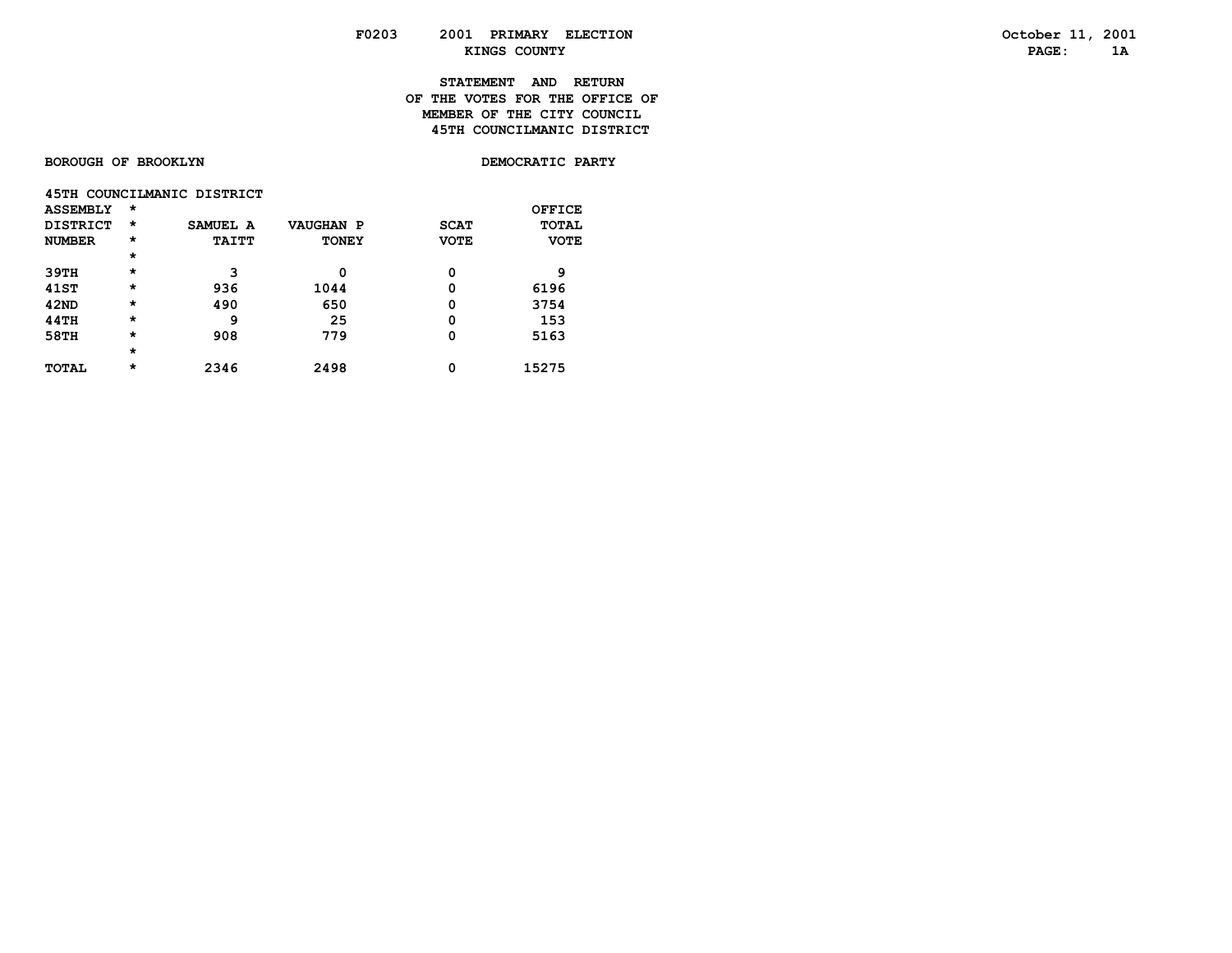# **STATEMENT AND RETURN OF THE VOTES FOR THE OFFICE OFMEMBER OF THE CITY COUNCIL 45TH COUNCILMANIC DISTRICT**

**BOROUGH OF BROOKLYN** 

DEMOCRATIC PARTY

|                 |          | 45TH COUNCILMANIC DISTRICT |                  |             |              |
|-----------------|----------|----------------------------|------------------|-------------|--------------|
| <b>ASSEMBLY</b> | $\star$  |                            |                  |             | OFFICE       |
| DISTRICT        | $^\star$ | SAMUEL A                   | <b>VAUGHAN P</b> | <b>SCAT</b> | <b>TOTAL</b> |
| <b>NUMBER</b>   | $\star$  | <b>TAITT</b>               | <b>TONEY</b>     | <b>VOTE</b> | <b>VOTE</b>  |
|                 | $\star$  |                            |                  |             |              |
| 39TH            | $\star$  | 3                          | 0                | 0           | 9            |
| 41ST            | $\star$  | 936                        | 1044             | 0           | 6196         |
| 42ND            | $\star$  | 490                        | 650              | 0           | 3754         |
| <b>44TH</b>     | $\star$  | 9                          | 25               | 0           | 153          |
| 58TH            | $\star$  | 908                        | 779              | 0           | 5163         |
|                 | $\star$  |                            |                  |             |              |
| TOTAL           | $\star$  | 2346                       | 2498             | 0           | 15275        |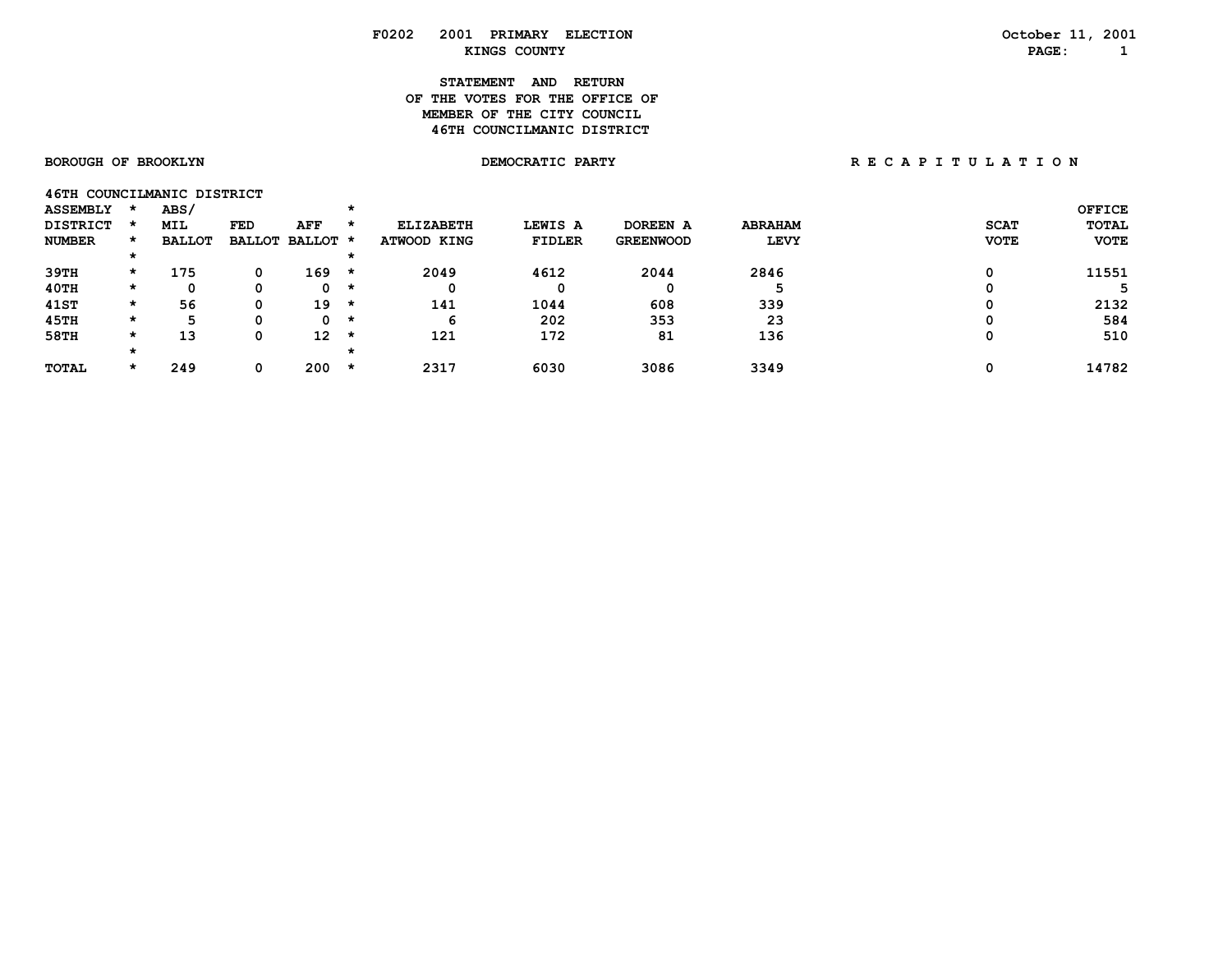# **STATEMENT AND RETURN OF THE VOTES FOR THE OFFICE OFMEMBER OF THE CITY COUNCIL 46TH COUNCILMANIC DISTRICT**

| 46TH COUNCILMANIC DISTRICT |         |               |               |          |         |                  |               |                  |                |             |               |
|----------------------------|---------|---------------|---------------|----------|---------|------------------|---------------|------------------|----------------|-------------|---------------|
| <b>ASSEMBLY</b>            |         | ABS/          |               |          |         |                  |               |                  |                |             | <b>OFFICE</b> |
| <b>DISTRICT</b>            |         | <b>MIL</b>    | <b>FED</b>    | AFF      | $\star$ | <b>ELIZABETH</b> | LEWIS A       | DOREEN A         | <b>ABRAHAM</b> | <b>SCAT</b> | <b>TOTAL</b>  |
| <b>NUMBER</b>              | $\star$ | <b>BALLOT</b> | <b>BALLOT</b> | BALLOT * |         | ATWOOD KING      | <b>FIDLER</b> | <b>GREENWOOD</b> | <b>LEVY</b>    | <b>VOTE</b> | <b>VOTE</b>   |
|                            |         |               |               |          |         |                  |               |                  |                |             |               |
| 39TH                       | $\star$ | 175           | 0             | 169      | *       | 2049             | 4612          | 2044             | 2846           |             | 11551         |
| 40TH                       | *       |               | 0             | 0        | *       | 0                |               | 0                |                |             |               |
| 41ST                       | $\star$ | 56            | 0             | 19       | *       | 141              | 1044          | 608              | 339            |             | 2132          |
| 45TH                       | $\star$ | 5             | Ω             | 0.       | *       | 6                | 202           | 353              | 23             |             | 584           |
| <b>58TH</b>                | $\star$ | 13            | 0             | 12       | *       | 121              | 172           | 81               | 136            |             | 510           |
|                            |         |               |               |          |         |                  |               |                  |                |             |               |
| <b>TOTAL</b>               | $\star$ | 249           | 0             | 200      | *       | 2317             | 6030          | 3086             | 3349           |             | 14782         |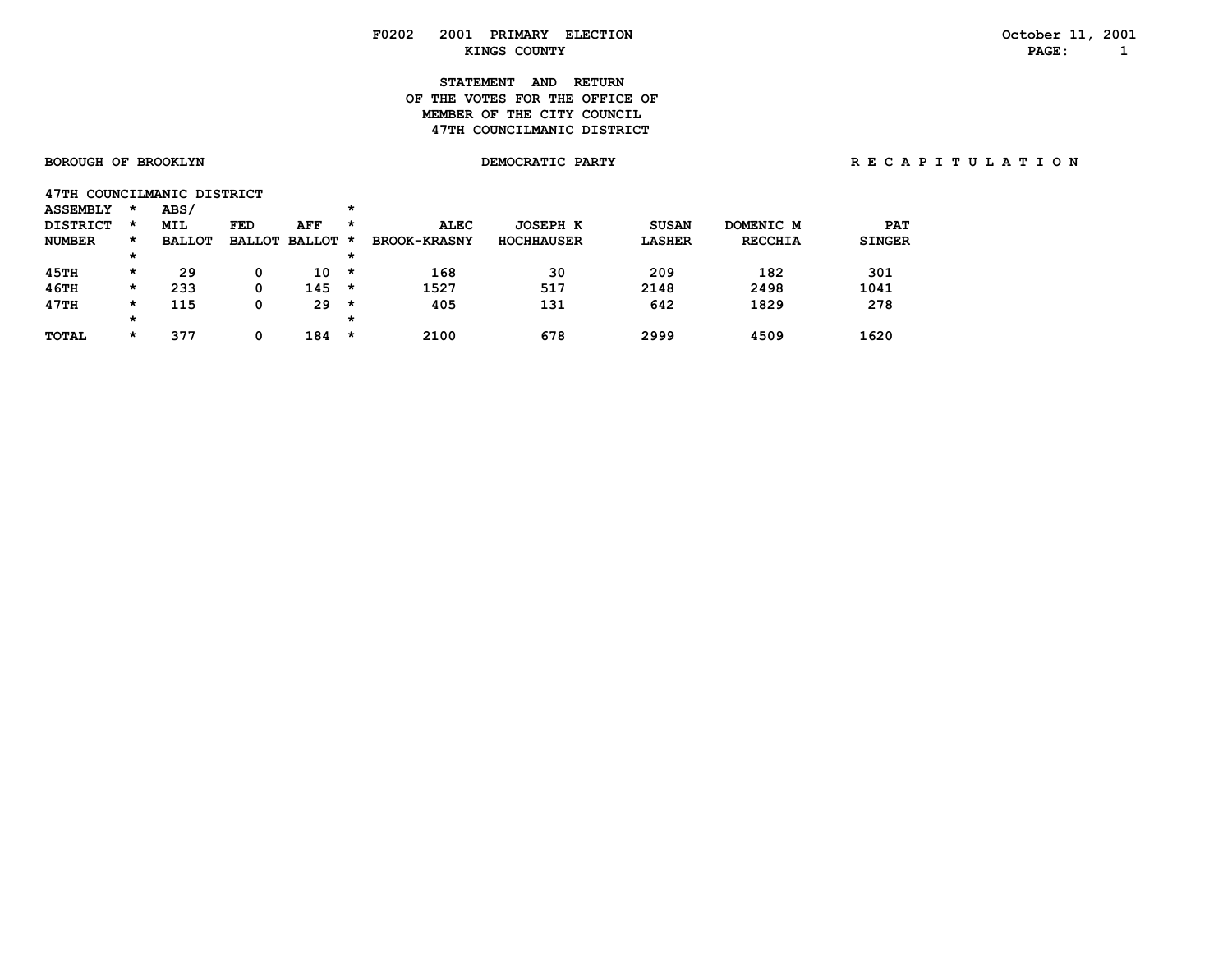# **STATEMENT AND RETURN OF THE VOTES FOR THE OFFICE OFMEMBER OF THE CITY COUNCIL 47TH COUNCILMANIC DISTRICT**

|                 |  |      | 47TH COUNCILMANIC DISTRICT |  |
|-----------------|--|------|----------------------------|--|
| <b>ACCEMBIV</b> |  | ABC/ |                            |  |

| דחמההמטע        | . .     | .             |               |               | . .     |                     |                   |               |                |               |
|-----------------|---------|---------------|---------------|---------------|---------|---------------------|-------------------|---------------|----------------|---------------|
| <b>DISTRICT</b> | $\star$ | <b>MIL</b>    | FED           | AFF           | $\star$ | <b>ALEC</b>         | <b>JOSEPH K</b>   | <b>SUSAN</b>  | DOMENIC M      | <b>PAT</b>    |
| <b>NUMBER</b>   | *       | <b>BALLOT</b> | <b>BALLOT</b> | <b>BALLOT</b> | *       | <b>BROOK-KRASNY</b> | <b>HOCHHAUSER</b> | <b>LASHER</b> | <b>RECCHIA</b> | <b>SINGER</b> |
|                 | $\star$ |               |               |               | *       |                     |                   |               |                |               |
| 45TH            | *       | 29            |               | 10            | $\star$ | 168                 | 30                | 209           | 182            | 301           |
| 46TH            | $\star$ | 233           |               | 145           | $\star$ | 1527                | 517               | 2148          | 2498           | 1041          |
| 47TH            | $\star$ | 115           |               | 29            | *       | 405                 | 131               | 642           | 1829           | 278           |
|                 | $\star$ |               |               |               | *       |                     |                   |               |                |               |
| <b>TOTAL</b>    | *       | 377           |               | 184           | *       | 2100                | 678               | 2999          | 4509           | 1620          |
|                 |         |               |               |               |         |                     |                   |               |                |               |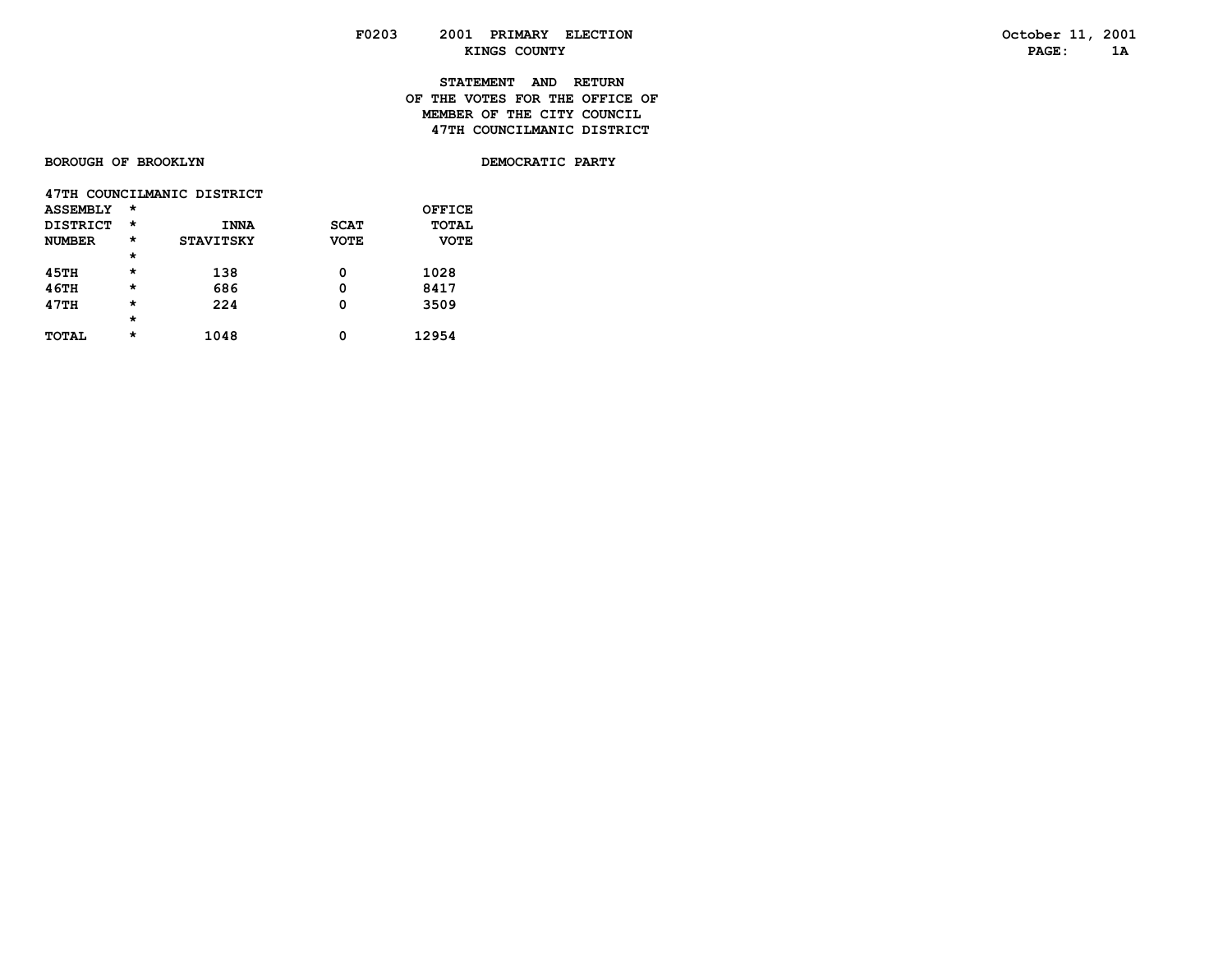# **STATEMENT AND RETURN OF THE VOTES FOR THE OFFICE OFMEMBER OF THE CITY COUNCIL 47TH COUNCILMANIC DISTRICT**

### **BOROUGH OF BROOKLYN**

DEMOCRATIC PARTY

|                 |          | 47TH COUNCILMANIC DISTRICT |             |             |
|-----------------|----------|----------------------------|-------------|-------------|
| <b>ASSEMBLY</b> | $\star$  |                            |             | OFFICE      |
| DISTRICT        | $^\star$ | <b>INNA</b>                | <b>SCAT</b> | TOTAL       |
| <b>NUMBER</b>   | $^\star$ | <b>STAVITSKY</b>           | <b>VOTE</b> | <b>VOTE</b> |
|                 | $\star$  |                            |             |             |
| <b>45TH</b>     | $\star$  | 138                        | 0           | 1028        |
| <b>46TH</b>     | $\star$  | 686                        | 0           | 8417        |
| 47TH            | $\star$  | 224                        | 0           | 3509        |
|                 | $\star$  |                            |             |             |
| <b>TOTAL</b>    | $\star$  | 1048                       | Ω           | 12954       |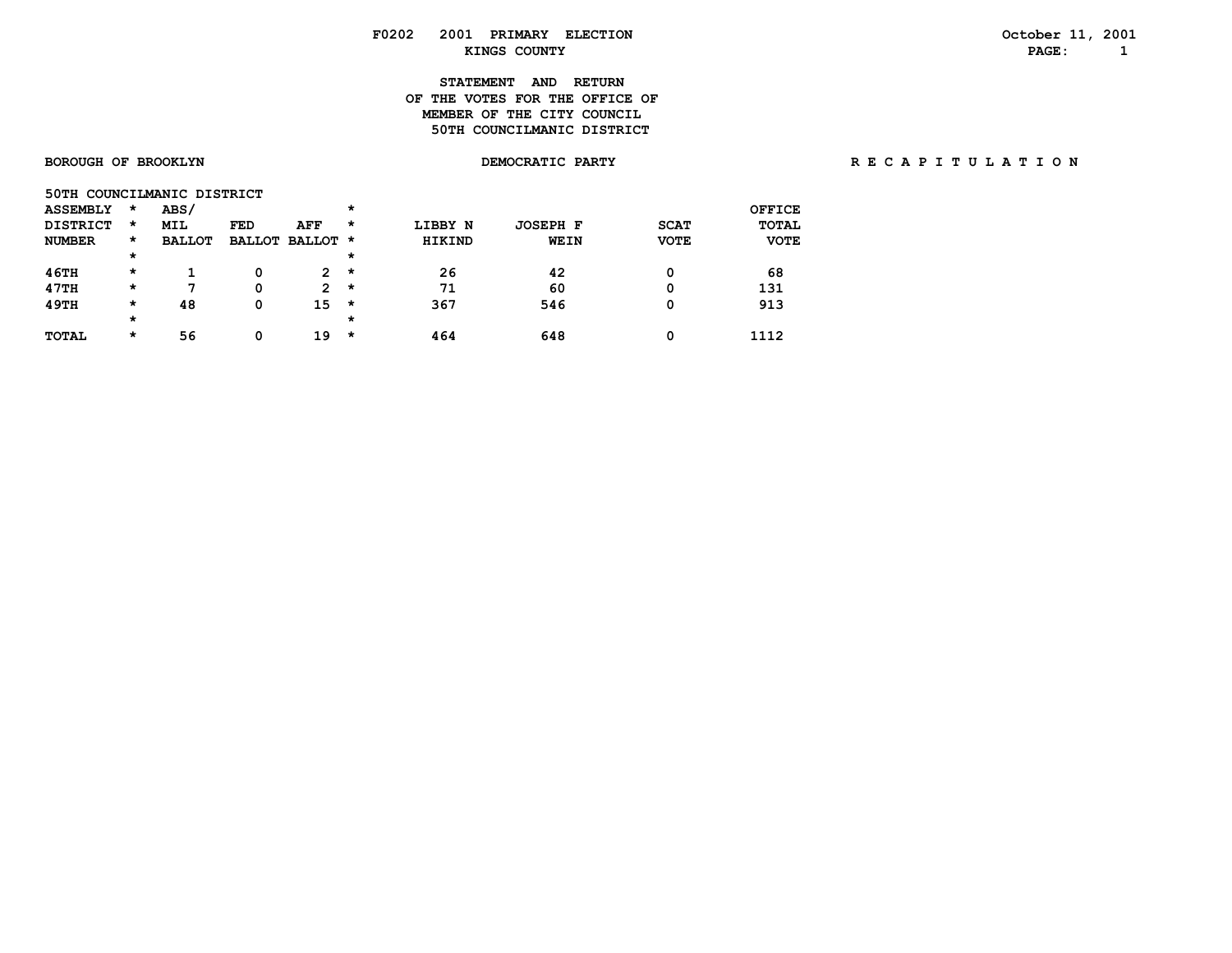# **STATEMENT AND RETURN OF THE VOTES FOR THE OFFICE OFMEMBER OF THE CITY COUNCIL 50TH COUNCILMANIC DISTRICT**

| 50TH COUNCILMANIC DISTRICT |         |               |            |                 |         |               |                 |             |              |
|----------------------------|---------|---------------|------------|-----------------|---------|---------------|-----------------|-------------|--------------|
| <b>ASSEMBLY</b>            | $\star$ | ABS/          |            |                 | $\star$ |               |                 |             | OFFICE       |
| <b>DISTRICT</b>            | $\star$ | <b>MIL</b>    | <b>FED</b> | AFF             | $\star$ | LIBBY N       | <b>JOSEPH F</b> | <b>SCAT</b> | <b>TOTAL</b> |
| <b>NUMBER</b>              | *       | <b>BALLOT</b> |            | BALLOT BALLOT * |         | <b>HIKIND</b> | WEIN            | <b>VOTE</b> | <b>VOTE</b>  |
|                            | *       |               |            |                 | $\star$ |               |                 |             |              |
| 46TH                       | $\star$ |               | 0          | $\overline{2}$  | $\star$ | 26            | 42              | 0           | 68           |
| 47TH                       | $\star$ | 7             | 0          | $\overline{2}$  | $\star$ | 71            | 60              | 0           | 131          |
| 49TH                       | *       | 48            | 0          | 15              | $\star$ | 367           | 546             | 0           | 913          |
|                            | $\star$ |               |            |                 | $\star$ |               |                 |             |              |
| <b>TOTAL</b>               | *       | 56            | 0          | 19              | $\star$ | 464           | 648             | 0           | 1112         |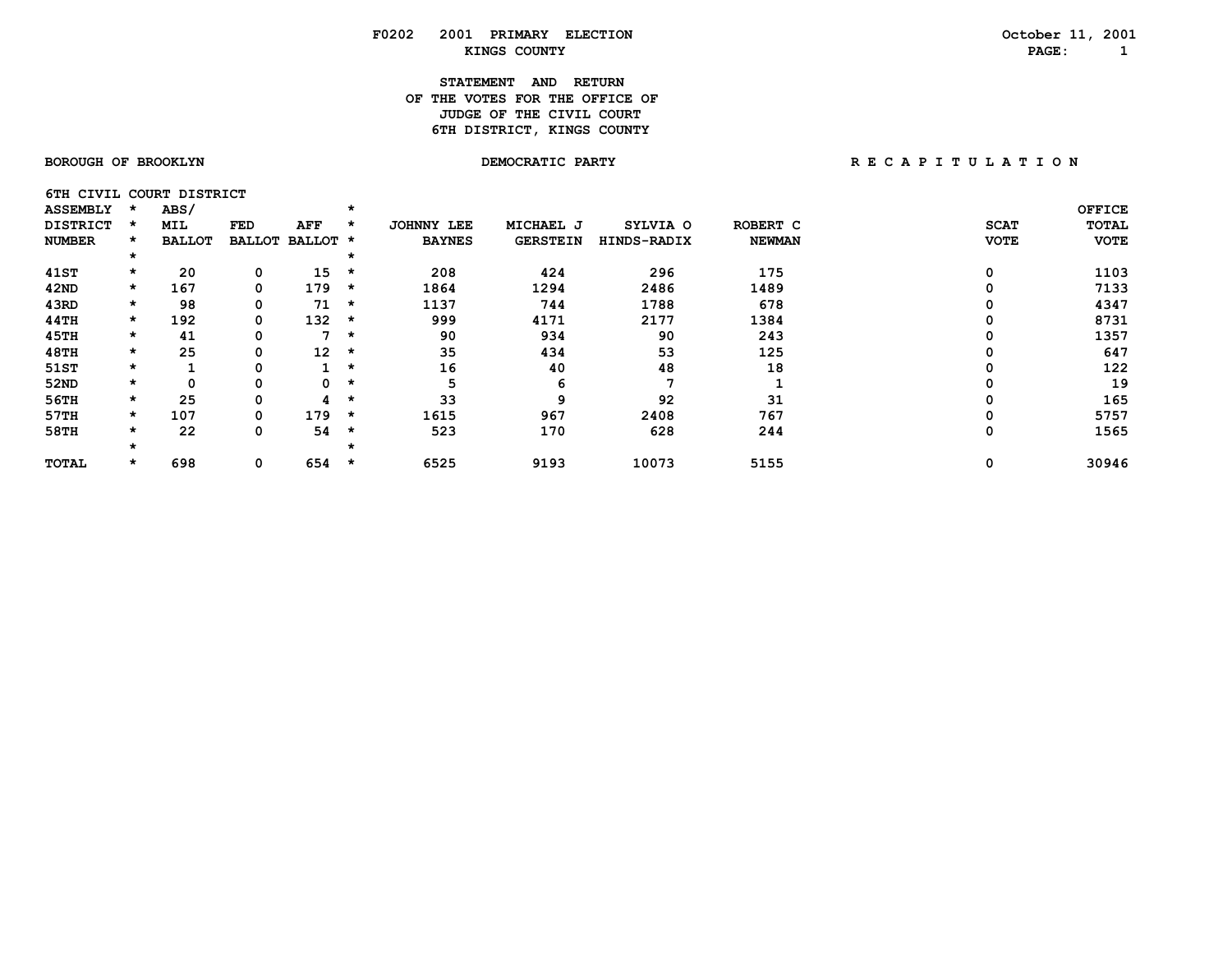# **STATEMENT AND RETURN OF THE VOTES FOR THE OFFICE OF** *JUDGE OF THE CIVIL COURT* **6TH DISTRICT, KINGS COUNTY**

**6TH CIVIL COURT DISTRICT** 

| <b>ASSEMBLY</b> |         | ABS/          |               |          |         |                      |                 |             |               |             | <b>OFFICE</b> |
|-----------------|---------|---------------|---------------|----------|---------|----------------------|-----------------|-------------|---------------|-------------|---------------|
| <b>DISTRICT</b> | *       | MIL           | FED           | AFF      | - 74    | <b>JOHNNY</b><br>LEE | MICHAEL J       | SYLVIA O    | ROBERT C      | <b>SCAT</b> | TOTAL         |
| <b>NUMBER</b>   | *       | <b>BALLOT</b> | <b>BALLOT</b> | BALLOT * |         | <b>BAYNES</b>        | <b>GERSTEIN</b> | HINDS-RADIX | <b>NEWMAN</b> | <b>VOTE</b> | <b>VOTE</b>   |
|                 | *       |               |               |          |         |                      |                 |             |               |             |               |
| 41ST            | $\star$ | 20            | 0             | 15       | *       | 208                  | 424             | 296         | 175           | 0           | 1103          |
| 42ND            | $\star$ | 167           | 0             | 179      | $\star$ | 1864                 | 1294            | 2486        | 1489          | 0           | 7133          |
| 43RD            | $\star$ | 98            | 0             | 71       | *       | 1137                 | 744             | 1788        | 678           |             | 4347          |
| 44TH            | $\star$ | 192           | 0             | 132      | *       | 999                  | 4171            | 2177        | 1384          |             | 8731          |
| 45TH            | $\star$ | 41            | 0             | ⇁        | *       | 90                   | 934             | 90          | 243           |             | 1357          |
| 48TH            | $\star$ | 25            | Ω             | 12       | *       | 35                   | 434             | 53          | 125           |             | 647           |
| 51ST            | $\star$ |               | 0             |          | $\star$ | 16                   | 40              | 48          | 18            |             | 122           |
| 52ND            | $\star$ | 0             | 0             | 0        | $\star$ | 5                    | 6               |             |               |             | 19            |
| 56TH            | $\star$ | 25            | 0             | 4        | $\star$ | 33                   | 9               | 92          | 31            |             | 165           |
| 57TH            | $\star$ | 107           | 0             | 179      | *       | 1615                 | 967             | 2408        | 767           |             | 5757          |
| 58TH            | $\star$ | 22            | 0             | 54       | *       | 523                  | 170             | 628         | 244           | 0           | 1565          |
|                 | *       |               |               |          |         |                      |                 |             |               |             |               |
| <b>TOTAL</b>    | $\star$ | 698           | 0             | 654      | $\star$ | 6525                 | 9193            | 10073       | 5155          | 0           | 30946         |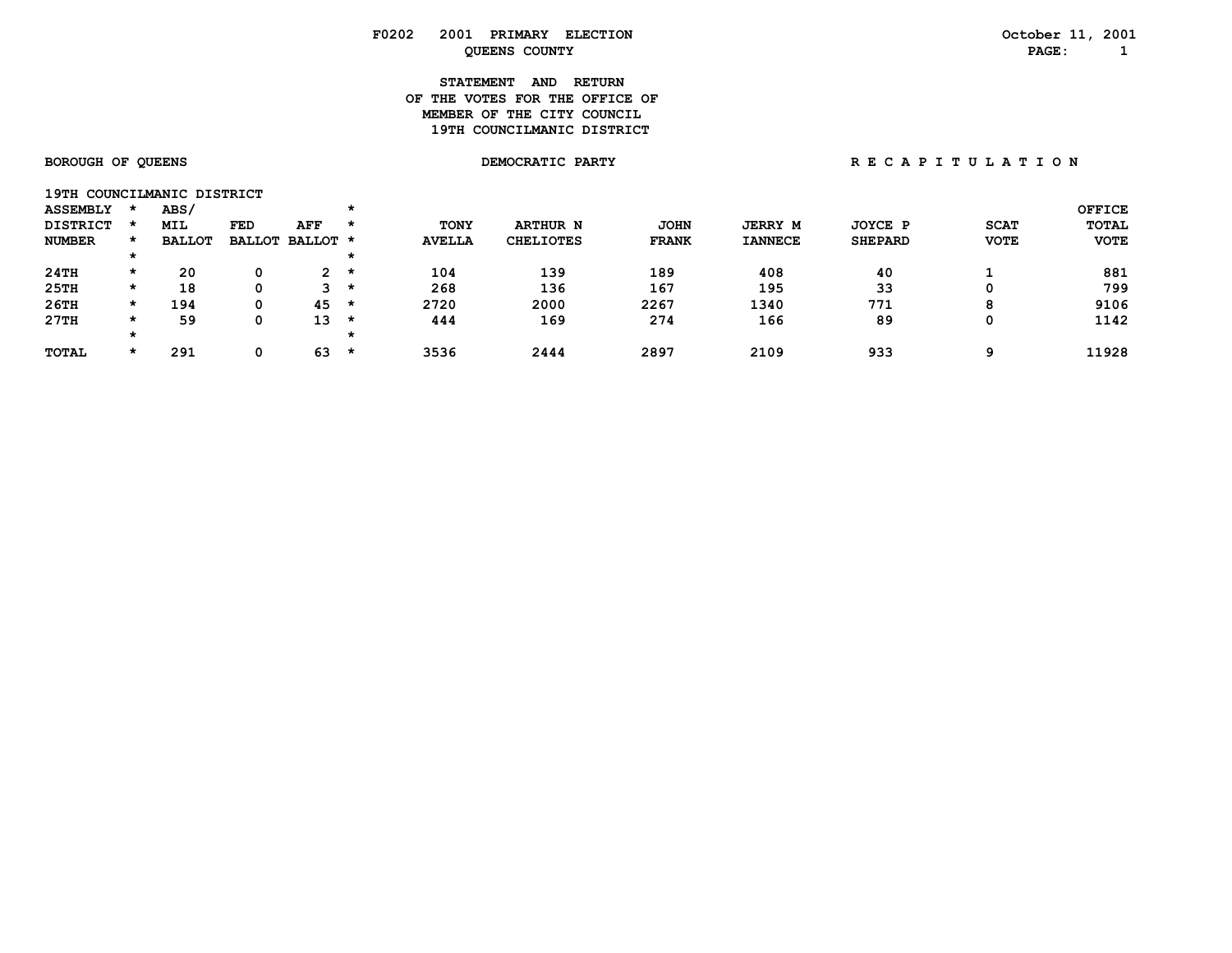# **STATEMENT AND RETURN OF THE VOTES FOR THE OFFICE OFMEMBER OF THE CITY COUNCIL 19TH COUNCILMANIC DISTRICT**

| 19TH COUNCILMANIC DISTRICT |         |               |     |                 |         |               |                  |              |                |                |             |               |
|----------------------------|---------|---------------|-----|-----------------|---------|---------------|------------------|--------------|----------------|----------------|-------------|---------------|
| <b>ASSEMBLY</b>            |         | ABS/          |     |                 | $\star$ |               |                  |              |                |                |             | <b>OFFICE</b> |
| <b>DISTRICT</b>            |         | <b>MIL</b>    | FED | AFF             | *       | <b>TONY</b>   | <b>ARTHUR N</b>  | <b>JOHN</b>  | <b>JERRY M</b> | JOYCE P        | <b>SCAT</b> | <b>TOTAL</b>  |
| <b>NUMBER</b>              | $\star$ | <b>BALLOT</b> |     | BALLOT BALLOT * |         | <b>AVELLA</b> | <b>CHELIOTES</b> | <b>FRANK</b> | <b>IANNECE</b> | <b>SHEPARD</b> | <b>VOTE</b> | <b>VOTE</b>   |
|                            |         |               |     |                 | *       |               |                  |              |                |                |             |               |
| 24TH                       | $\star$ | 20            |     | $\mathbf{2}$    | $\star$ | 104           | 139              | 189          | 408            | 40             |             | 881           |
| 25TH                       | *       | 18            |     | ີ               | ∗       | 268           | 136              | 167          | 195            | 33             |             | 799           |
| 26TH                       | $\star$ | 194           |     | 45              | *       | 2720          | 2000             | 2267         | 1340           | 771            | 8           | 9106          |
| 27TH                       | $\star$ | 59            |     | 13              | *       | 444           | 169              | 274          | 166            | 89             |             | 1142          |
|                            |         |               |     |                 | $\star$ |               |                  |              |                |                |             |               |
| <b>TOTAL</b>               | $\star$ | 291           |     | 63              | $\star$ | 3536          | 2444             | 2897         | 2109           | 933            | ດ           | 11928         |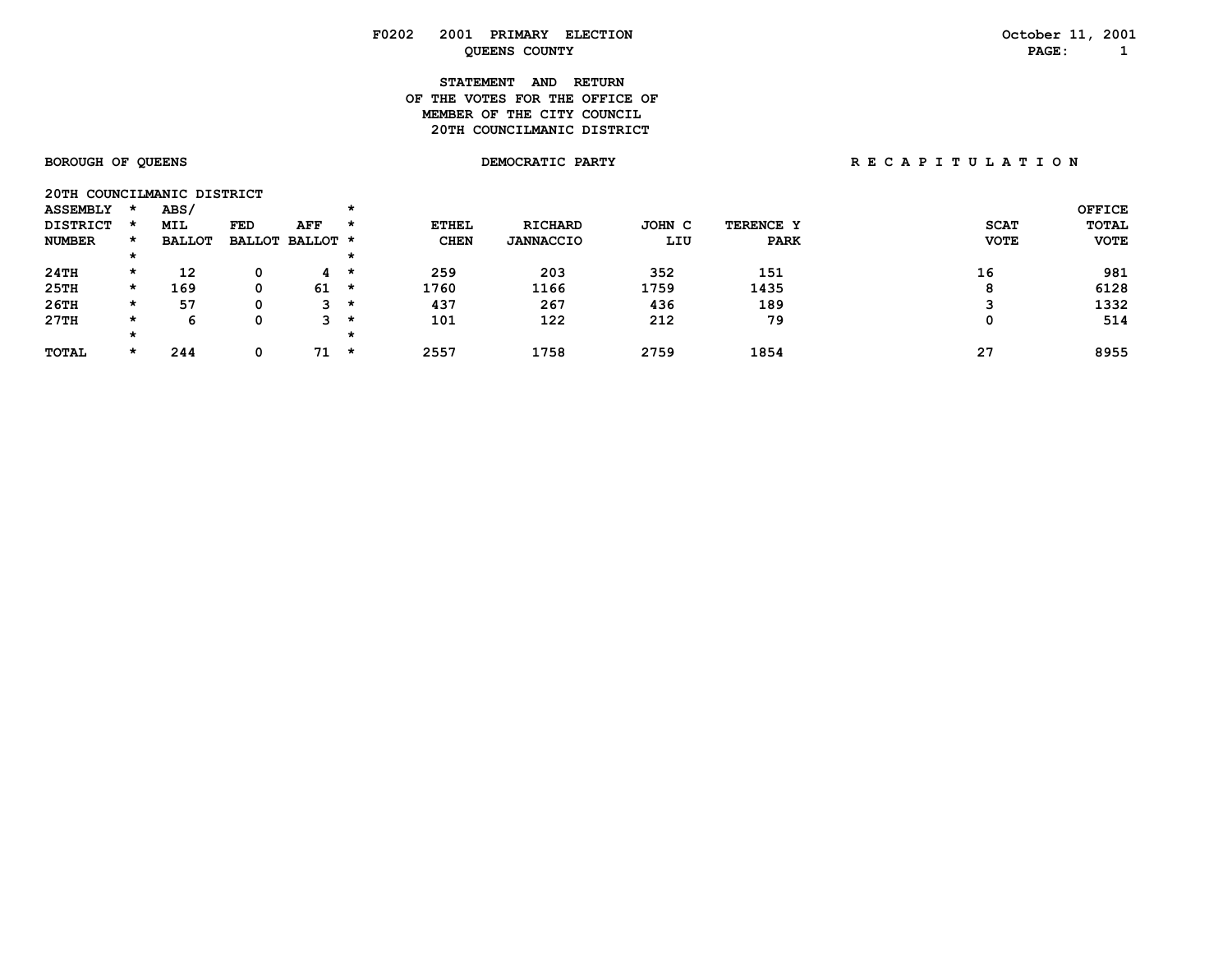# **STATEMENT AND RETURN OF THE VOTES FOR THE OFFICE OFMEMBER OF THE CITY COUNCIL 20TH COUNCILMANIC DISTRICT**

**20TH COUNCILMANIC DISTRICT** 

| <b>ASSEMBLY</b> |         | ABS/          |            |                      |         |              |                  |        |             |             | <b>OFFICE</b> |
|-----------------|---------|---------------|------------|----------------------|---------|--------------|------------------|--------|-------------|-------------|---------------|
| <b>DISTRICT</b> |         | <b>MIL</b>    | <b>FED</b> | AFF                  | $\star$ | <b>ETHEL</b> | <b>RICHARD</b>   | JOHN C | TERENCE Y   | <b>SCAT</b> | <b>TOTAL</b>  |
| <b>NUMBER</b>   |         | <b>BALLOT</b> |            | BALLOT BALLOT *      |         | <b>CHEN</b>  | <b>JANNACCIO</b> | LIU    | <b>PARK</b> | <b>VOTE</b> | <b>VOTE</b>   |
|                 | *       |               |            |                      | *       |              |                  |        |             |             |               |
| 24TH            | $\star$ | 12            |            | $\mathbf{A}$ $\star$ |         | 259          | 203              | 352    | 151         | 16          | 981           |
| 25TH            | $\star$ | 169           | 0          | 61                   | *       | 1760         | 1166             | 1759   | 1435        | o<br>o      | 6128          |
| 26TH            | $\star$ | 57            |            | э.                   | $\star$ | 437          | 267              | 436    | 189         |             | 1332          |
| 27TH            | $\star$ | 'n            |            | ີ                    | $\star$ | 101          | 122              | 212    | 79          | Ω           | 514           |
|                 |         |               |            |                      |         |              |                  |        |             |             |               |
| <b>TOTAL</b>    | $\star$ | 244           |            | 71                   | $\star$ | 2557         | 1758             | 2759   | 1854        | 27          | 8955          |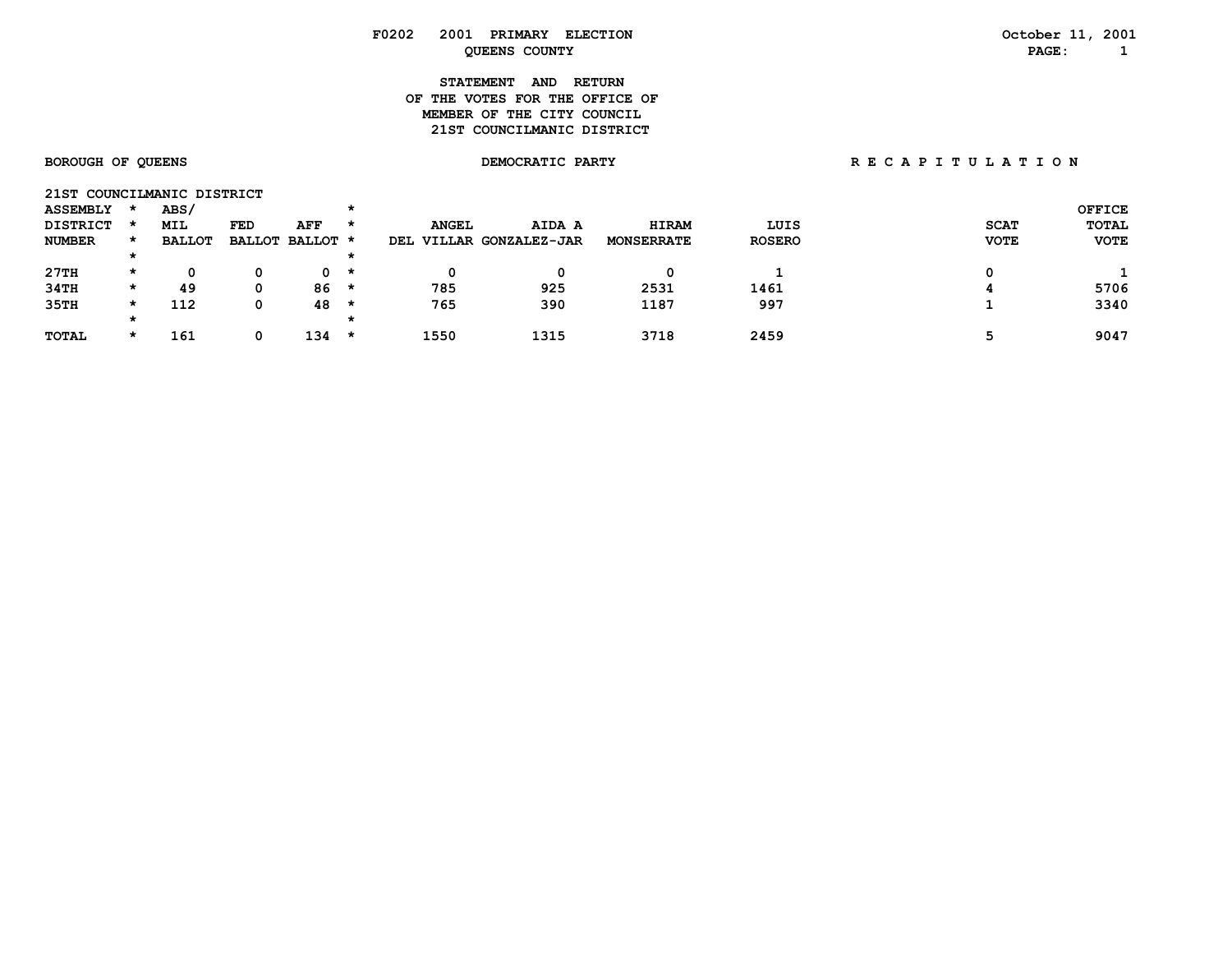| F0202 | 2001                           | PRIMARY ELECTION | October 11, 2001 |
|-------|--------------------------------|------------------|------------------|
|       | <b>QUEENS COUNTY</b>           |                  | PAGE:            |
|       | <b>STATEMENT AND</b>           | <b>RETURN</b>    |                  |
|       | OF THE VOTES FOR THE OFFICE OF |                  |                  |
|       | MEMBER OF THE CITY COUNCIL     |                  |                  |

**21ST COUNCILMANIC DISTRICT** 

# **BOROUGH OF QUEENS DEMOCRATIC PARTY R E C A P I T U L A T I O N**

| 21ST COUNCILMANIC DISTRICT |         |               |     |                 |         |              |                     |                   |               |             |               |
|----------------------------|---------|---------------|-----|-----------------|---------|--------------|---------------------|-------------------|---------------|-------------|---------------|
| <b>ASSEMBLY</b>            |         | ABS/          |     |                 |         |              |                     |                   |               |             | <b>OFFICE</b> |
| <b>DISTRICT</b>            |         | <b>MIL</b>    | FED | AFF             | $\star$ | <b>ANGEL</b> | AIDA A              | <b>HIRAM</b>      | LUIS          | <b>SCAT</b> | <b>TOTAL</b>  |
| <b>NUMBER</b>              |         | <b>BALLOT</b> |     | BALLOT BALLOT * |         | DEL          | VILLAR GONZALEZ-JAR | <b>MONSERRATE</b> | <b>ROSERO</b> | <b>VOTE</b> | <b>VOTE</b>   |
|                            |         |               |     |                 |         |              |                     |                   |               |             |               |
| 27TH                       | $\star$ | O             |     | 0 *             |         |              |                     |                   |               |             |               |
| 34TH                       | *       | 49            | 0   | 86              | $\star$ | 785          | 925                 | 2531              | 1461          |             | 5706          |
| 35TH                       | *       | 112           | 0   | 48              | $\star$ | 765          | 390                 | 1187              | 997           |             | 3340          |
|                            | *       |               |     |                 |         |              |                     |                   |               |             |               |
| <b>TOTAL</b>               | *       | 161           |     | 134             | $\star$ | 1550         | 1315                | 3718              | 2459          |             | 9047          |
|                            |         |               |     |                 |         |              |                     |                   |               |             |               |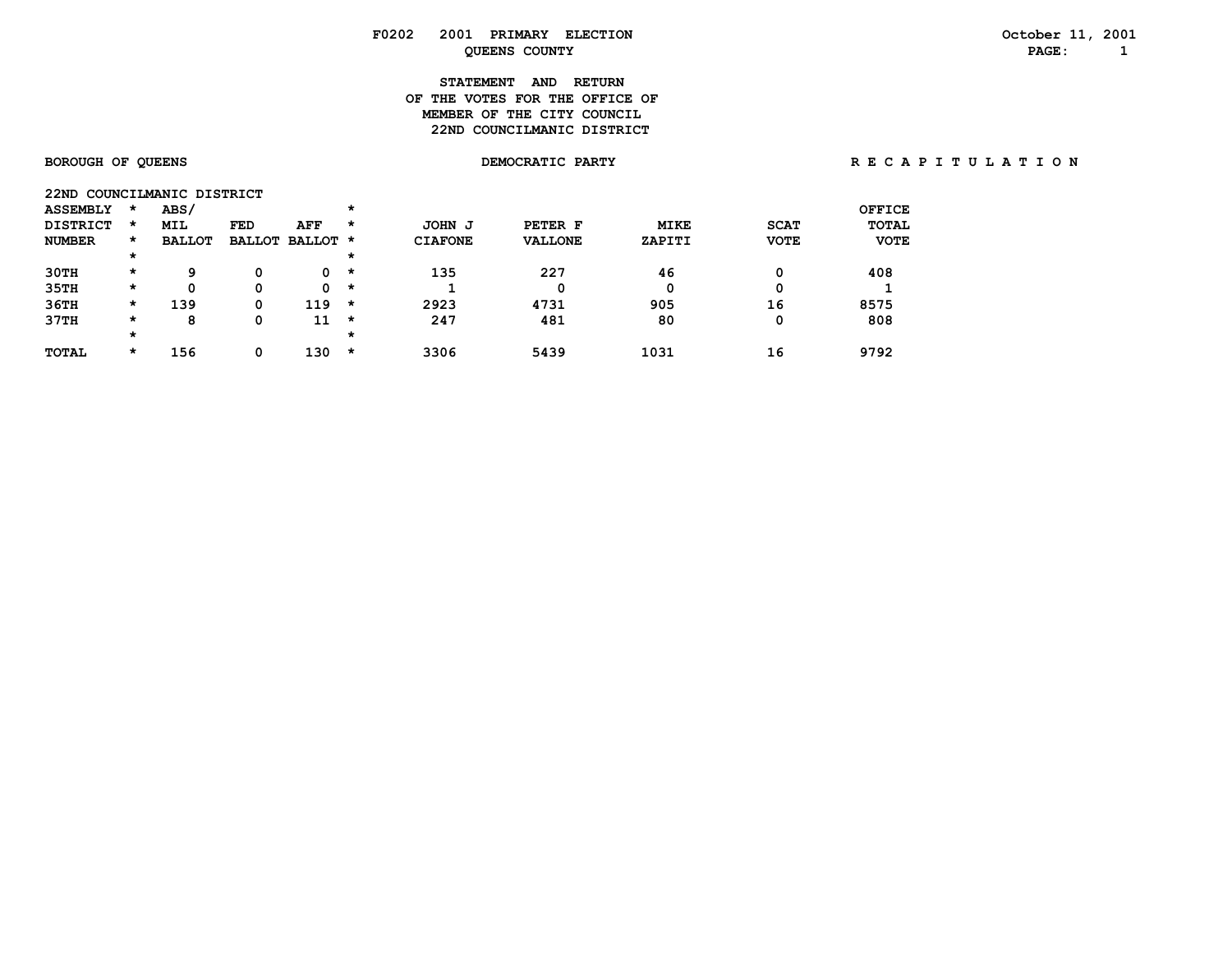# **STATEMENT AND RETURN OF THE VOTES FOR THE OFFICE OFMEMBER OF THE CITY COUNCIL 22ND COUNCILMANIC DISTRICT**

| 22ND            |         | COUNCILMANIC DISTRICT |     |                 |         |                |                |             |             |              |
|-----------------|---------|-----------------------|-----|-----------------|---------|----------------|----------------|-------------|-------------|--------------|
| <b>ASSEMBLY</b> | $\star$ | <b>ABS/</b>           |     |                 | $\star$ |                |                |             |             | OFFICE       |
| <b>DISTRICT</b> | $\star$ | MIL                   | FED | AFF             | *       | JOHN J         | PETER F        | <b>MIKE</b> | <b>SCAT</b> | <b>TOTAL</b> |
| <b>NUMBER</b>   | $\star$ | <b>BALLOT</b>         |     | BALLOT BALLOT * |         | <b>CIAFONE</b> | <b>VALLONE</b> | ZAPITI      | <b>VOTE</b> | <b>VOTE</b>  |
|                 | $\star$ |                       |     |                 | $\star$ |                |                |             |             |              |
| 30TH            | $\star$ | 9                     | 0   | 0               | $\star$ | 135            | 227            | 46          | 0           | 408          |
| 35TH            | $\star$ | 0                     | 0   | 0               | $\star$ |                |                | 0           | 0           |              |
| 36TH            | $\star$ | 139                   | 0   | 119             | $\star$ | 2923           | 4731           | 905         | 16          | 8575         |
| 37TH            | $\star$ | 8                     | 0   | 11              | $\star$ | 247            | 481            | 80          | 0           | 808          |
|                 | $\star$ |                       |     |                 | $\star$ |                |                |             |             |              |
| <b>TOTAL</b>    | $\star$ | 156                   | 0   | 130             | *       | 3306           | 5439           | 1031        | 16          | 9792         |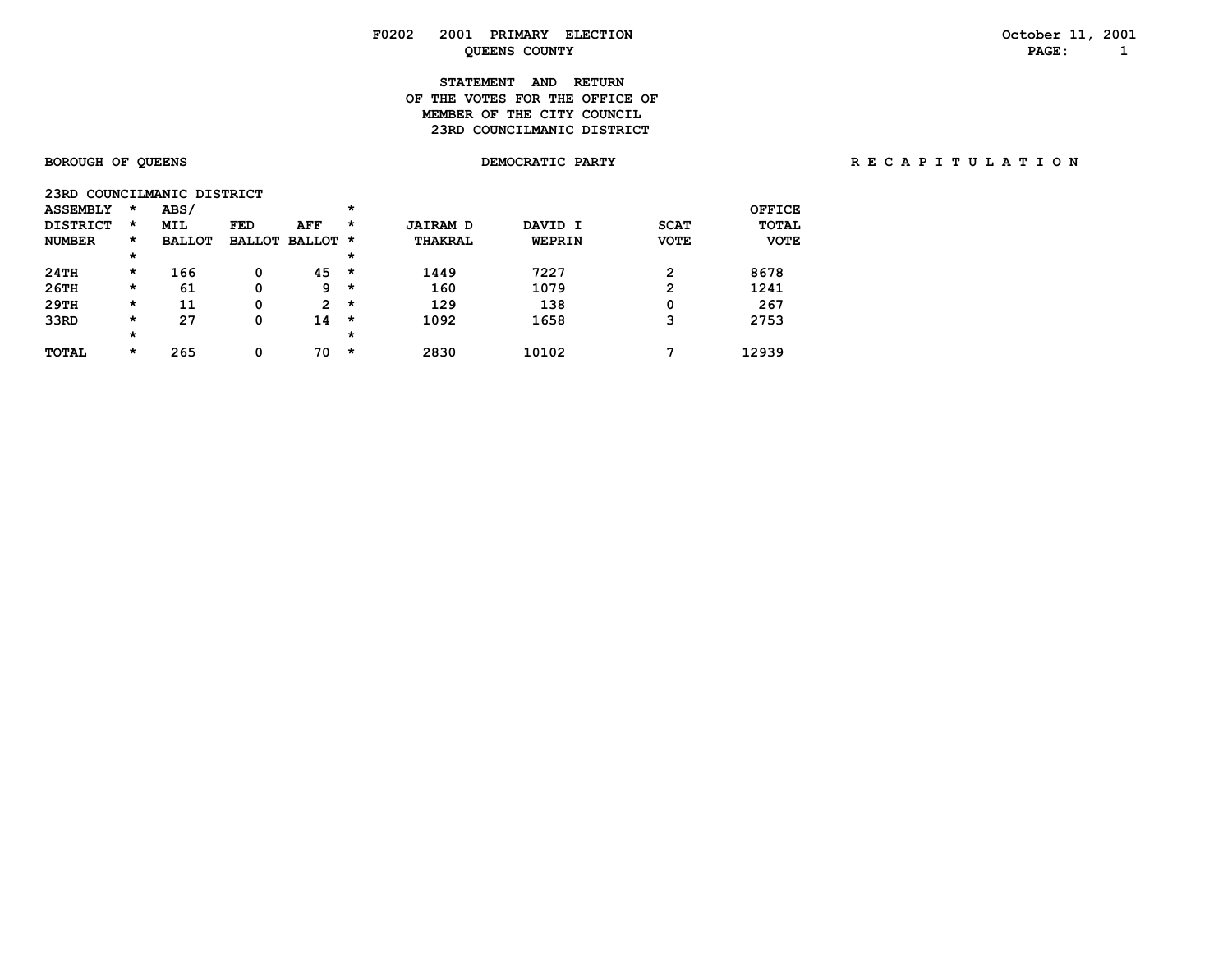### **F0202 2001 PRIMARY ELECTION October 11, 2001 PAGE:** 1

# **STATEMENT AND RETURN OF THE VOTES FOR THE OFFICE OFMEMBER OF THE CITY COUNCIL 23RD COUNCILMANIC DISTRICT**

| 23RD COUNCILMANIC DISTRICT |         |               |               |               |         |                 |               |             |               |
|----------------------------|---------|---------------|---------------|---------------|---------|-----------------|---------------|-------------|---------------|
| <b>ASSEMBLY</b>            | *       | ABS/          |               |               | *       |                 |               |             | <b>OFFICE</b> |
| <b>DISTRICT</b>            | *       | <b>MIL</b>    | <b>FED</b>    | AFF           | *       | <b>JAIRAM D</b> | DAVID I       | <b>SCAT</b> | <b>TOTAL</b>  |
| <b>NUMBER</b>              | $\star$ | <b>BALLOT</b> | <b>BALLOT</b> | <b>BALLOT</b> | $\star$ | THAKRAL         | <b>WEPRIN</b> | <b>VOTE</b> | <b>VOTE</b>   |
|                            | $\star$ |               |               |               | $\star$ |                 |               |             |               |
| 24TH                       | *       | 166           | 0             | 45            | $\star$ | 1449            | 7227          | 2           | 8678          |
| 26TH                       | *       | 61            | 0             | 9             | *       | 160             | 1079          | 2           | 1241          |
| 29TH                       | *       | 11            | 0             | 2             | $\star$ | 129             | 138           | 0           | 267           |
| 33RD                       | *       | 27            | 0             | 14            | *       | 1092            | 1658          | 3           | 2753          |
|                            | *       |               |               |               | $\star$ |                 |               |             |               |
| <b>TOTAL</b>               | *       | 265           | 0             | 70            | *       | 2830            | 10102         | 7           | 12939         |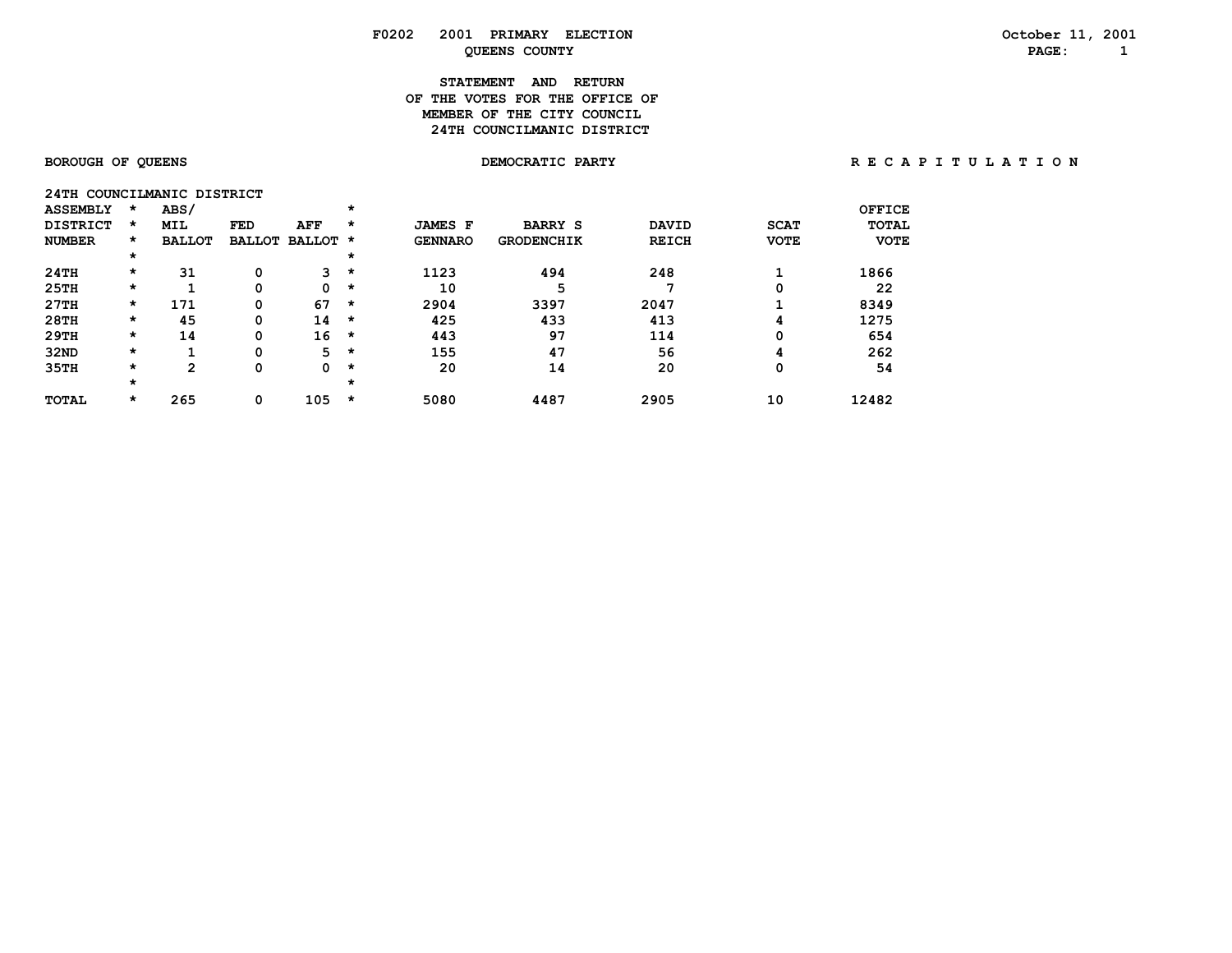### **F0202 2001 PRIMARY ELECTION October 11, 2001 PAGE:** 1

# **STATEMENT AND RETURN OF THE VOTES FOR THE OFFICE OFMEMBER OF THE CITY COUNCIL 24TH COUNCILMANIC DISTRICT**

| 24TH            |         | COUNCILMANIC DISTRICT |            |                      |         |                |                   |              |             |              |
|-----------------|---------|-----------------------|------------|----------------------|---------|----------------|-------------------|--------------|-------------|--------------|
| <b>ASSEMBLY</b> | $\star$ | ABS/                  |            |                      | $\star$ |                |                   |              |             | OFFICE       |
| <b>DISTRICT</b> | $\star$ | <b>MIL</b>            | <b>FED</b> | AFF                  | $\star$ | <b>JAMES F</b> | <b>BARRY S</b>    | <b>DAVID</b> | <b>SCAT</b> | <b>TOTAL</b> |
| <b>NUMBER</b>   | $\star$ | <b>BALLOT</b>         |            | <b>BALLOT BALLOT</b> | $\star$ | <b>GENNARO</b> | <b>GRODENCHIK</b> | <b>REICH</b> | <b>VOTE</b> | <b>VOTE</b>  |
|                 | $\star$ |                       |            |                      | $\star$ |                |                   |              |             |              |
| 24TH            | $\star$ | 31                    | 0          | 3.                   | $\star$ | 1123           | 494               | 248          |             | 1866         |
| 25TH            | $\star$ |                       | 0          | 0                    | $\star$ | 10             | 5                 |              | O           | 22           |
| 27TH            | $\star$ | 171                   | 0          | 67                   | $\star$ | 2904           | 3397              | 2047         |             | 8349         |
| 28TH            | $\star$ | 45                    | 0          | 14                   | $\star$ | 425            | 433               | 413          | 4           | 1275         |
| 29TH            | $\star$ | 14                    | 0          | 16                   | $\star$ | 443            | 97                | 114          | 0           | 654          |
| 32ND            | $\star$ |                       | 0          | 5.                   | $\star$ | 155            | 47                | 56           | 4           | 262          |
| 35TH            | $\star$ | 2                     | 0          | 0                    | $\star$ | 20             | 14                | 20           | 0           | 54           |
|                 | $\star$ |                       |            |                      | $\star$ |                |                   |              |             |              |
| <b>TOTAL</b>    | $\star$ | 265                   | 0          | 105                  | $\star$ | 5080           | 4487              | 2905         | 10          | 12482        |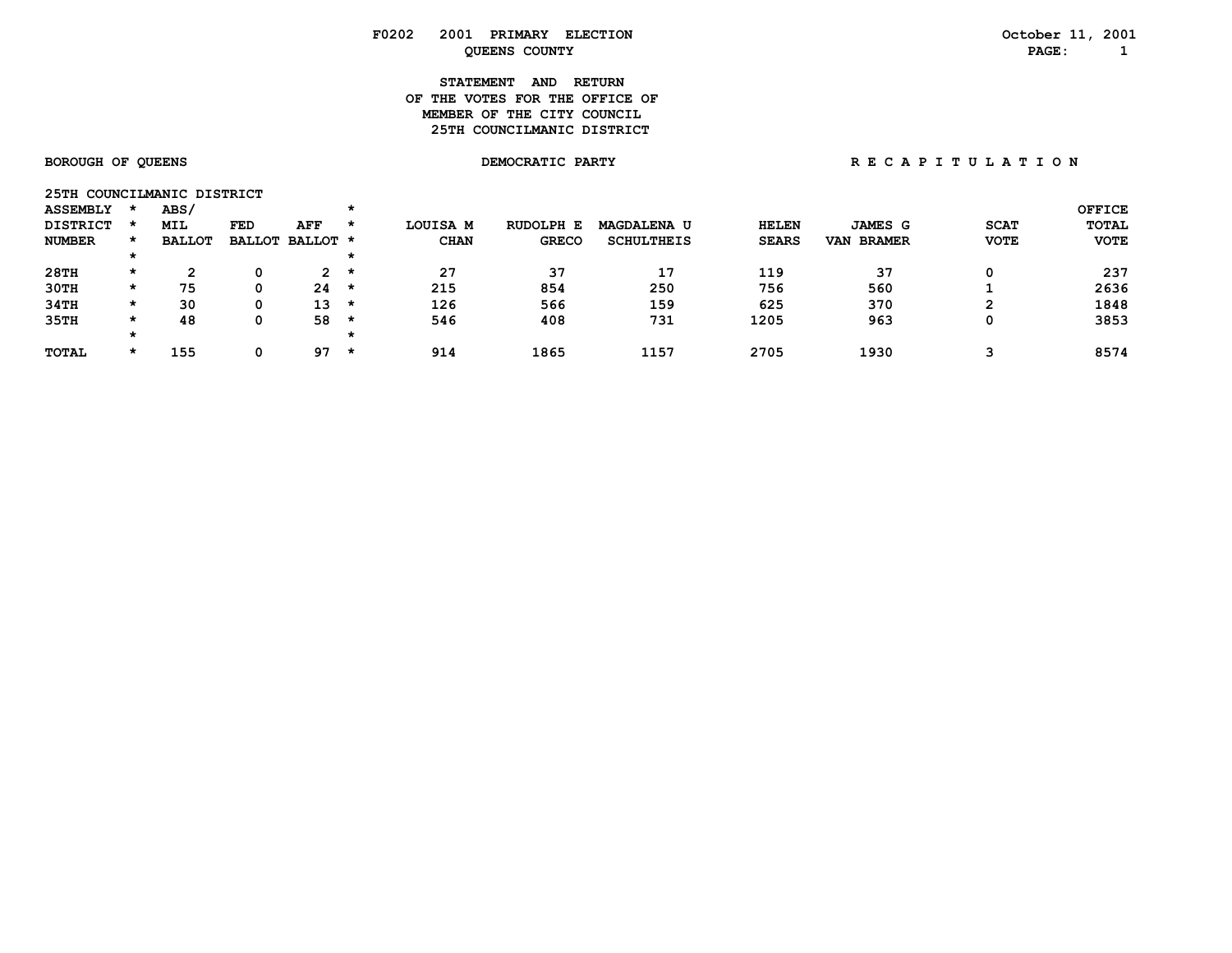| <b>F0202</b> | 2001<br>PRIMARY<br><b>ELECTION</b> | 200<br>October<br>--- |
|--------------|------------------------------------|-----------------------|
|              | <b>COUNTY</b><br>OUEENS            | <b>PAGE</b>           |

**STATEMENT AND RETURN OF THE VOTES FOR THE OFFICE OFMEMBER OF THE CITY COUNCIL 25TH COUNCILMANIC DISTRICT** 

| 25TH COUNCILMANIC DISTRICT |         |               |            |                       |         |             |              |                    |              |                      |             |               |
|----------------------------|---------|---------------|------------|-----------------------|---------|-------------|--------------|--------------------|--------------|----------------------|-------------|---------------|
| <b>ASSEMBLY</b>            |         | ABS/          |            |                       | *       |             |              |                    |              |                      |             | <b>OFFICE</b> |
| <b>DISTRICT</b>            |         | <b>MIL</b>    | <b>FED</b> | AFF                   | *       | LOUISA M    | RUDOLPH E    | <b>MAGDALENA U</b> | <b>HELEN</b> | <b>JAMES G</b>       | <b>SCAT</b> | <b>TOTAL</b>  |
| <b>NUMBER</b>              |         | <b>BALLOT</b> |            | BALLOT BALLOT *       |         | <b>CHAN</b> | <b>GRECO</b> | <b>SCHULTHEIS</b>  | <b>SEARS</b> | <b>BRAMER</b><br>VAN | <b>VOTE</b> | <b>VOTE</b>   |
|                            | ×       |               |            |                       | *       |             |              |                    |              |                      |             |               |
| 28TH                       | $\star$ | ົ             | 0          | $\mathbf{2}^{\prime}$ | $\star$ | 27          | 37           | 17                 | 119          | 37                   |             | 237           |
| 30TH                       | $\star$ | 75            | 0          | 24                    | *       | 215         | 854          | 250                | 756          | 560                  |             | 2636          |
| 34TH                       | $\star$ | 30            | 0          | 13                    | *       | 126         | 566          | 159                | 625          | 370                  | ົ           | 1848          |
| 35TH                       | $\star$ | 48            | 0          | 58                    | *       | 546         | 408          | 731                | 1205         | 963                  |             | 3853          |
|                            | $\star$ |               |            |                       |         |             |              |                    |              |                      |             |               |
| <b>TOTAL</b>               | $\star$ | 155           | 0          | 97                    | $\star$ | 914         | 1865         | 1157               | 2705         | 1930                 |             | 8574          |
|                            |         |               |            |                       |         |             |              |                    |              |                      |             |               |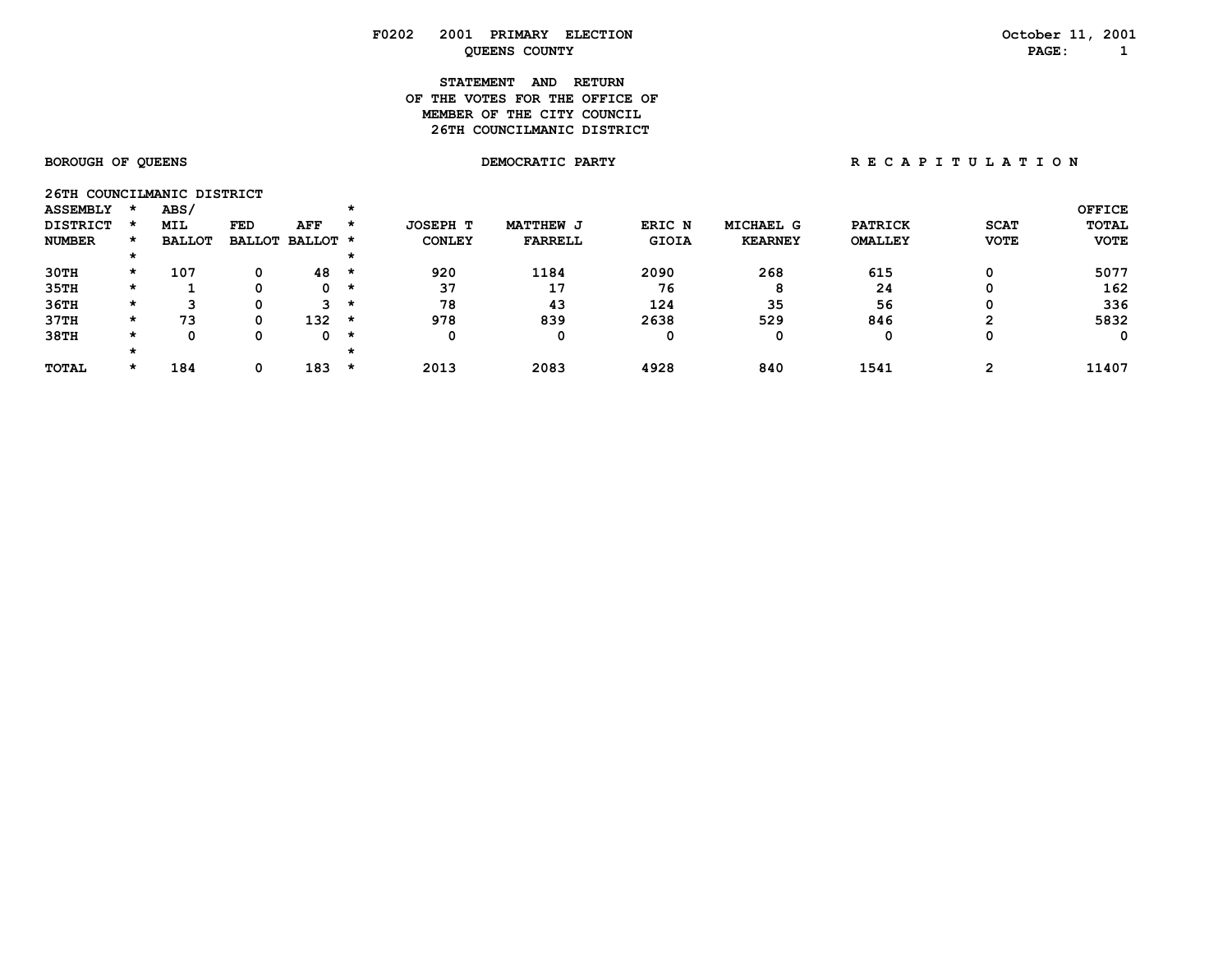# **STATEMENT AND RETURN OF THE VOTES FOR THE OFFICE OFMEMBER OF THE CITY COUNCIL 26TH COUNCILMANIC DISTRICT**

| 26TH COUNCILMANIC DISTRICT |         |               |     |                 |         |               |                  |        |                |                |             |               |
|----------------------------|---------|---------------|-----|-----------------|---------|---------------|------------------|--------|----------------|----------------|-------------|---------------|
| <b>ASSEMBLY</b>            |         | ABS/          |     |                 |         |               |                  |        |                |                |             | <b>OFFICE</b> |
| <b>DISTRICT</b>            |         | <b>MIL</b>    | FED | AFF             | $\star$ | JOSEPH T      | <b>MATTHEW J</b> | ERIC N | MICHAEL G      | <b>PATRICK</b> | <b>SCAT</b> | TOTAL         |
| <b>NUMBER</b>              |         | <b>BALLOT</b> |     | BALLOT BALLOT * |         | <b>CONLEY</b> | <b>FARRELL</b>   | GIOIA  | <b>KEARNEY</b> | <b>OMALLEY</b> | <b>VOTE</b> | <b>VOTE</b>   |
|                            |         |               |     |                 |         |               |                  |        |                |                |             |               |
| 30TH                       | $\star$ | 107           | 0   | 48              | *       | 920           | 1184             | 2090   | 268            | 615            | Ω           | 5077          |
| 35TH                       | $\star$ |               |     | 0               | $\star$ | 37            | 17               | 76     | 8              | 24             | 0           | 162           |
| 36TH                       | *       | ີ             |     | 3.              | *       | 78            | 43               | 124    | 35             | 56             | 0           | 336           |
| 37TH                       | *       | 73            | 0   | 132             | *       | 978           | 839              | 2638   | 529            | 846            | ⌒           | 5832          |
| 38TH                       | *       | Ω             |     | 0               | $\star$ |               | 0                | 0      |                | 0              | 0           | 0             |
|                            |         |               |     |                 | $\star$ |               |                  |        |                |                |             |               |
| <b>TOTAL</b>               | $\star$ | 184           | 0   | 183             | *       | 2013          | 2083             | 4928   | 840            | 1541           |             | 11407         |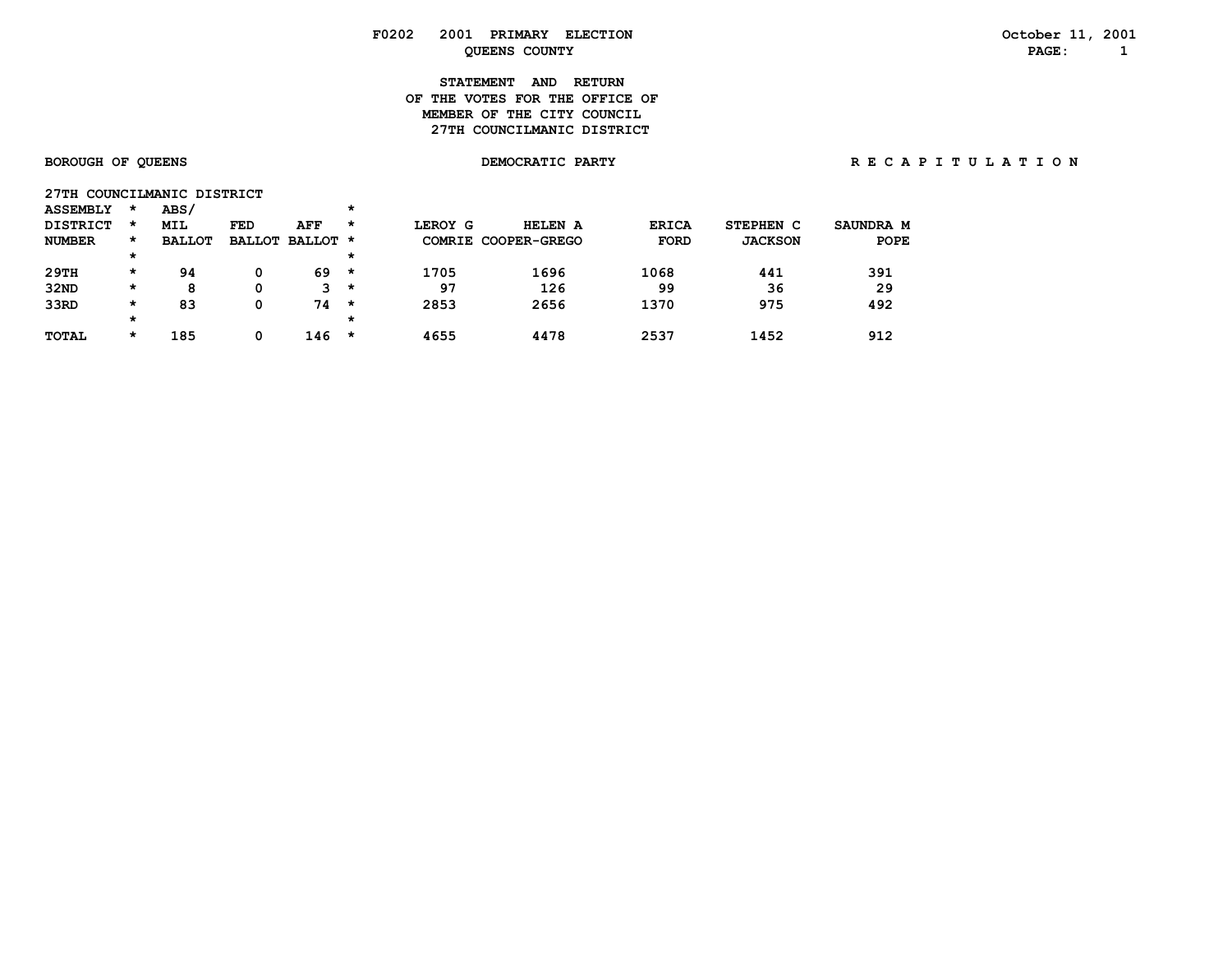### **F0202 2001 PRIMARY ELECTION October 11, 2001 PAGE:** 1

# **STATEMENT AND RETURN OF THE VOTES FOR THE OFFICE OFMEMBER OF THE CITY COUNCIL 27TH COUNCILMANIC DISTRICT**

**27TH COUNCILMANIC DISTRICT** 

# BOROUGH OF QUEENS **DEMOCRATIC PARTY BOROUGH OF QUEENS** A T I O N

| <b>ASSEMBLY</b> | *       | ABS/          |     |                 | * |         |                     |              |                |           |
|-----------------|---------|---------------|-----|-----------------|---|---------|---------------------|--------------|----------------|-----------|
| <b>DISTRICT</b> | *       | MIL           | FED | AFF             | * | LEROY G | HELEN A             | <b>ERICA</b> | STEPHEN C      | SAUNDRA M |
| <b>NUMBER</b>   | *       | <b>BALLOT</b> |     | BALLOT BALLOT * |   |         | COMRIE COOPER-GREGO | <b>FORD</b>  | <b>JACKSON</b> | POPE      |
|                 | $\star$ |               |     |                 | * |         |                     |              |                |           |
| 29TH            | *       | 94            |     | 69              | * | 1705    | 1696                | 1068         | 441            | 391       |
| 32ND            | $\star$ | 8             | 0   | 3               | * | 97      | 126                 | 99           | 36             | 29        |
| 33RD            | $\star$ | 83            | 0   | 74              | * | 2853    | 2656                | 1370         | 975            | 492       |
|                 | $\star$ |               |     |                 | * |         |                     |              |                |           |
| <b>TOTAL</b>    | *       | 185           | 0   | 146             | * | 4655    | 4478                | 2537         | 1452           | 912       |
|                 |         |               |     |                 |   |         |                     |              |                |           |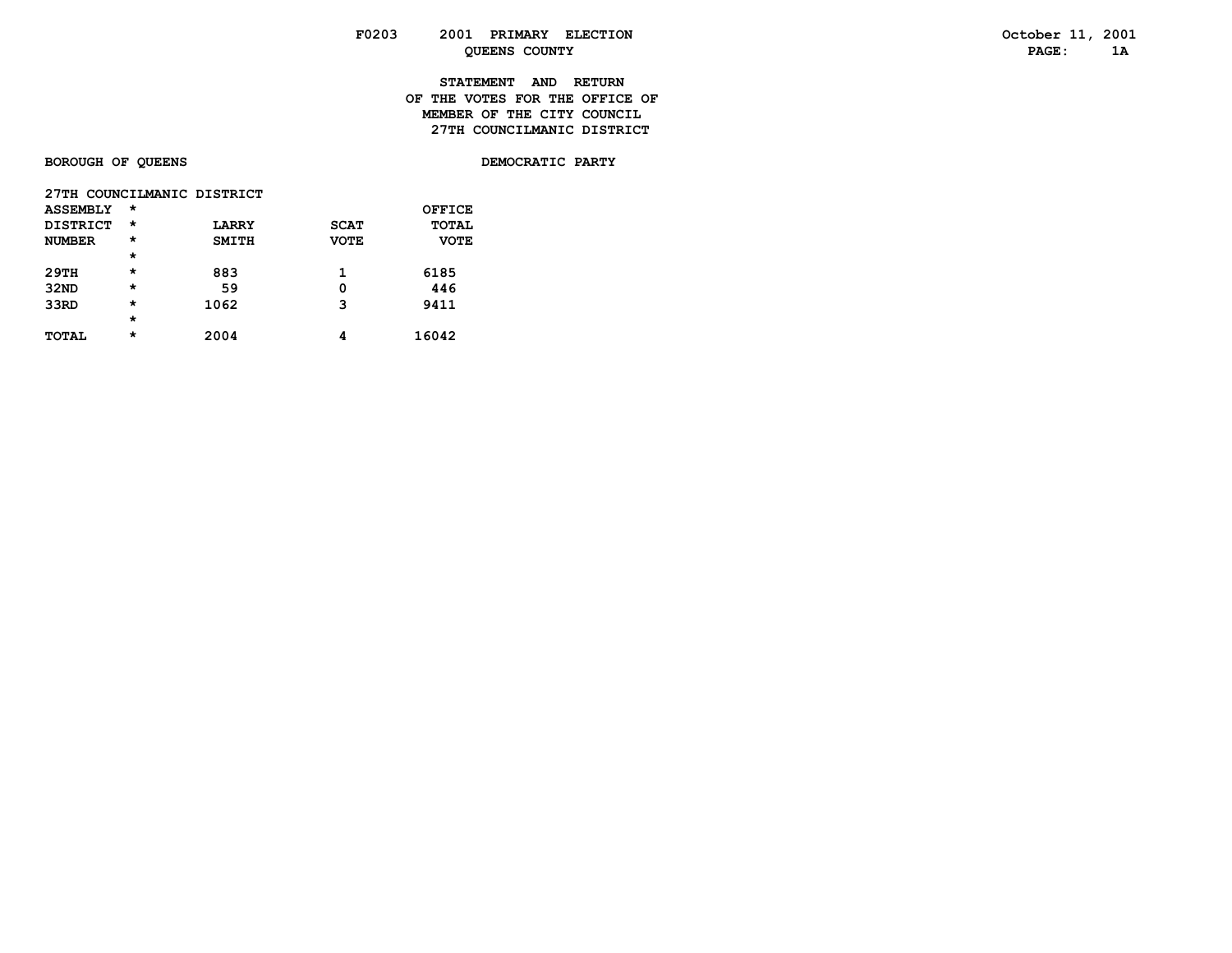# **STATEMENT AND RETURN OF THE VOTES FOR THE OFFICE OFMEMBER OF THE CITY COUNCIL 27TH COUNCILMANIC DISTRICT**

# **BOROUGH OF QUEENS DEMOCRATIC PARTY**

|                 | 27TH COUNCILMANIC DISTRICT |              |             |             |  |  |  |  |  |  |  |  |
|-----------------|----------------------------|--------------|-------------|-------------|--|--|--|--|--|--|--|--|
| <b>ASSEMBLY</b> | $\star$                    |              |             | OFFICE      |  |  |  |  |  |  |  |  |
| DISTRICT        | $^\star$                   | <b>LARRY</b> | <b>SCAT</b> | TOTAL       |  |  |  |  |  |  |  |  |
| <b>NUMBER</b>   | $\star$                    | <b>SMITH</b> | <b>VOTE</b> | <b>VOTE</b> |  |  |  |  |  |  |  |  |
|                 | $\star$                    |              |             |             |  |  |  |  |  |  |  |  |
| 29TH            | $\star$                    | 883          | 1           | 6185        |  |  |  |  |  |  |  |  |
| 32ND            | $\star$                    | 59           | 0           | 446         |  |  |  |  |  |  |  |  |
| 33RD            | $\star$                    | 1062         | 3           | 9411        |  |  |  |  |  |  |  |  |
|                 | $\star$                    |              |             |             |  |  |  |  |  |  |  |  |
| <b>TOTAL</b>    | $\star$                    | 2004         |             | 16042       |  |  |  |  |  |  |  |  |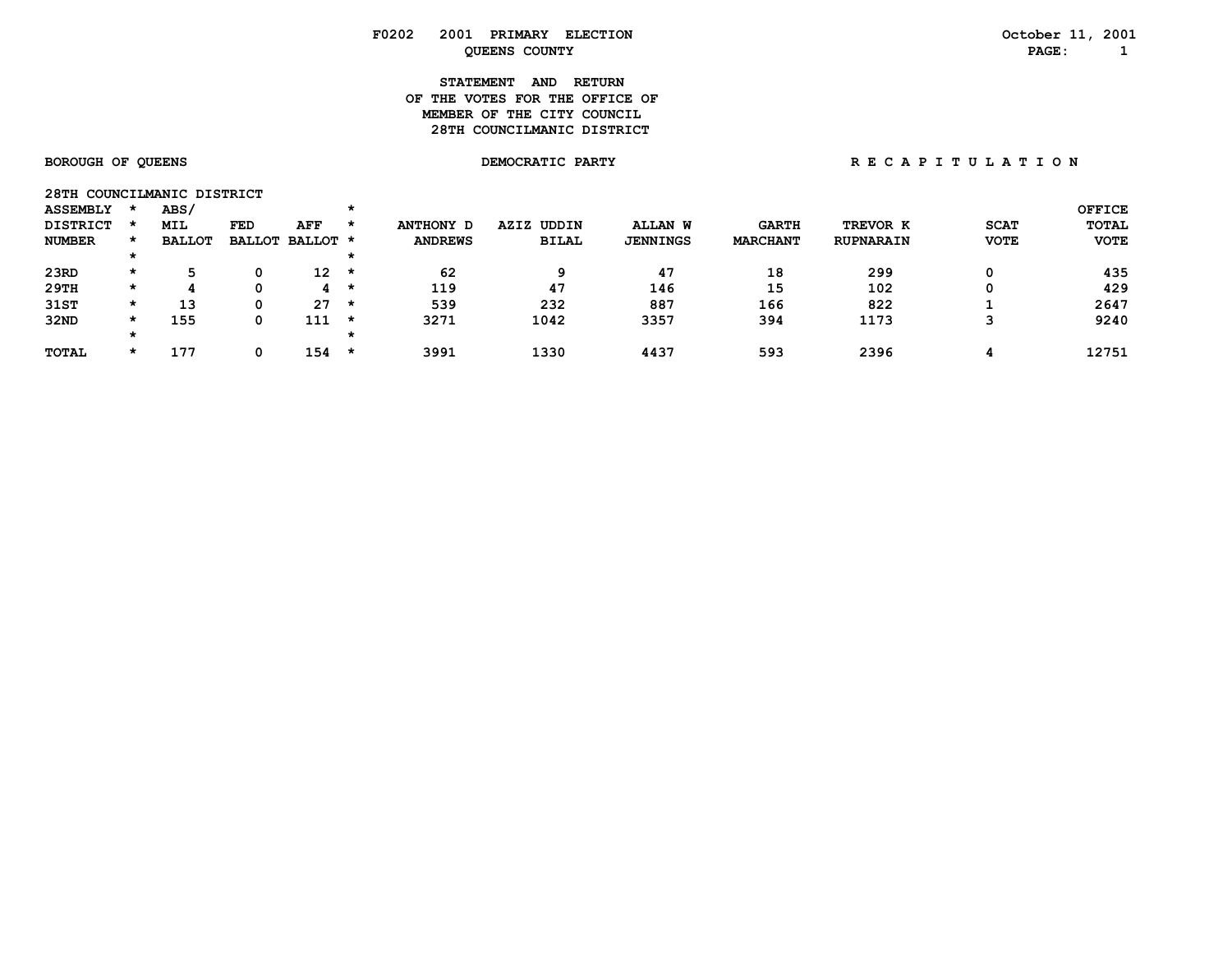# **STATEMENT AND RETURN OF THE VOTES FOR THE OFFICE OFMEMBER OF THE CITY COUNCIL 28TH COUNCILMANIC DISTRICT**

| 28TH COUNCILMANIC DISTRICT |         |               |     |                  |         |                |               |                 |                 |                  |             |              |
|----------------------------|---------|---------------|-----|------------------|---------|----------------|---------------|-----------------|-----------------|------------------|-------------|--------------|
| <b>ASSEMBLY</b>            |         | <b>ABS/</b>   |     |                  |         |                |               |                 |                 |                  |             | OFFICE       |
| <b>DISTRICT</b>            |         | <b>MIL</b>    | FED | AFF              | $\star$ | ANTHONY D      | UDDIN<br>AZIZ | <b>ALLAN W</b>  | <b>GARTH</b>    | TREVOR K         | <b>SCAT</b> | <b>TOTAL</b> |
| <b>NUMBER</b>              | $\star$ | <b>BALLOT</b> |     | BALLOT BALLOT *  |         | <b>ANDREWS</b> | <b>BILAL</b>  | <b>JENNINGS</b> | <b>MARCHANT</b> | <b>RUPNARAIN</b> | <b>VOTE</b> | <b>VOTE</b>  |
|                            |         |               |     |                  |         |                |               |                 |                 |                  |             |              |
| 23RD                       | $\star$ | 5             | 0   | $12 \rightarrow$ |         | 62             | 9             | 47              | 18              | 299              |             | 435          |
| 29TH                       | *       |               | 0   | 4                | *       | 119            | 47            | 146             | 15              | 102              |             | 429          |
| 31ST                       | $\star$ | 13            | 0   | 27               | *       | 539            | 232           | 887             | 166             | 822              |             | 2647         |
| 32ND                       | $\star$ | 155           | 0   | 111              | *       | 3271           | 1042          | 3357            | 394             | 1173             |             | 9240         |
|                            |         |               |     |                  |         |                |               |                 |                 |                  |             |              |
| <b>TOTAL</b>               | $\star$ | 177           | 0   | 154              | $\star$ | 3991           | 1330          | 4437            | 593             | 2396             | 4           | 12751        |
|                            |         |               |     |                  |         |                |               |                 |                 |                  |             |              |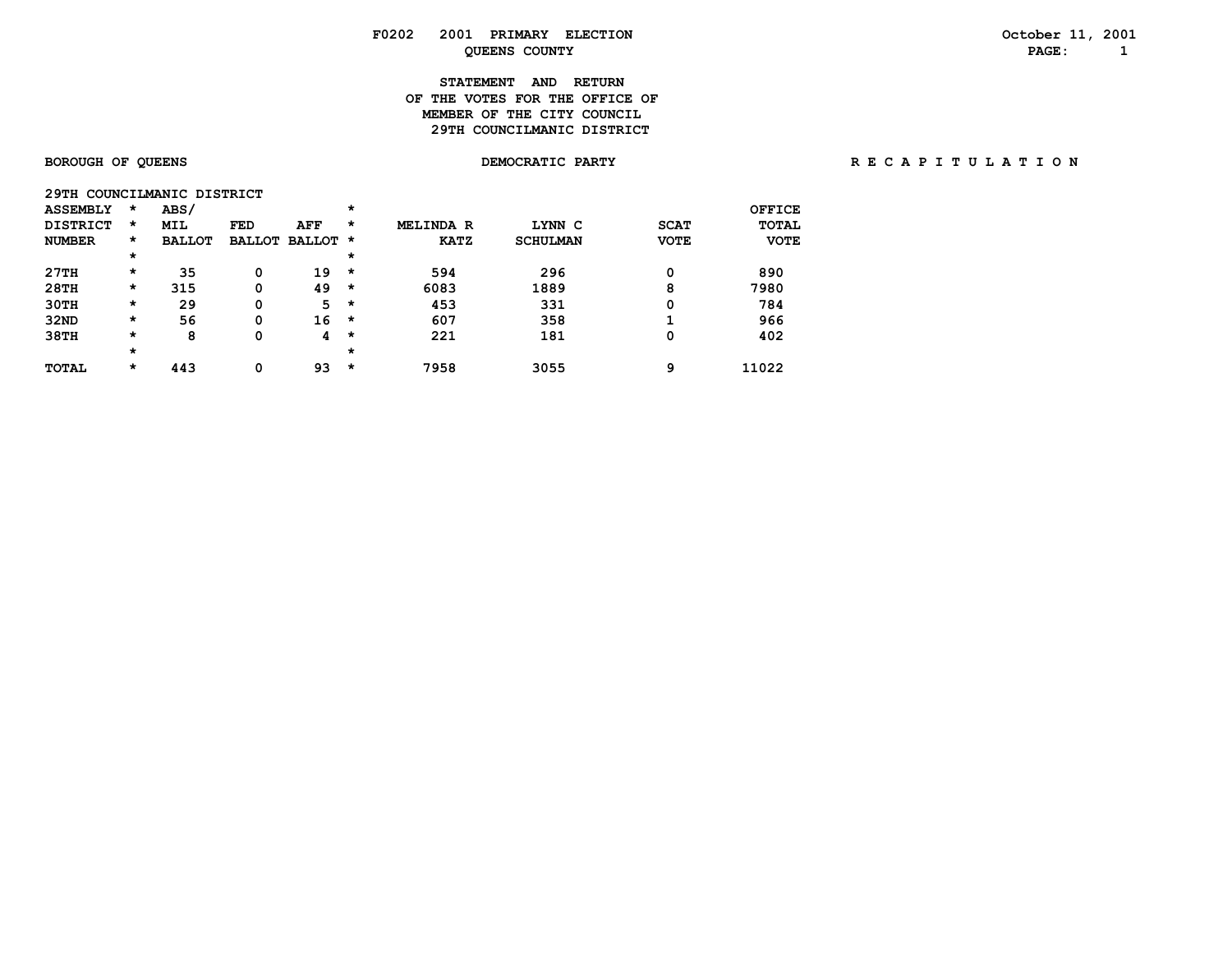# **STATEMENT AND RETURN OF THE VOTES FOR THE OFFICE OFMEMBER OF THE CITY COUNCIL 29TH COUNCILMANIC DISTRICT**

| 29TH COUNCILMANIC DISTRICT |         |               |               |               |         |                  |                 |             |              |
|----------------------------|---------|---------------|---------------|---------------|---------|------------------|-----------------|-------------|--------------|
| <b>ASSEMBLY</b>            | $\star$ | ABS/          |               |               | *       |                  |                 |             | OFFICE       |
| <b>DISTRICT</b>            | $\star$ | <b>MIL</b>    | <b>FED</b>    | AFF           | *       | <b>MELINDA R</b> | LYNN C          | <b>SCAT</b> | <b>TOTAL</b> |
| <b>NUMBER</b>              | $\star$ | <b>BALLOT</b> | <b>BALLOT</b> | <b>BALLOT</b> | *       | <b>KATZ</b>      | <b>SCHULMAN</b> | <b>VOTE</b> | <b>VOTE</b>  |
|                            | $\star$ |               |               |               | $\star$ |                  |                 |             |              |
| 27TH                       | $\star$ | 35            | 0             | 19            | $\star$ | 594              | 296             | 0           | 890          |
| 28TH                       | $\star$ | 315           | 0             | 49            | $\star$ | 6083             | 1889            | 8           | 7980         |
| 30TH                       | $\star$ | 29            | 0             | 5             | $\star$ | 453              | 331             | 0           | 784          |
| 32ND                       | $\star$ | 56            | 0             | 16            | $\star$ | 607              | 358             |             | 966          |
| 38TH                       | $\star$ | 8             | 0             | 4             | $\star$ | 221              | 181             | 0           | 402          |
|                            | $\star$ |               |               |               | $\star$ |                  |                 |             |              |
| <b>TOTAL</b>               | $\star$ | 443           | 0             | 93            | $\star$ | 7958             | 3055            | 9           | 11022        |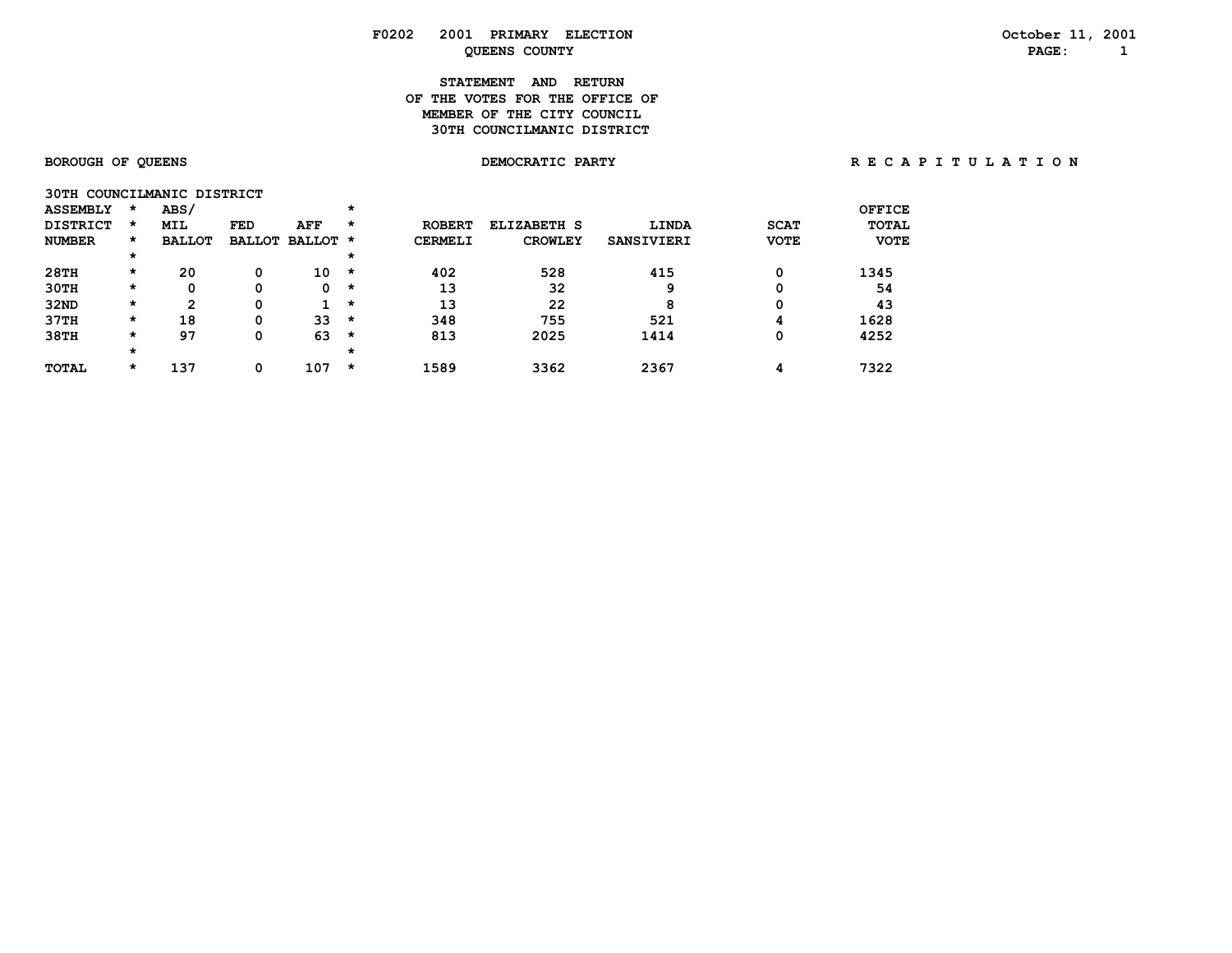# **STATEMENT AND RETURN OF THE VOTES FOR THE OFFICE OFMEMBER OF THE CITY COUNCIL 30TH COUNCILMANIC DISTRICT**

| 30TH COUNCILMANIC DISTRICT |         |               |     |                 |         |                |                |                   |             |              |
|----------------------------|---------|---------------|-----|-----------------|---------|----------------|----------------|-------------------|-------------|--------------|
| <b>ASSEMBLY</b>            | $\star$ | <b>ABS/</b>   |     |                 | *       |                |                |                   |             | OFFICE       |
| <b>DISTRICT</b>            | $\star$ | <b>MIL</b>    | FED | AFF             | *       | <b>ROBERT</b>  | ELIZABETH S    | LINDA             | <b>SCAT</b> | <b>TOTAL</b> |
| <b>NUMBER</b>              | $\star$ | <b>BALLOT</b> |     | BALLOT BALLOT * |         | <b>CERMELI</b> | <b>CROWLEY</b> | <b>SANSIVIERI</b> | <b>VOTE</b> | <b>VOTE</b>  |
|                            | $\star$ |               |     |                 | $\star$ |                |                |                   |             |              |
| 28TH                       | $\star$ | 20            | 0   | 10              | *       | 402            | 528            | 415               | 0           | 1345         |
| 30TH                       | $\star$ | 0             | 0   | 0               | *       | 13             | 32             | 9                 |             | 54           |
| 32ND                       | $\star$ | 2             | Ω   |                 | $\star$ | 13             | 22             | 8                 | 0           | 43           |
| 37TH                       | $\star$ | 18            | 0   | 33              | *       | 348            | 755            | 521               | 4           | 1628         |
| 38TH                       | $\star$ | 97            | 0   | 63              | $\star$ | 813            | 2025           | 1414              | 0           | 4252         |
|                            | $\star$ |               |     |                 | $\star$ |                |                |                   |             |              |
| <b>TOTAL</b>               | $\star$ | 137           | 0   | 107             | *       | 1589           | 3362           | 2367              |             | 7322         |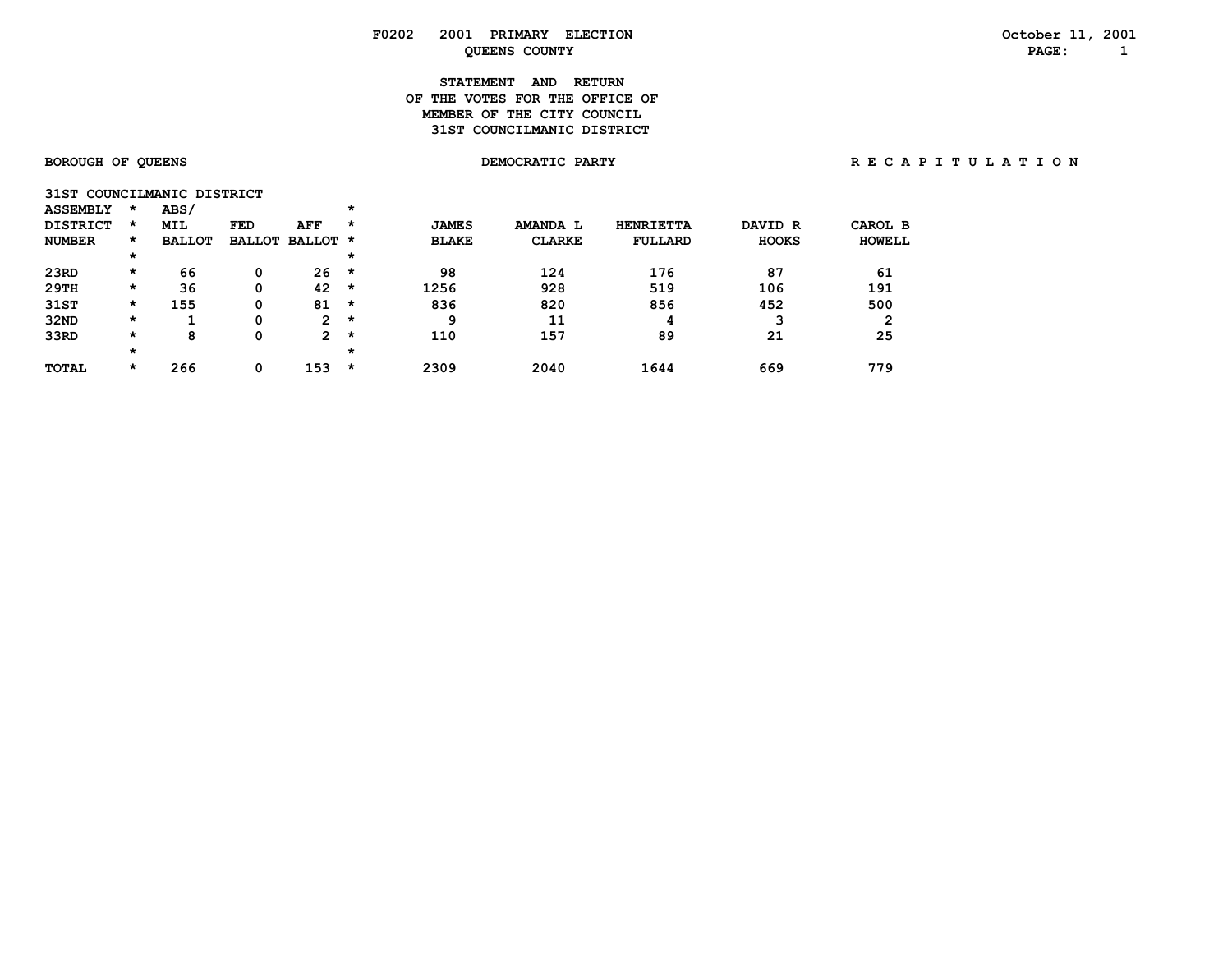# **STATEMENT AND RETURN OF THE VOTES FOR THE OFFICE OFMEMBER OF THE CITY COUNCIL 31ST COUNCILMANIC DISTRICT**

|                 | 31ST COUNCILMANIC DISTRICT |  |
|-----------------|----------------------------|--|
| <b>ASSEMBLY</b> | ABS/                       |  |

| <b>DISTRICT</b> | $\star$  | <b>MIL</b>    | FED | AFF                   | *       | <b>JAMES</b> | AMANDA L      | <b>HENRIETTA</b> | DAVID R      | CAROL B |
|-----------------|----------|---------------|-----|-----------------------|---------|--------------|---------------|------------------|--------------|---------|
| <b>NUMBER</b>   | $\star$  | <b>BALLOT</b> |     | BALLOT BALLOT *       |         | <b>BLAKE</b> | <b>CLARKE</b> | <b>FULLARD</b>   | <b>HOOKS</b> | HOWELL  |
|                 | $^\star$ |               |     |                       | $\star$ |              |               |                  |              |         |
| 23RD            | $\star$  | 66            |     | 26                    | $\star$ | 98           | 124           | 176              | 87           | 61      |
| 29TH            | *        | 36            | 0   | 42                    | *       | 1256         | 928           | 519              | 106          | 191     |
| 31ST            | *        | 155           |     | 81                    | *       | 836          | 820           | 856              | 452          | 500     |
| 32ND            | *        |               |     | 2                     | *       | 9            | 11            |                  |              | 2       |
| 33RD            | *        | 8             |     | $\mathbf{2}^{\prime}$ | *       | 110          | 157           | 89               | 21           | 25      |
|                 | $^\star$ |               |     |                       | $\star$ |              |               |                  |              |         |
| <b>TOTAL</b>    | *        | 266           |     | 153                   | *       | 2309         | 2040          | 1644             | 669          | 779     |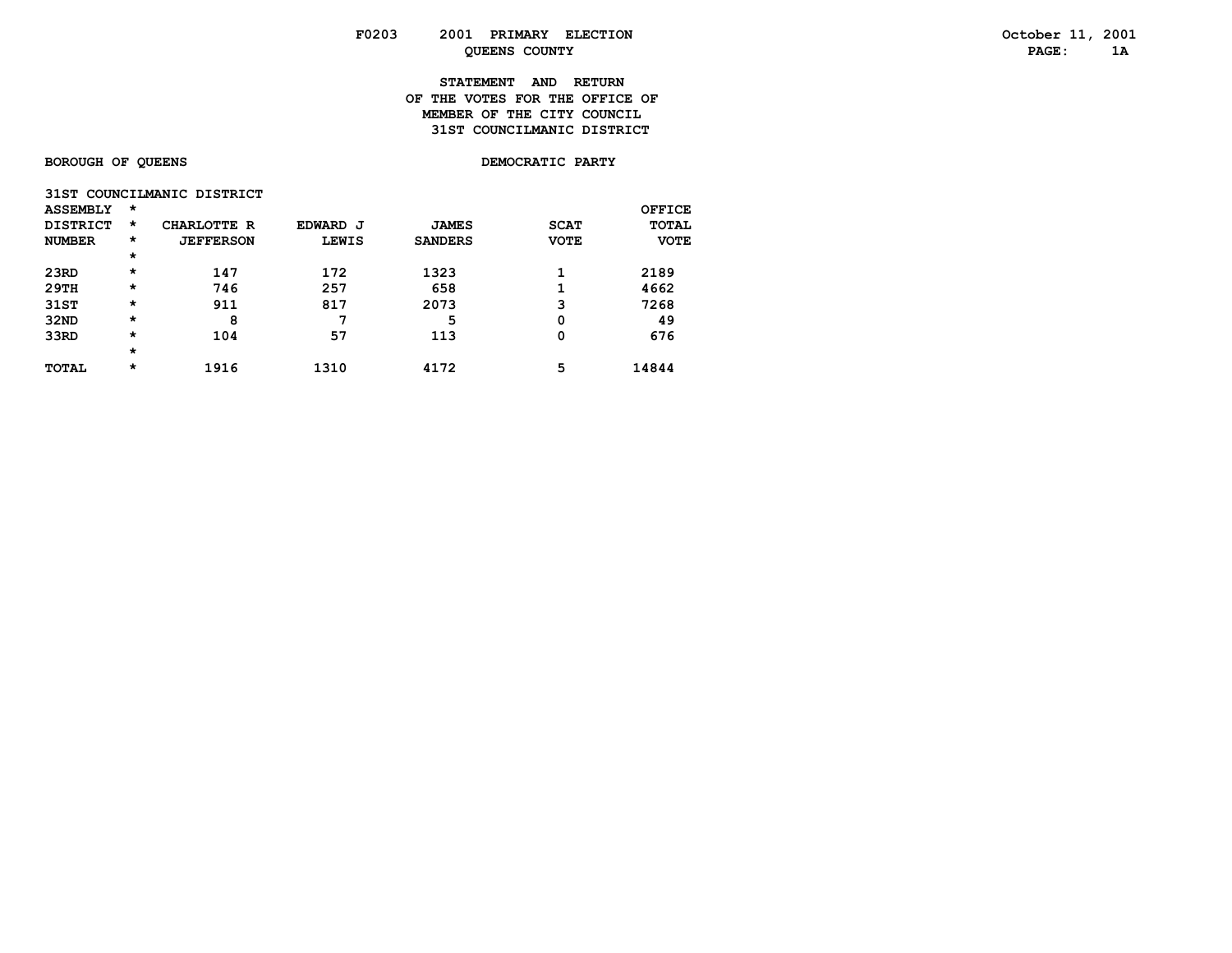# **STATEMENT AND RETURN OF THE VOTES FOR THE OFFICE OF MEMBER OF THE CITY COUNCIL 31ST COUNCILMANIC DISTRICT**

# **BOROUGH OF QUEENS BOROUGH OF QUEENS**

|                 |  | 31ST COUNCILMANIC DISTRICT |  |
|-----------------|--|----------------------------|--|
| <b>ACCEMBIV</b> |  |                            |  |

| <b>ASSEMBLY</b> | *        |                  |              |                |             | OFFICE       |
|-----------------|----------|------------------|--------------|----------------|-------------|--------------|
| <b>DISTRICT</b> | $\star$  | CHARLOTTE R      | EDWARD J     | <b>JAMES</b>   | <b>SCAT</b> | <b>TOTAL</b> |
| <b>NUMBER</b>   | $^\star$ | <b>JEFFERSON</b> | <b>LEWIS</b> | <b>SANDERS</b> | <b>VOTE</b> | <b>VOTE</b>  |
|                 | $\star$  |                  |              |                |             |              |
| 23RD            | $\star$  | 147              | 172          | 1323           |             | 2189         |
| 29TH            | $\star$  | 746              | 257          | 658            |             | 4662         |
| 31ST            | $\star$  | 911              | 817          | 2073           | 3           | 7268         |
| 32ND            | $\star$  | 8                | 7            | 5              | 0           | 49           |
| 33RD            | $\star$  | 104              | 57           | 113            | 0           | 676          |
|                 | $\star$  |                  |              |                |             |              |
| TOTAL           | $\star$  | 1916             | 1310         | 4172           | 5           | 14844        |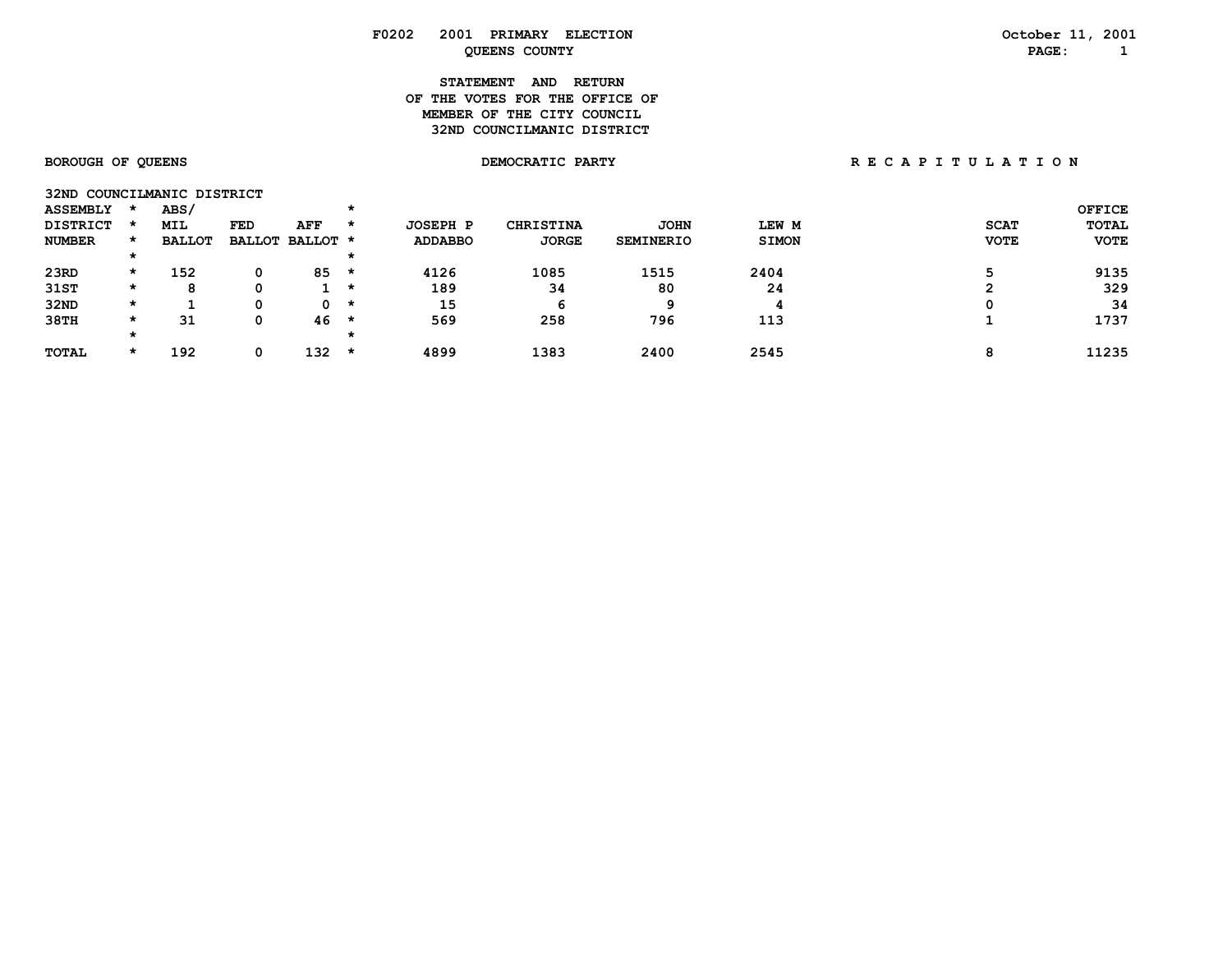| F0202 | 2001<br>PRIMARY<br><b>ELECTION</b> | 200<br>October<br>--- |
|-------|------------------------------------|-----------------------|
|       | <b>COUNTY</b><br>OUEENS            | <b>PAGE</b>           |

**STATEMENT AND RETURN OF THE VOTES FOR THE OFFICE OFMEMBER OF THE CITY COUNCIL 32ND COUNCILMANIC DISTRICT** 

# BOROUGH OF QUEENS **BOROUGH OF QUEENS BEOROUGH OF A T I O N** DEMOCRATIC PARTY **RECAPITULATION**

| 32ND COUNCILMANIC DISTRICT |   |               |     |                 |         |                |                  |                  |              |             |               |
|----------------------------|---|---------------|-----|-----------------|---------|----------------|------------------|------------------|--------------|-------------|---------------|
| <b>ASSEMBLY</b>            |   | ABS/          |     |                 | *       |                |                  |                  |              |             | <b>OFFICE</b> |
| <b>DISTRICT</b>            |   | MIL           | FED | AFF             | *       | JOSEPH P       | <b>CHRISTINA</b> | <b>JOHN</b>      | LEW M        | <b>SCAT</b> | <b>TOTAL</b>  |
| <b>NUMBER</b>              | * | <b>BALLOT</b> |     | BALLOT BALLOT * |         | <b>ADDABBO</b> | <b>JORGE</b>     | <b>SEMINERIO</b> | <b>SIMON</b> | <b>VOTE</b> | <b>VOTE</b>   |
|                            |   |               |     |                 | *       |                |                  |                  |              |             |               |
| 23RD                       | * | 152           | 0   | 85              | $\star$ | 4126           | 1085             | 1515             | 2404         |             | 9135          |
| 31ST                       | * | 8             |     |                 | $\star$ | 189            | 34               | 80               | 24           | ◠           | 329           |
| 32ND                       | * |               | Ω   | 0               | $\star$ | 15             | 6                | Q                |              | Ω           | 34            |
| 38TH                       | * | 31            | 0   | 46              | $\star$ | 569            | 258              | 796              | 113          |             | 1737          |
|                            |   |               |     |                 | $\star$ |                |                  |                  |              |             |               |
| <b>TOTAL</b>               | * | 192           | 0   | 132             | *       | 4899           | 1383             | 2400             | 2545         | ິ           | 11235         |

**October 11, 2001**<br>**PAGE:** 1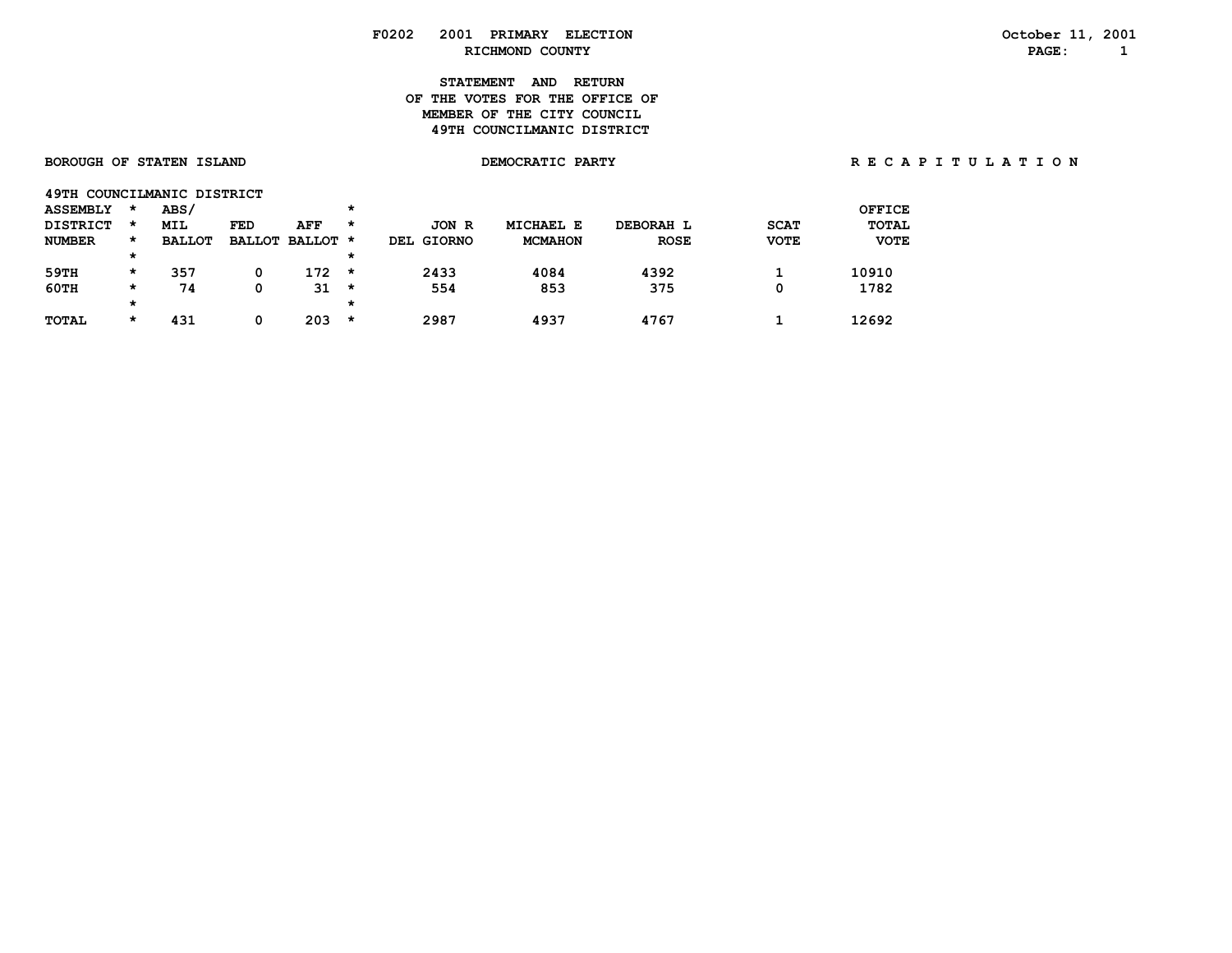# **STATEMENT AND RETURN OF THE VOTES FOR THE OFFICE OFMEMBER OF THE CITY COUNCIL 49TH COUNCILMANIC DISTRICT**

| <b>BOROUGH OF STATEN ISLAND</b> |          |               |     |                 |         |            | DEMOCRATIC PARTY |             |             |               | R E C A P I T U L A T I O N |
|---------------------------------|----------|---------------|-----|-----------------|---------|------------|------------------|-------------|-------------|---------------|-----------------------------|
| 49TH COUNCILMANIC DISTRICT      |          |               |     |                 |         |            |                  |             |             |               |                             |
| <b>ASSEMBLY</b>                 | *        | ABS/          |     |                 | *       |            |                  |             |             | <b>OFFICE</b> |                             |
| <b>DISTRICT</b>                 | $\star$  | MIL           | FED | AFF             | $\star$ | JON R      | <b>MICHAEL E</b> | DEBORAH L   | <b>SCAT</b> | <b>TOTAL</b>  |                             |
| <b>NUMBER</b>                   | *        | <b>BALLOT</b> |     | BALLOT BALLOT * |         | DEL GIORNO | <b>MCMAHON</b>   | <b>ROSE</b> | <b>VOTE</b> | <b>VOTE</b>   |                             |
|                                 | $\star$  |               |     |                 | *       |            |                  |             |             |               |                             |
| 59TH                            | $\star$  | 357           | 0   | $172 *$         |         | 2433       | 4084             | 4392        |             | 10910         |                             |
| $60$ TH                         | $\star$  | 74            | 0   | $31 \star$      |         | 554        | 853              | 375         | 0           | 1782          |                             |
|                                 | $^\star$ |               |     |                 | *       |            |                  |             |             |               |                             |
| <b>TOTAL</b>                    | $\star$  | 431           | 0   | 203             | $\star$ | 2987       | 4937             | 4767        |             | 12692         |                             |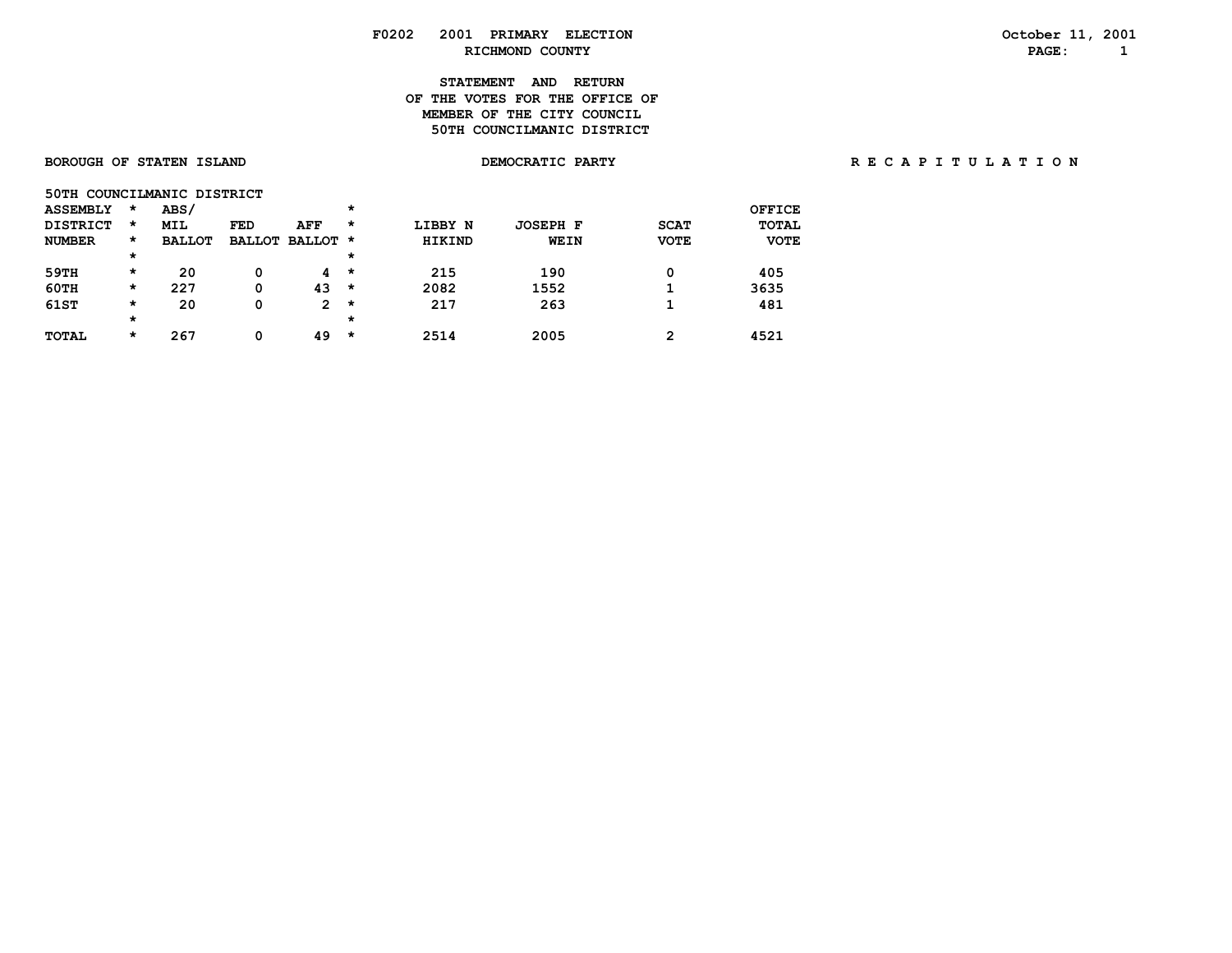## **STATEMENT AND RETURN OF THE VOTES FOR THE OFFICE OFMEMBER OF THE CITY COUNCIL 50TH COUNCILMANIC DISTRICT**

| BURUUGH UF SIAIEN ISLAND |  |  |
|--------------------------|--|--|
|                          |  |  |
|                          |  |  |

| <b>ASSEMBLY</b> | $\star$  | ABS/          |            |                 | $\star$ |               |                 |             | <b>OFFICE</b> |
|-----------------|----------|---------------|------------|-----------------|---------|---------------|-----------------|-------------|---------------|
| <b>DISTRICT</b> | $\star$  | <b>MIL</b>    | <b>FED</b> | AFF             | *       | LIBBY N       | <b>JOSEPH F</b> | <b>SCAT</b> | <b>TOTAL</b>  |
| <b>NUMBER</b>   | $\star$  | <b>BALLOT</b> |            | BALLOT BALLOT * |         | <b>HIKIND</b> | WEIN            | <b>VOTE</b> | <b>VOTE</b>   |
|                 | $^\star$ |               |            |                 | $\star$ |               |                 |             |               |
| 59TH            | $\star$  | 20            | 0          | 4               | *       | 215           | 190             | 0           | 405           |
| 60TH            | $\star$  | 227           | 0          | 43              | *       | 2082          | 1552            |             | 3635          |
| 61ST            | $\star$  | 20            | 0          | 2               | $\star$ | 217           | 263             |             | 481           |
|                 | $^\star$ |               |            |                 | $\star$ |               |                 |             |               |
| TOTAL           | $\star$  | 267           | 0          | 49              | *       | 2514          | 2005            | 2           | 4521          |

BOROUGH OF STATEN ISLAND **DEMOCRATIC PARTY REGAPITY** RECAPITULATION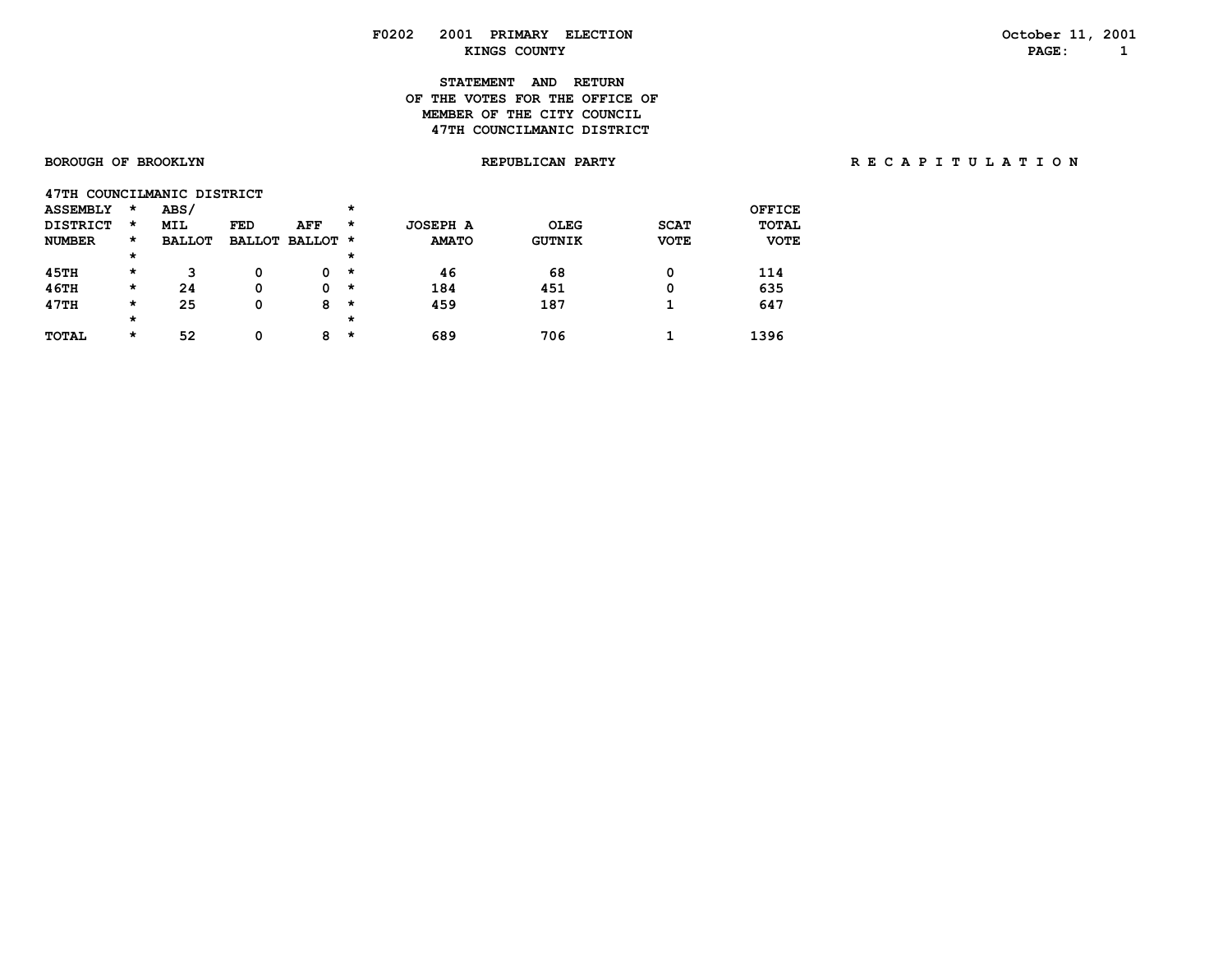# **STATEMENT AND RETURN OF THE VOTES FOR THE OFFICE OFMEMBER OF THE CITY COUNCIL 47TH COUNCILMANIC DISTRICT**

### **BOROUGH OF BROOKLYN REPUBLICAN PARTY R E C A P I T U L A T I O N**

| 47TH COUNCILMANIC DISTRICT |         |               |            |                 |         |                 |               |             |               |
|----------------------------|---------|---------------|------------|-----------------|---------|-----------------|---------------|-------------|---------------|
| <b>ASSEMBLY</b>            | $\star$ | ABS/          |            |                 | $\star$ |                 |               |             | <b>OFFICE</b> |
| <b>DISTRICT</b>            | $\star$ | <b>MIL</b>    | <b>FED</b> | AFF             | *       | <b>JOSEPH A</b> | OLEG          | <b>SCAT</b> | <b>TOTAL</b>  |
| <b>NUMBER</b>              | *       | <b>BALLOT</b> |            | BALLOT BALLOT * |         | <b>AMATO</b>    | <b>GUTNIK</b> | <b>VOTE</b> | <b>VOTE</b>   |
|                            | *       |               |            |                 | $\star$ |                 |               |             |               |
| 45TH                       | *       | 3             | 0          | 0               | $\star$ | 46              | 68            | 0           | 114           |
| 46TH                       | *       | 24            | 0          | 0               | *       | 184             | 451           | 0           | 635           |
| 47TH                       | $\star$ | 25            | 0          | 8               | *       | 459             | 187           |             | 647           |
|                            | *       |               |            |                 | $\star$ |                 |               |             |               |
| <b>TOTAL</b>               | *       | 52            | 0          | 8               | $\star$ | 689             | 706           |             | 1396          |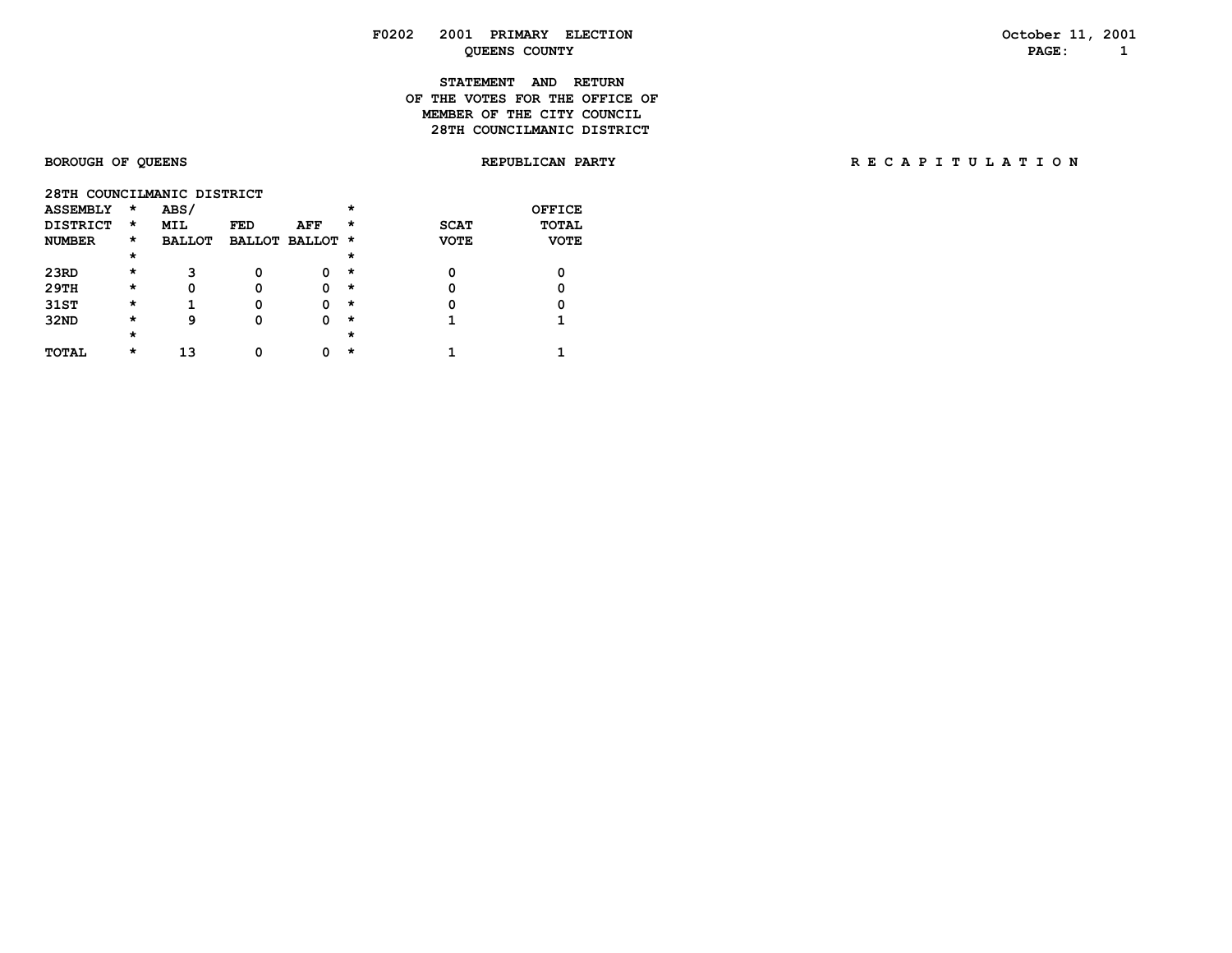# **STATEMENT AND RETURN OF THE VOTES FOR THE OFFICE OFMEMBER OF THE CITY COUNCIL 28TH COUNCILMANIC DISTRICT**

# **BOROUGH OF QUEENS REPUBLICAN PARTY R E C A P I T U L A T I O N**

| 28TH COUNCILMANIC DISTRICT |        |
|----------------------------|--------|
| ASSEMBLY *<br>ABS/         | OFFICE |

| ----------      |          | ----          |     |                 |         |             |             |
|-----------------|----------|---------------|-----|-----------------|---------|-------------|-------------|
| <b>DISTRICT</b> | $\star$  | <b>MIL</b>    | FED | AFF             | $\star$ | <b>SCAT</b> | TOTAL       |
| <b>NUMBER</b>   | *        | <b>BALLOT</b> |     | BALLOT BALLOT * |         | <b>VOTE</b> | <b>VOTE</b> |
|                 | $^\star$ |               |     |                 | $\star$ |             |             |
| 23RD            | $\star$  | 3             |     |                 | *       |             |             |
| 29TH            | $\star$  |               | 0   |                 | $\star$ |             |             |
| 31ST            | $^\star$ |               | 0   |                 | $\star$ | O           |             |
| 32ND            | $^\star$ | 9             | 0   |                 | $\star$ |             |             |
|                 | *        |               |     |                 | $\star$ |             |             |
| TOTAL           | $^\star$ | 1 २           | ∩   |                 | $\star$ |             |             |
|                 |          |               |     |                 |         |             |             |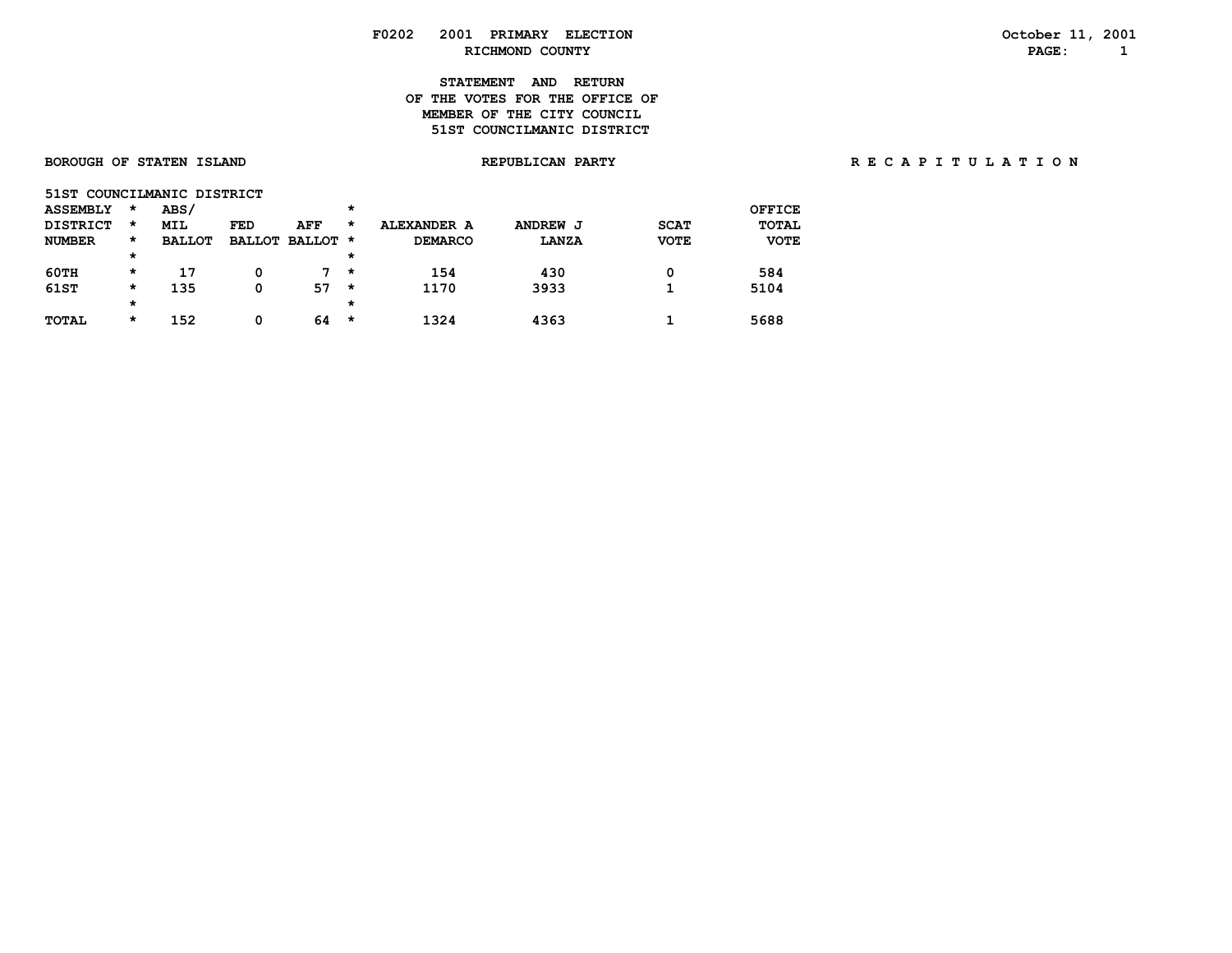# **F0202 2001 PRIMARY ELECTION October 11, 2001 RICHMOND COUNTY**

### **STATEMENT AND RETURN OF THE VOTES FOR THE OFFICE OFMEMBER OF THE CITY COUNCIL 51ST COUNCILMANIC DISTRICT**

| 51ST COUNCILMANIC DISTRICT |         |               |     |                 |         |                |              |             |             |
|----------------------------|---------|---------------|-----|-----------------|---------|----------------|--------------|-------------|-------------|
| <b>ASSEMBLY</b>            | $\star$ | ABS/          |     |                 | *       |                |              |             | OFFICE      |
| <b>DISTRICT</b>            | *       | MIL           | FED | AFF             | *       | ALEXANDER A    | ANDREW J     | <b>SCAT</b> | TOTAL       |
| <b>NUMBER</b>              | *       | <b>BALLOT</b> |     | BALLOT BALLOT * |         | <b>DEMARCO</b> | <b>LANZA</b> | <b>VOTE</b> | <b>VOTE</b> |
|                            | *       |               |     |                 | *       |                |              |             |             |
| 60TH                       | *       | 17            | 0   | $7 +$           |         | 154            | 430          | 0           | 584         |
| 61ST                       | *       | 135           | 0   | 57              | $\star$ | 1170           | 3933         |             | 5104        |

 **TOTAL \* 152 0 64 \* 1324 4363 1 5688**

### **BOROUGH OF STATEN ISLAND REPUBLICAN PARTY R E C A P I T U L A T I O N**

| OCLODEL II, ZUVI |  |
|------------------|--|
| PAGE:            |  |

 **\* \***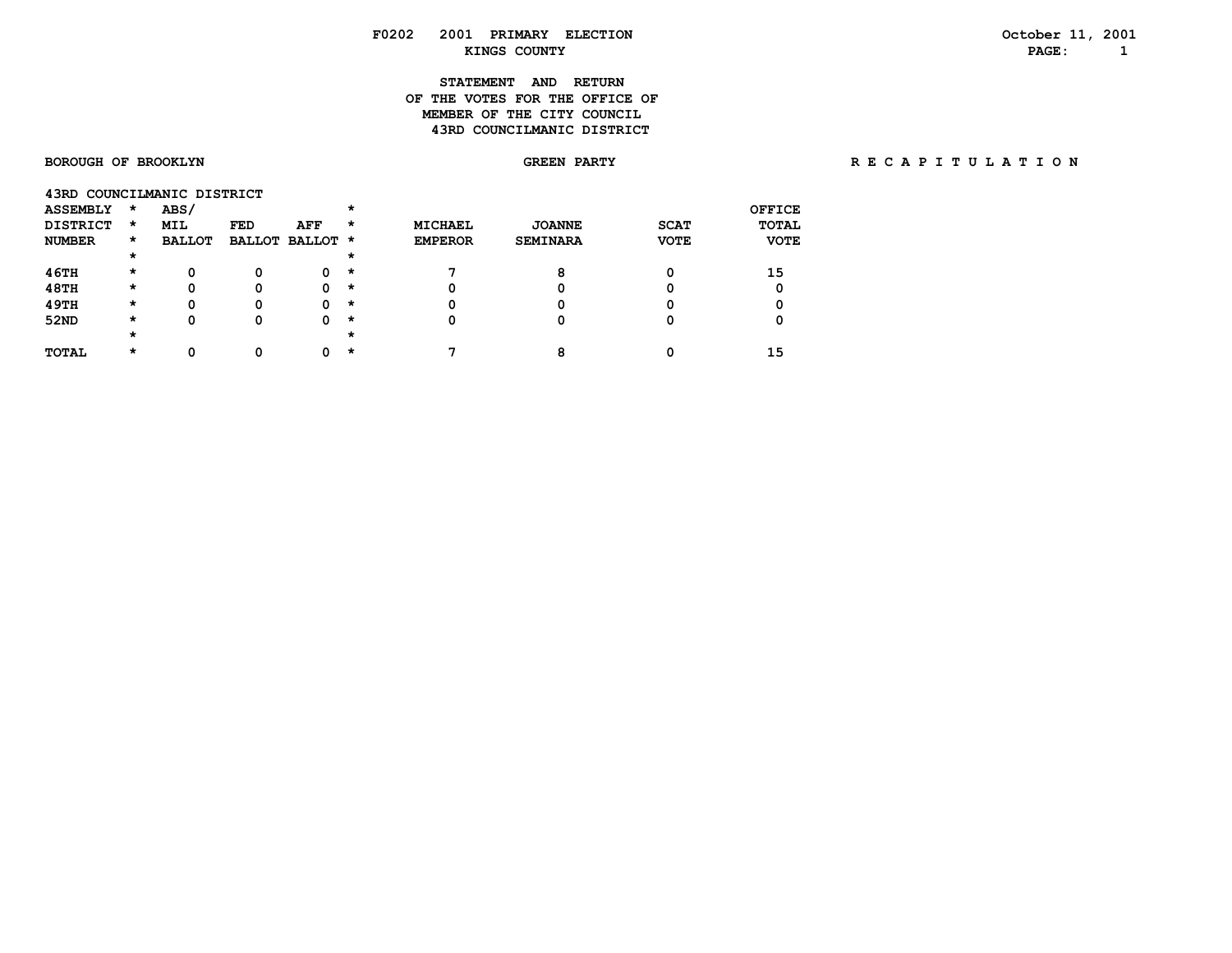### **F0202 2001 PRIMARY ELECTION October 11, 2001 KINGS COUNTY PAGE: 1**

### **STATEMENT AND RETURN OF THE VOTES FOR THE OFFICE OFMEMBER OF THE CITY COUNCIL 43RD COUNCILMANIC DISTRICT**

### BOROUGH OF BROOKLYN **GREEN PARTY BROOKLYN BROOKLYN GREEN FARTY** BE CAPITULATION

| <b>ASSEMBLY</b> | $\star$ | ABS/          |     |                 |         |                |                 |             | OFFICE       |
|-----------------|---------|---------------|-----|-----------------|---------|----------------|-----------------|-------------|--------------|
| <b>DISTRICT</b> | $\star$ | <b>MIL</b>    | FED | AFF             | *       | MICHAEL        | <b>JOANNE</b>   | <b>SCAT</b> | <b>TOTAL</b> |
| <b>NUMBER</b>   | $\star$ | <b>BALLOT</b> |     | BALLOT BALLOT * |         | <b>EMPEROR</b> | <b>SEMINARA</b> | <b>VOTE</b> | <b>VOTE</b>  |
|                 | $\star$ |               |     |                 | *       |                |                 |             |              |
| 46TH            | $\star$ | 0             | 0   | 0               | $\star$ |                | 8               |             | 15           |
| <b>48TH</b>     | $\star$ | Ω             | 0   |                 | $\star$ | Ω              |                 |             |              |
| 49TH            | $\star$ | 0             | 0   | O               | $\star$ | 0              |                 |             | 0            |
| 52ND            | $\star$ | Ω             | Ω   | o               | $\star$ | 0              |                 |             |              |
|                 | $\star$ |               |     |                 | *       |                |                 |             |              |
| <b>TOTAL</b>    | *       |               |     |                 | *       | ⇁              | ິ               |             | 15           |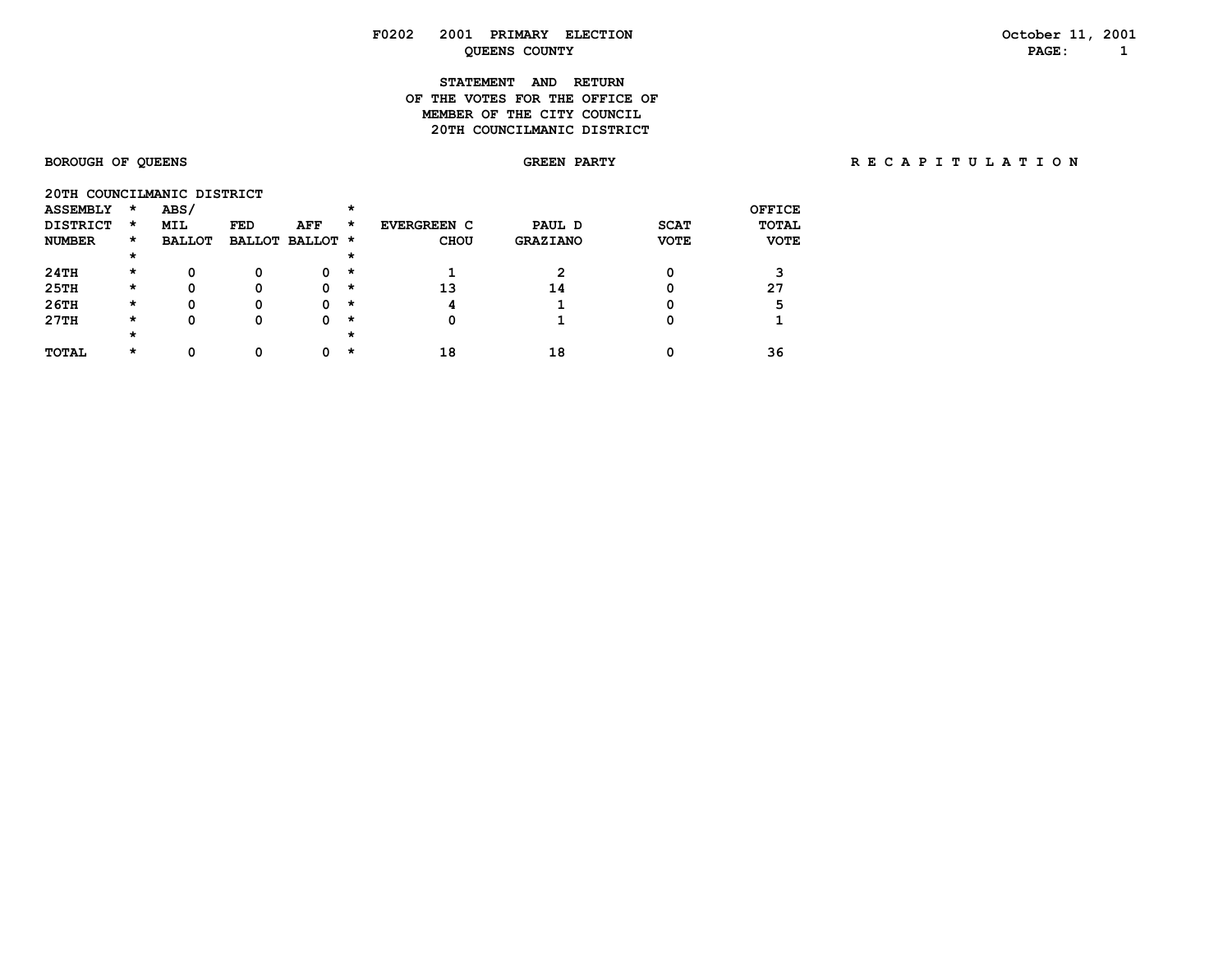### **F0202 2001 PRIMARY ELECTION October 11, 2001 COUNTY Example 2 DEENS COUNTY PAGE:**  $1$

### **STATEMENT AND RETURN OF THE VOTES FOR THE OFFICE OF MEMBER OF THE CITY COUNCIL 20TH COUNCILMANIC DISTRICT**

# BOROUGH OF QUEENS **BOROUGH OF QUEENS** SORE A PARTY **REARTY RECAPITULATION**

| 20TH COUNCILMANIC DISTRICT |         |               |     |                 |         |                    |                 |             |             |
|----------------------------|---------|---------------|-----|-----------------|---------|--------------------|-----------------|-------------|-------------|
| <b>ASSEMBLY</b>            | $\star$ | ABS/          |     |                 | *       |                    |                 |             | OFFICE      |
| <b>DISTRICT</b>            | $\star$ | <b>MIL</b>    | FED | AFF             | *       | <b>EVERGREEN C</b> | PAUL D          | <b>SCAT</b> | TOTAL       |
| <b>NUMBER</b>              | *       | <b>BALLOT</b> |     | BALLOT BALLOT * |         | <b>CHOU</b>        | <b>GRAZIANO</b> | <b>VOTE</b> | <b>VOTE</b> |
|                            | $\star$ |               |     |                 | *       |                    |                 |             |             |
| 24TH                       | *       | 0             | 0   | 0               | $\star$ |                    |                 |             |             |
| 25TH                       | *       | 0             | 0   |                 | *       | 13                 | 14              |             | 27          |
| 26TH                       | *       | 0             | 0   |                 | *       | 4                  |                 |             |             |
| 27TH                       | *       | 0             | 0   | 0               | $\star$ | 0                  |                 |             |             |
|                            | *       |               |     |                 | *       |                    |                 |             |             |
| <b>TOTAL</b>               | *       |               | Ω   |                 | *       | 18                 | 18              |             | 36          |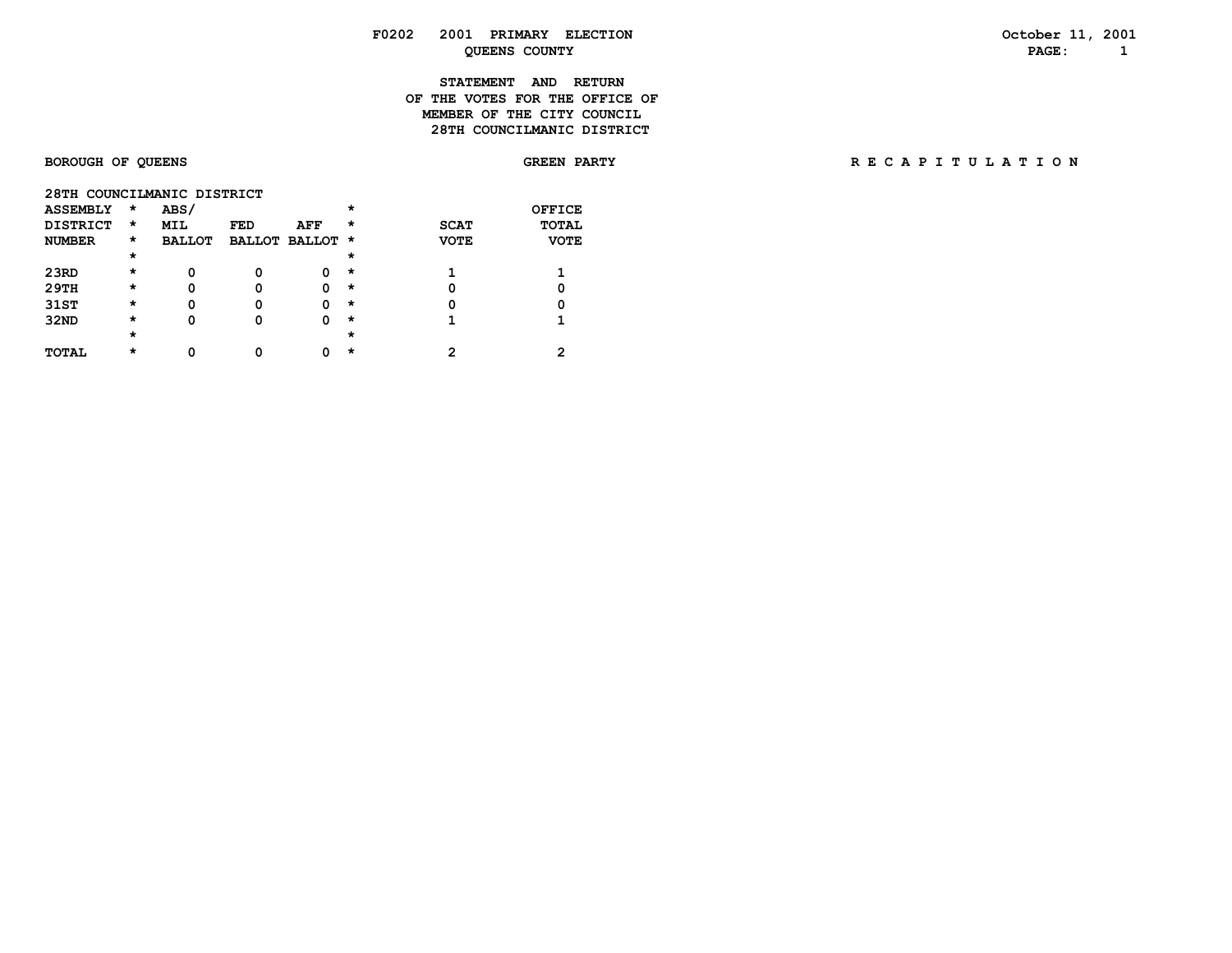## **F0202 2001 PRIMARY ELECTION October 11, 2001 QUEENS COUNTY PAGE:** 1

### **STATEMENT AND RETURN OF THE VOTES FOR THE OFFICE OF MEMBER OF THE CITY COUNCIL 28TH COUNCILMANIC DISTRICT**

# BOROUGH OF QUEENS **BOROUGH OF QUEENS** SORE A PARTY **REARTY RECAPITULATION**

|  | 28TH COUNCILMANIC DISTRICT |  |
|--|----------------------------|--|
|--|----------------------------|--|

| <b>ASSEMBLY</b> | $\star$  | ABS/          |            |                 | $\star$  |             | <b>OFFICE</b> |
|-----------------|----------|---------------|------------|-----------------|----------|-------------|---------------|
| <b>DISTRICT</b> | $\star$  | <b>MIL</b>    | <b>FED</b> | AFF             | $^\star$ | <b>SCAT</b> | <b>TOTAL</b>  |
| <b>NUMBER</b>   | *        | <b>BALLOT</b> |            | BALLOT BALLOT * |          | <b>VOTE</b> | <b>VOTE</b>   |
|                 | $^\star$ |               |            |                 | $\star$  |             |               |
| 23RD            | $^\star$ | O             | 0          |                 | *        |             |               |
| 29TH            | $^\star$ | O             | o          |                 | *        | 0           |               |
| 31ST            | $^\star$ | O             | 0          |                 | *        | 0           |               |
| 32ND            | $^\star$ | O             | Ω          |                 | *        |             |               |
|                 | $^\star$ |               |            |                 | $\star$  |             |               |
| <b>TOTAL</b>    | $\star$  | ŋ             | ი          |                 | *        | 2           |               |
|                 |          |               |            |                 |          |             |               |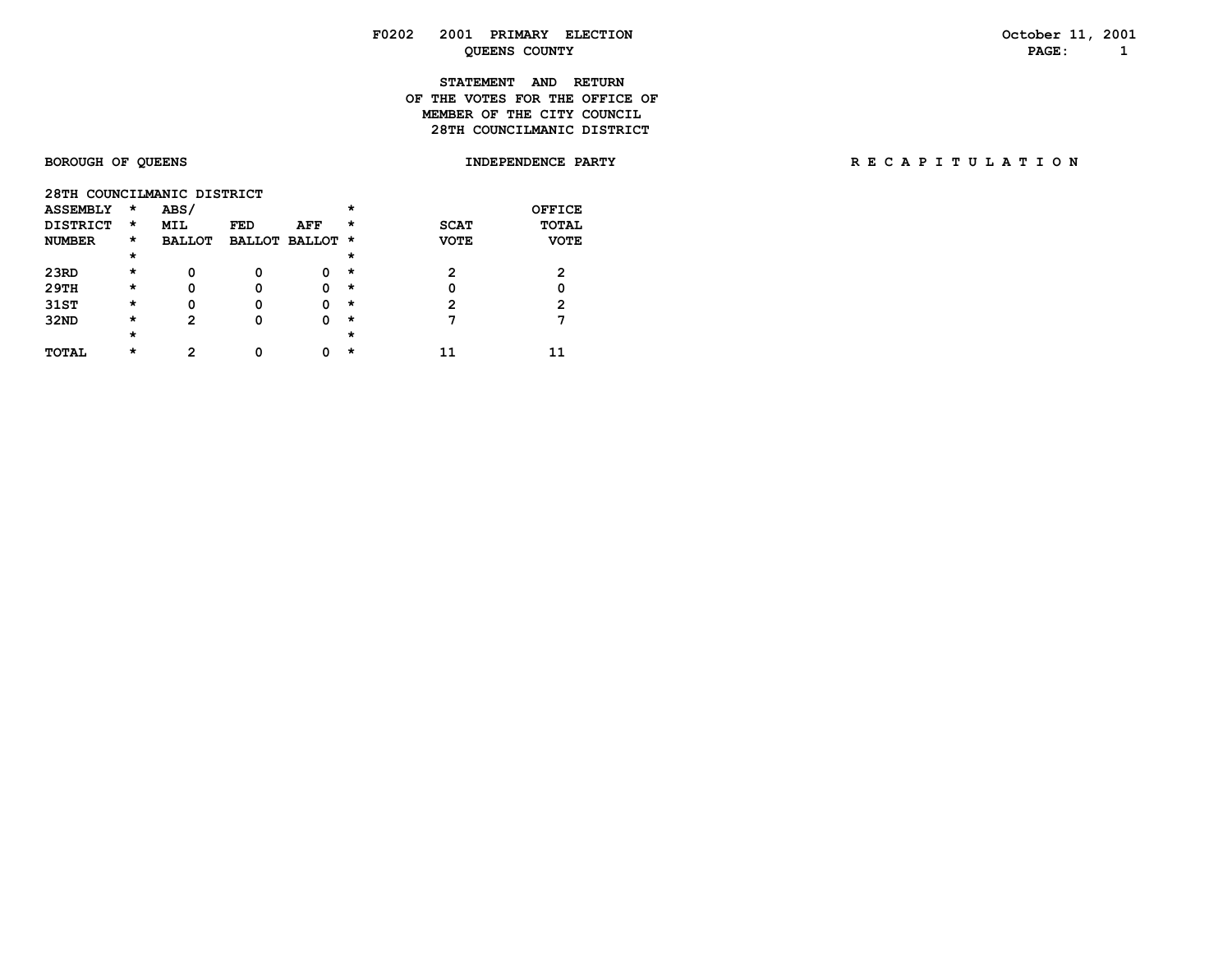## **F0202 2001 PRIMARY ELECTION October 11, 2001** *QUEENS COUNTY* **PAGE:** 1

### **STATEMENT AND RETURN OF THE VOTES FOR THE OFFICE OFMEMBER OF THE CITY COUNCIL 28TH COUNCILMANIC DISTRICT**

|  |            | 28TH COUNCILMANIC DISTRICT |
|--|------------|----------------------------|
|  | $\sqrt{2}$ |                            |

| <b>ASSEMBLY</b> | $\star$  | ABS/          |            |                 | $\star$  |             | <b>OFFICE</b> |
|-----------------|----------|---------------|------------|-----------------|----------|-------------|---------------|
| <b>DISTRICT</b> | $\star$  | <b>MIL</b>    | <b>FED</b> | AFF             | $\star$  | <b>SCAT</b> | <b>TOTAL</b>  |
| <b>NUMBER</b>   | *        | <b>BALLOT</b> |            | BALLOT BALLOT * |          | <b>VOTE</b> | <b>VOTE</b>   |
|                 | $^\star$ |               |            |                 | $^\star$ |             |               |
| 23RD            | $^\star$ | 0             | 0          |                 | $\star$  | 2           | 2             |
| 29TH            | $\star$  | 0             | 0          | Ω               | $\star$  | 0           | 0             |
| 31ST            | $^\star$ | 0             | 0          | Ω               | $\star$  | 2           | 2             |
| 32ND            | $^\star$ | 2             | 0          |                 | $\star$  | 7           |               |
|                 | $^\star$ |               |            |                 | $^\star$ |             |               |
| TOTAL           | $^\star$ | <u>ົ</u>      | Ω          |                 | *        |             |               |
|                 |          |               |            |                 |          |             |               |

# BOROUGH OF QUEENS **INDEPENDENCE PARTY** RECAPITULATION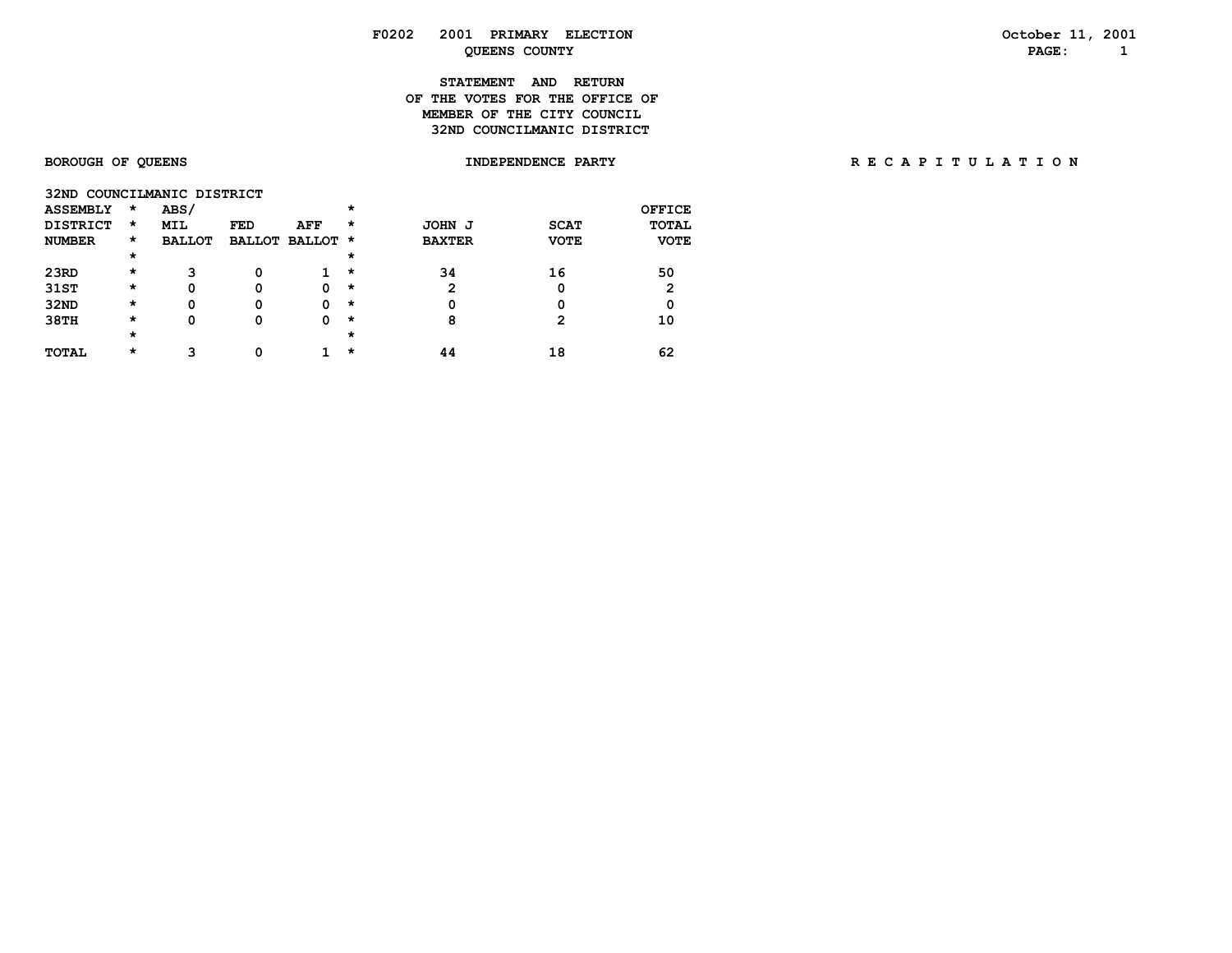## **F0202 2001 PRIMARY ELECTION October 11, 2001 QUEENS COUNTY PAGE: 1**

### **STATEMENT AND RETURN OF THE VOTES FOR THE OFFICE OFMEMBER OF THE CITY COUNCIL 32ND COUNCILMANIC DISTRICT**

# BOROUGH OF QUEENS **INDEPENDENCE PARTY RECAPITULATION**

|  |  | 32ND COUNCILMANIC DISTRICT |  |
|--|--|----------------------------|--|
|--|--|----------------------------|--|

| <b>ASSEMBLY</b> | $\star$  | ABS/          |            |                 | $\star$ |               |             | <b>OFFICE</b> |
|-----------------|----------|---------------|------------|-----------------|---------|---------------|-------------|---------------|
| <b>DISTRICT</b> | $\star$  | <b>MIL</b>    | <b>FED</b> | AFF             | $\star$ | JOHN J        | <b>SCAT</b> | <b>TOTAL</b>  |
| <b>NUMBER</b>   | $\star$  | <b>BALLOT</b> |            | BALLOT BALLOT * |         | <b>BAXTER</b> | <b>VOTE</b> | <b>VOTE</b>   |
|                 | $\star$  |               |            |                 | *       |               |             |               |
| 23RD            | $\star$  | 3             | 0          |                 | $\star$ | 34            | 16          | 50            |
| 31ST            | $^\star$ | 0             | 0          | 0               | $\star$ | 2             | 0           | 2             |
| 32ND            | $^\star$ | 0             | 0          | 0               | $\star$ | 0             | 0           | 0             |
| 38TH            | $^\star$ | 0             | 0          | 0               | $\star$ | 8             | 2           | 10            |
|                 | $\star$  |               |            |                 | *       |               |             |               |
| <b>TOTAL</b>    | $^\star$ | З             |            |                 | *       | 44            | 18          | 62            |
|                 |          |               |            |                 |         |               |             |               |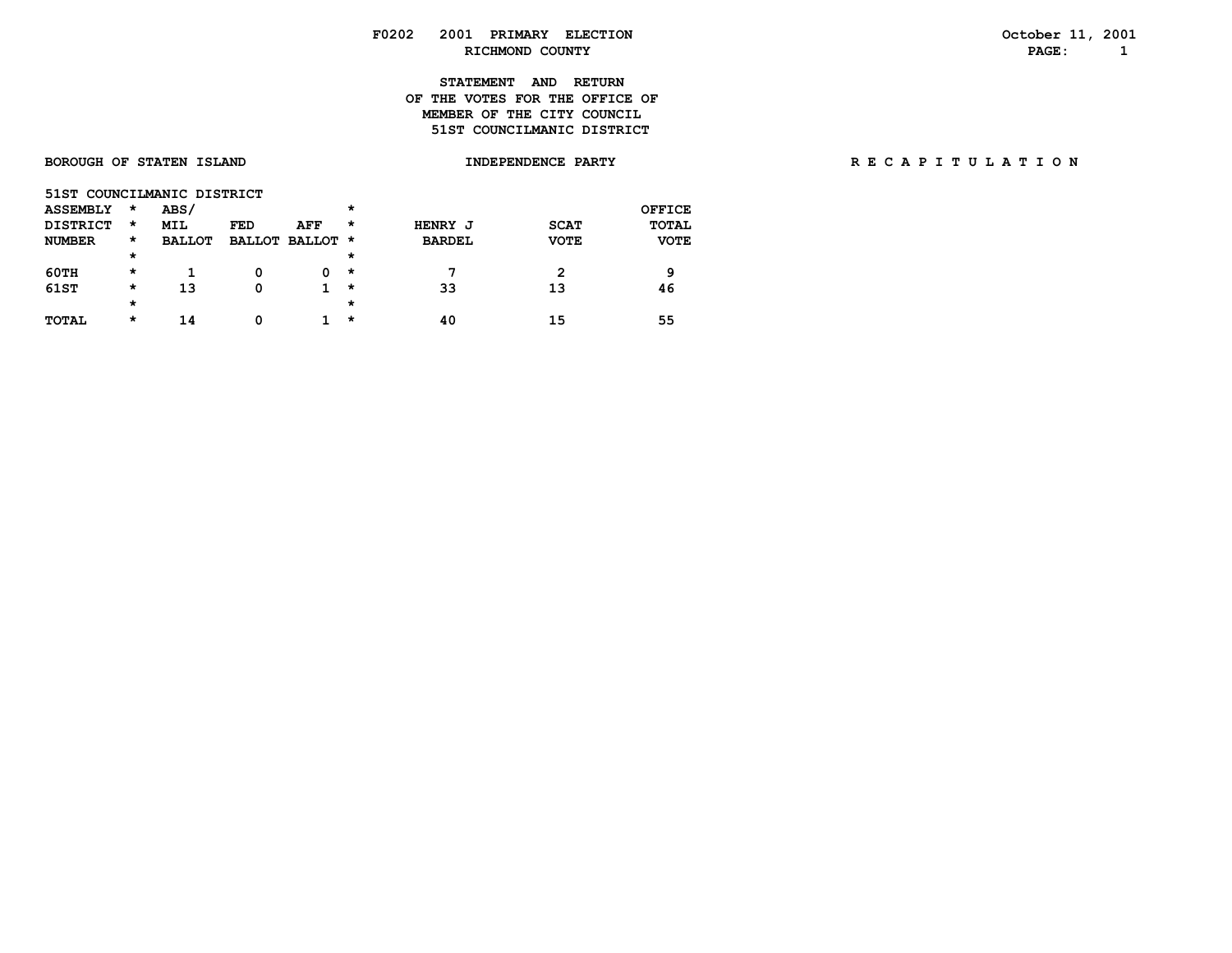### **F0202 2001 PRIMARY ELECTION October 11, 2001 RICHMOND COUNTY PAGE: 1**

### **STATEMENT AND RETURN OF THE VOTES FOR THE OFFICE OFMEMBER OF THE CITY COUNCIL 51ST COUNCILMANIC DISTRICT**

| <b>BOROUGH OF STATEN ISLAND</b> | <b>INDEPENDENCE</b><br><b>PARTY</b> | RECAPITULATION |
|---------------------------------|-------------------------------------|----------------|
|                                 |                                     |                |

|                 | 51ST COUNCILMANIC DISTRICT |               |            |                 |         |               |             |               |  |  |  |  |  |
|-----------------|----------------------------|---------------|------------|-----------------|---------|---------------|-------------|---------------|--|--|--|--|--|
| <b>ASSEMBLY</b> | $\star$                    | ABS/          |            |                 | $\star$ |               |             | <b>OFFICE</b> |  |  |  |  |  |
| <b>DISTRICT</b> | $\star$                    | <b>MIL</b>    | <b>FED</b> | AFF             | *       | HENRY J       | <b>SCAT</b> | <b>TOTAL</b>  |  |  |  |  |  |
| <b>NUMBER</b>   | *                          | <b>BALLOT</b> |            | BALLOT BALLOT * |         | <b>BARDEL</b> | <b>VOTE</b> | <b>VOTE</b>   |  |  |  |  |  |
|                 | $^\star$                   |               |            |                 | $\star$ |               |             |               |  |  |  |  |  |
| 60TH            | $^\star$                   |               | o          | 0               | *       |               | 2           | 9             |  |  |  |  |  |
| 61ST            | $^\star$                   | 13            | 0          |                 | *       | 33            | 13          | 46            |  |  |  |  |  |
|                 | $\star$                    |               |            |                 | $\star$ |               |             |               |  |  |  |  |  |
| TOTAL           | $^\star$                   | 14            | o          |                 | *       | 40            | 15          | 55            |  |  |  |  |  |
|                 |                            |               |            |                 |         |               |             |               |  |  |  |  |  |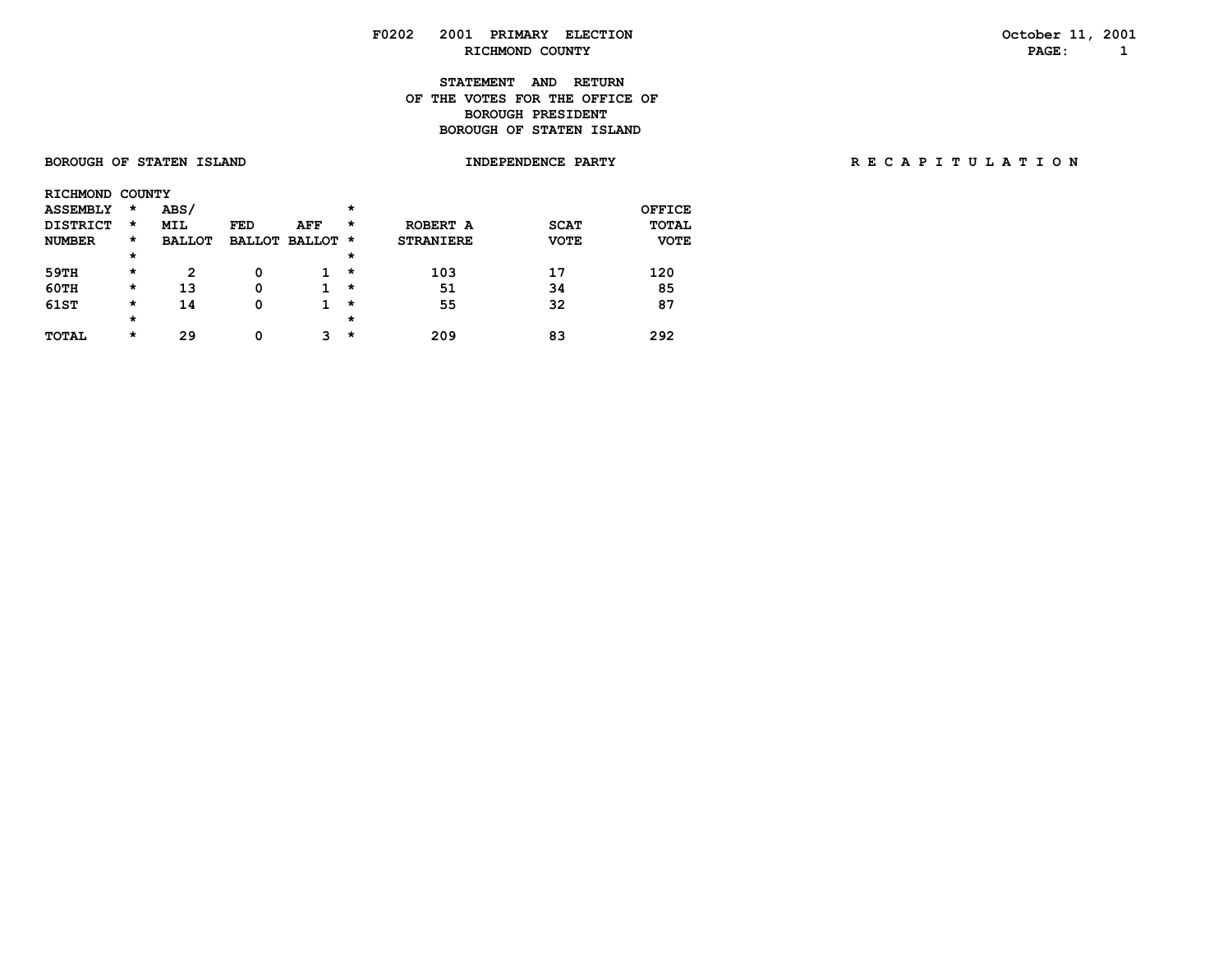### **F0202 2001 PRIMARY ELECTION October 11, 2001 RICHMOND COUNTY PAGE: 1**

### **STATEMENT AND RETURN OF THE VOTES FOR THE OFFICE OFBOROUGH PRESIDENT BOROUGH OF STATEN ISLAND**

**BOROUGH OF STATEN ISLAND INDEPENDENCE PARTY** 

|  | RECAPITULATION |  |  |  |  |  |
|--|----------------|--|--|--|--|--|
|  |                |  |  |  |  |  |

|      | RICHMOND COUNTY |          |               |     |                 |         |                  |             |             |
|------|-----------------|----------|---------------|-----|-----------------|---------|------------------|-------------|-------------|
|      | <b>ASSEMBLY</b> | $^\star$ | ABS/          |     |                 | $\star$ |                  |             | OFFICE      |
|      | <b>DISTRICT</b> | *        | <b>MIL</b>    | FED | <b>AFF</b>      | $\star$ | ROBERT A         | <b>SCAT</b> | TOTAL       |
|      | <b>NUMBER</b>   | $^\star$ | <b>BALLOT</b> |     | BALLOT BALLOT * |         | <b>STRANIERE</b> | <b>VOTE</b> | <b>VOTE</b> |
|      |                 | $\star$  |               |     |                 | $\star$ |                  |             |             |
| 59TH |                 | $^\star$ | 2             | 0   |                 | $\star$ | 103              | 17          | 120         |
| 60TH |                 | $\star$  | 13            | 0   |                 | $\star$ | 51               | 34          | 85          |
| 61ST |                 | $^\star$ | 14            | 0   |                 | $\star$ | 55               | 32          | 87          |
|      |                 | $\star$  |               |     |                 | $\star$ |                  |             |             |
|      | <b>TOTAL</b>    | $^\star$ | 29            | 0   | 3.              | $\star$ | 209              | 83          | 292         |
|      |                 |          |               |     |                 |         |                  |             |             |